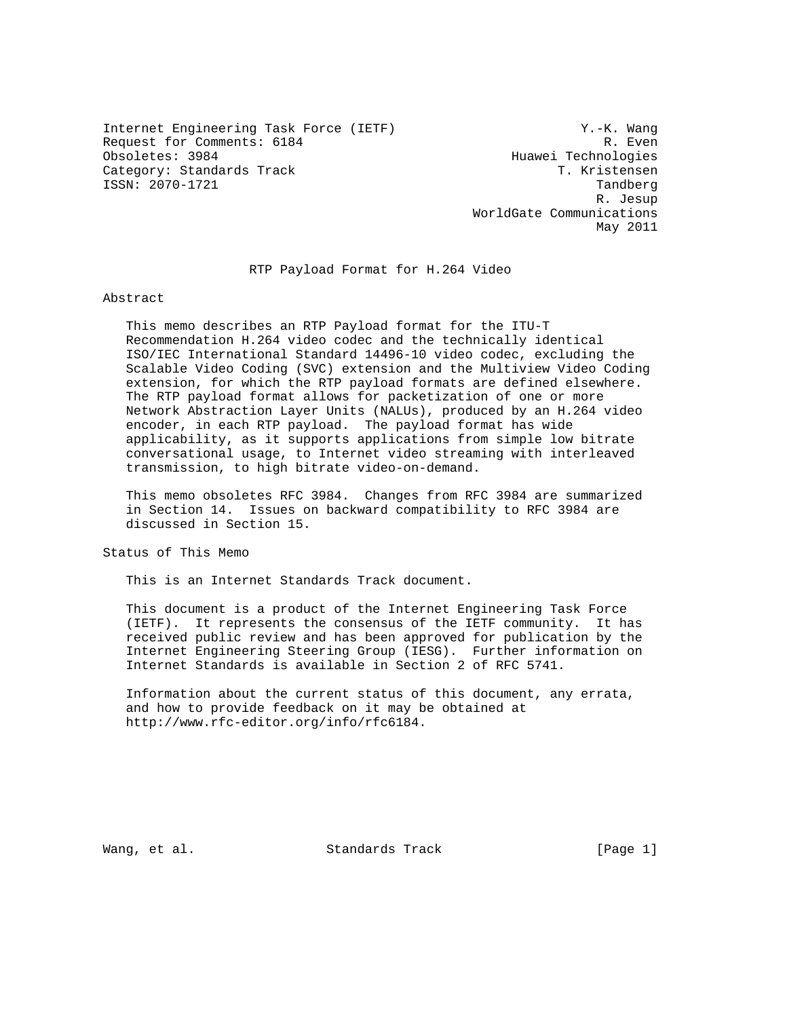Internet Engineering Task Force (IETF) Y.-K. Wang Request for Comments: 6184 Request for Comments: 6184<br>
Obsoletes: 3984 Request Rechnologies Category: Standards Track T. Kristensen ISSN: 2070-1721 Tandberg

Huawei Technologies R. Jesup WorldGate Communications May 2011

RTP Payload Format for H.264 Video

Abstract

 This memo describes an RTP Payload format for the ITU-T Recommendation H.264 video codec and the technically identical ISO/IEC International Standard 14496-10 video codec, excluding the Scalable Video Coding (SVC) extension and the Multiview Video Coding extension, for which the RTP payload formats are defined elsewhere. The RTP payload format allows for packetization of one or more Network Abstraction Layer Units (NALUs), produced by an H.264 video encoder, in each RTP payload. The payload format has wide applicability, as it supports applications from simple low bitrate conversational usage, to Internet video streaming with interleaved transmission, to high bitrate video-on-demand.

 This memo obsoletes RFC 3984. Changes from RFC 3984 are summarized in Section 14. Issues on backward compatibility to RFC 3984 are discussed in Section 15.

Status of This Memo

This is an Internet Standards Track document.

 This document is a product of the Internet Engineering Task Force (IETF). It represents the consensus of the IETF community. It has received public review and has been approved for publication by the Internet Engineering Steering Group (IESG). Further information on Internet Standards is available in Section 2 of RFC 5741.

 Information about the current status of this document, any errata, and how to provide feedback on it may be obtained at http://www.rfc-editor.org/info/rfc6184.

Wang, et al. Standards Track [Page 1]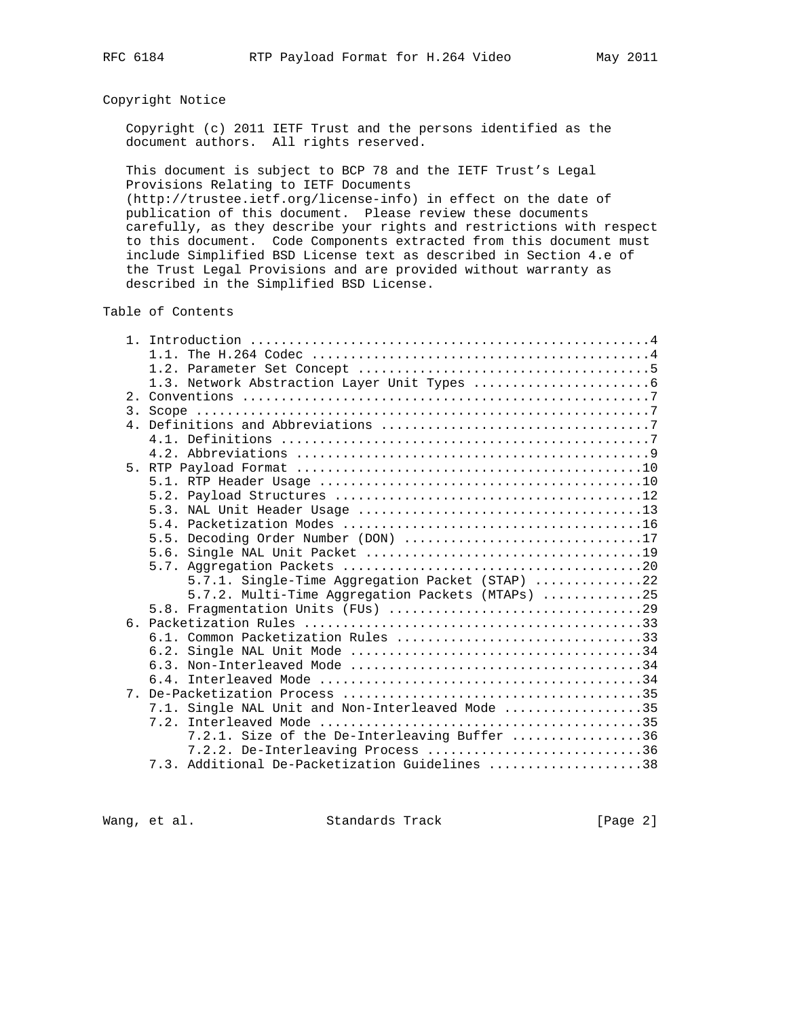# Copyright Notice

 Copyright (c) 2011 IETF Trust and the persons identified as the document authors. All rights reserved.

 This document is subject to BCP 78 and the IETF Trust's Legal Provisions Relating to IETF Documents

 (http://trustee.ietf.org/license-info) in effect on the date of publication of this document. Please review these documents carefully, as they describe your rights and restrictions with respect to this document. Code Components extracted from this document must include Simplified BSD License text as described in Section 4.e of the Trust Legal Provisions and are provided without warranty as described in the Simplified BSD License.

Table of Contents

| $\overline{3}$ . |                                                  |
|------------------|--------------------------------------------------|
| 4 <sup>1</sup>   |                                                  |
|                  |                                                  |
|                  |                                                  |
|                  |                                                  |
|                  |                                                  |
|                  |                                                  |
|                  |                                                  |
|                  |                                                  |
|                  | 5.5. Decoding Order Number (DON) 17              |
|                  |                                                  |
|                  |                                                  |
|                  | 5.7.1. Single-Time Aggregation Packet (STAP) 22  |
|                  | 5.7.2. Multi-Time Aggregation Packets (MTAPs) 25 |
|                  |                                                  |
|                  |                                                  |
|                  | 6.1. Common Packetization Rules 33               |
|                  |                                                  |
|                  |                                                  |
|                  |                                                  |
| 7                |                                                  |
|                  | 7.1. Single NAL Unit and Non-Interleaved Mode 35 |
|                  |                                                  |
|                  | 7.2.1. Size of the De-Interleaving Buffer 36     |
|                  | 7.2.2. De-Interleaving Process 36                |
|                  | 7.3. Additional De-Packetization Guidelines 38   |

Wang, et al. Standards Track [Page 2]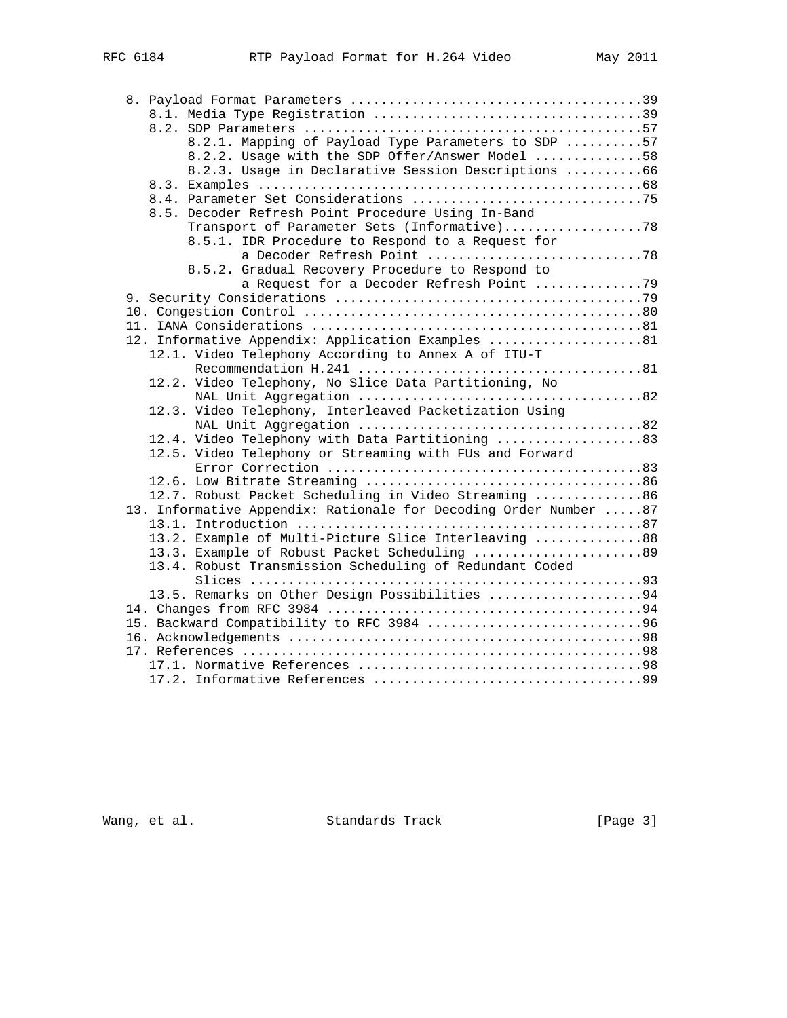| 8.2.1. Mapping of Payload Type Parameters to SDP 57              |
|------------------------------------------------------------------|
| 8.2.2. Usage with the SDP Offer/Answer Model 58                  |
| 8.2.3. Usage in Declarative Session Descriptions 66              |
|                                                                  |
|                                                                  |
| 8.5. Decoder Refresh Point Procedure Using In-Band               |
| Transport of Parameter Sets (Informative)78                      |
| 8.5.1. IDR Procedure to Respond to a Request for                 |
| a Decoder Refresh Point 78                                       |
| 8.5.2. Gradual Recovery Procedure to Respond to                  |
| a Request for a Decoder Refresh Point 79                         |
|                                                                  |
|                                                                  |
|                                                                  |
| 12. Informative Appendix: Application Examples 81                |
| 12.1. Video Telephony According to Annex A of ITU-T              |
|                                                                  |
| 12.2. Video Telephony, No Slice Data Partitioning, No            |
|                                                                  |
| 12.3. Video Telephony, Interleaved Packetization Using           |
|                                                                  |
| 12.4. Video Telephony with Data Partitioning 83                  |
| 12.5. Video Telephony or Streaming with FUs and Forward          |
|                                                                  |
|                                                                  |
| 12.7. Robust Packet Scheduling in Video Streaming 86             |
| 13. Informative Appendix: Rationale for Decoding Order Number 87 |
|                                                                  |
| 13.2. Example of Multi-Picture Slice Interleaving 88             |
| 13.3. Example of Robust Packet Scheduling 89                     |
| 13.4. Robust Transmission Scheduling of Redundant Coded          |
|                                                                  |
| 13.5. Remarks on Other Design Possibilities 94                   |
|                                                                  |
| 15. Backward Compatibility to RFC 3984 96                        |
|                                                                  |
|                                                                  |
|                                                                  |
|                                                                  |

Wang, et al. Standards Track [Page 3]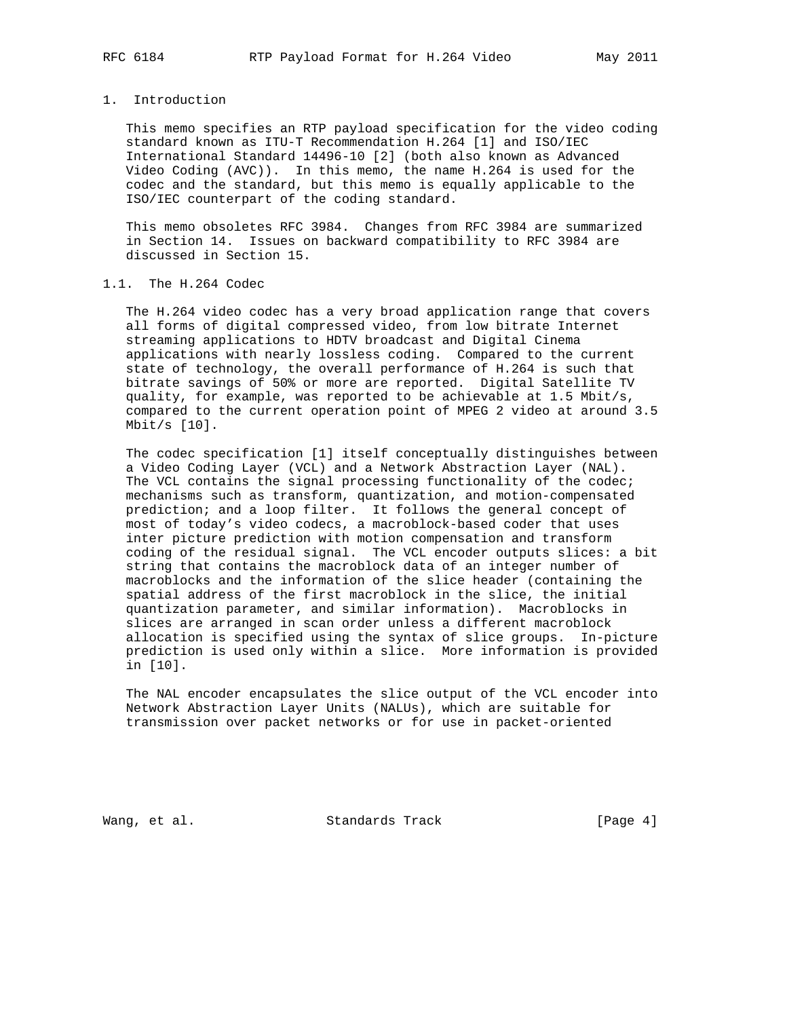#### 1. Introduction

 This memo specifies an RTP payload specification for the video coding standard known as ITU-T Recommendation H.264 [1] and ISO/IEC International Standard 14496-10 [2] (both also known as Advanced Video Coding (AVC)). In this memo, the name H.264 is used for the codec and the standard, but this memo is equally applicable to the ISO/IEC counterpart of the coding standard.

 This memo obsoletes RFC 3984. Changes from RFC 3984 are summarized in Section 14. Issues on backward compatibility to RFC 3984 are discussed in Section 15.

# 1.1. The H.264 Codec

 The H.264 video codec has a very broad application range that covers all forms of digital compressed video, from low bitrate Internet streaming applications to HDTV broadcast and Digital Cinema applications with nearly lossless coding. Compared to the current state of technology, the overall performance of H.264 is such that bitrate savings of 50% or more are reported. Digital Satellite TV quality, for example, was reported to be achievable at 1.5 Mbit/s, compared to the current operation point of MPEG 2 video at around 3.5 Mbit/s [10].

 The codec specification [1] itself conceptually distinguishes between a Video Coding Layer (VCL) and a Network Abstraction Layer (NAL). The VCL contains the signal processing functionality of the codec; mechanisms such as transform, quantization, and motion-compensated prediction; and a loop filter. It follows the general concept of most of today's video codecs, a macroblock-based coder that uses inter picture prediction with motion compensation and transform coding of the residual signal. The VCL encoder outputs slices: a bit string that contains the macroblock data of an integer number of macroblocks and the information of the slice header (containing the spatial address of the first macroblock in the slice, the initial quantization parameter, and similar information). Macroblocks in slices are arranged in scan order unless a different macroblock allocation is specified using the syntax of slice groups. In-picture prediction is used only within a slice. More information is provided in [10].

 The NAL encoder encapsulates the slice output of the VCL encoder into Network Abstraction Layer Units (NALUs), which are suitable for transmission over packet networks or for use in packet-oriented

Wang, et al. Standards Track [Page 4]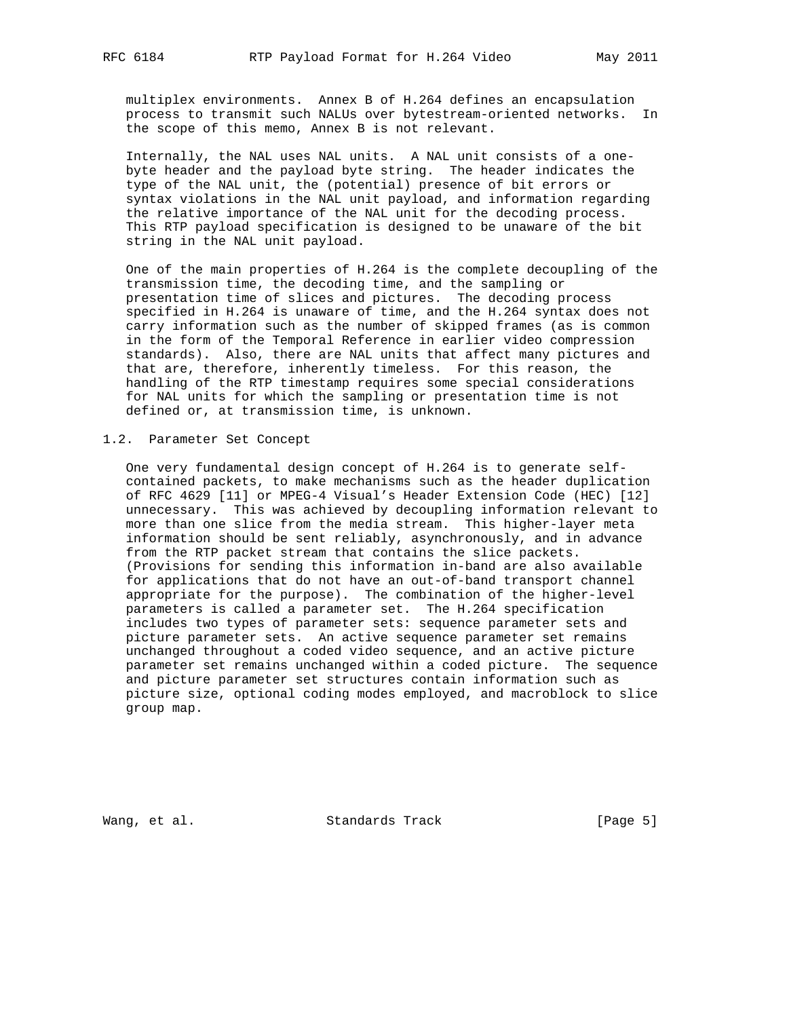multiplex environments. Annex B of H.264 defines an encapsulation process to transmit such NALUs over bytestream-oriented networks. In

the scope of this memo, Annex B is not relevant.

 Internally, the NAL uses NAL units. A NAL unit consists of a one byte header and the payload byte string. The header indicates the type of the NAL unit, the (potential) presence of bit errors or syntax violations in the NAL unit payload, and information regarding the relative importance of the NAL unit for the decoding process. This RTP payload specification is designed to be unaware of the bit string in the NAL unit payload.

 One of the main properties of H.264 is the complete decoupling of the transmission time, the decoding time, and the sampling or presentation time of slices and pictures. The decoding process specified in H.264 is unaware of time, and the H.264 syntax does not carry information such as the number of skipped frames (as is common in the form of the Temporal Reference in earlier video compression standards). Also, there are NAL units that affect many pictures and that are, therefore, inherently timeless. For this reason, the handling of the RTP timestamp requires some special considerations for NAL units for which the sampling or presentation time is not defined or, at transmission time, is unknown.

## 1.2. Parameter Set Concept

 One very fundamental design concept of H.264 is to generate self contained packets, to make mechanisms such as the header duplication of RFC 4629 [11] or MPEG-4 Visual's Header Extension Code (HEC) [12] unnecessary. This was achieved by decoupling information relevant to more than one slice from the media stream. This higher-layer meta information should be sent reliably, asynchronously, and in advance from the RTP packet stream that contains the slice packets. (Provisions for sending this information in-band are also available for applications that do not have an out-of-band transport channel appropriate for the purpose). The combination of the higher-level parameters is called a parameter set. The H.264 specification includes two types of parameter sets: sequence parameter sets and picture parameter sets. An active sequence parameter set remains unchanged throughout a coded video sequence, and an active picture parameter set remains unchanged within a coded picture. The sequence and picture parameter set structures contain information such as picture size, optional coding modes employed, and macroblock to slice group map.

Wang, et al. Standards Track [Page 5]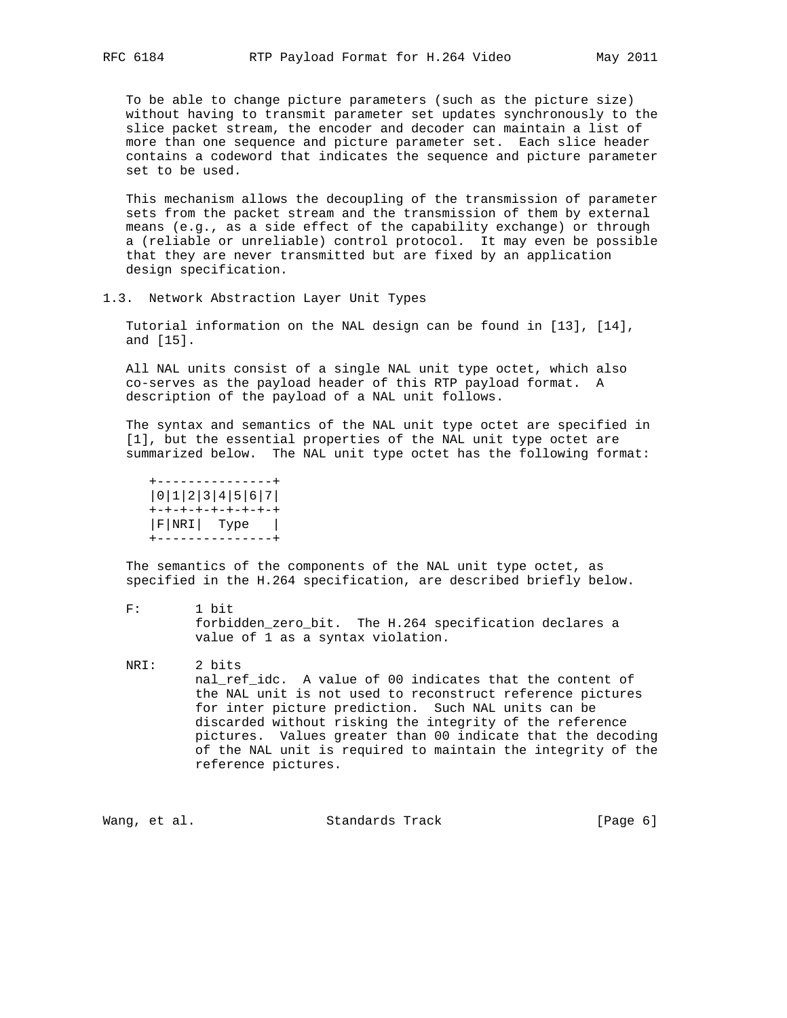To be able to change picture parameters (such as the picture size) without having to transmit parameter set updates synchronously to the slice packet stream, the encoder and decoder can maintain a list of more than one sequence and picture parameter set. Each slice header contains a codeword that indicates the sequence and picture parameter set to be used.

 This mechanism allows the decoupling of the transmission of parameter sets from the packet stream and the transmission of them by external means (e.g., as a side effect of the capability exchange) or through a (reliable or unreliable) control protocol. It may even be possible that they are never transmitted but are fixed by an application design specification.

1.3. Network Abstraction Layer Unit Types

 Tutorial information on the NAL design can be found in [13], [14], and [15].

 All NAL units consist of a single NAL unit type octet, which also co-serves as the payload header of this RTP payload format. A description of the payload of a NAL unit follows.

 The syntax and semantics of the NAL unit type octet are specified in [1], but the essential properties of the NAL unit type octet are summarized below. The NAL unit type octet has the following format:

 +---------------+ |0|1|2|3|4|5|6|7| +-+-+-+-+-+-+-+-+ |F|NRI| Type | +---------------+

 The semantics of the components of the NAL unit type octet, as specified in the H.264 specification, are described briefly below.

 F: 1 bit forbidden\_zero\_bit. The H.264 specification declares a value of 1 as a syntax violation.

 NRI: 2 bits nal\_ref\_idc. A value of 00 indicates that the content of the NAL unit is not used to reconstruct reference pictures for inter picture prediction. Such NAL units can be discarded without risking the integrity of the reference pictures. Values greater than 00 indicate that the decoding of the NAL unit is required to maintain the integrity of the reference pictures.

Wang, et al. Standards Track [Page 6]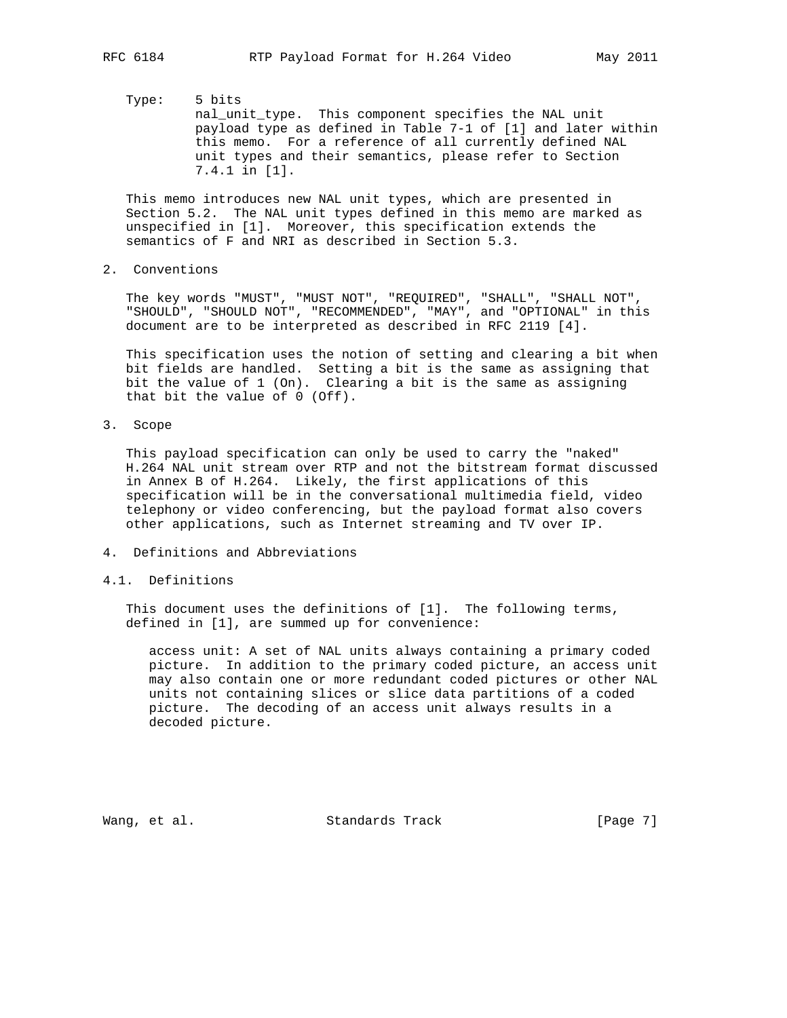Type: 5 bits nal\_unit\_type. This component specifies the NAL unit payload type as defined in Table 7-1 of [1] and later within this memo. For a reference of all currently defined NAL unit types and their semantics, please refer to Section 7.4.1 in [1].

 This memo introduces new NAL unit types, which are presented in Section 5.2. The NAL unit types defined in this memo are marked as unspecified in [1]. Moreover, this specification extends the semantics of F and NRI as described in Section 5.3.

2. Conventions

 The key words "MUST", "MUST NOT", "REQUIRED", "SHALL", "SHALL NOT", "SHOULD", "SHOULD NOT", "RECOMMENDED", "MAY", and "OPTIONAL" in this document are to be interpreted as described in RFC 2119 [4].

 This specification uses the notion of setting and clearing a bit when bit fields are handled. Setting a bit is the same as assigning that bit the value of 1 (On). Clearing a bit is the same as assigning that bit the value of 0 (Off).

3. Scope

 This payload specification can only be used to carry the "naked" H.264 NAL unit stream over RTP and not the bitstream format discussed in Annex B of H.264. Likely, the first applications of this specification will be in the conversational multimedia field, video telephony or video conferencing, but the payload format also covers other applications, such as Internet streaming and TV over IP.

- 4. Definitions and Abbreviations
- 4.1. Definitions

 This document uses the definitions of [1]. The following terms, defined in [1], are summed up for convenience:

 access unit: A set of NAL units always containing a primary coded picture. In addition to the primary coded picture, an access unit may also contain one or more redundant coded pictures or other NAL units not containing slices or slice data partitions of a coded picture. The decoding of an access unit always results in a decoded picture.

Wang, et al. Standards Track [Page 7]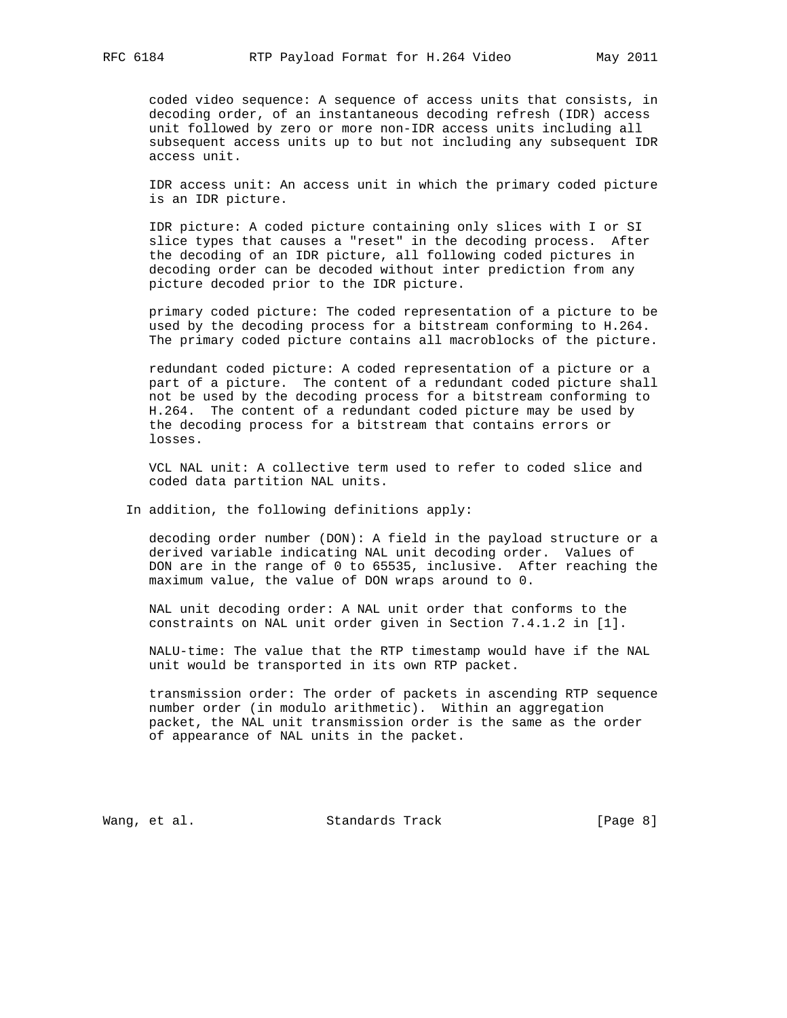coded video sequence: A sequence of access units that consists, in decoding order, of an instantaneous decoding refresh (IDR) access unit followed by zero or more non-IDR access units including all subsequent access units up to but not including any subsequent IDR access unit.

 IDR access unit: An access unit in which the primary coded picture is an IDR picture.

 IDR picture: A coded picture containing only slices with I or SI slice types that causes a "reset" in the decoding process. After the decoding of an IDR picture, all following coded pictures in decoding order can be decoded without inter prediction from any picture decoded prior to the IDR picture.

 primary coded picture: The coded representation of a picture to be used by the decoding process for a bitstream conforming to H.264. The primary coded picture contains all macroblocks of the picture.

 redundant coded picture: A coded representation of a picture or a part of a picture. The content of a redundant coded picture shall not be used by the decoding process for a bitstream conforming to H.264. The content of a redundant coded picture may be used by the decoding process for a bitstream that contains errors or losses.

 VCL NAL unit: A collective term used to refer to coded slice and coded data partition NAL units.

In addition, the following definitions apply:

 decoding order number (DON): A field in the payload structure or a derived variable indicating NAL unit decoding order. Values of DON are in the range of 0 to 65535, inclusive. After reaching the maximum value, the value of DON wraps around to 0.

 NAL unit decoding order: A NAL unit order that conforms to the constraints on NAL unit order given in Section 7.4.1.2 in [1].

 NALU-time: The value that the RTP timestamp would have if the NAL unit would be transported in its own RTP packet.

 transmission order: The order of packets in ascending RTP sequence number order (in modulo arithmetic). Within an aggregation packet, the NAL unit transmission order is the same as the order of appearance of NAL units in the packet.

Wang, et al. Standards Track [Page 8]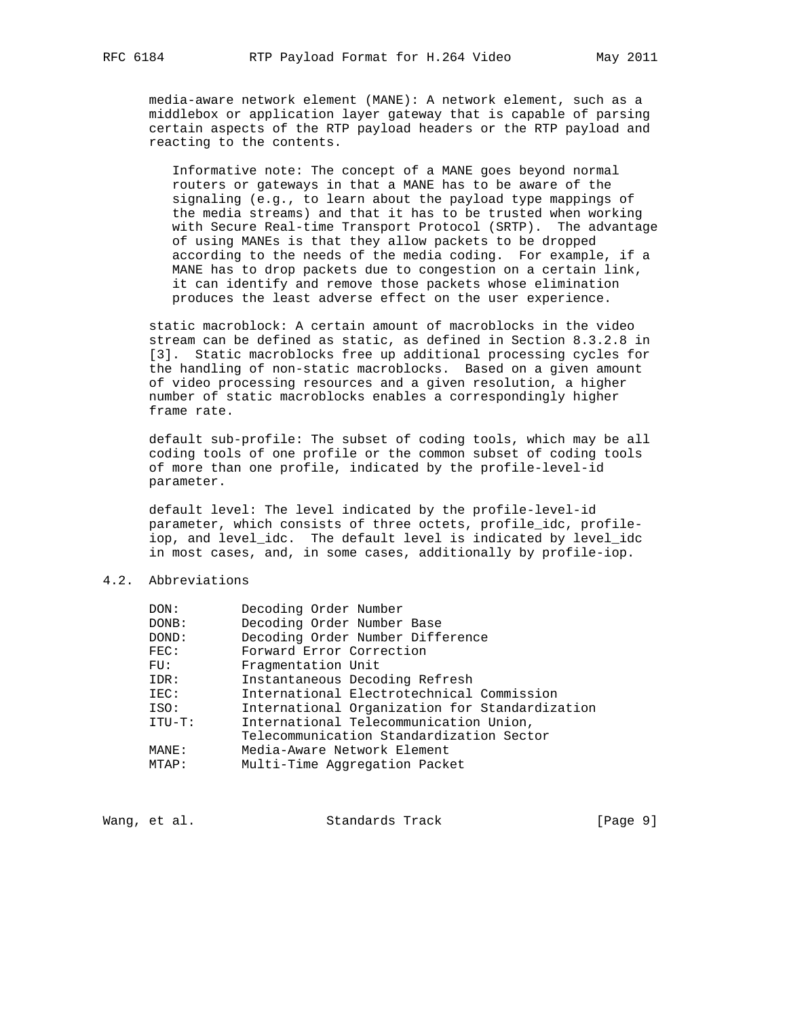media-aware network element (MANE): A network element, such as a middlebox or application layer gateway that is capable of parsing certain aspects of the RTP payload headers or the RTP payload and reacting to the contents.

 Informative note: The concept of a MANE goes beyond normal routers or gateways in that a MANE has to be aware of the signaling (e.g., to learn about the payload type mappings of the media streams) and that it has to be trusted when working with Secure Real-time Transport Protocol (SRTP). The advantage of using MANEs is that they allow packets to be dropped according to the needs of the media coding. For example, if a MANE has to drop packets due to congestion on a certain link, it can identify and remove those packets whose elimination produces the least adverse effect on the user experience.

 static macroblock: A certain amount of macroblocks in the video stream can be defined as static, as defined in Section 8.3.2.8 in [3]. Static macroblocks free up additional processing cycles for the handling of non-static macroblocks. Based on a given amount of video processing resources and a given resolution, a higher number of static macroblocks enables a correspondingly higher frame rate.

 default sub-profile: The subset of coding tools, which may be all coding tools of one profile or the common subset of coding tools of more than one profile, indicated by the profile-level-id parameter.

 default level: The level indicated by the profile-level-id parameter, which consists of three octets, profile\_idc, profile iop, and level\_idc. The default level is indicated by level\_idc in most cases, and, in some cases, additionally by profile-iop.

# 4.2. Abbreviations

| DOM:      | Decoding Order Number                          |
|-----------|------------------------------------------------|
| DONB:     | Decoding Order Number Base                     |
| DOND:     | Decoding Order Number Difference               |
| FEC:      | Forward Error Correction                       |
| FU:       | Fragmentation Unit                             |
| IDR:      | Instantaneous Decoding Refresh                 |
| IEC:      | International Electrotechnical Commission      |
| ISO:      | International Organization for Standardization |
| $ITU-T$ : | International Telecommunication Union,         |
|           | Telecommunication Standardization Sector       |
| MANE:     | Media-Aware Network Element                    |
| MTAP:     | Multi-Time Aggregation Packet                  |
|           |                                                |

Wang, et al. Standards Track [Page 9]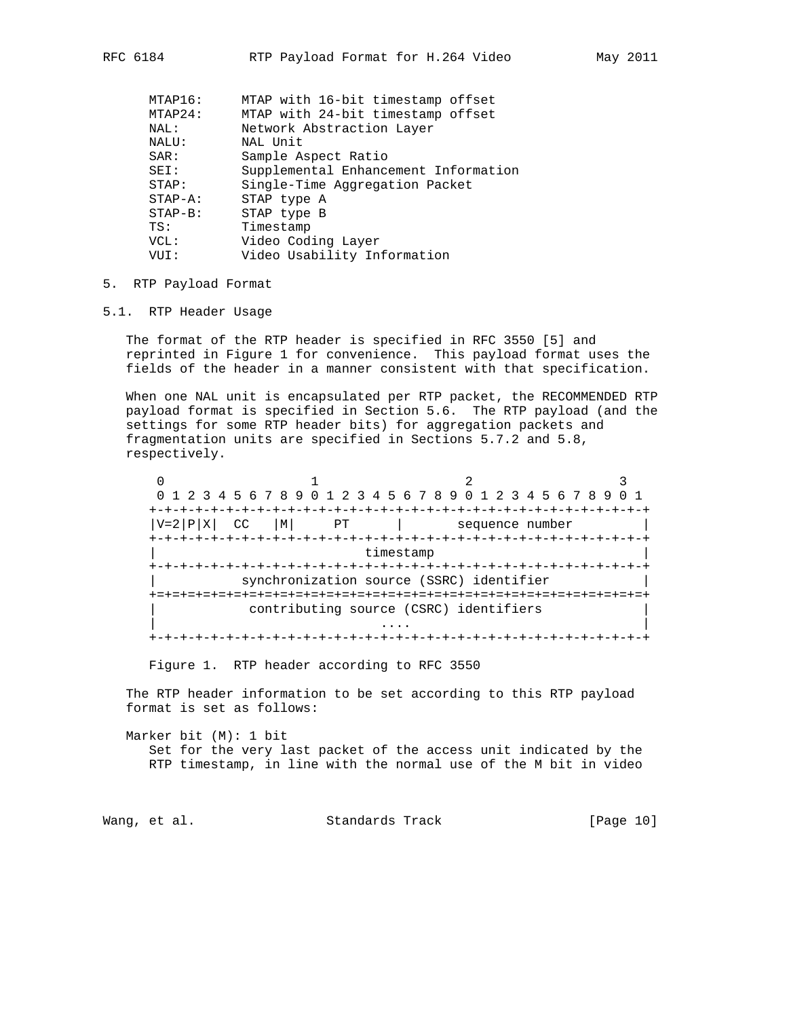| MTAP16:      | MTAP with 16-bit timestamp offset    |
|--------------|--------------------------------------|
| MTAP24:      | MTAP with 24-bit timestamp offset    |
| NAL:         | Network Abstraction Layer            |
| NALU:        | NAL Unit                             |
| SAR:         | Sample Aspect Ratio                  |
| SEI:         | Supplemental Enhancement Information |
| STAP:        | Single-Time Aggregation Packet       |
| $STAP - A$ : | STAP type A                          |
| $STAP-B$ :   | STAP type B                          |
| TS:          | Timestamp                            |
| VCL:         | Video Coding Layer                   |
| VUI :        | Video Usability Information          |
|              |                                      |

## 5. RTP Payload Format

## 5.1. RTP Header Usage

 The format of the RTP header is specified in RFC 3550 [5] and reprinted in Figure 1 for convenience. This payload format uses the fields of the header in a manner consistent with that specification.

 When one NAL unit is encapsulated per RTP packet, the RECOMMENDED RTP payload format is specified in Section 5.6. The RTP payload (and the settings for some RTP header bits) for aggregation packets and fragmentation units are specified in Sections 5.7.2 and 5.8, respectively.

 $0$  1 2 3 0 1 2 3 4 5 6 7 8 9 0 1 2 3 4 5 6 7 8 9 0 1 2 3 4 5 6 7 8 9 0 1 +-+-+-+-+-+-+-+-+-+-+-+-+-+-+-+-+-+-+-+-+-+-+-+-+-+-+-+-+-+-+-+-+  $|V=2|P|X|$  CC  $|M|$  PT | sequence number +-+-+-+-+-+-+-+-+-+-+-+-+-+-+-+-+-+-+-+-+-+-+-+-+-+-+-+-+-+-+-+-+ timestamp +-+-+-+-+-+-+-+-+-+-+-+-+-+-+-+-+-+-+-+-+-+-+-+-+-+-+-+-+-+-+-+-+ synchronization source (SSRC) identifier +=+=+=+=+=+=+=+=+=+=+=+=+=+=+=+=+=+=+=+=+=+=+=+=+=+=+=+=+=+=+=+=+ contributing source (CSRC) identifiers | .... | .... | .... | .... | .... | .... | .... | .... | .... | .... | .... | .... | .... | .... | .... | ... +-+-+-+-+-+-+-+-+-+-+-+-+-+-+-+-+-+-+-+-+-+-+-+-+-+-+-+-+-+-+-+-+

Figure 1. RTP header according to RFC 3550

 The RTP header information to be set according to this RTP payload format is set as follows:

 Marker bit (M): 1 bit Set for the very last packet of the access unit indicated by the RTP timestamp, in line with the normal use of the M bit in video

Wang, et al. Standards Track [Page 10]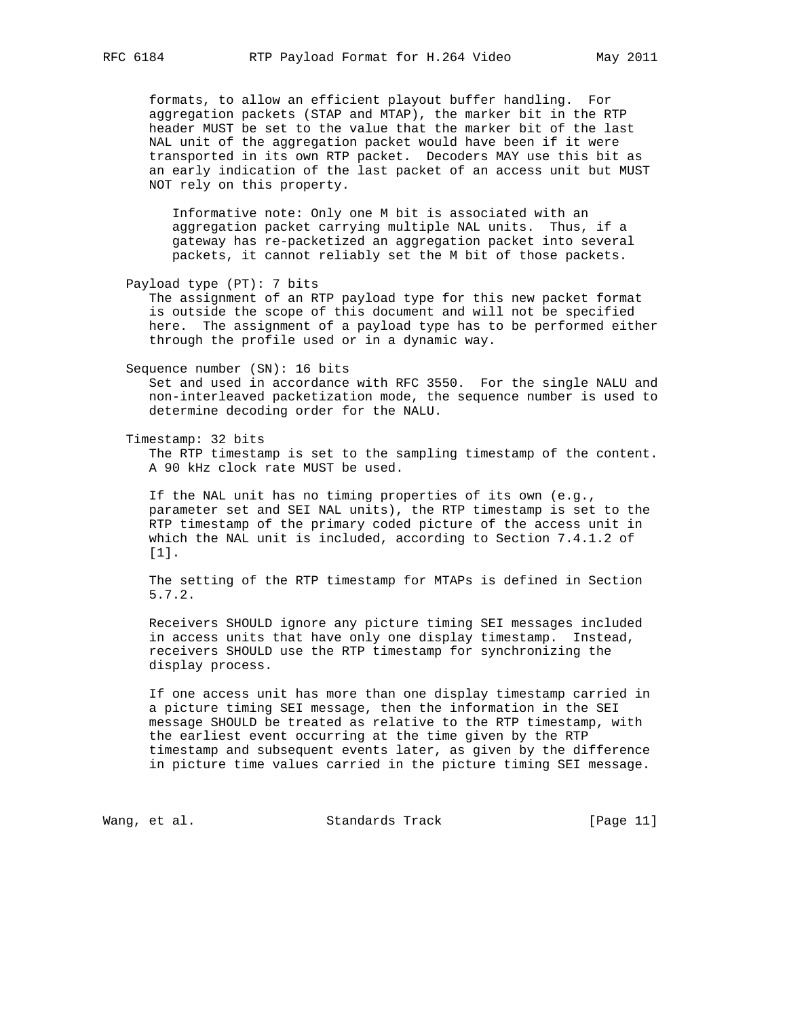formats, to allow an efficient playout buffer handling. For aggregation packets (STAP and MTAP), the marker bit in the RTP header MUST be set to the value that the marker bit of the last NAL unit of the aggregation packet would have been if it were transported in its own RTP packet. Decoders MAY use this bit as an early indication of the last packet of an access unit but MUST NOT rely on this property.

 Informative note: Only one M bit is associated with an aggregation packet carrying multiple NAL units. Thus, if a gateway has re-packetized an aggregation packet into several packets, it cannot reliably set the M bit of those packets.

Payload type (PT): 7 bits

 The assignment of an RTP payload type for this new packet format is outside the scope of this document and will not be specified here. The assignment of a payload type has to be performed either through the profile used or in a dynamic way.

Sequence number (SN): 16 bits

 Set and used in accordance with RFC 3550. For the single NALU and non-interleaved packetization mode, the sequence number is used to determine decoding order for the NALU.

Timestamp: 32 bits

 The RTP timestamp is set to the sampling timestamp of the content. A 90 kHz clock rate MUST be used.

 If the NAL unit has no timing properties of its own (e.g., parameter set and SEI NAL units), the RTP timestamp is set to the RTP timestamp of the primary coded picture of the access unit in which the NAL unit is included, according to Section 7.4.1.2 of [1].

 The setting of the RTP timestamp for MTAPs is defined in Section 5.7.2.

 Receivers SHOULD ignore any picture timing SEI messages included in access units that have only one display timestamp. Instead, receivers SHOULD use the RTP timestamp for synchronizing the display process.

 If one access unit has more than one display timestamp carried in a picture timing SEI message, then the information in the SEI message SHOULD be treated as relative to the RTP timestamp, with the earliest event occurring at the time given by the RTP timestamp and subsequent events later, as given by the difference in picture time values carried in the picture timing SEI message.

Wang, et al. Standards Track [Page 11]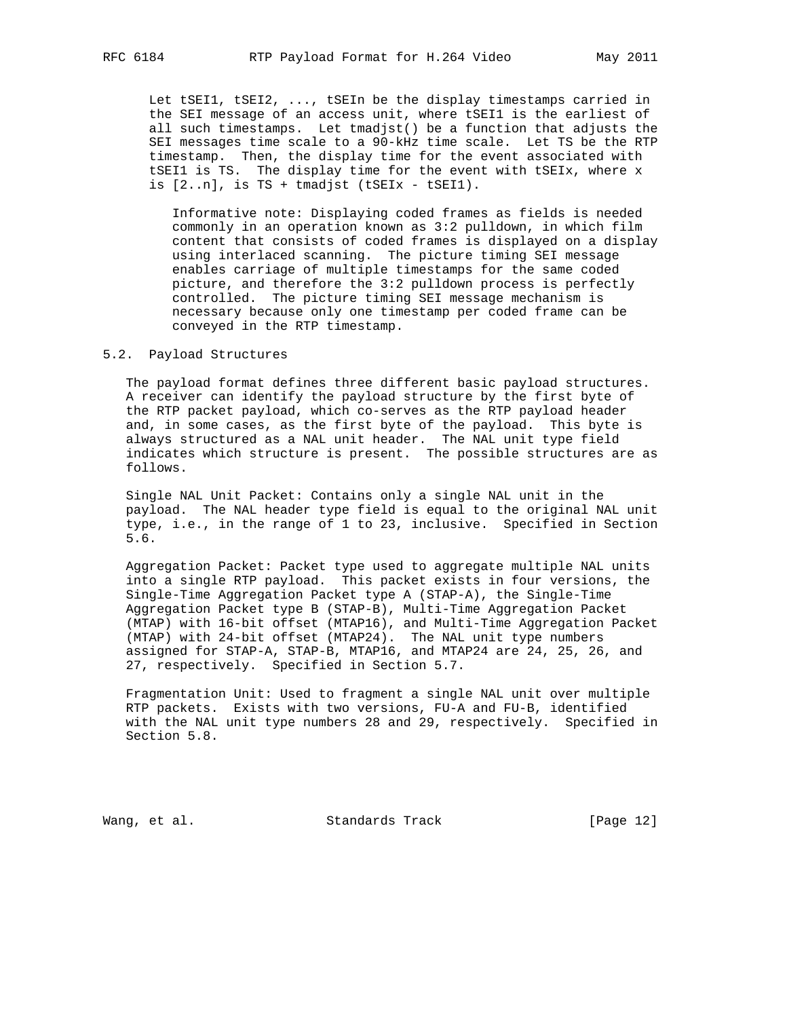Let tSEI1, tSEI2, ..., tSEIn be the display timestamps carried in the SEI message of an access unit, where tSEI1 is the earliest of all such timestamps. Let tmadjst() be a function that adjusts the SEI messages time scale to a 90-kHz time scale. Let TS be the RTP timestamp. Then, the display time for the event associated with tSEI1 is TS. The display time for the event with tSEIx, where x is  $[2..n]$ , is TS + tmadjst (tSEIx - tSEI1).

 Informative note: Displaying coded frames as fields is needed commonly in an operation known as 3:2 pulldown, in which film content that consists of coded frames is displayed on a display using interlaced scanning. The picture timing SEI message enables carriage of multiple timestamps for the same coded picture, and therefore the 3:2 pulldown process is perfectly controlled. The picture timing SEI message mechanism is necessary because only one timestamp per coded frame can be conveyed in the RTP timestamp.

## 5.2. Payload Structures

 The payload format defines three different basic payload structures. A receiver can identify the payload structure by the first byte of the RTP packet payload, which co-serves as the RTP payload header and, in some cases, as the first byte of the payload. This byte is always structured as a NAL unit header. The NAL unit type field indicates which structure is present. The possible structures are as follows.

 Single NAL Unit Packet: Contains only a single NAL unit in the payload. The NAL header type field is equal to the original NAL unit type, i.e., in the range of 1 to 23, inclusive. Specified in Section 5.6.

 Aggregation Packet: Packet type used to aggregate multiple NAL units into a single RTP payload. This packet exists in four versions, the Single-Time Aggregation Packet type A (STAP-A), the Single-Time Aggregation Packet type B (STAP-B), Multi-Time Aggregation Packet (MTAP) with 16-bit offset (MTAP16), and Multi-Time Aggregation Packet (MTAP) with 24-bit offset (MTAP24). The NAL unit type numbers assigned for STAP-A, STAP-B, MTAP16, and MTAP24 are 24, 25, 26, and 27, respectively. Specified in Section 5.7.

 Fragmentation Unit: Used to fragment a single NAL unit over multiple RTP packets. Exists with two versions, FU-A and FU-B, identified with the NAL unit type numbers 28 and 29, respectively. Specified in Section 5.8.

Wang, et al. Standards Track [Page 12]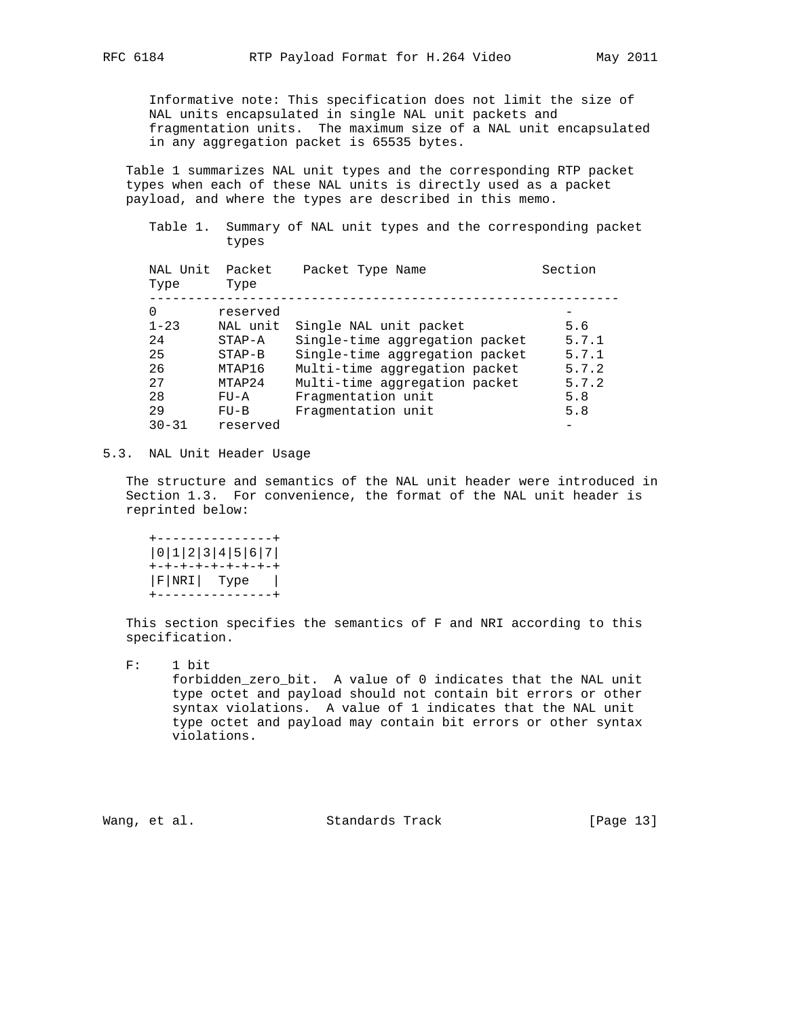Informative note: This specification does not limit the size of NAL units encapsulated in single NAL unit packets and fragmentation units. The maximum size of a NAL unit encapsulated in any aggregation packet is 65535 bytes.

 Table 1 summarizes NAL unit types and the corresponding RTP packet types when each of these NAL units is directly used as a packet payload, and where the types are described in this memo.

 Table 1. Summary of NAL unit types and the corresponding packet types

| NAL Unit<br>Type | Packet<br>Type | Packet Type Name               | Section |
|------------------|----------------|--------------------------------|---------|
| $\Omega$         | reserved       |                                |         |
| $1 - 23$         | NAL unit       | Single NAL unit packet         | 5.6     |
| 24               | $STAP - A$     | Single-time aggregation packet | 5.7.1   |
| 25               | $STAP-B$       | Single-time aggregation packet | 5.7.1   |
| 26               | MTAP16         | Multi-time aggregation packet  | 5.7.2   |
| 2.7              | MTAP24         | Multi-time aggregation packet  | 5.7.2   |
| 28               | $FU - A$       | Fragmentation unit             | 5.8     |
| 29               | $FU-B$         | Fragmentation unit             | 5.8     |
| $30 - 31$        | reserved       |                                |         |

### 5.3. NAL Unit Header Usage

 The structure and semantics of the NAL unit header were introduced in Section 1.3. For convenience, the format of the NAL unit header is reprinted below:

 +---------------+ |0|1|2|3|4|5|6|7| +-+-+-+-+-+-+-+-+ |F|NRI| Type | +---------------+

 This section specifies the semantics of F and NRI according to this specification.

 F: 1 bit forbidden\_zero\_bit. A value of 0 indicates that the NAL unit type octet and payload should not contain bit errors or other syntax violations. A value of 1 indicates that the NAL unit type octet and payload may contain bit errors or other syntax violations.

Wang, et al. Standards Track [Page 13]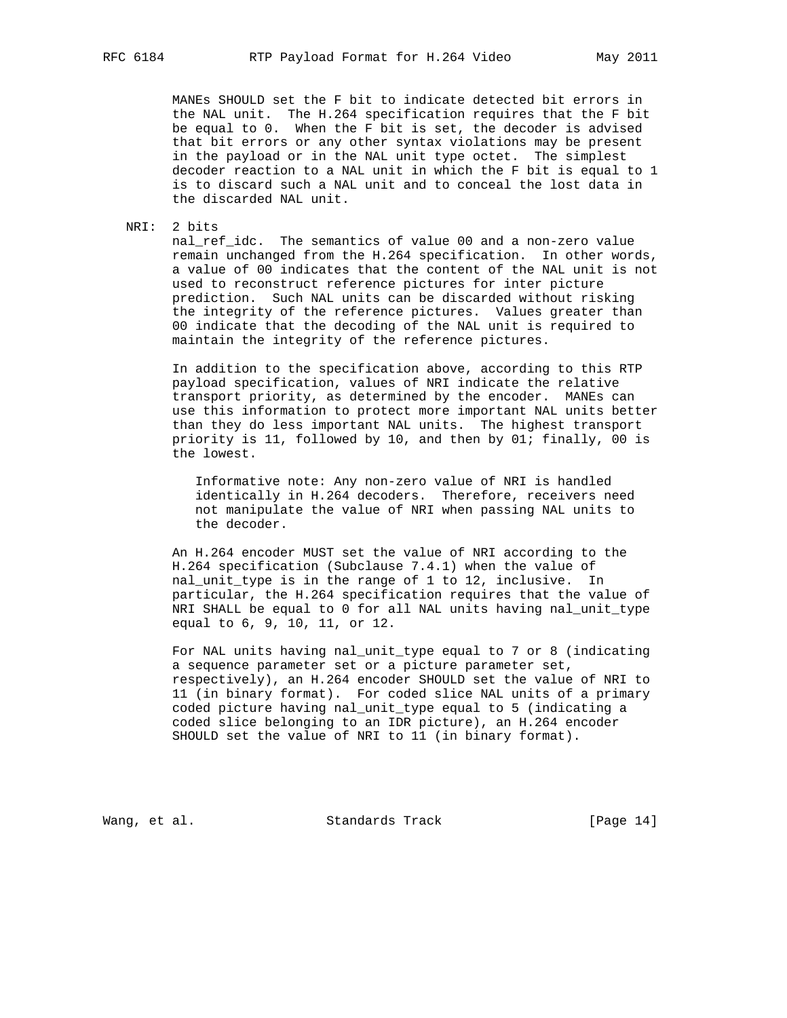MANEs SHOULD set the F bit to indicate detected bit errors in the NAL unit. The H.264 specification requires that the F bit be equal to 0. When the F bit is set, the decoder is advised that bit errors or any other syntax violations may be present in the payload or in the NAL unit type octet. The simplest decoder reaction to a NAL unit in which the F bit is equal to 1 is to discard such a NAL unit and to conceal the lost data in the discarded NAL unit.

NRI: 2 bits

 nal\_ref\_idc. The semantics of value 00 and a non-zero value remain unchanged from the H.264 specification. In other words, a value of 00 indicates that the content of the NAL unit is not used to reconstruct reference pictures for inter picture prediction. Such NAL units can be discarded without risking the integrity of the reference pictures. Values greater than 00 indicate that the decoding of the NAL unit is required to maintain the integrity of the reference pictures.

 In addition to the specification above, according to this RTP payload specification, values of NRI indicate the relative transport priority, as determined by the encoder. MANEs can use this information to protect more important NAL units better than they do less important NAL units. The highest transport priority is 11, followed by 10, and then by 01; finally, 00 is the lowest.

 Informative note: Any non-zero value of NRI is handled identically in H.264 decoders. Therefore, receivers need not manipulate the value of NRI when passing NAL units to the decoder.

 An H.264 encoder MUST set the value of NRI according to the H.264 specification (Subclause 7.4.1) when the value of nal\_unit\_type is in the range of 1 to 12, inclusive. In particular, the H.264 specification requires that the value of NRI SHALL be equal to 0 for all NAL units having nal\_unit\_type equal to 6, 9, 10, 11, or 12.

 For NAL units having nal\_unit\_type equal to 7 or 8 (indicating a sequence parameter set or a picture parameter set, respectively), an H.264 encoder SHOULD set the value of NRI to 11 (in binary format). For coded slice NAL units of a primary coded picture having nal\_unit\_type equal to 5 (indicating a coded slice belonging to an IDR picture), an H.264 encoder SHOULD set the value of NRI to 11 (in binary format).

Wang, et al. Standards Track [Page 14]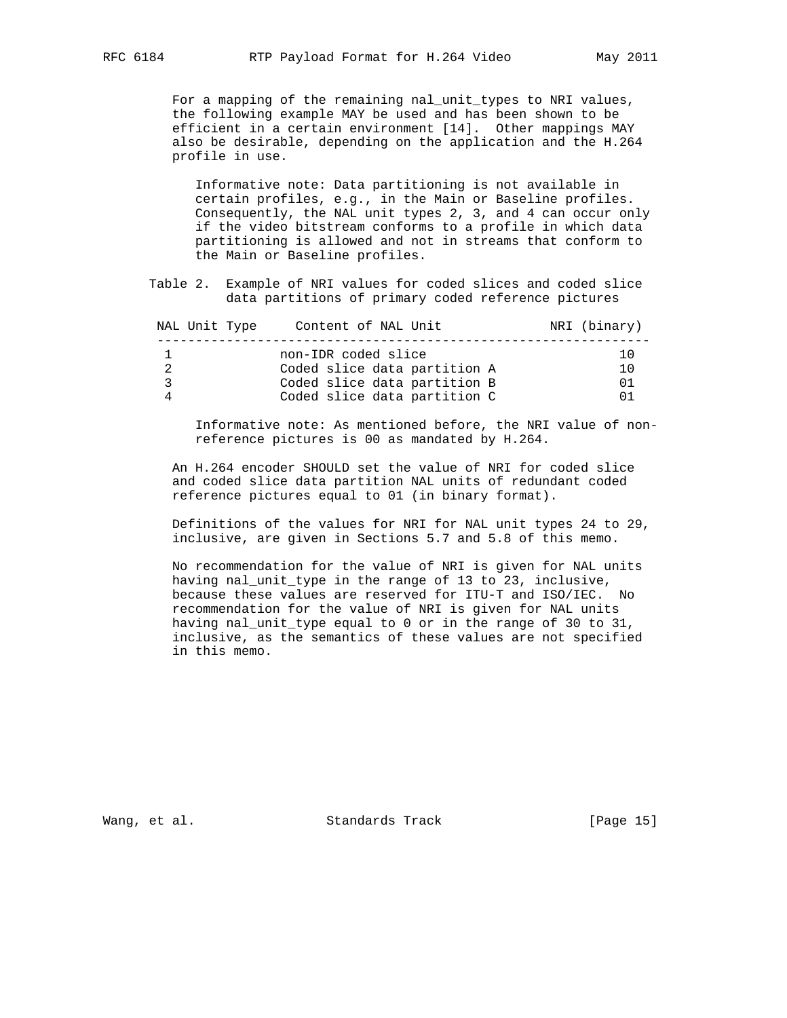For a mapping of the remaining nal\_unit\_types to NRI values, the following example MAY be used and has been shown to be efficient in a certain environment [14]. Other mappings MAY also be desirable, depending on the application and the H.264 profile in use.

 Informative note: Data partitioning is not available in certain profiles, e.g., in the Main or Baseline profiles. Consequently, the NAL unit types 2, 3, and 4 can occur only if the video bitstream conforms to a profile in which data partitioning is allowed and not in streams that conform to the Main or Baseline profiles.

 Table 2. Example of NRI values for coded slices and coded slice data partitions of primary coded reference pictures

| NAL Unit Type | Content of NAL Unit                                 | NRI (binary) |
|---------------|-----------------------------------------------------|--------------|
|               | non-IDR coded slice<br>Coded slice data partition A | 10<br>10     |
| ર             | Coded slice data partition B                        | 01           |
| Δ             | Coded slice data partition C                        | 01           |

 Informative note: As mentioned before, the NRI value of non reference pictures is 00 as mandated by H.264.

 An H.264 encoder SHOULD set the value of NRI for coded slice and coded slice data partition NAL units of redundant coded reference pictures equal to 01 (in binary format).

 Definitions of the values for NRI for NAL unit types 24 to 29, inclusive, are given in Sections 5.7 and 5.8 of this memo.

 No recommendation for the value of NRI is given for NAL units having nal\_unit\_type in the range of 13 to 23, inclusive, because these values are reserved for ITU-T and ISO/IEC. No recommendation for the value of NRI is given for NAL units having nal\_unit\_type equal to 0 or in the range of 30 to 31, inclusive, as the semantics of these values are not specified in this memo.

Wang, et al. Standards Track [Page 15]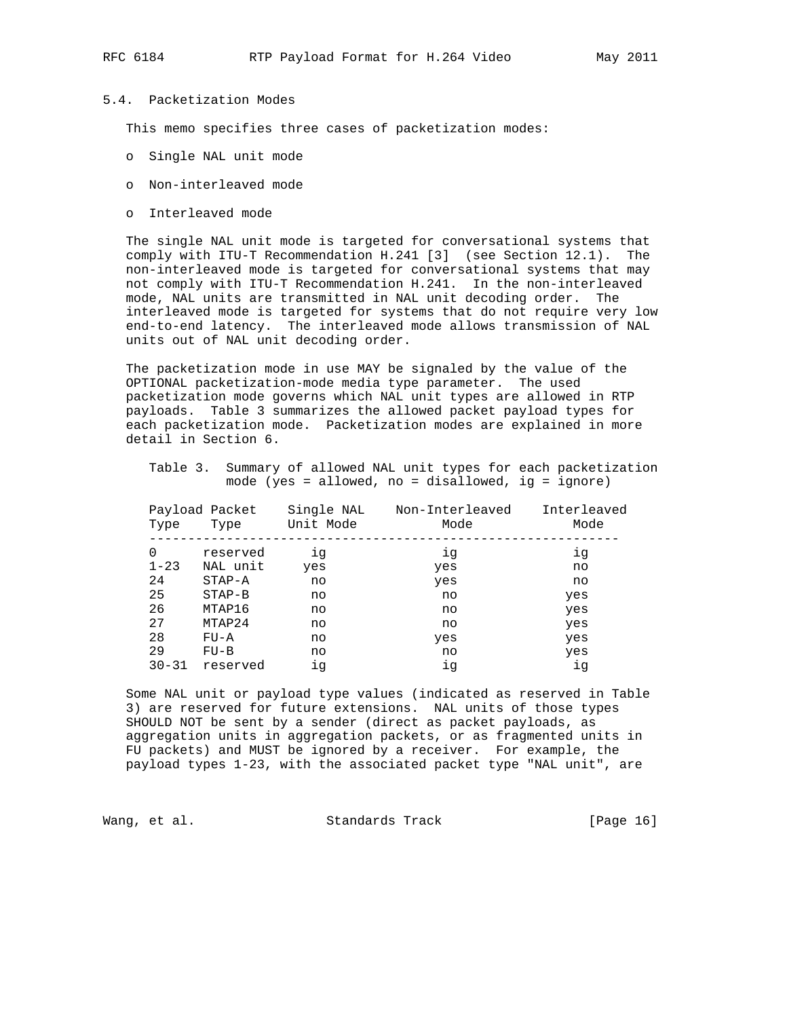# 5.4. Packetization Modes

This memo specifies three cases of packetization modes:

- o Single NAL unit mode
- o Non-interleaved mode
- o Interleaved mode

 The single NAL unit mode is targeted for conversational systems that comply with ITU-T Recommendation H.241 [3] (see Section 12.1). The non-interleaved mode is targeted for conversational systems that may not comply with ITU-T Recommendation H.241. In the non-interleaved mode, NAL units are transmitted in NAL unit decoding order. The interleaved mode is targeted for systems that do not require very low end-to-end latency. The interleaved mode allows transmission of NAL units out of NAL unit decoding order.

 The packetization mode in use MAY be signaled by the value of the OPTIONAL packetization-mode media type parameter. The used packetization mode governs which NAL unit types are allowed in RTP payloads. Table 3 summarizes the allowed packet payload types for each packetization mode. Packetization modes are explained in more detail in Section 6.

|                                                       |  | Table 3. Summary of allowed NAL unit types for each packetization |
|-------------------------------------------------------|--|-------------------------------------------------------------------|
| mode (yes = allowed, no = disallowed, $iq = iqn$ ore) |  |                                                                   |

| Type      | Payload Packet<br>Type | Single NAL<br>Unit Mode | Non-Interleaved<br>Mode | Interleaved<br>Mode |
|-----------|------------------------|-------------------------|-------------------------|---------------------|
| 0         | reserved               | iq                      | ig                      | iq                  |
| $1 - 23$  | NAL unit               | yes                     | yes                     | no                  |
| 24        | $STAP - A$             | no                      | yes                     | no                  |
| 25        | $STAP-B$               | no                      | no                      | yes                 |
| 26        | MTAP16                 | no                      | no                      | yes                 |
| 27        | MTAP24                 | no                      | no                      | yes                 |
| 28        | $FU - A$               | no                      | yes                     | yes                 |
| 29        | $FU-B$                 | no                      | no                      | yes                 |
| $30 - 31$ | reserved               | iq                      | ig                      | iq                  |

 Some NAL unit or payload type values (indicated as reserved in Table 3) are reserved for future extensions. NAL units of those types SHOULD NOT be sent by a sender (direct as packet payloads, as aggregation units in aggregation packets, or as fragmented units in FU packets) and MUST be ignored by a receiver. For example, the payload types 1-23, with the associated packet type "NAL unit", are

Wang, et al. Standards Track [Page 16]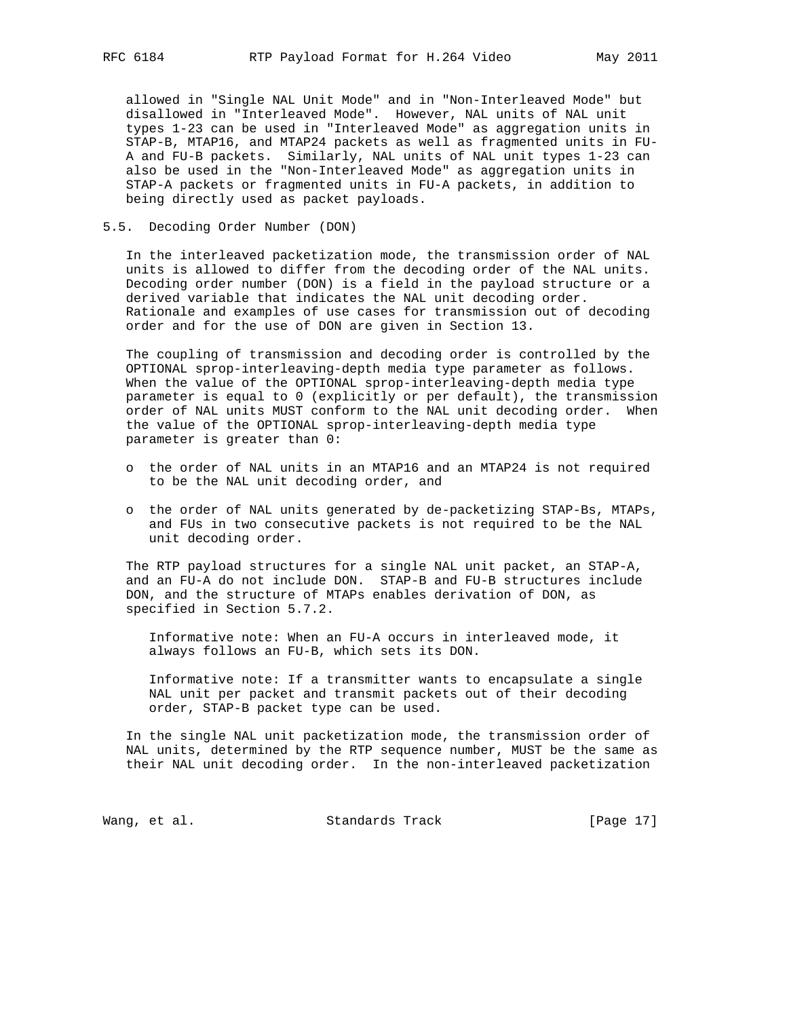allowed in "Single NAL Unit Mode" and in "Non-Interleaved Mode" but disallowed in "Interleaved Mode". However, NAL units of NAL unit types 1-23 can be used in "Interleaved Mode" as aggregation units in STAP-B, MTAP16, and MTAP24 packets as well as fragmented units in FU- A and FU-B packets. Similarly, NAL units of NAL unit types 1-23 can also be used in the "Non-Interleaved Mode" as aggregation units in STAP-A packets or fragmented units in FU-A packets, in addition to being directly used as packet payloads.

#### 5.5. Decoding Order Number (DON)

 In the interleaved packetization mode, the transmission order of NAL units is allowed to differ from the decoding order of the NAL units. Decoding order number (DON) is a field in the payload structure or a derived variable that indicates the NAL unit decoding order. Rationale and examples of use cases for transmission out of decoding order and for the use of DON are given in Section 13.

 The coupling of transmission and decoding order is controlled by the OPTIONAL sprop-interleaving-depth media type parameter as follows. When the value of the OPTIONAL sprop-interleaving-depth media type parameter is equal to 0 (explicitly or per default), the transmission order of NAL units MUST conform to the NAL unit decoding order. When the value of the OPTIONAL sprop-interleaving-depth media type parameter is greater than 0:

- o the order of NAL units in an MTAP16 and an MTAP24 is not required to be the NAL unit decoding order, and
- o the order of NAL units generated by de-packetizing STAP-Bs, MTAPs, and FUs in two consecutive packets is not required to be the NAL unit decoding order.

 The RTP payload structures for a single NAL unit packet, an STAP-A, and an FU-A do not include DON. STAP-B and FU-B structures include DON, and the structure of MTAPs enables derivation of DON, as specified in Section 5.7.2.

 Informative note: When an FU-A occurs in interleaved mode, it always follows an FU-B, which sets its DON.

 Informative note: If a transmitter wants to encapsulate a single NAL unit per packet and transmit packets out of their decoding order, STAP-B packet type can be used.

 In the single NAL unit packetization mode, the transmission order of NAL units, determined by the RTP sequence number, MUST be the same as their NAL unit decoding order. In the non-interleaved packetization

Wang, et al. Standards Track [Page 17]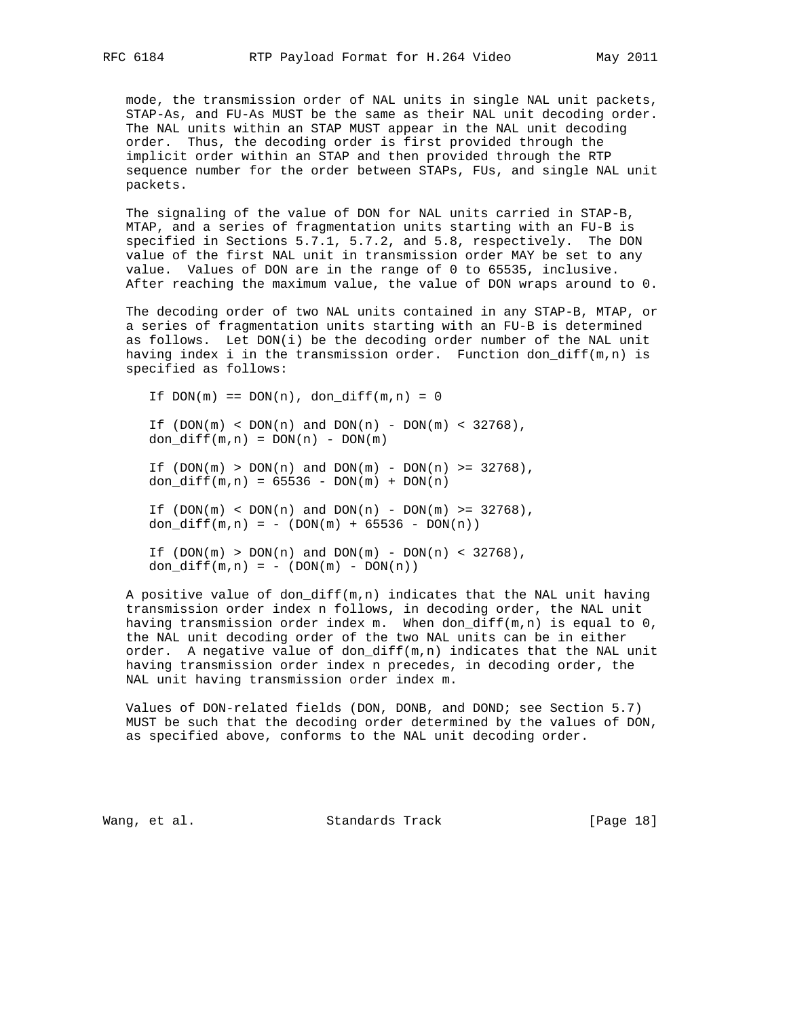mode, the transmission order of NAL units in single NAL unit packets, STAP-As, and FU-As MUST be the same as their NAL unit decoding order. The NAL units within an STAP MUST appear in the NAL unit decoding order. Thus, the decoding order is first provided through the implicit order within an STAP and then provided through the RTP sequence number for the order between STAPs, FUs, and single NAL unit packets.

 The signaling of the value of DON for NAL units carried in STAP-B, MTAP, and a series of fragmentation units starting with an FU-B is specified in Sections 5.7.1, 5.7.2, and 5.8, respectively. The DON value of the first NAL unit in transmission order MAY be set to any value. Values of DON are in the range of 0 to 65535, inclusive. After reaching the maximum value, the value of DON wraps around to 0.

 The decoding order of two NAL units contained in any STAP-B, MTAP, or a series of fragmentation units starting with an FU-B is determined as follows. Let DON(i) be the decoding order number of the NAL unit having index i in the transmission order. Function don\_diff( $m,n$ ) is specified as follows:

If  $DOM(m) == DOM(n)$ ,  $don_diff(m,n) = 0$ If  $(DON(m) < DOM(n)$  and  $DOM(n) - DOM(m) < 32768)$ ,  $don\_diff(m,n) = DON(n) - DON(m)$ If  $(DON(m) > DON(n)$  and  $DOM(m) - DON(n) >= 32768)$ , don\_diff(m,n) =  $65536 - DON(m) + DON(n)$ If  $(DON(m) < DOM(n)$  and  $DOM(n)$  -  $DOM(m)$  >= 32768), don\_diff $(m,n) = - (DOM(m) + 65536 - DON(n))$ If  $(DON(m) > DON(n)$  and  $DOM(m) - DON(n) < 32768)$ , don\_diff $(m,n) = - (DOM(m) - DON(n))$ 

 A positive value of don\_diff(m,n) indicates that the NAL unit having transmission order index n follows, in decoding order, the NAL unit having transmission order index m. When don\_diff(m,n) is equal to 0, the NAL unit decoding order of the two NAL units can be in either order. A negative value of don\_diff(m,n) indicates that the NAL unit having transmission order index n precedes, in decoding order, the NAL unit having transmission order index m.

 Values of DON-related fields (DON, DONB, and DOND; see Section 5.7) MUST be such that the decoding order determined by the values of DON, as specified above, conforms to the NAL unit decoding order.

Wang, et al. Standards Track [Page 18]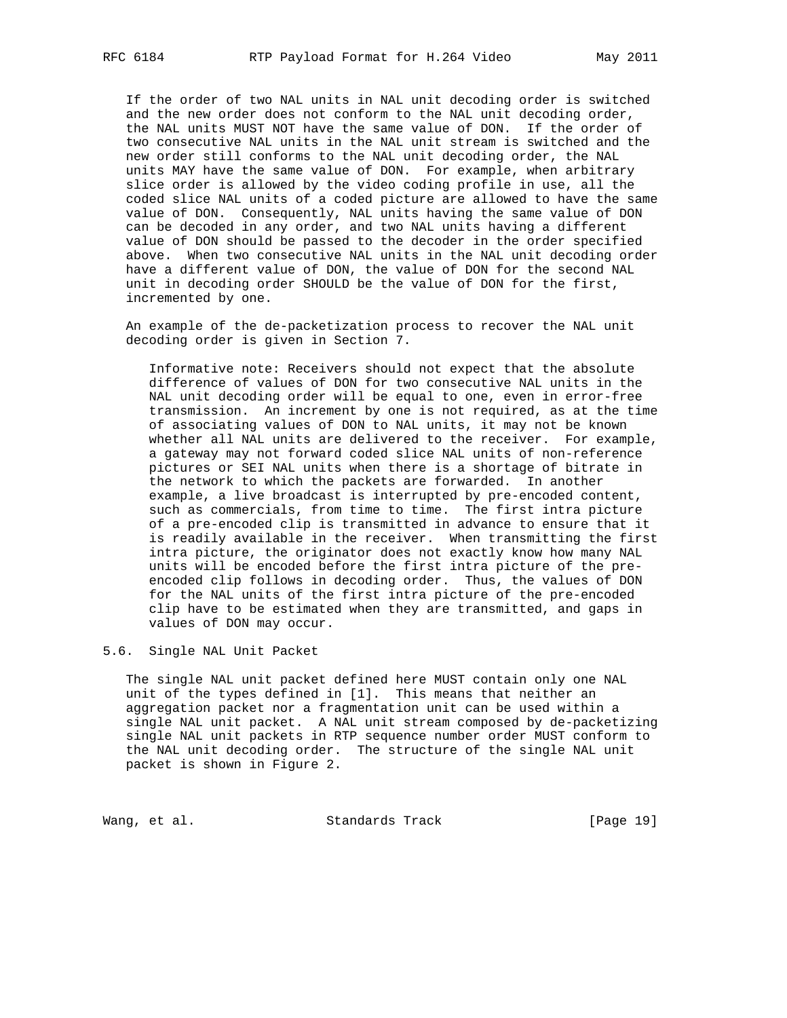If the order of two NAL units in NAL unit decoding order is switched and the new order does not conform to the NAL unit decoding order, the NAL units MUST NOT have the same value of DON. If the order of two consecutive NAL units in the NAL unit stream is switched and the new order still conforms to the NAL unit decoding order, the NAL units MAY have the same value of DON. For example, when arbitrary slice order is allowed by the video coding profile in use, all the coded slice NAL units of a coded picture are allowed to have the same value of DON. Consequently, NAL units having the same value of DON can be decoded in any order, and two NAL units having a different value of DON should be passed to the decoder in the order specified above. When two consecutive NAL units in the NAL unit decoding order have a different value of DON, the value of DON for the second NAL unit in decoding order SHOULD be the value of DON for the first, incremented by one.

 An example of the de-packetization process to recover the NAL unit decoding order is given in Section 7.

 Informative note: Receivers should not expect that the absolute difference of values of DON for two consecutive NAL units in the NAL unit decoding order will be equal to one, even in error-free transmission. An increment by one is not required, as at the time of associating values of DON to NAL units, it may not be known whether all NAL units are delivered to the receiver. For example, a gateway may not forward coded slice NAL units of non-reference pictures or SEI NAL units when there is a shortage of bitrate in the network to which the packets are forwarded. In another example, a live broadcast is interrupted by pre-encoded content, such as commercials, from time to time. The first intra picture of a pre-encoded clip is transmitted in advance to ensure that it is readily available in the receiver. When transmitting the first intra picture, the originator does not exactly know how many NAL units will be encoded before the first intra picture of the pre encoded clip follows in decoding order. Thus, the values of DON for the NAL units of the first intra picture of the pre-encoded clip have to be estimated when they are transmitted, and gaps in values of DON may occur.

5.6. Single NAL Unit Packet

 The single NAL unit packet defined here MUST contain only one NAL unit of the types defined in [1]. This means that neither an aggregation packet nor a fragmentation unit can be used within a single NAL unit packet. A NAL unit stream composed by de-packetizing single NAL unit packets in RTP sequence number order MUST conform to the NAL unit decoding order. The structure of the single NAL unit packet is shown in Figure 2.

Wang, et al. Standards Track [Page 19]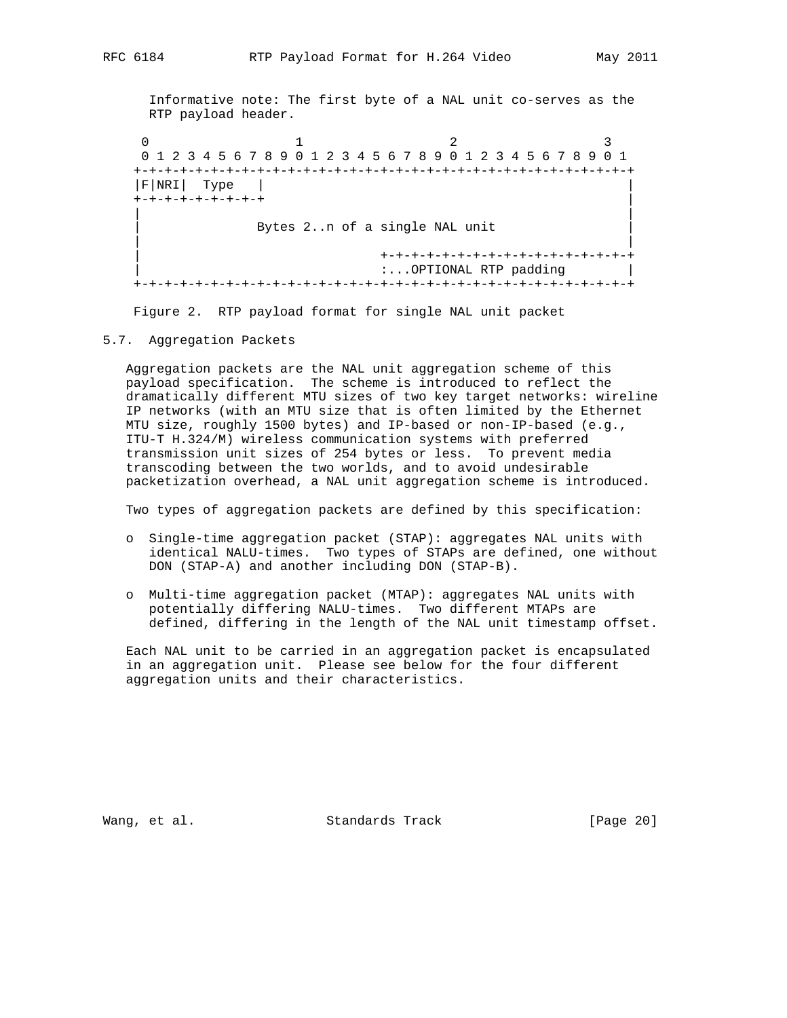Informative note: The first byte of a NAL unit co-serves as the RTP payload header.

 $0$  1 2 3 0 1 2 3 4 5 6 7 8 9 0 1 2 3 4 5 6 7 8 9 0 1 2 3 4 5 6 7 8 9 0 1 +-+-+-+-+-+-+-+-+-+-+-+-+-+-+-+-+-+-+-+-+-+-+-+-+-+-+-+-+-+-+-+-+ |F|NRI| Type | | +-+-+-+-+-+-+-+-+ | | | Bytes 2..n of a single NAL unit | | | +-+-+-+-+-+-+-+-+-+-+-+-+-+-+-+-+ | :...OPTIONAL RTP padding | +-+-+-+-+-+-+-+-+-+-+-+-+-+-+-+-+-+-+-+-+-+-+-+-+-+-+-+-+-+-+-+-+

Figure 2. RTP payload format for single NAL unit packet

5.7. Aggregation Packets

 Aggregation packets are the NAL unit aggregation scheme of this payload specification. The scheme is introduced to reflect the dramatically different MTU sizes of two key target networks: wireline IP networks (with an MTU size that is often limited by the Ethernet MTU size, roughly 1500 bytes) and IP-based or non-IP-based (e.g., ITU-T H.324/M) wireless communication systems with preferred transmission unit sizes of 254 bytes or less. To prevent media transcoding between the two worlds, and to avoid undesirable packetization overhead, a NAL unit aggregation scheme is introduced.

Two types of aggregation packets are defined by this specification:

- o Single-time aggregation packet (STAP): aggregates NAL units with identical NALU-times. Two types of STAPs are defined, one without DON (STAP-A) and another including DON (STAP-B).
- o Multi-time aggregation packet (MTAP): aggregates NAL units with potentially differing NALU-times. Two different MTAPs are defined, differing in the length of the NAL unit timestamp offset.

 Each NAL unit to be carried in an aggregation packet is encapsulated in an aggregation unit. Please see below for the four different aggregation units and their characteristics.

Wang, et al. Standards Track [Page 20]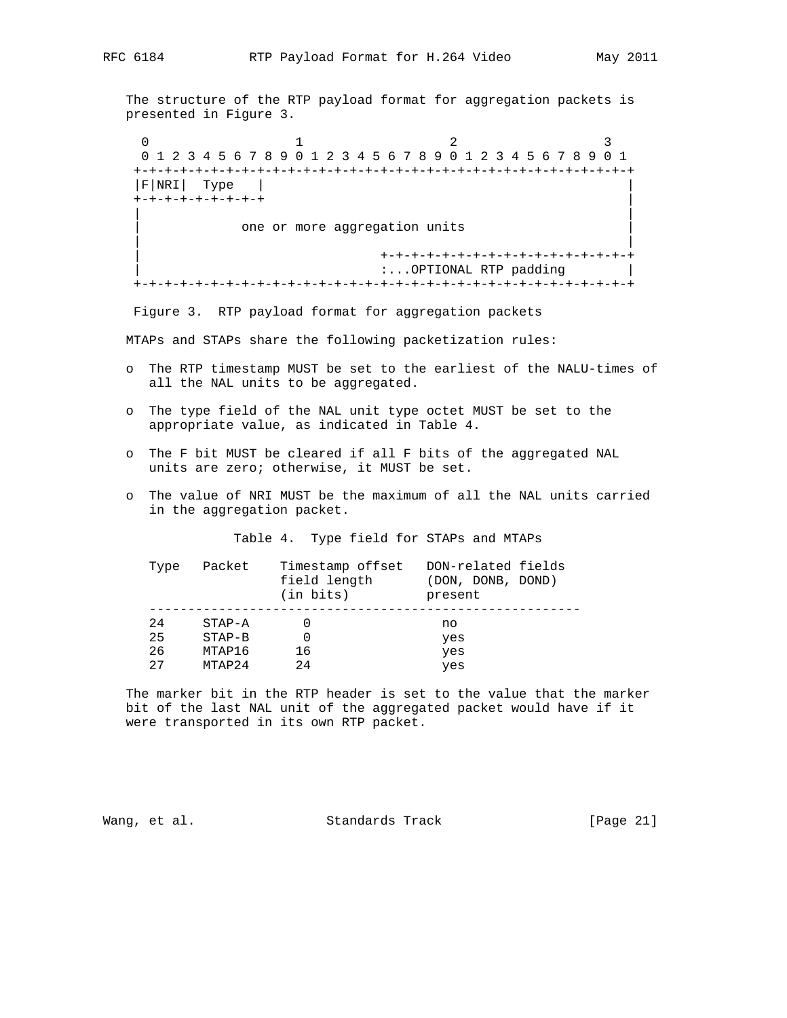The structure of the RTP payload format for aggregation packets is presented in Figure 3.

 $0$  1 2 3 0 1 2 3 4 5 6 7 8 9 0 1 2 3 4 5 6 7 8 9 0 1 2 3 4 5 6 7 8 9 0 1 +-+-+-+-+-+-+-+-+-+-+-+-+-+-+-+-+-+-+-+-+-+-+-+-+-+-+-+-+-+-+-+-+ |F|NRI| Type | | +-+-+-+-+-+-+-+-+ | | | one or more aggregation units | | | +-+-+-+-+-+-+-+-+-+-+-+-+-+-+-+-+ | :...OPTIONAL RTP padding | +-+-+-+-+-+-+-+-+-+-+-+-+-+-+-+-+-+-+-+-+-+-+-+-+-+-+-+-+-+-+-+-+

Figure 3. RTP payload format for aggregation packets

MTAPs and STAPs share the following packetization rules:

- o The RTP timestamp MUST be set to the earliest of the NALU-times of all the NAL units to be aggregated.
- o The type field of the NAL unit type octet MUST be set to the appropriate value, as indicated in Table 4.
- o The F bit MUST be cleared if all F bits of the aggregated NAL units are zero; otherwise, it MUST be set.
- o The value of NRI MUST be the maximum of all the NAL units carried in the aggregation packet.

Table 4. Type field for STAPs and MTAPs

| Type | Packet     | Timestamp offset<br>field length<br>$(in \; bits)$ | DON-related fields<br>(DON, DONB, DOND)<br>present |
|------|------------|----------------------------------------------------|----------------------------------------------------|
| 24   | $STAP - A$ |                                                    | no                                                 |
| 25   | $STAP-B$   |                                                    | yes                                                |
| 26   | MTAP16     | 16                                                 | yes                                                |
| 27   | MTAP24     | 2.4                                                | yes                                                |

 The marker bit in the RTP header is set to the value that the marker bit of the last NAL unit of the aggregated packet would have if it were transported in its own RTP packet.

Wang, et al. Standards Track [Page 21]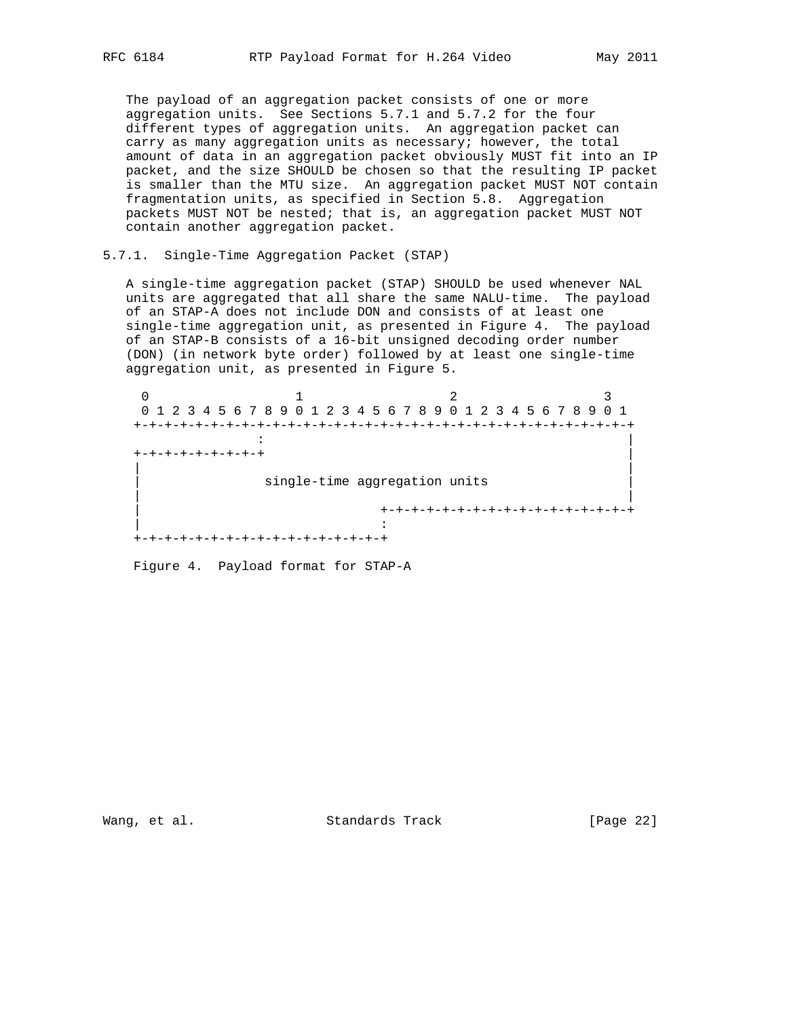The payload of an aggregation packet consists of one or more aggregation units. See Sections 5.7.1 and 5.7.2 for the four different types of aggregation units. An aggregation packet can carry as many aggregation units as necessary; however, the total amount of data in an aggregation packet obviously MUST fit into an IP packet, and the size SHOULD be chosen so that the resulting IP packet is smaller than the MTU size. An aggregation packet MUST NOT contain fragmentation units, as specified in Section 5.8. Aggregation packets MUST NOT be nested; that is, an aggregation packet MUST NOT contain another aggregation packet.

5.7.1. Single-Time Aggregation Packet (STAP)

 A single-time aggregation packet (STAP) SHOULD be used whenever NAL units are aggregated that all share the same NALU-time. The payload of an STAP-A does not include DON and consists of at least one single-time aggregation unit, as presented in Figure 4. The payload of an STAP-B consists of a 16-bit unsigned decoding order number (DON) (in network byte order) followed by at least one single-time aggregation unit, as presented in Figure 5.

 $0$  1 2 3 0 1 2 3 4 5 6 7 8 9 0 1 2 3 4 5 6 7 8 9 0 1 2 3 4 5 6 7 8 9 0 1 +-+-+-+-+-+-+-+-+-+-+-+-+-+-+-+-+-+-+-+-+-+-+-+-+-+-+-+-+-+-+-+-+ : | +-+-+-+-+-+-+-+-+ | | | single-time aggregation units | | | +-+-+-+-+-+-+-+-+-+-+-+-+-+-+-+-+ | : +-+-+-+-+-+-+-+-+-+-+-+-+-+-+-+-+

Figure 4. Payload format for STAP-A

Wang, et al. Standards Track [Page 22]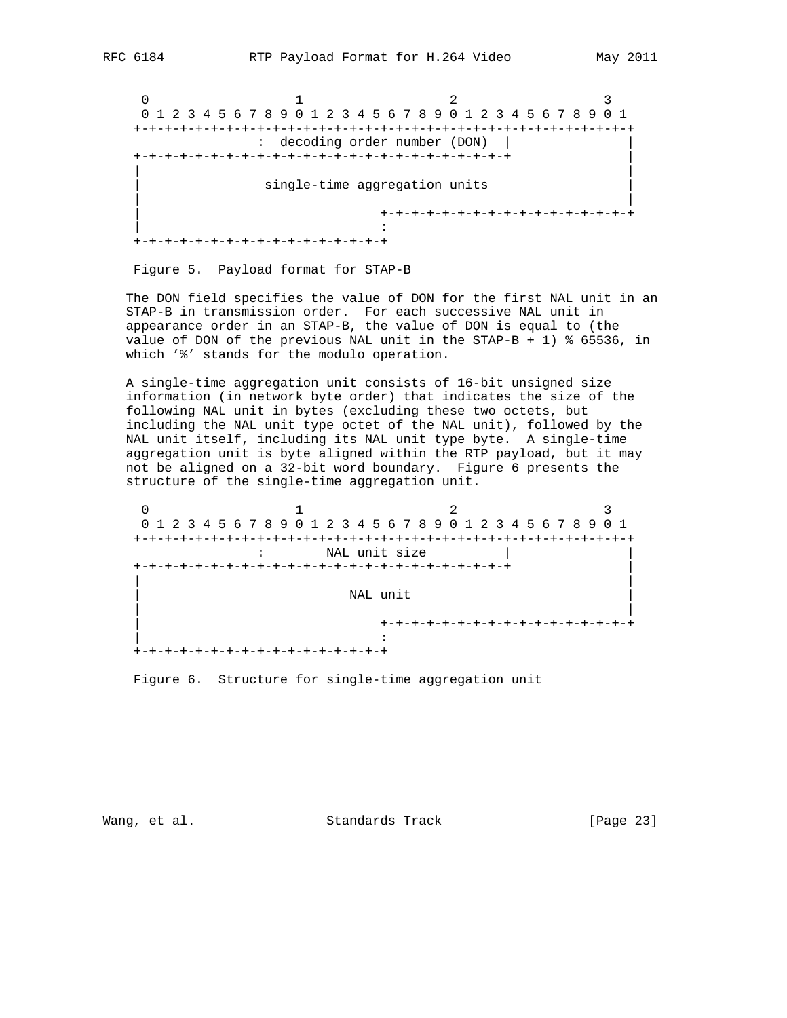$0$  1 2 3 0 1 2 3 4 5 6 7 8 9 0 1 2 3 4 5 6 7 8 9 0 1 2 3 4 5 6 7 8 9 0 1 +-+-+-+-+-+-+-+-+-+-+-+-+-+-+-+-+-+-+-+-+-+-+-+-+-+-+-+-+-+-+-+-+ : decoding order number (DON) | | +-+-+-+-+-+-+-+-+-+-+-+-+-+-+-+-+-+-+-+-+-+-+-+-+ | | | single-time aggregation units | | | +-+-+-+-+-+-+-+-+-+-+-+-+-+-+-+-+ | : +-+-+-+-+-+-+-+-+-+-+-+-+-+-+-+-+

Figure 5. Payload format for STAP-B

 The DON field specifies the value of DON for the first NAL unit in an STAP-B in transmission order. For each successive NAL unit in appearance order in an STAP-B, the value of DON is equal to (the value of DON of the previous NAL unit in the STAP-B + 1) % 65536, in which '%' stands for the modulo operation.

 A single-time aggregation unit consists of 16-bit unsigned size information (in network byte order) that indicates the size of the following NAL unit in bytes (excluding these two octets, but including the NAL unit type octet of the NAL unit), followed by the NAL unit itself, including its NAL unit type byte. A single-time aggregation unit is byte aligned within the RTP payload, but it may not be aligned on a 32-bit word boundary. Figure 6 presents the structure of the single-time aggregation unit.

| 0 1 2 3 4 5 6 7 8 9 0 1 2 3 4 5 6 7 8 9 0 1 2 3 4 5 6 7 8 9 0 1 |                                 |  |
|-----------------------------------------------------------------|---------------------------------|--|
|                                                                 |                                 |  |
|                                                                 | NAL unit size                   |  |
|                                                                 |                                 |  |
|                                                                 |                                 |  |
|                                                                 | NAL unit                        |  |
|                                                                 |                                 |  |
|                                                                 | +-+-+-+-+-+-+-+-+-+-+-+-+-+-+-+ |  |
|                                                                 |                                 |  |
| +-+-+-+-+-+-+-+-+-+-+-+-+-+-+-+-+-+                             |                                 |  |

Figure 6. Structure for single-time aggregation unit

Wang, et al. Standards Track [Page 23]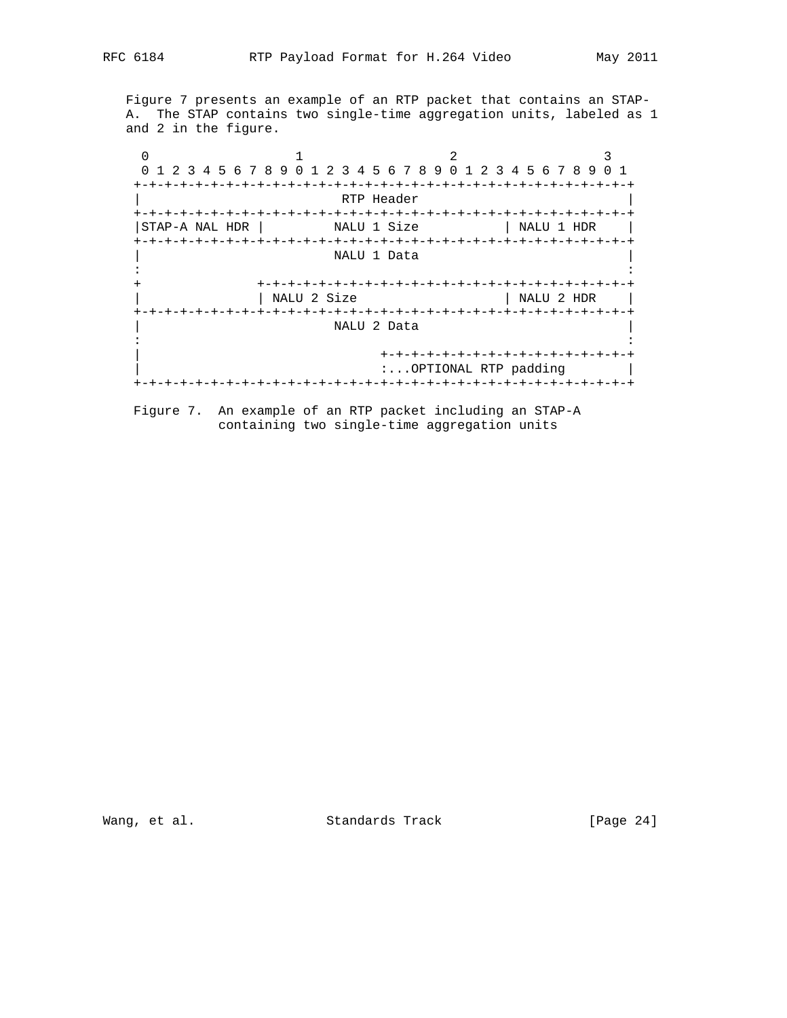Figure 7 presents an example of an RTP packet that contains an STAP- A. The STAP contains two single-time aggregation units, labeled as 1 and 2 in the figure.

 $0$  1 2 3 0 1 2 3 4 5 6 7 8 9 0 1 2 3 4 5 6 7 8 9 0 1 2 3 4 5 6 7 8 9 0 1 +-+-+-+-+-+-+-+-+-+-+-+-+-+-+-+-+-+-+-+-+-+-+-+-+-+-+-+-+-+-+-+-+ RTP Header +-+-+-+-+-+-+-+-+-+-+-+-+-+-+-+-+-+-+-+-+-+-+-+-+-+-+-+-+-+-+-+-+ |STAP-A NAL HDR | NALU 1 Size | NALU 1 HDR | +-+-+-+-+-+-+-+-+-+-+-+-+-+-+-+-+-+-+-+-+-+-+-+-+-+-+-+-+-+-+-+-+ NALU 1 Data in the second contract of the second contract of the second contract of the second contract of the second contract of the second contract of the second contract of the second contract of the second contract of the second c + +-+-+-+-+-+-+-+-+-+-+-+-+-+-+-+-+-+-+-+-+-+-+-+-+  $|$  NALU 2 HDR  $|$  +-+-+-+-+-+-+-+-+-+-+-+-+-+-+-+-+-+-+-+-+-+-+-+-+-+-+-+-+-+-+-+-+ | NALU 2 Data | in the second contract of the second contract of the second contract of the second contract of the second contract of the second contract of the second contract of the second contract of the second contract of the second c | +-+-+-+-+-+-+-+-+-+-+-+-+-+-+-+-+ :...OPTIONAL RTP padding | +-+-+-+-+-+-+-+-+-+-+-+-+-+-+-+-+-+-+-+-+-+-+-+-+-+-+-+-+-+-+-+-+

 Figure 7. An example of an RTP packet including an STAP-A containing two single-time aggregation units

Wang, et al. Standards Track [Page 24]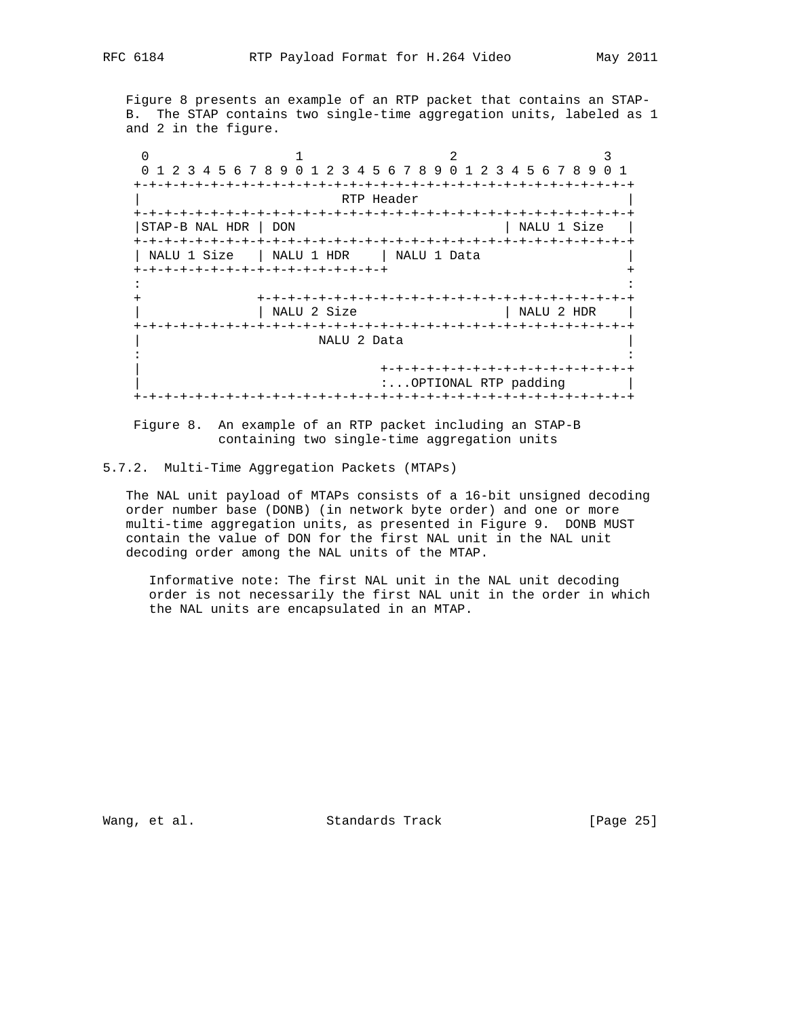Figure 8 presents an example of an RTP packet that contains an STAP- B. The STAP contains two single-time aggregation units, labeled as 1 and 2 in the figure.

 $0$  1 2 3 0 1 2 3 4 5 6 7 8 9 0 1 2 3 4 5 6 7 8 9 0 1 2 3 4 5 6 7 8 9 0 1 +-+-+-+-+-+-+-+-+-+-+-+-+-+-+-+-+-+-+-+-+-+-+-+-+-+-+-+-+-+-+-+-+ RTP Header +-+-+-+-+-+-+-+-+-+-+-+-+-+-+-+-+-+-+-+-+-+-+-+-+-+-+-+-+-+-+-+-+ |STAP-B NAL HDR | DON | NALU 1 Size | +-+-+-+-+-+-+-+-+-+-+-+-+-+-+-+-+-+-+-+-+-+-+-+-+-+-+-+-+-+-+-+-+ | NALU 1 Size | NALU 1 HDR | NALU 1 Data +-+-+-+-+-+-+-+-+-+-+-+-+-+-+-+-+ + in the second contract of the second contract of the second contract of the second contract of the second contract of the second contract of the second contract of the second contract of the second contract of the second c + +-+-+-+-+-+-+-+-+-+-+-+-+-+-+-+-+-+-+-+-+-+-+-+-+ | | NALU 2 Size | NALU 2 HDR | +-+-+-+-+-+-+-+-+-+-+-+-+-+-+-+-+-+-+-+-+-+-+-+-+-+-+-+-+-+-+-+-+ NALU 2 Data in the second contract of the second contract of the second contract of the second contract of the second contract of the second contract of the second contract of the second contract of the second contract of the second c | +-+-+-+-+-+-+-+-+-+-+-+-+-+-+-+-+ :...OPTIONAL RTP padding | +-+-+-+-+-+-+-+-+-+-+-+-+-+-+-+-+-+-+-+-+-+-+-+-+-+-+-+-+-+-+-+-+

 Figure 8. An example of an RTP packet including an STAP-B containing two single-time aggregation units

5.7.2. Multi-Time Aggregation Packets (MTAPs)

 The NAL unit payload of MTAPs consists of a 16-bit unsigned decoding order number base (DONB) (in network byte order) and one or more multi-time aggregation units, as presented in Figure 9. DONB MUST contain the value of DON for the first NAL unit in the NAL unit decoding order among the NAL units of the MTAP.

 Informative note: The first NAL unit in the NAL unit decoding order is not necessarily the first NAL unit in the order in which the NAL units are encapsulated in an MTAP.

Wang, et al. Standards Track [Page 25]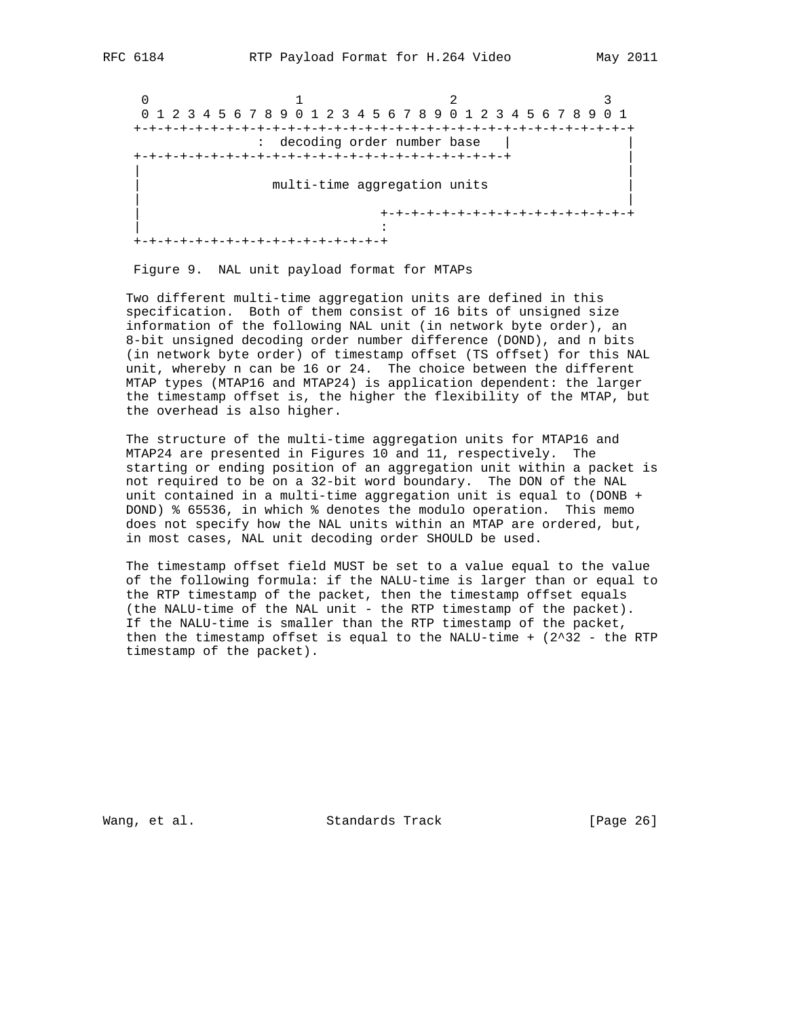$0$  1 2 3 0 1 2 3 4 5 6 7 8 9 0 1 2 3 4 5 6 7 8 9 0 1 2 3 4 5 6 7 8 9 0 1 +-+-+-+-+-+-+-+-+-+-+-+-+-+-+-+-+-+-+-+-+-+-+-+-+-+-+-+-+-+-+-+-+ : decoding order number base | | +-+-+-+-+-+-+-+-+-+-+-+-+-+-+-+-+-+-+-+-+-+-+-+-+ | | | multi-time aggregation units | | | +-+-+-+-+-+-+-+-+-+-+-+-+-+-+-+-+ | : +-+-+-+-+-+-+-+-+-+-+-+-+-+-+-+-+

Figure 9. NAL unit payload format for MTAPs

 Two different multi-time aggregation units are defined in this specification. Both of them consist of 16 bits of unsigned size information of the following NAL unit (in network byte order), an 8-bit unsigned decoding order number difference (DOND), and n bits (in network byte order) of timestamp offset (TS offset) for this NAL unit, whereby n can be 16 or 24. The choice between the different MTAP types (MTAP16 and MTAP24) is application dependent: the larger the timestamp offset is, the higher the flexibility of the MTAP, but the overhead is also higher.

 The structure of the multi-time aggregation units for MTAP16 and MTAP24 are presented in Figures 10 and 11, respectively. The starting or ending position of an aggregation unit within a packet is not required to be on a 32-bit word boundary. The DON of the NAL unit contained in a multi-time aggregation unit is equal to (DONB + DOND) % 65536, in which % denotes the modulo operation. This memo does not specify how the NAL units within an MTAP are ordered, but, in most cases, NAL unit decoding order SHOULD be used.

 The timestamp offset field MUST be set to a value equal to the value of the following formula: if the NALU-time is larger than or equal to the RTP timestamp of the packet, then the timestamp offset equals (the NALU-time of the NAL unit - the RTP timestamp of the packet). If the NALU-time is smaller than the RTP timestamp of the packet, then the timestamp offset is equal to the NALU-time  $+$  (2^32 - the RTP timestamp of the packet).

Wang, et al. Standards Track [Page 26]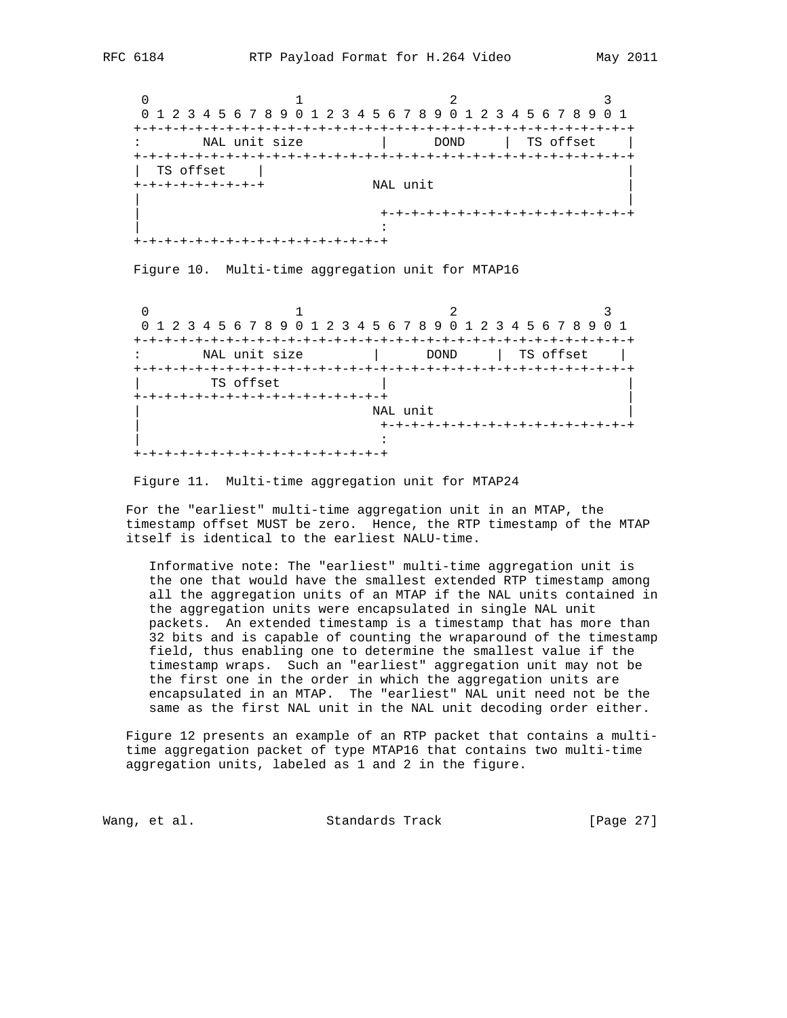$0$  1 2 3 0 1 2 3 4 5 6 7 8 9 0 1 2 3 4 5 6 7 8 9 0 1 2 3 4 5 6 7 8 9 0 1 +-+-+-+-+-+-+-+-+-+-+-+-+-+-+-+-+-+-+-+-+-+-+-+-+-+-+-+-+-+-+-+-+ : NAL unit size | DOND | TS offset | +-+-+-+-+-+-+-+-+-+-+-+-+-+-+-+-+-+-+-+-+-+-+-+-+-+-+-+-+-+-+-+-+ | TS offset | | +-+-+-+-+-+-+-+-+ NAL unit | | | | +-+-+-+-+-+-+-+-+-+-+-+-+-+-+-+-+ | :

Figure 10. Multi-time aggregation unit for MTAP16

+-+-+-+-+-+-+-+-+-+-+-+-+-+-+-+-+

 $0$  1 2 3 0 1 2 3 4 5 6 7 8 9 0 1 2 3 4 5 6 7 8 9 0 1 2 3 4 5 6 7 8 9 0 1 +-+-+-+-+-+-+-+-+-+-+-+-+-+-+-+-+-+-+-+-+-+-+-+-+-+-+-+-+-+-+-+-+ : NAL unit size | DOND | TS offset | +-+-+-+-+-+-+-+-+-+-+-+-+-+-+-+-+-+-+-+-+-+-+-+-+-+-+-+-+-+-+-+-+ TS offset +-+-+-+-+-+-+-+-+-+-+-+-+-+-+-+-+ | NAL unit | +-+-+-+-+-+-+-+-+-+-+-+-+-+-+-+-+ | : +-+-+-+-+-+-+-+-+-+-+-+-+-+-+-+-+

Figure 11. Multi-time aggregation unit for MTAP24

 For the "earliest" multi-time aggregation unit in an MTAP, the timestamp offset MUST be zero. Hence, the RTP timestamp of the MTAP itself is identical to the earliest NALU-time.

 Informative note: The "earliest" multi-time aggregation unit is the one that would have the smallest extended RTP timestamp among all the aggregation units of an MTAP if the NAL units contained in the aggregation units were encapsulated in single NAL unit packets. An extended timestamp is a timestamp that has more than 32 bits and is capable of counting the wraparound of the timestamp field, thus enabling one to determine the smallest value if the timestamp wraps. Such an "earliest" aggregation unit may not be the first one in the order in which the aggregation units are encapsulated in an MTAP. The "earliest" NAL unit need not be the same as the first NAL unit in the NAL unit decoding order either.

 Figure 12 presents an example of an RTP packet that contains a multi time aggregation packet of type MTAP16 that contains two multi-time aggregation units, labeled as 1 and 2 in the figure.

Wang, et al. Standards Track [Page 27]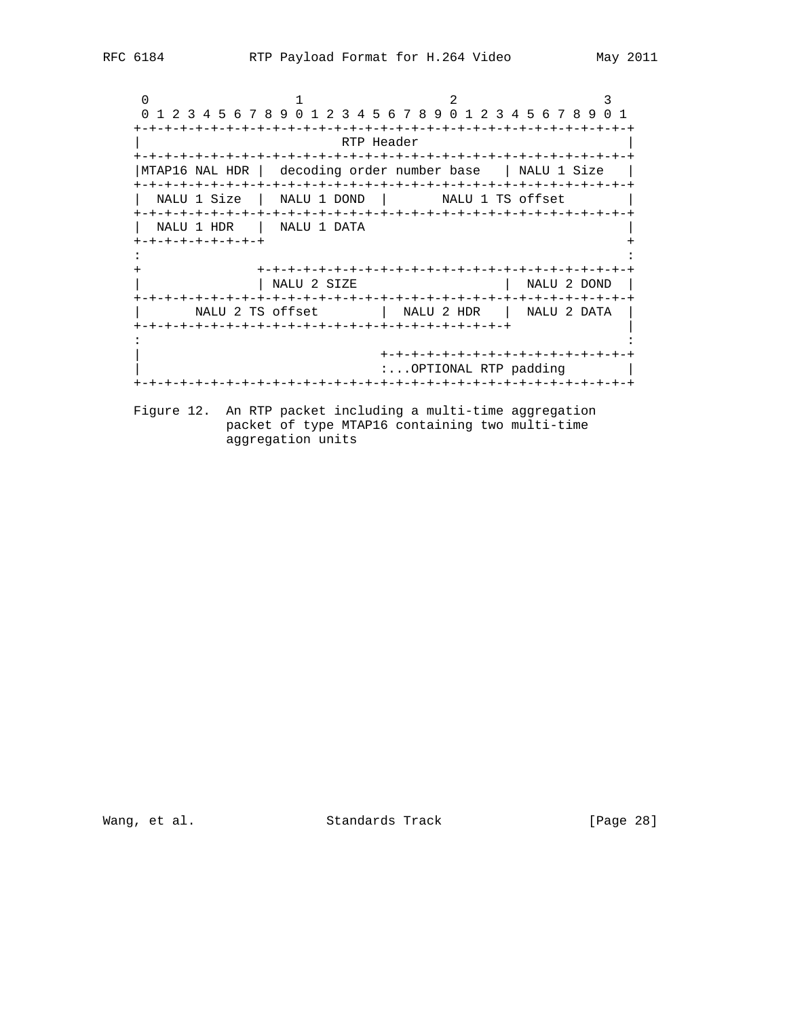$0$  1 2 3 0 1 2 3 4 5 6 7 8 9 0 1 2 3 4 5 6 7 8 9 0 1 2 3 4 5 6 7 8 9 0 1 +-+-+-+-+-+-+-+-+-+-+-+-+-+-+-+-+-+-+-+-+-+-+-+-+-+-+-+-+-+-+-+-+ | RTP Header | +-+-+-+-+-+-+-+-+-+-+-+-+-+-+-+-+-+-+-+-+-+-+-+-+-+-+-+-+-+-+-+-+ |MTAP16 NAL HDR | decoding order number base | NALU 1 Size | +-+-+-+-+-+-+-+-+-+-+-+-+-+-+-+-+-+-+-+-+-+-+-+-+-+-+-+-+-+-+-+-+ | NALU 1 Size | NALU 1 DOND | NALU 1 TS offset +-+-+-+-+-+-+-+-+-+-+-+-+-+-+-+-+-+-+-+-+-+-+-+-+-+-+-+-+-+-+-+-+ | NALU 1 HDR | NALU 1 DATA | +-+-+-+-+-+-+-+-+ + in the second contract of the second contract of the second contract of the second contract of the second contract of the second contract of the second contract of the second contract of the second contract of the second c + +-+-+-+-+-+-+-+-+-+-+-+-+-+-+-+-+-+-+-+-+-+-+-+-+ | | NALU 2 SIZE | NALU 2 DOND | +-+-+-+-+-+-+-+-+-+-+-+-+-+-+-+-+-+-+-+-+-+-+-+-+-+-+-+-+-+-+-+-+ | NALU 2 TS offset | NALU 2 HDR | NALU 2 DATA | +-+-+-+-+-+-+-+-+-+-+-+-+-+-+-+-+-+-+-+-+-+-+-+-+ | in the second contract of the second contract of the second contract of the second contract of the second contract of the second contract of the second contract of the second contract of the second contract of the second c | +-+-+-+-+-+-+-+-+-+-+-+-+-+-+-+-+ :...OPTIONAL RTP padding | +-+-+-+-+-+-+-+-+-+-+-+-+-+-+-+-+-+-+-+-+-+-+-+-+-+-+-+-+-+-+-+-+ Figure 12. An RTP packet including a multi-time aggregation

 packet of type MTAP16 containing two multi-time aggregation units

Wang, et al. Standards Track [Page 28]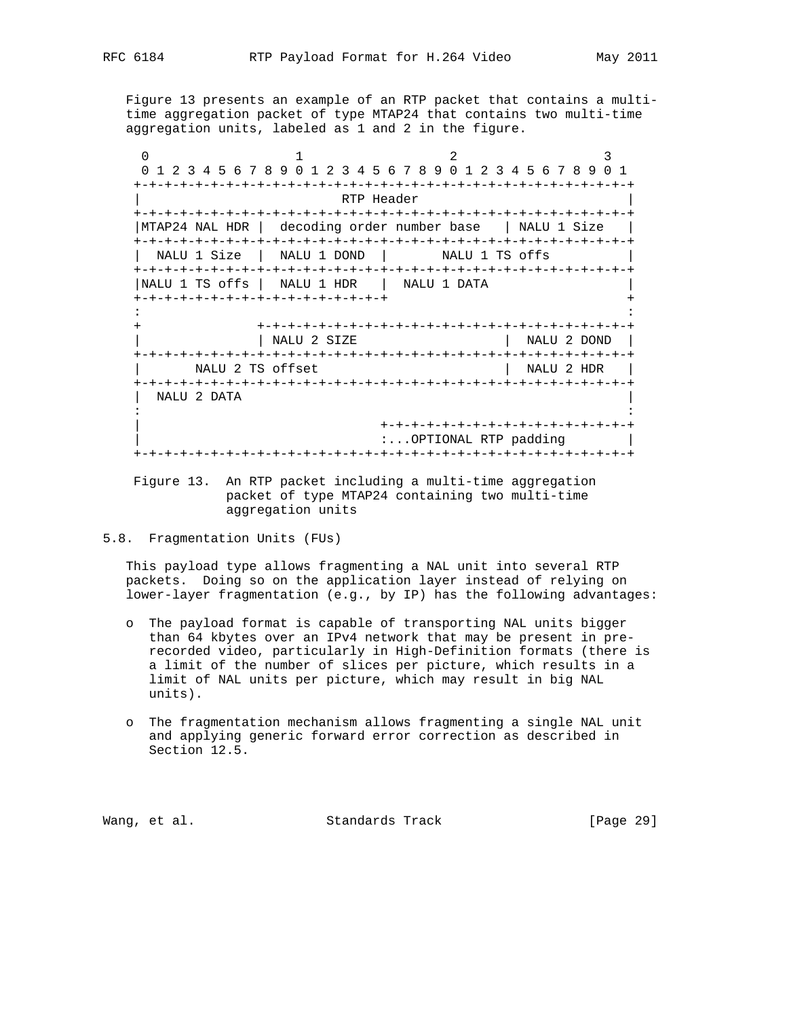Figure 13 presents an example of an RTP packet that contains a multi time aggregation packet of type MTAP24 that contains two multi-time aggregation units, labeled as 1 and 2 in the figure.

 $0$  1 2 3 0 1 2 3 4 5 6 7 8 9 0 1 2 3 4 5 6 7 8 9 0 1 2 3 4 5 6 7 8 9 0 1 +-+-+-+-+-+-+-+-+-+-+-+-+-+-+-+-+-+-+-+-+-+-+-+-+-+-+-+-+-+-+-+-+ RTP Header +-+-+-+-+-+-+-+-+-+-+-+-+-+-+-+-+-+-+-+-+-+-+-+-+-+-+-+-+-+-+-+-+ |MTAP24 NAL HDR | decoding order number base | NALU 1 Size | +-+-+-+-+-+-+-+-+-+-+-+-+-+-+-+-+-+-+-+-+-+-+-+-+-+-+-+-+-+-+-+-+ NALU 1 Size | NALU 1 DOND | NALU 1 TS offs +-+-+-+-+-+-+-+-+-+-+-+-+-+-+-+-+-+-+-+-+-+-+-+-+-+-+-+-+-+-+-+-+ |NALU 1 TS offs | NALU 1 HDR | NALU 1 DATA | +-+-+-+-+-+-+-+-+-+-+-+-+-+-+-+-+ + in the second contract of the second contract of the second contract of the second contract of the second contract of the second contract of the second contract of the second contract of the second contract of the second c + +-+-+-+-+-+-+-+-+-+-+-+-+-+-+-+-+-+-+-+-+-+-+-+-+ | NALU 2 SIZE | NALU 2 DOND | +-+-+-+-+-+-+-+-+-+-+-+-+-+-+-+-+-+-+-+-+-+-+-+-+-+-+-+-+-+-+-+-+ | NALU 2 TS offset | NALU 2 HDR | +-+-+-+-+-+-+-+-+-+-+-+-+-+-+-+-+-+-+-+-+-+-+-+-+-+-+-+-+-+-+-+-+ | NALU 2 DATA | in the second contract of the second contract of the second contract of the second contract of the second contract of the second contract of the second contract of the second contract of the second contract of the second c | +-+-+-+-+-+-+-+-+-+-+-+-+-+-+-+-+ :...OPTIONAL RTP padding | +-+-+-+-+-+-+-+-+-+-+-+-+-+-+-+-+-+-+-+-+-+-+-+-+-+-+-+-+-+-+-+-+

 Figure 13. An RTP packet including a multi-time aggregation packet of type MTAP24 containing two multi-time aggregation units

5.8. Fragmentation Units (FUs)

 This payload type allows fragmenting a NAL unit into several RTP packets. Doing so on the application layer instead of relying on lower-layer fragmentation (e.g., by IP) has the following advantages:

- o The payload format is capable of transporting NAL units bigger than 64 kbytes over an IPv4 network that may be present in pre recorded video, particularly in High-Definition formats (there is a limit of the number of slices per picture, which results in a limit of NAL units per picture, which may result in big NAL units).
- o The fragmentation mechanism allows fragmenting a single NAL unit and applying generic forward error correction as described in Section 12.5.

Wang, et al. Standards Track [Page 29]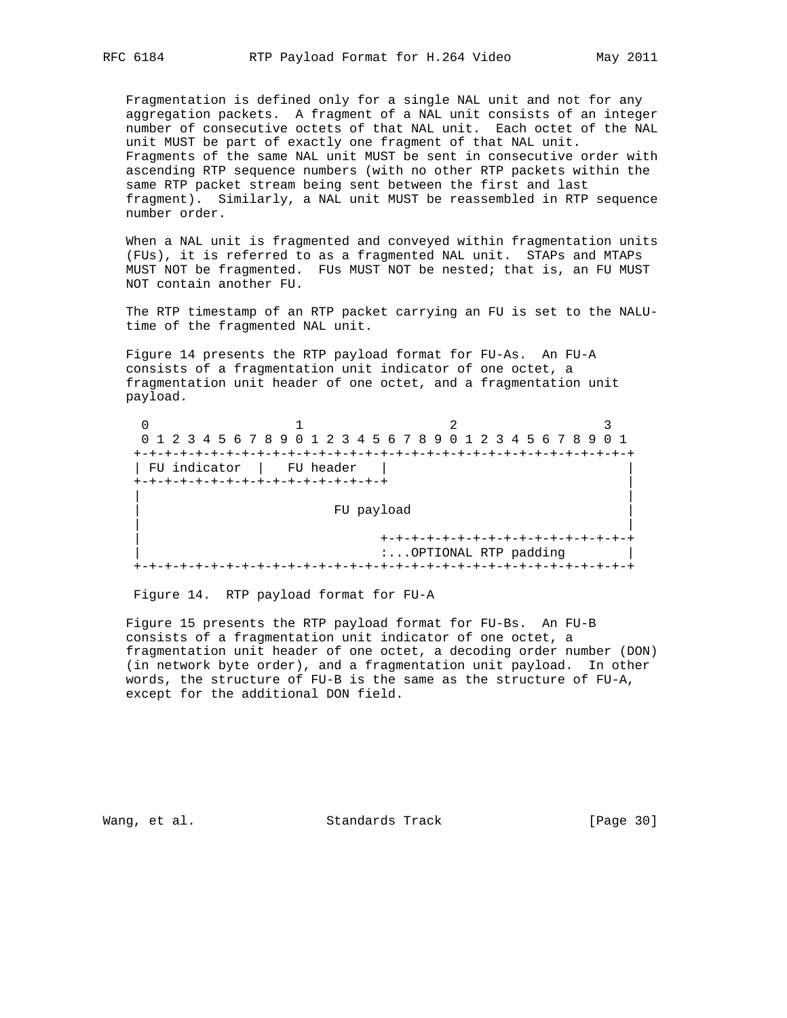Fragmentation is defined only for a single NAL unit and not for any aggregation packets. A fragment of a NAL unit consists of an integer number of consecutive octets of that NAL unit. Each octet of the NAL unit MUST be part of exactly one fragment of that NAL unit. Fragments of the same NAL unit MUST be sent in consecutive order with ascending RTP sequence numbers (with no other RTP packets within the same RTP packet stream being sent between the first and last fragment). Similarly, a NAL unit MUST be reassembled in RTP sequence number order.

 When a NAL unit is fragmented and conveyed within fragmentation units (FUs), it is referred to as a fragmented NAL unit. STAPs and MTAPs MUST NOT be fragmented. FUs MUST NOT be nested; that is, an FU MUST NOT contain another FU.

 The RTP timestamp of an RTP packet carrying an FU is set to the NALU time of the fragmented NAL unit.

 Figure 14 presents the RTP payload format for FU-As. An FU-A consists of a fragmentation unit indicator of one octet, a fragmentation unit header of one octet, and a fragmentation unit payload.

|              | 0 1 2 3 4 5 6 7 8 9 0 1 2 3 4 5 6 7 8 9 0 1 2 3 4 5 6 7 8 9 |                       |  | 0 1 |
|--------------|-------------------------------------------------------------|-----------------------|--|-----|
|              |                                                             |                       |  |     |
| FU indicator | FU header                                                   |                       |  |     |
|              | -+-+-+-+-+-+-+-+-+-+-+-+-+-+                                |                       |  |     |
|              |                                                             |                       |  |     |
|              | FU payload                                                  |                       |  |     |
|              |                                                             |                       |  |     |
|              |                                                             |                       |  |     |
|              |                                                             | :OPTIONAL RTP padding |  |     |
|              |                                                             |                       |  |     |

Figure 14. RTP payload format for FU-A

 Figure 15 presents the RTP payload format for FU-Bs. An FU-B consists of a fragmentation unit indicator of one octet, a fragmentation unit header of one octet, a decoding order number (DON) (in network byte order), and a fragmentation unit payload. In other words, the structure of FU-B is the same as the structure of FU-A, except for the additional DON field.

Wang, et al. Standards Track [Page 30]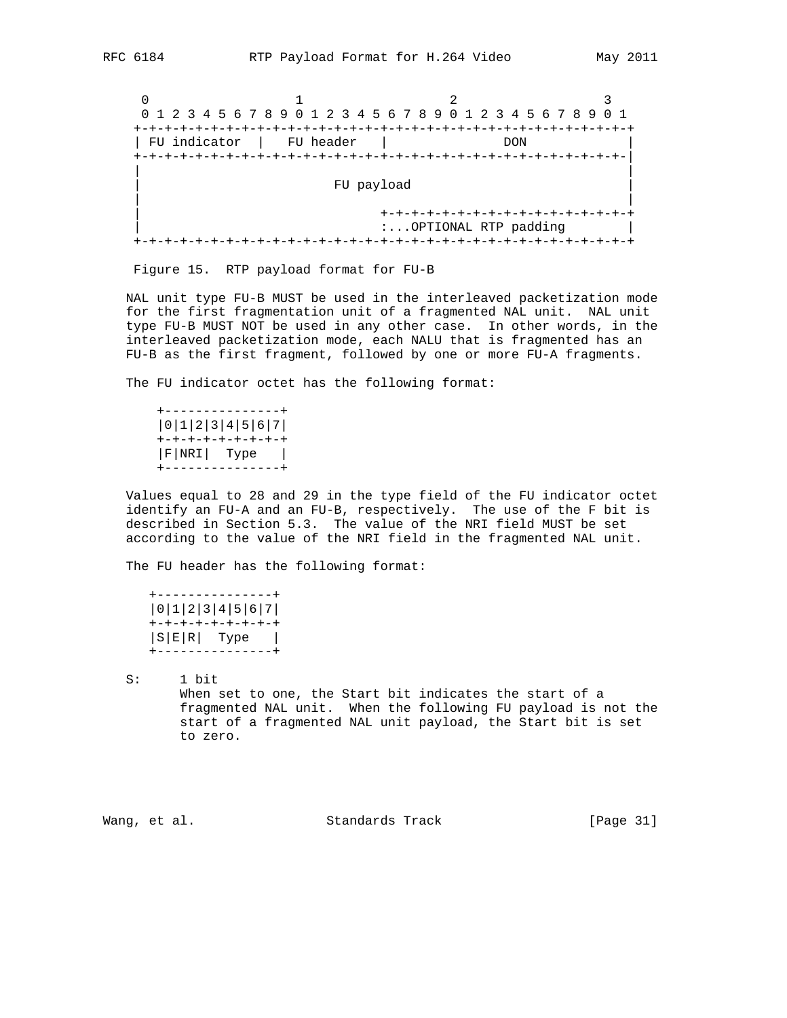$0$  1 2 3 0 1 2 3 4 5 6 7 8 9 0 1 2 3 4 5 6 7 8 9 0 1 2 3 4 5 6 7 8 9 0 1 +-+-+-+-+-+-+-+-+-+-+-+-+-+-+-+-+-+-+-+-+-+-+-+-+-+-+-+-+-+-+-+-+ | FU indicator | FU header | DON +-+-+-+-+-+-+-+-+-+-+-+-+-+-+-+-+-+-+-+-+-+-+-+-+-+-+-+-+-+-+-+-| | | FU payload | | | +-+-+-+-+-+-+-+-+-+-+-+-+-+-+-+-+ :...OPTIONAL RTP padding | +-+-+-+-+-+-+-+-+-+-+-+-+-+-+-+-+-+-+-+-+-+-+-+-+-+-+-+-+-+-+-+-+

Figure 15. RTP payload format for FU-B

 NAL unit type FU-B MUST be used in the interleaved packetization mode for the first fragmentation unit of a fragmented NAL unit. NAL unit type FU-B MUST NOT be used in any other case. In other words, in the interleaved packetization mode, each NALU that is fragmented has an FU-B as the first fragment, followed by one or more FU-A fragments.

The FU indicator octet has the following format:

 +---------------+ |0|1|2|3|4|5|6|7| +-+-+-+-+-+-+-+-+  $|\texttt{F}|\texttt{NRI}|$  Type  $|\texttt{F}|$ +---------------+

 Values equal to 28 and 29 in the type field of the FU indicator octet identify an FU-A and an FU-B, respectively. The use of the F bit is described in Section 5.3. The value of the NRI field MUST be set according to the value of the NRI field in the fragmented NAL unit.

The FU header has the following format:

```
 +---------------+
 |0|1|2|3|4|5|6|7|
 +-+-+-+-+-+-+-+-+
|S|E|R| Type |
 +---------------+
```
 S: 1 bit When set to one, the Start bit indicates the start of a fragmented NAL unit. When the following FU payload is not the start of a fragmented NAL unit payload, the Start bit is set to zero.

Wang, et al. Standards Track [Page 31]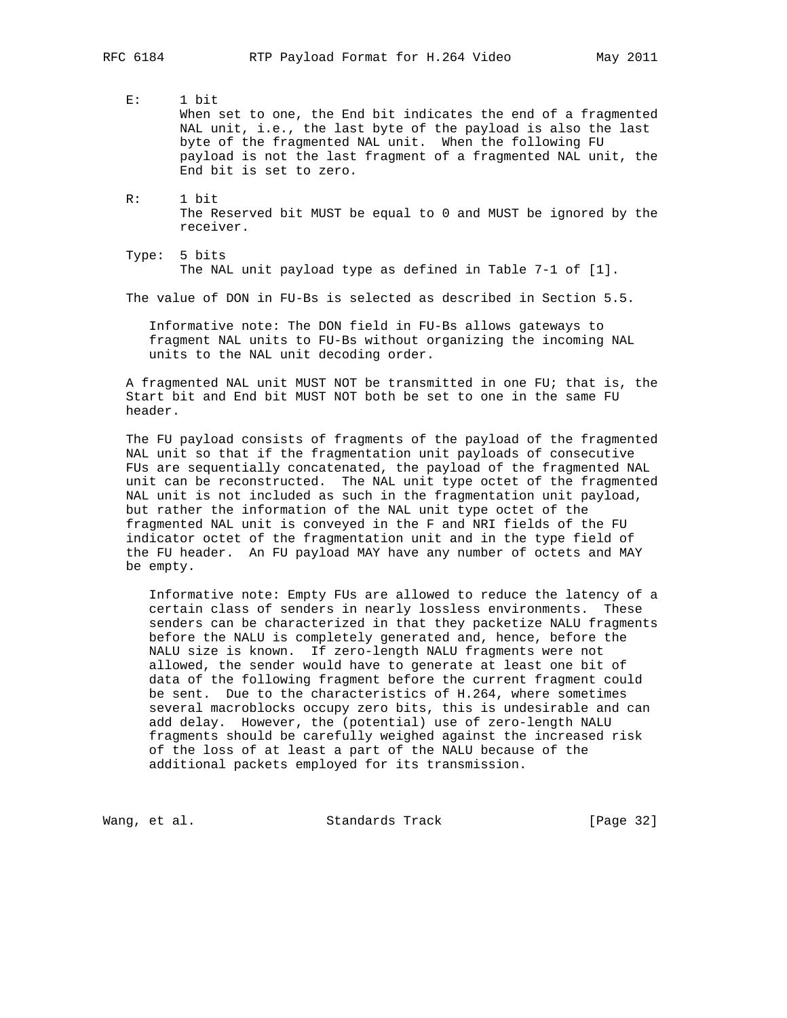- E: 1 bit When set to one, the End bit indicates the end of a fragmented NAL unit, i.e., the last byte of the payload is also the last byte of the fragmented NAL unit. When the following FU payload is not the last fragment of a fragmented NAL unit, the End bit is set to zero.
- R: 1 bit The Reserved bit MUST be equal to 0 and MUST be ignored by the receiver.
- Type: 5 bits The NAL unit payload type as defined in Table 7-1 of [1].

The value of DON in FU-Bs is selected as described in Section 5.5.

 Informative note: The DON field in FU-Bs allows gateways to fragment NAL units to FU-Bs without organizing the incoming NAL units to the NAL unit decoding order.

 A fragmented NAL unit MUST NOT be transmitted in one FU; that is, the Start bit and End bit MUST NOT both be set to one in the same FU header.

 The FU payload consists of fragments of the payload of the fragmented NAL unit so that if the fragmentation unit payloads of consecutive FUs are sequentially concatenated, the payload of the fragmented NAL unit can be reconstructed. The NAL unit type octet of the fragmented NAL unit is not included as such in the fragmentation unit payload, but rather the information of the NAL unit type octet of the fragmented NAL unit is conveyed in the F and NRI fields of the FU indicator octet of the fragmentation unit and in the type field of the FU header. An FU payload MAY have any number of octets and MAY be empty.

 Informative note: Empty FUs are allowed to reduce the latency of a certain class of senders in nearly lossless environments. These senders can be characterized in that they packetize NALU fragments before the NALU is completely generated and, hence, before the NALU size is known. If zero-length NALU fragments were not allowed, the sender would have to generate at least one bit of data of the following fragment before the current fragment could be sent. Due to the characteristics of H.264, where sometimes several macroblocks occupy zero bits, this is undesirable and can add delay. However, the (potential) use of zero-length NALU fragments should be carefully weighed against the increased risk of the loss of at least a part of the NALU because of the additional packets employed for its transmission.

Wang, et al. Standards Track [Page 32]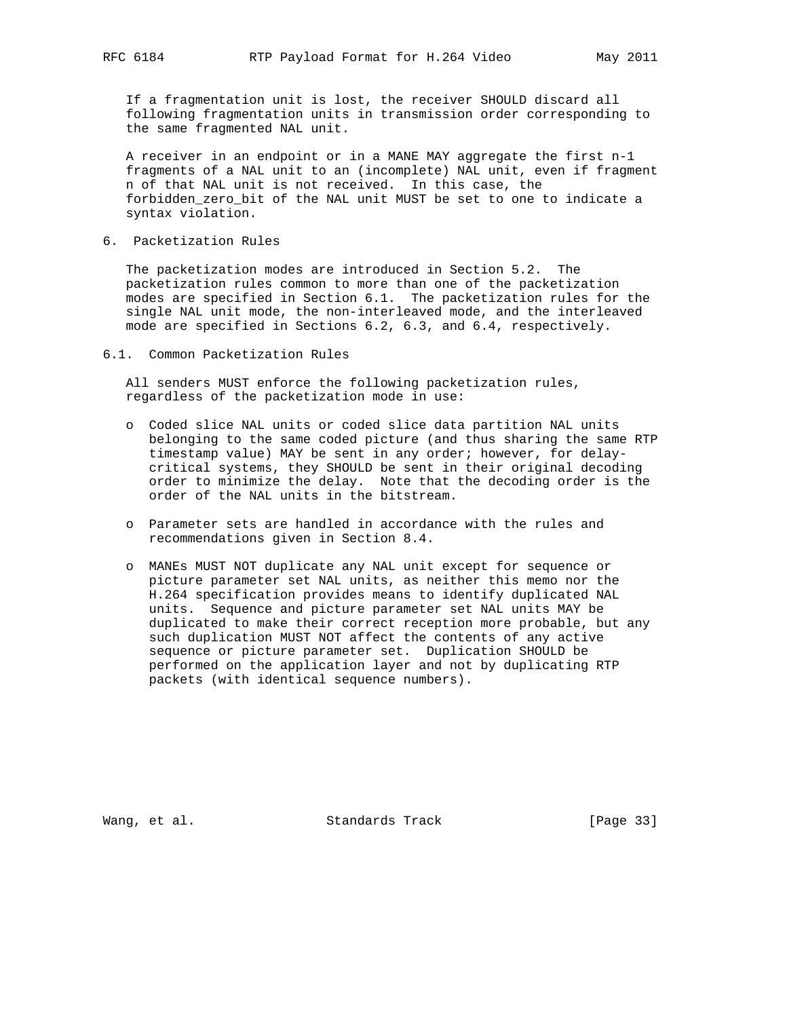If a fragmentation unit is lost, the receiver SHOULD discard all following fragmentation units in transmission order corresponding to the same fragmented NAL unit.

 A receiver in an endpoint or in a MANE MAY aggregate the first n-1 fragments of a NAL unit to an (incomplete) NAL unit, even if fragment n of that NAL unit is not received. In this case, the forbidden\_zero\_bit of the NAL unit MUST be set to one to indicate a syntax violation.

6. Packetization Rules

 The packetization modes are introduced in Section 5.2. The packetization rules common to more than one of the packetization modes are specified in Section 6.1. The packetization rules for the single NAL unit mode, the non-interleaved mode, and the interleaved mode are specified in Sections 6.2, 6.3, and 6.4, respectively.

6.1. Common Packetization Rules

 All senders MUST enforce the following packetization rules, regardless of the packetization mode in use:

- o Coded slice NAL units or coded slice data partition NAL units belonging to the same coded picture (and thus sharing the same RTP timestamp value) MAY be sent in any order; however, for delay critical systems, they SHOULD be sent in their original decoding order to minimize the delay. Note that the decoding order is the order of the NAL units in the bitstream.
- o Parameter sets are handled in accordance with the rules and recommendations given in Section 8.4.
- o MANEs MUST NOT duplicate any NAL unit except for sequence or picture parameter set NAL units, as neither this memo nor the H.264 specification provides means to identify duplicated NAL units. Sequence and picture parameter set NAL units MAY be duplicated to make their correct reception more probable, but any such duplication MUST NOT affect the contents of any active sequence or picture parameter set. Duplication SHOULD be performed on the application layer and not by duplicating RTP packets (with identical sequence numbers).

Wang, et al. Standards Track [Page 33]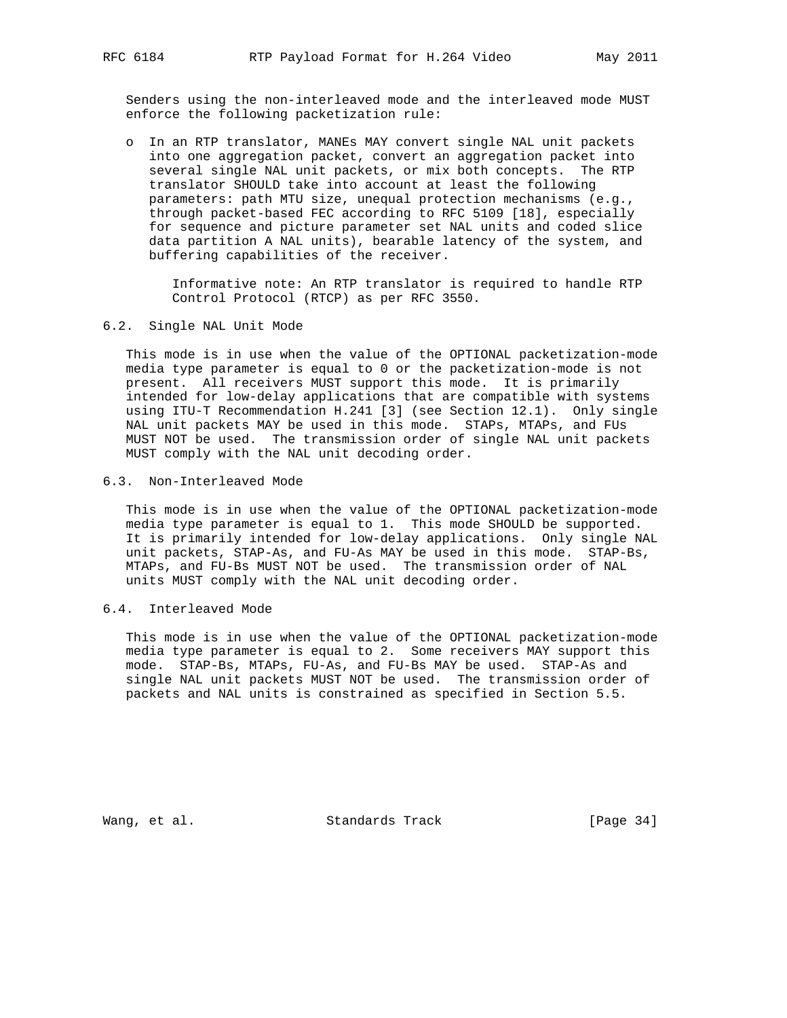Senders using the non-interleaved mode and the interleaved mode MUST enforce the following packetization rule:

 o In an RTP translator, MANEs MAY convert single NAL unit packets into one aggregation packet, convert an aggregation packet into several single NAL unit packets, or mix both concepts. The RTP translator SHOULD take into account at least the following parameters: path MTU size, unequal protection mechanisms (e.g., through packet-based FEC according to RFC 5109 [18], especially for sequence and picture parameter set NAL units and coded slice data partition A NAL units), bearable latency of the system, and buffering capabilities of the receiver.

 Informative note: An RTP translator is required to handle RTP Control Protocol (RTCP) as per RFC 3550.

#### 6.2. Single NAL Unit Mode

 This mode is in use when the value of the OPTIONAL packetization-mode media type parameter is equal to 0 or the packetization-mode is not present. All receivers MUST support this mode. It is primarily intended for low-delay applications that are compatible with systems using ITU-T Recommendation H.241 [3] (see Section 12.1). Only single NAL unit packets MAY be used in this mode. STAPs, MTAPs, and FUs MUST NOT be used. The transmission order of single NAL unit packets MUST comply with the NAL unit decoding order.

#### 6.3. Non-Interleaved Mode

 This mode is in use when the value of the OPTIONAL packetization-mode media type parameter is equal to 1. This mode SHOULD be supported. It is primarily intended for low-delay applications. Only single NAL unit packets, STAP-As, and FU-As MAY be used in this mode. STAP-Bs, MTAPs, and FU-Bs MUST NOT be used. The transmission order of NAL units MUST comply with the NAL unit decoding order.

6.4. Interleaved Mode

 This mode is in use when the value of the OPTIONAL packetization-mode media type parameter is equal to 2. Some receivers MAY support this mode. STAP-Bs, MTAPs, FU-As, and FU-Bs MAY be used. STAP-As and single NAL unit packets MUST NOT be used. The transmission order of packets and NAL units is constrained as specified in Section 5.5.

Wang, et al. Standards Track [Page 34]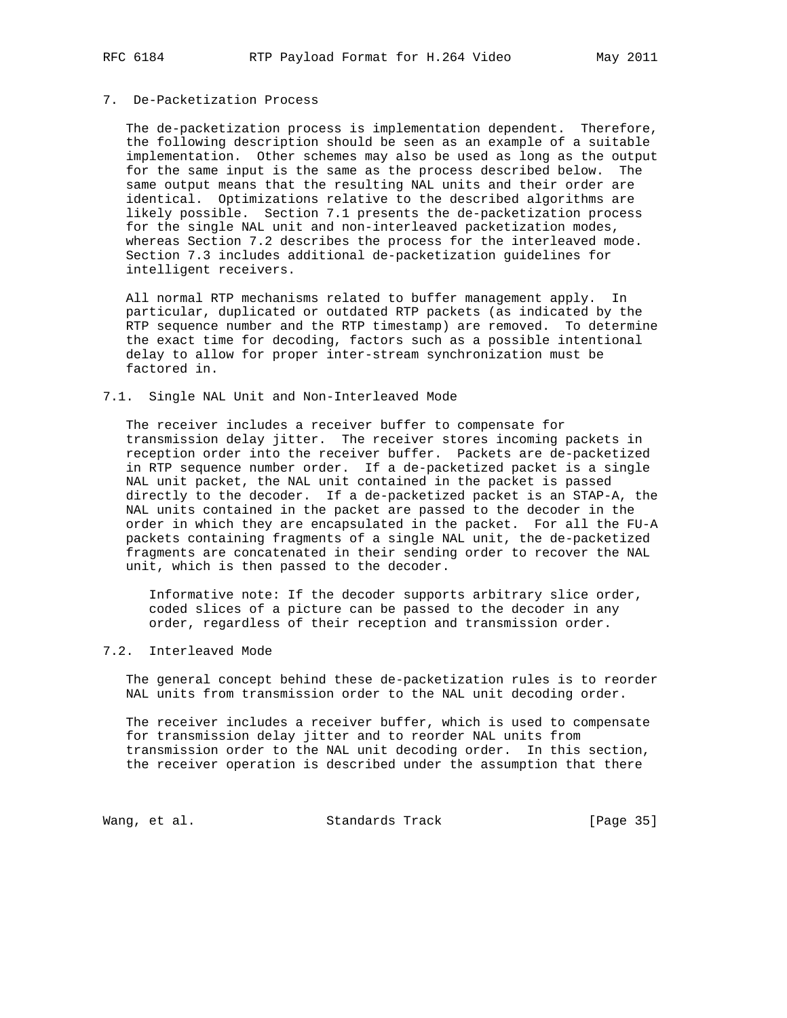#### 7. De-Packetization Process

 The de-packetization process is implementation dependent. Therefore, the following description should be seen as an example of a suitable implementation. Other schemes may also be used as long as the output for the same input is the same as the process described below. The same output means that the resulting NAL units and their order are identical. Optimizations relative to the described algorithms are likely possible. Section 7.1 presents the de-packetization process for the single NAL unit and non-interleaved packetization modes, whereas Section 7.2 describes the process for the interleaved mode. Section 7.3 includes additional de-packetization guidelines for intelligent receivers.

 All normal RTP mechanisms related to buffer management apply. In particular, duplicated or outdated RTP packets (as indicated by the RTP sequence number and the RTP timestamp) are removed. To determine the exact time for decoding, factors such as a possible intentional delay to allow for proper inter-stream synchronization must be factored in.

#### 7.1. Single NAL Unit and Non-Interleaved Mode

 The receiver includes a receiver buffer to compensate for transmission delay jitter. The receiver stores incoming packets in reception order into the receiver buffer. Packets are de-packetized in RTP sequence number order. If a de-packetized packet is a single NAL unit packet, the NAL unit contained in the packet is passed directly to the decoder. If a de-packetized packet is an STAP-A, the NAL units contained in the packet are passed to the decoder in the order in which they are encapsulated in the packet. For all the FU-A packets containing fragments of a single NAL unit, the de-packetized fragments are concatenated in their sending order to recover the NAL unit, which is then passed to the decoder.

 Informative note: If the decoder supports arbitrary slice order, coded slices of a picture can be passed to the decoder in any order, regardless of their reception and transmission order.

## 7.2. Interleaved Mode

 The general concept behind these de-packetization rules is to reorder NAL units from transmission order to the NAL unit decoding order.

 The receiver includes a receiver buffer, which is used to compensate for transmission delay jitter and to reorder NAL units from transmission order to the NAL unit decoding order. In this section, the receiver operation is described under the assumption that there

Wang, et al. Standards Track [Page 35]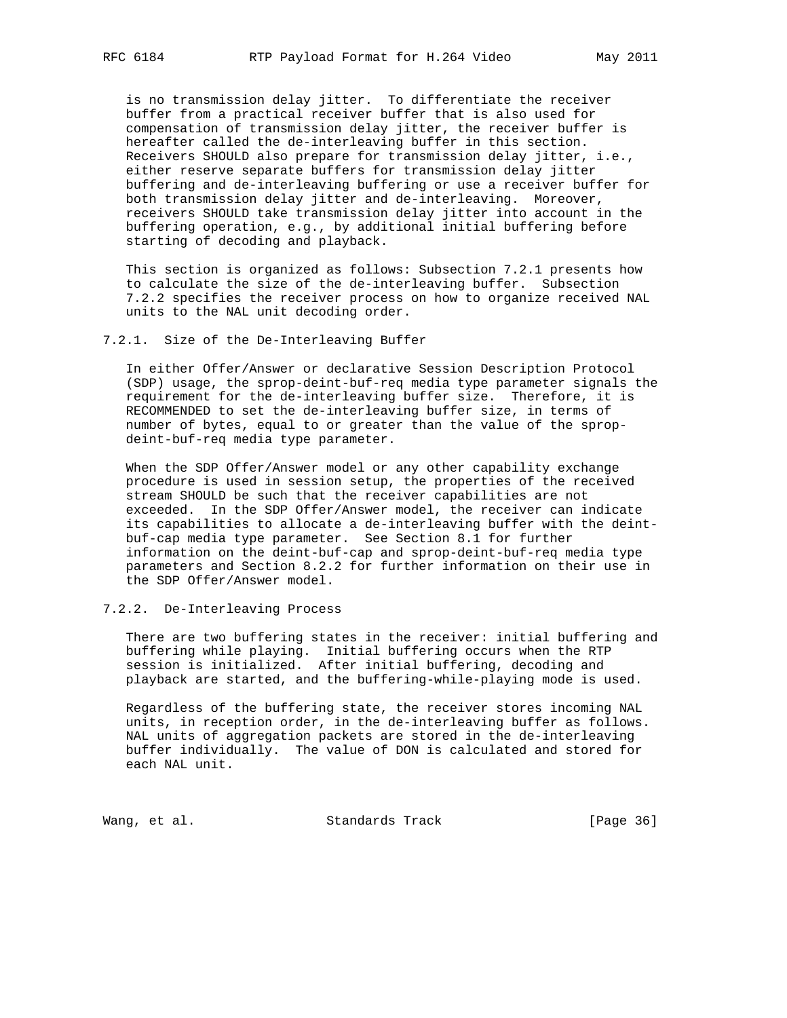is no transmission delay jitter. To differentiate the receiver buffer from a practical receiver buffer that is also used for compensation of transmission delay jitter, the receiver buffer is hereafter called the de-interleaving buffer in this section. Receivers SHOULD also prepare for transmission delay jitter, i.e., either reserve separate buffers for transmission delay jitter buffering and de-interleaving buffering or use a receiver buffer for both transmission delay jitter and de-interleaving. Moreover, receivers SHOULD take transmission delay jitter into account in the buffering operation, e.g., by additional initial buffering before starting of decoding and playback.

 This section is organized as follows: Subsection 7.2.1 presents how to calculate the size of the de-interleaving buffer. Subsection 7.2.2 specifies the receiver process on how to organize received NAL units to the NAL unit decoding order.

7.2.1. Size of the De-Interleaving Buffer

 In either Offer/Answer or declarative Session Description Protocol (SDP) usage, the sprop-deint-buf-req media type parameter signals the requirement for the de-interleaving buffer size. Therefore, it is RECOMMENDED to set the de-interleaving buffer size, in terms of number of bytes, equal to or greater than the value of the sprop deint-buf-req media type parameter.

 When the SDP Offer/Answer model or any other capability exchange procedure is used in session setup, the properties of the received stream SHOULD be such that the receiver capabilities are not exceeded. In the SDP Offer/Answer model, the receiver can indicate its capabilities to allocate a de-interleaving buffer with the deint buf-cap media type parameter. See Section 8.1 for further information on the deint-buf-cap and sprop-deint-buf-req media type parameters and Section 8.2.2 for further information on their use in the SDP Offer/Answer model.

7.2.2. De-Interleaving Process

 There are two buffering states in the receiver: initial buffering and buffering while playing. Initial buffering occurs when the RTP session is initialized. After initial buffering, decoding and playback are started, and the buffering-while-playing mode is used.

 Regardless of the buffering state, the receiver stores incoming NAL units, in reception order, in the de-interleaving buffer as follows. NAL units of aggregation packets are stored in the de-interleaving buffer individually. The value of DON is calculated and stored for each NAL unit.

Wang, et al. Standards Track [Page 36]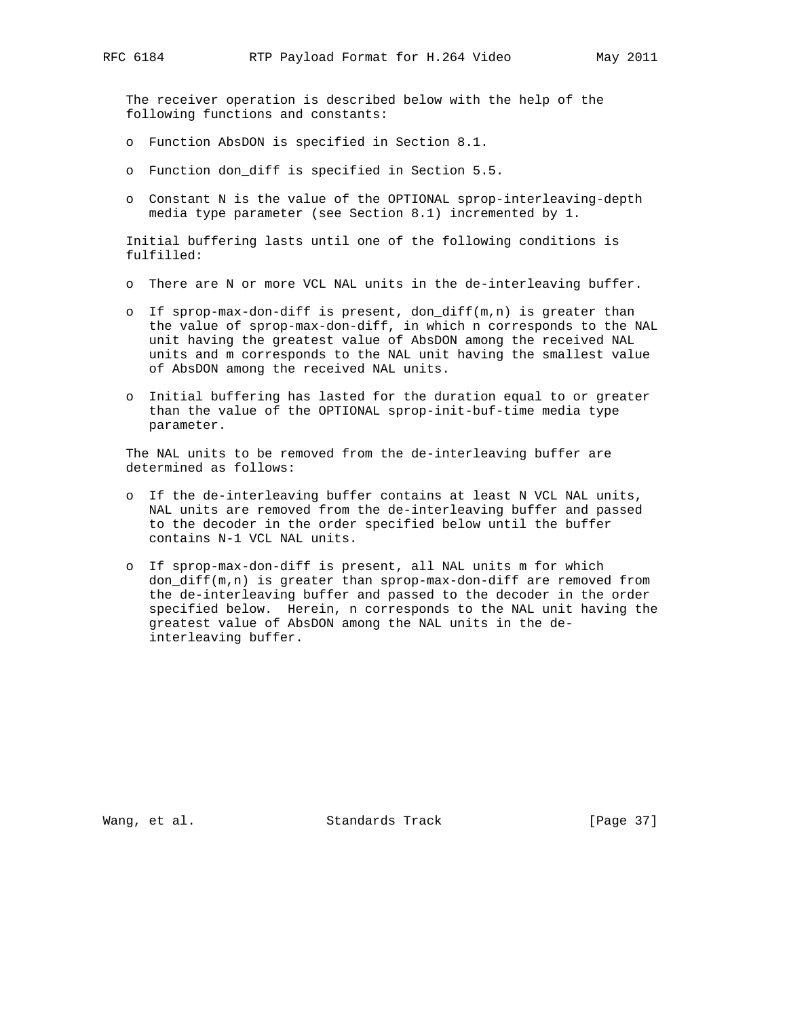The receiver operation is described below with the help of the following functions and constants:

- o Function AbsDON is specified in Section 8.1.
- o Function don\_diff is specified in Section 5.5.
- o Constant N is the value of the OPTIONAL sprop-interleaving-depth media type parameter (see Section 8.1) incremented by 1.

 Initial buffering lasts until one of the following conditions is fulfilled:

- o There are N or more VCL NAL units in the de-interleaving buffer.
- o If sprop-max-don-diff is present, don\_diff(m,n) is greater than the value of sprop-max-don-diff, in which n corresponds to the NAL unit having the greatest value of AbsDON among the received NAL units and m corresponds to the NAL unit having the smallest value of AbsDON among the received NAL units.
- o Initial buffering has lasted for the duration equal to or greater than the value of the OPTIONAL sprop-init-buf-time media type parameter.

 The NAL units to be removed from the de-interleaving buffer are determined as follows:

- o If the de-interleaving buffer contains at least N VCL NAL units, NAL units are removed from the de-interleaving buffer and passed to the decoder in the order specified below until the buffer contains N-1 VCL NAL units.
- o If sprop-max-don-diff is present, all NAL units m for which don\_diff(m,n) is greater than sprop-max-don-diff are removed from the de-interleaving buffer and passed to the decoder in the order specified below. Herein, n corresponds to the NAL unit having the greatest value of AbsDON among the NAL units in the de interleaving buffer.

Wang, et al. Standards Track [Page 37]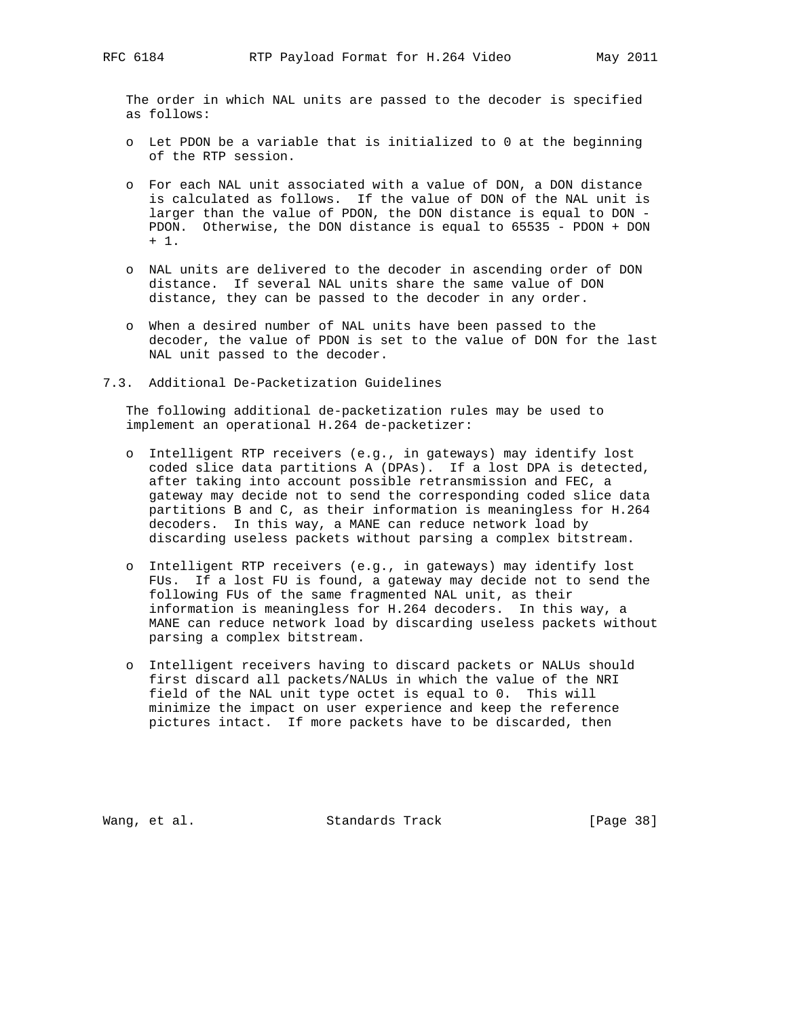The order in which NAL units are passed to the decoder is specified as follows:

- o Let PDON be a variable that is initialized to 0 at the beginning of the RTP session.
- o For each NAL unit associated with a value of DON, a DON distance is calculated as follows. If the value of DON of the NAL unit is larger than the value of PDON, the DON distance is equal to DON - PDON. Otherwise, the DON distance is equal to 65535 - PDON + DON + 1.
- o NAL units are delivered to the decoder in ascending order of DON distance. If several NAL units share the same value of DON distance, they can be passed to the decoder in any order.
- o When a desired number of NAL units have been passed to the decoder, the value of PDON is set to the value of DON for the last NAL unit passed to the decoder.
- 7.3. Additional De-Packetization Guidelines

 The following additional de-packetization rules may be used to implement an operational H.264 de-packetizer:

- o Intelligent RTP receivers (e.g., in gateways) may identify lost coded slice data partitions A (DPAs). If a lost DPA is detected, after taking into account possible retransmission and FEC, a gateway may decide not to send the corresponding coded slice data partitions B and C, as their information is meaningless for H.264 decoders. In this way, a MANE can reduce network load by discarding useless packets without parsing a complex bitstream.
- o Intelligent RTP receivers (e.g., in gateways) may identify lost FUs. If a lost FU is found, a gateway may decide not to send the following FUs of the same fragmented NAL unit, as their information is meaningless for H.264 decoders. In this way, a MANE can reduce network load by discarding useless packets without parsing a complex bitstream.
- o Intelligent receivers having to discard packets or NALUs should first discard all packets/NALUs in which the value of the NRI field of the NAL unit type octet is equal to 0. This will minimize the impact on user experience and keep the reference pictures intact. If more packets have to be discarded, then

Wang, et al. Standards Track [Page 38]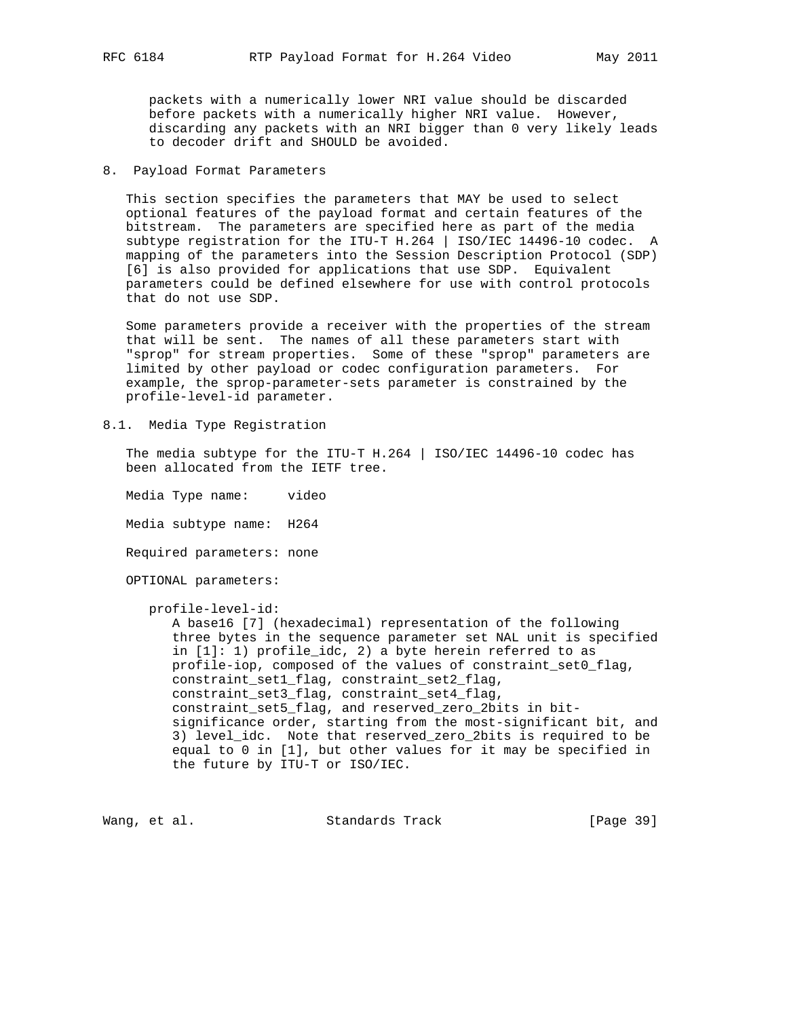packets with a numerically lower NRI value should be discarded before packets with a numerically higher NRI value. However, discarding any packets with an NRI bigger than 0 very likely leads to decoder drift and SHOULD be avoided.

8. Payload Format Parameters

 This section specifies the parameters that MAY be used to select optional features of the payload format and certain features of the bitstream. The parameters are specified here as part of the media subtype registration for the ITU-T H.264 | ISO/IEC 14496-10 codec. A mapping of the parameters into the Session Description Protocol (SDP) [6] is also provided for applications that use SDP. Equivalent parameters could be defined elsewhere for use with control protocols that do not use SDP.

 Some parameters provide a receiver with the properties of the stream that will be sent. The names of all these parameters start with "sprop" for stream properties. Some of these "sprop" parameters are limited by other payload or codec configuration parameters. For example, the sprop-parameter-sets parameter is constrained by the profile-level-id parameter.

8.1. Media Type Registration

 The media subtype for the ITU-T H.264 | ISO/IEC 14496-10 codec has been allocated from the IETF tree.

 Media Type name: video Media subtype name: H264 Required parameters: none

OPTIONAL parameters:

profile-level-id:

 A base16 [7] (hexadecimal) representation of the following three bytes in the sequence parameter set NAL unit is specified in [1]: 1) profile\_idc, 2) a byte herein referred to as profile-iop, composed of the values of constraint\_set0\_flag, constraint\_set1\_flag, constraint\_set2\_flag, constraint\_set3\_flag, constraint\_set4\_flag, constraint\_set5\_flag, and reserved\_zero\_2bits in bit significance order, starting from the most-significant bit, and 3) level\_idc. Note that reserved\_zero\_2bits is required to be equal to 0 in [1], but other values for it may be specified in the future by ITU-T or ISO/IEC.

Wang, et al. Standards Track [Page 39]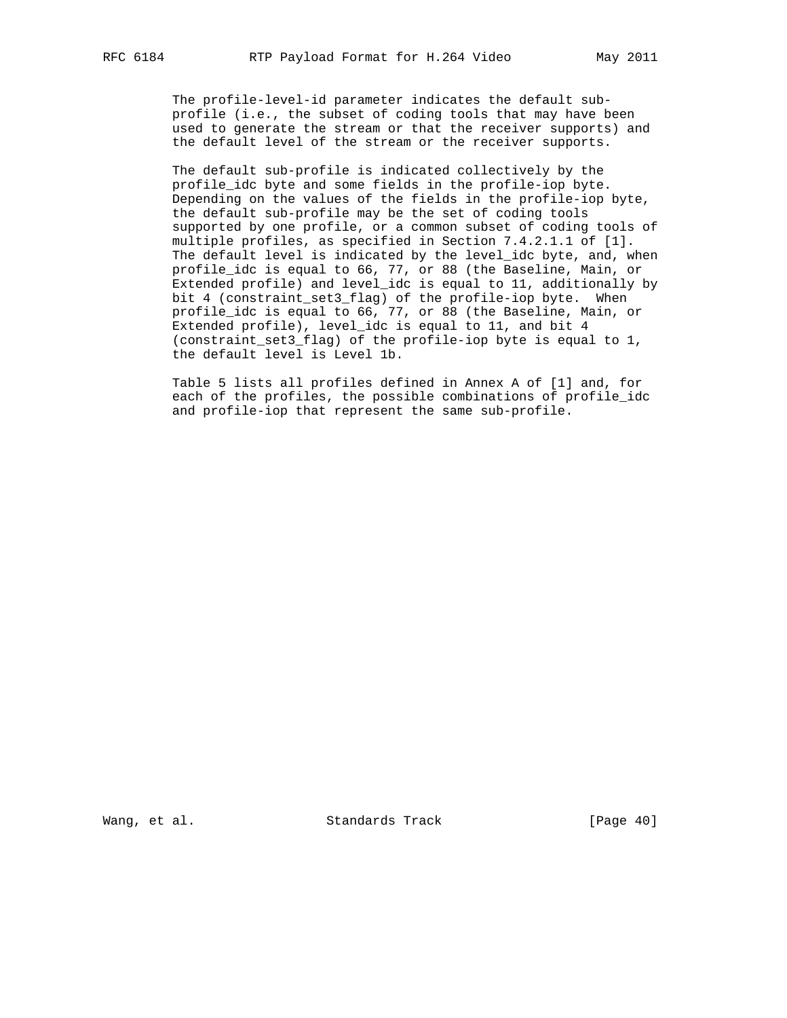The profile-level-id parameter indicates the default sub profile (i.e., the subset of coding tools that may have been used to generate the stream or that the receiver supports) and the default level of the stream or the receiver supports.

 The default sub-profile is indicated collectively by the profile\_idc byte and some fields in the profile-iop byte. Depending on the values of the fields in the profile-iop byte, the default sub-profile may be the set of coding tools supported by one profile, or a common subset of coding tools of multiple profiles, as specified in Section 7.4.2.1.1 of [1]. The default level is indicated by the level\_idc byte, and, when profile\_idc is equal to 66, 77, or 88 (the Baseline, Main, or Extended profile) and level\_idc is equal to 11, additionally by bit 4 (constraint\_set3\_flag) of the profile-iop byte. When profile\_idc is equal to 66, 77, or 88 (the Baseline, Main, or Extended profile), level\_idc is equal to 11, and bit 4 (constraint\_set3\_flag) of the profile-iop byte is equal to 1, the default level is Level 1b.

 Table 5 lists all profiles defined in Annex A of [1] and, for each of the profiles, the possible combinations of profile\_idc and profile-iop that represent the same sub-profile.

Wang, et al. Standards Track [Page 40]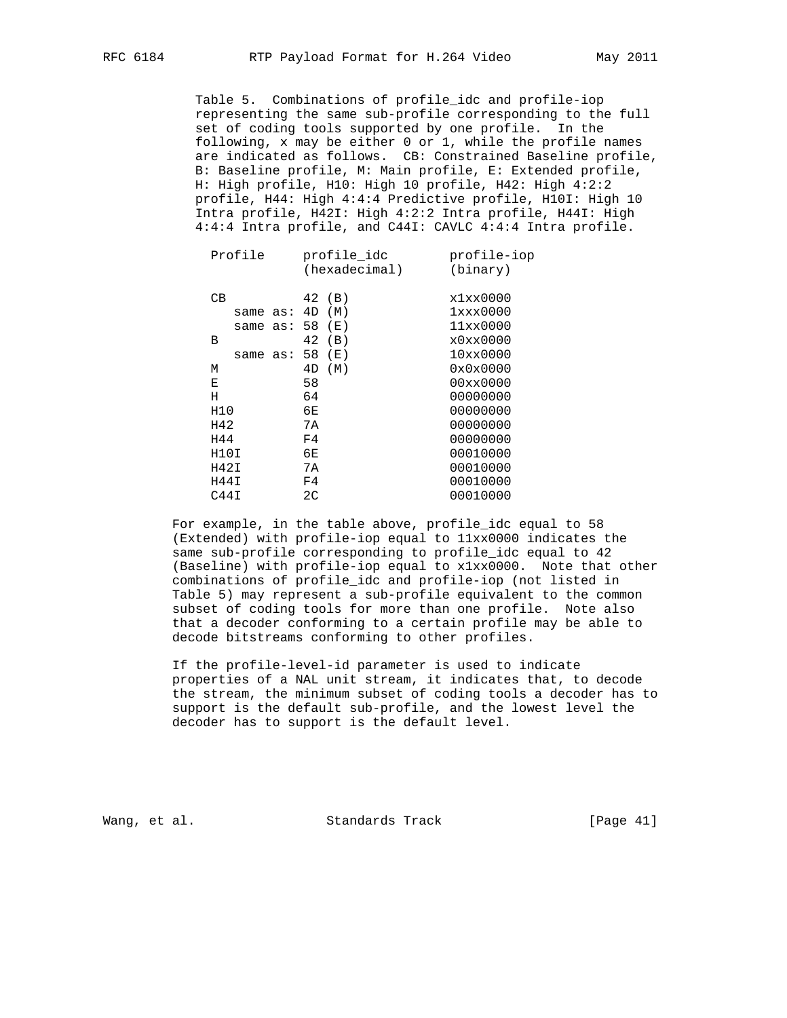Table 5. Combinations of profile\_idc and profile-iop representing the same sub-profile corresponding to the full set of coding tools supported by one profile. In the following, x may be either 0 or 1, while the profile names are indicated as follows. CB: Constrained Baseline profile, B: Baseline profile, M: Main profile, E: Extended profile, H: High profile, H10: High 10 profile, H42: High 4:2:2 profile, H44: High 4:4:4 Predictive profile, H10I: High 10 Intra profile, H42I: High 4:2:2 Intra profile, H44I: High 4:4:4 Intra profile, and C44I: CAVLC 4:4:4 Intra profile.

| Profile  | profile idc<br>(hexadecimal) | profile-iop<br>(binary) |
|----------|------------------------------|-------------------------|
| CВ       | 42 (B)                       | x1xx0000                |
| same as: | 4D<br>( M )                  | 1xxx0000                |
| same as: | 58<br>( E )                  | 11xx0000                |
| B        | 42<br>(B)                    | x0xx0000                |
| same as: | 58<br>( E )                  | 10xx0000                |
| М        | 4D<br>(M)                    | 0x0x0000                |
| Е        | 58                           | 00xx0000                |
| Н        | 64                           | 00000000                |
| H10      | 6Е                           | 00000000                |
| H42      | 7A                           | 00000000                |
| H44      | F4                           | 00000000                |
| H10I     | 6E                           | 00010000                |
| H42I     | 7A                           | 00010000                |
| H44I     | F4                           | 00010000                |
| C44I     | 2 <sub>C</sub>               | 00010000                |
|          |                              |                         |

 For example, in the table above, profile\_idc equal to 58 (Extended) with profile-iop equal to 11xx0000 indicates the same sub-profile corresponding to profile\_idc equal to 42 (Baseline) with profile-iop equal to x1xx0000. Note that other combinations of profile\_idc and profile-iop (not listed in Table 5) may represent a sub-profile equivalent to the common subset of coding tools for more than one profile. Note also that a decoder conforming to a certain profile may be able to decode bitstreams conforming to other profiles.

 If the profile-level-id parameter is used to indicate properties of a NAL unit stream, it indicates that, to decode the stream, the minimum subset of coding tools a decoder has to support is the default sub-profile, and the lowest level the decoder has to support is the default level.

Wang, et al. Standards Track [Page 41]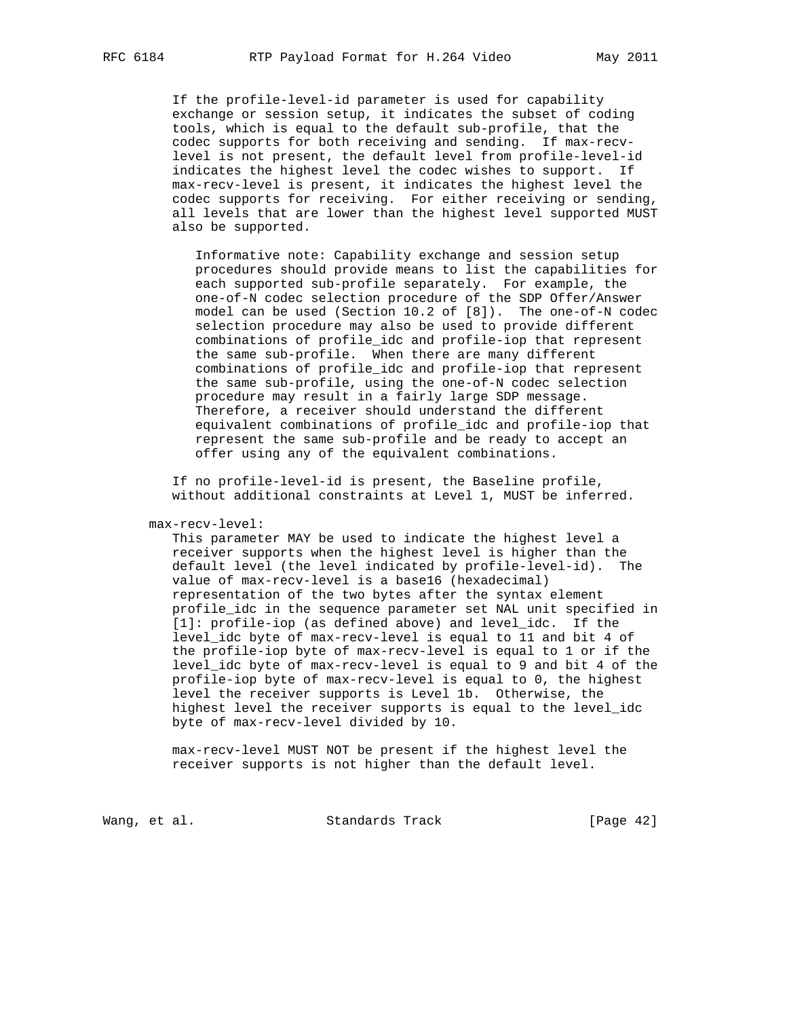If the profile-level-id parameter is used for capability exchange or session setup, it indicates the subset of coding tools, which is equal to the default sub-profile, that the codec supports for both receiving and sending. If max-recv level is not present, the default level from profile-level-id indicates the highest level the codec wishes to support. If max-recv-level is present, it indicates the highest level the codec supports for receiving. For either receiving or sending, all levels that are lower than the highest level supported MUST also be supported.

 Informative note: Capability exchange and session setup procedures should provide means to list the capabilities for each supported sub-profile separately. For example, the one-of-N codec selection procedure of the SDP Offer/Answer model can be used (Section 10.2 of [8]). The one-of-N codec selection procedure may also be used to provide different combinations of profile\_idc and profile-iop that represent the same sub-profile. When there are many different combinations of profile\_idc and profile-iop that represent the same sub-profile, using the one-of-N codec selection procedure may result in a fairly large SDP message. Therefore, a receiver should understand the different equivalent combinations of profile\_idc and profile-iop that represent the same sub-profile and be ready to accept an offer using any of the equivalent combinations.

 If no profile-level-id is present, the Baseline profile, without additional constraints at Level 1, MUST be inferred.

max-recv-level:

 This parameter MAY be used to indicate the highest level a receiver supports when the highest level is higher than the default level (the level indicated by profile-level-id). The value of max-recv-level is a base16 (hexadecimal) representation of the two bytes after the syntax element profile\_idc in the sequence parameter set NAL unit specified in [1]: profile-iop (as defined above) and level\_idc. If the level\_idc byte of max-recv-level is equal to 11 and bit 4 of the profile-iop byte of max-recv-level is equal to 1 or if the level\_idc byte of max-recv-level is equal to 9 and bit 4 of the profile-iop byte of max-recv-level is equal to 0, the highest level the receiver supports is Level 1b. Otherwise, the highest level the receiver supports is equal to the level\_idc byte of max-recv-level divided by 10.

 max-recv-level MUST NOT be present if the highest level the receiver supports is not higher than the default level.

Wang, et al. Standards Track [Page 42]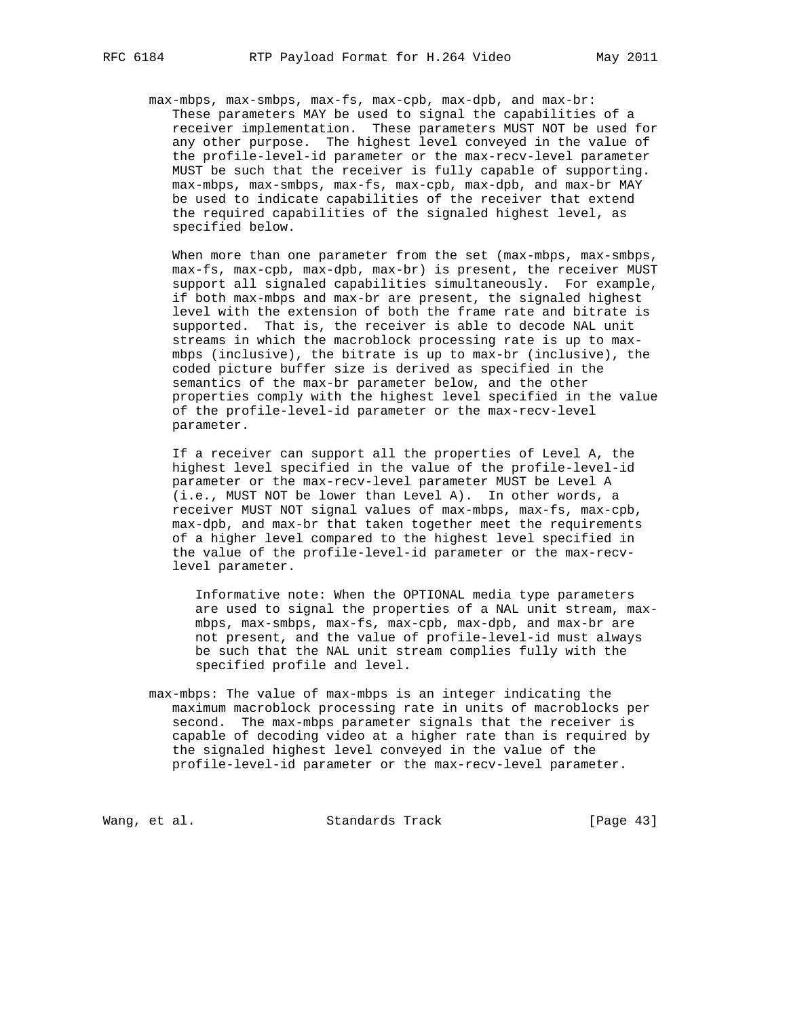max-mbps, max-smbps, max-fs, max-cpb, max-dpb, and max-br: These parameters MAY be used to signal the capabilities of a receiver implementation. These parameters MUST NOT be used for any other purpose. The highest level conveyed in the value of the profile-level-id parameter or the max-recv-level parameter MUST be such that the receiver is fully capable of supporting. max-mbps, max-smbps, max-fs, max-cpb, max-dpb, and max-br MAY be used to indicate capabilities of the receiver that extend the required capabilities of the signaled highest level, as specified below.

When more than one parameter from the set (max-mbps, max-smbps, max-fs, max-cpb, max-dpb, max-br) is present, the receiver MUST support all signaled capabilities simultaneously. For example, if both max-mbps and max-br are present, the signaled highest level with the extension of both the frame rate and bitrate is supported. That is, the receiver is able to decode NAL unit streams in which the macroblock processing rate is up to max mbps (inclusive), the bitrate is up to max-br (inclusive), the coded picture buffer size is derived as specified in the semantics of the max-br parameter below, and the other properties comply with the highest level specified in the value of the profile-level-id parameter or the max-recv-level parameter.

 If a receiver can support all the properties of Level A, the highest level specified in the value of the profile-level-id parameter or the max-recv-level parameter MUST be Level A (i.e., MUST NOT be lower than Level A). In other words, a receiver MUST NOT signal values of max-mbps, max-fs, max-cpb, max-dpb, and max-br that taken together meet the requirements of a higher level compared to the highest level specified in the value of the profile-level-id parameter or the max-recv level parameter.

 Informative note: When the OPTIONAL media type parameters are used to signal the properties of a NAL unit stream, max mbps, max-smbps, max-fs, max-cpb, max-dpb, and max-br are not present, and the value of profile-level-id must always be such that the NAL unit stream complies fully with the specified profile and level.

 max-mbps: The value of max-mbps is an integer indicating the maximum macroblock processing rate in units of macroblocks per second. The max-mbps parameter signals that the receiver is capable of decoding video at a higher rate than is required by the signaled highest level conveyed in the value of the profile-level-id parameter or the max-recv-level parameter.

Wang, et al. Standards Track [Page 43]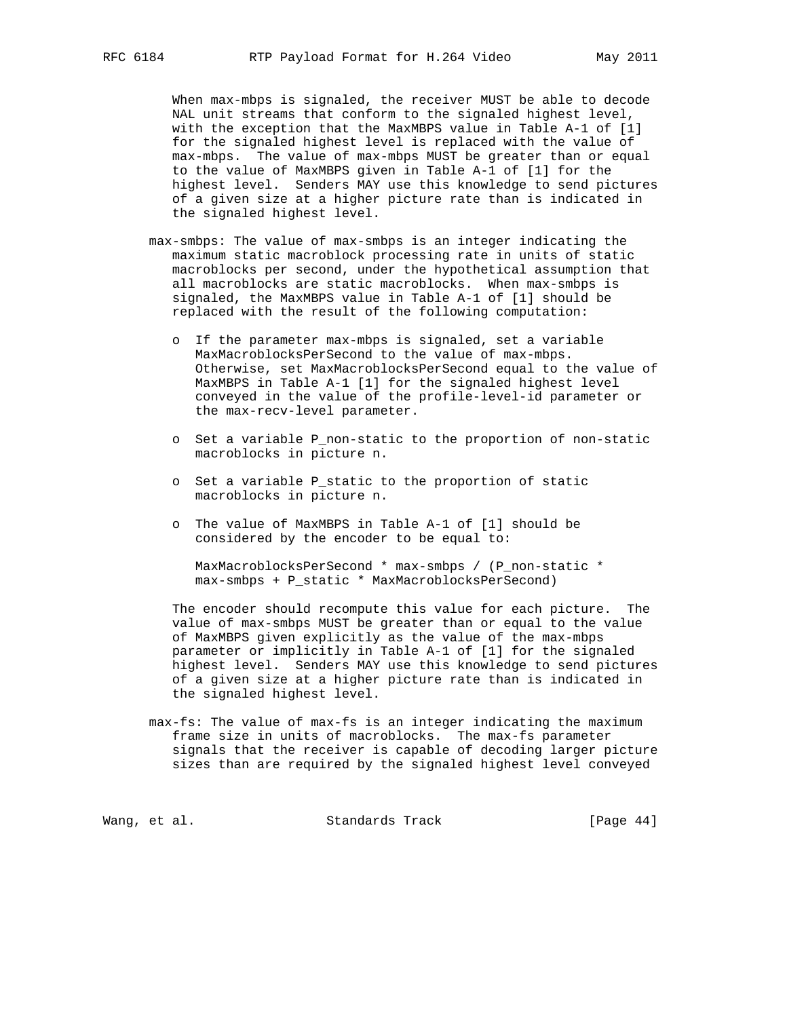When max-mbps is signaled, the receiver MUST be able to decode NAL unit streams that conform to the signaled highest level, with the exception that the MaxMBPS value in Table A-1 of [1] for the signaled highest level is replaced with the value of max-mbps. The value of max-mbps MUST be greater than or equal to the value of MaxMBPS given in Table A-1 of [1] for the highest level. Senders MAY use this knowledge to send pictures of a given size at a higher picture rate than is indicated in the signaled highest level.

- max-smbps: The value of max-smbps is an integer indicating the maximum static macroblock processing rate in units of static macroblocks per second, under the hypothetical assumption that all macroblocks are static macroblocks. When max-smbps is signaled, the MaxMBPS value in Table A-1 of [1] should be replaced with the result of the following computation:
	- o If the parameter max-mbps is signaled, set a variable MaxMacroblocksPerSecond to the value of max-mbps. Otherwise, set MaxMacroblocksPerSecond equal to the value of MaxMBPS in Table A-1 [1] for the signaled highest level conveyed in the value of the profile-level-id parameter or the max-recv-level parameter.
	- o Set a variable P\_non-static to the proportion of non-static macroblocks in picture n.
	- o Set a variable P\_static to the proportion of static macroblocks in picture n.
	- o The value of MaxMBPS in Table A-1 of [1] should be considered by the encoder to be equal to:

 MaxMacroblocksPerSecond \* max-smbps / (P\_non-static \* max-smbps + P\_static \* MaxMacroblocksPerSecond)

 The encoder should recompute this value for each picture. The value of max-smbps MUST be greater than or equal to the value of MaxMBPS given explicitly as the value of the max-mbps parameter or implicitly in Table A-1 of [1] for the signaled highest level. Senders MAY use this knowledge to send pictures of a given size at a higher picture rate than is indicated in the signaled highest level.

 max-fs: The value of max-fs is an integer indicating the maximum frame size in units of macroblocks. The max-fs parameter signals that the receiver is capable of decoding larger picture sizes than are required by the signaled highest level conveyed

Wang, et al. Standards Track [Page 44]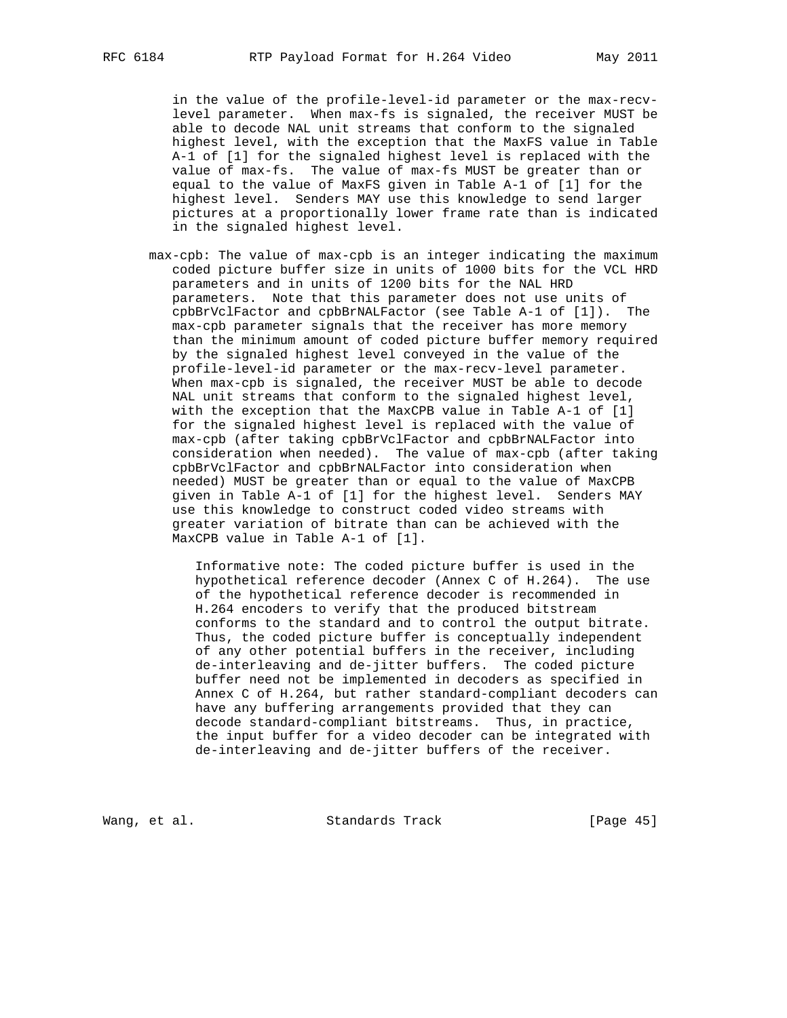in the value of the profile-level-id parameter or the max-recv level parameter. When max-fs is signaled, the receiver MUST be able to decode NAL unit streams that conform to the signaled highest level, with the exception that the MaxFS value in Table A-1 of [1] for the signaled highest level is replaced with the value of max-fs. The value of max-fs MUST be greater than or equal to the value of MaxFS given in Table A-1 of [1] for the highest level. Senders MAY use this knowledge to send larger pictures at a proportionally lower frame rate than is indicated in the signaled highest level.

 max-cpb: The value of max-cpb is an integer indicating the maximum coded picture buffer size in units of 1000 bits for the VCL HRD parameters and in units of 1200 bits for the NAL HRD parameters. Note that this parameter does not use units of cpbBrVclFactor and cpbBrNALFactor (see Table A-1 of [1]). The max-cpb parameter signals that the receiver has more memory than the minimum amount of coded picture buffer memory required by the signaled highest level conveyed in the value of the profile-level-id parameter or the max-recv-level parameter. When max-cpb is signaled, the receiver MUST be able to decode NAL unit streams that conform to the signaled highest level, with the exception that the MaxCPB value in Table A-1 of [1] for the signaled highest level is replaced with the value of max-cpb (after taking cpbBrVclFactor and cpbBrNALFactor into consideration when needed). The value of max-cpb (after taking cpbBrVclFactor and cpbBrNALFactor into consideration when needed) MUST be greater than or equal to the value of MaxCPB given in Table A-1 of [1] for the highest level. Senders MAY use this knowledge to construct coded video streams with greater variation of bitrate than can be achieved with the MaxCPB value in Table A-1 of [1].

 Informative note: The coded picture buffer is used in the hypothetical reference decoder (Annex C of H.264). The use of the hypothetical reference decoder is recommended in H.264 encoders to verify that the produced bitstream conforms to the standard and to control the output bitrate. Thus, the coded picture buffer is conceptually independent of any other potential buffers in the receiver, including de-interleaving and de-jitter buffers. The coded picture buffer need not be implemented in decoders as specified in Annex C of H.264, but rather standard-compliant decoders can have any buffering arrangements provided that they can decode standard-compliant bitstreams. Thus, in practice, the input buffer for a video decoder can be integrated with de-interleaving and de-jitter buffers of the receiver.

Wang, et al. Standards Track [Page 45]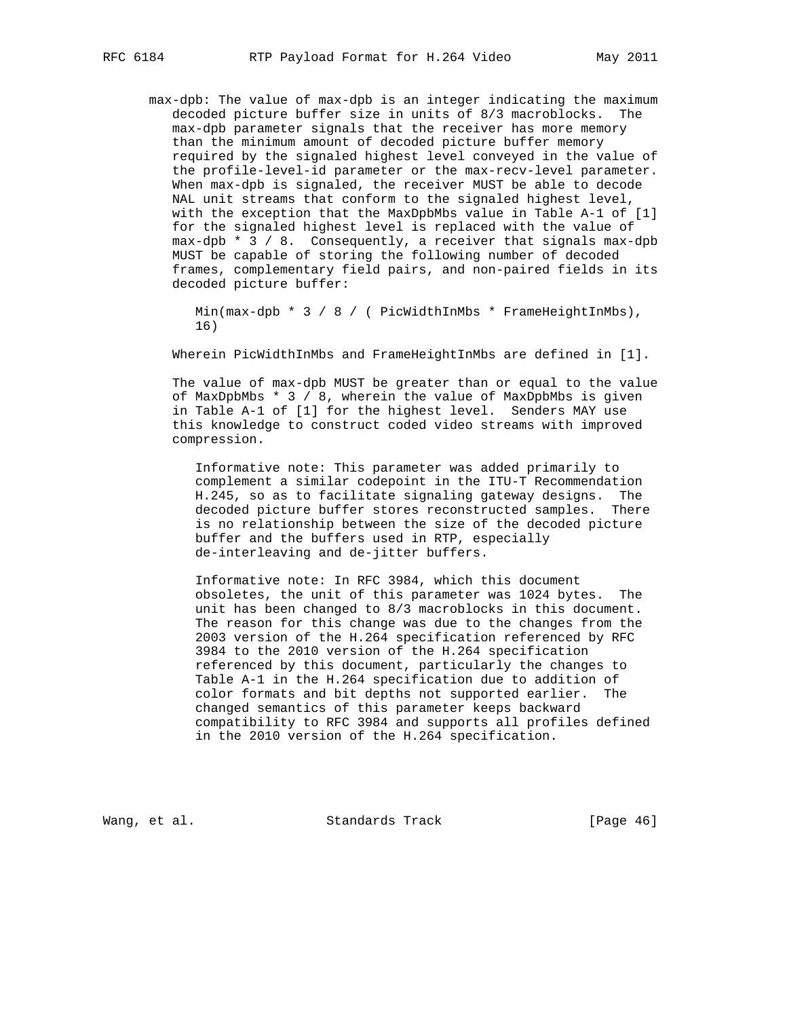max-dpb: The value of max-dpb is an integer indicating the maximum decoded picture buffer size in units of 8/3 macroblocks. The max-dpb parameter signals that the receiver has more memory than the minimum amount of decoded picture buffer memory required by the signaled highest level conveyed in the value of the profile-level-id parameter or the max-recv-level parameter. When max-dpb is signaled, the receiver MUST be able to decode NAL unit streams that conform to the signaled highest level, with the exception that the MaxDpbMbs value in Table A-1 of [1] for the signaled highest level is replaced with the value of max-dpb \* 3 / 8. Consequently, a receiver that signals max-dpb MUST be capable of storing the following number of decoded frames, complementary field pairs, and non-paired fields in its decoded picture buffer:

Min(max-dpb \* 3 / 8 / ( PicWidthInMbs \* FrameHeightInMbs), 16)

Wherein PicWidthInMbs and FrameHeightInMbs are defined in [1].

 The value of max-dpb MUST be greater than or equal to the value of MaxDpbMbs \* 3 / 8, wherein the value of MaxDpbMbs is given in Table A-1 of [1] for the highest level. Senders MAY use this knowledge to construct coded video streams with improved compression.

 Informative note: This parameter was added primarily to complement a similar codepoint in the ITU-T Recommendation H.245, so as to facilitate signaling gateway designs. The decoded picture buffer stores reconstructed samples. There is no relationship between the size of the decoded picture buffer and the buffers used in RTP, especially de-interleaving and de-jitter buffers.

 Informative note: In RFC 3984, which this document obsoletes, the unit of this parameter was 1024 bytes. The unit has been changed to 8/3 macroblocks in this document. The reason for this change was due to the changes from the 2003 version of the H.264 specification referenced by RFC 3984 to the 2010 version of the H.264 specification referenced by this document, particularly the changes to Table A-1 in the H.264 specification due to addition of color formats and bit depths not supported earlier. The changed semantics of this parameter keeps backward compatibility to RFC 3984 and supports all profiles defined in the 2010 version of the H.264 specification.

Wang, et al. Standards Track [Page 46]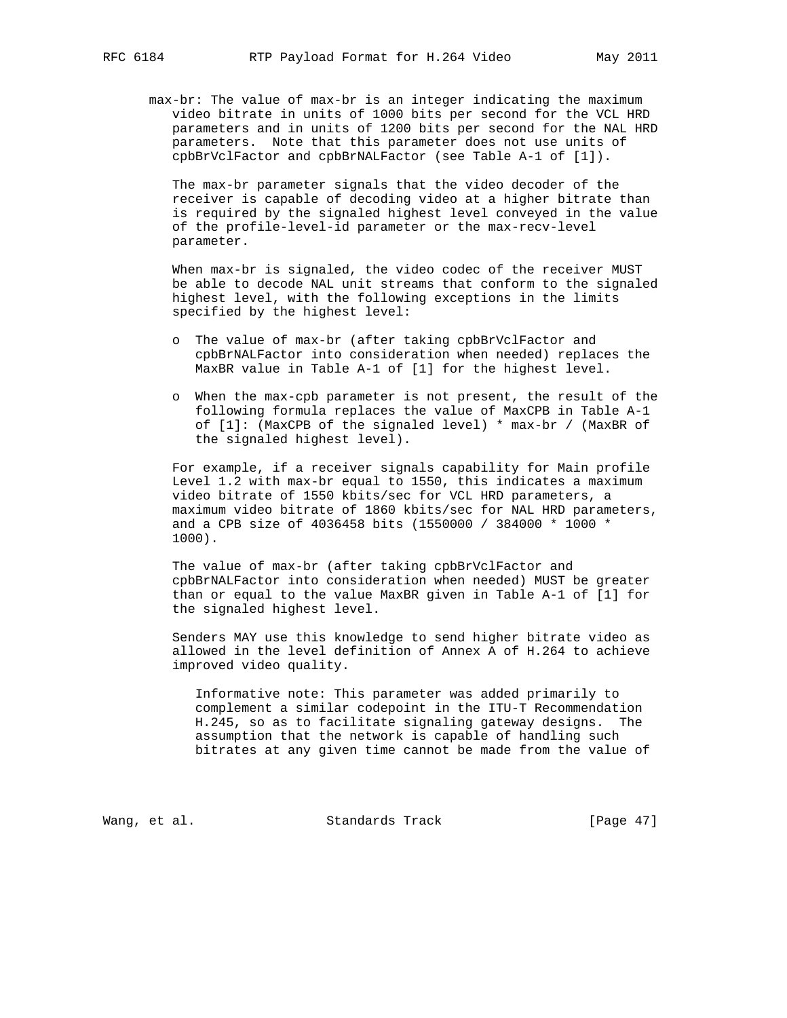max-br: The value of max-br is an integer indicating the maximum video bitrate in units of 1000 bits per second for the VCL HRD parameters and in units of 1200 bits per second for the NAL HRD parameters. Note that this parameter does not use units of cpbBrVclFactor and cpbBrNALFactor (see Table A-1 of [1]).

 The max-br parameter signals that the video decoder of the receiver is capable of decoding video at a higher bitrate than is required by the signaled highest level conveyed in the value of the profile-level-id parameter or the max-recv-level parameter.

 When max-br is signaled, the video codec of the receiver MUST be able to decode NAL unit streams that conform to the signaled highest level, with the following exceptions in the limits specified by the highest level:

- o The value of max-br (after taking cpbBrVclFactor and cpbBrNALFactor into consideration when needed) replaces the MaxBR value in Table A-1 of [1] for the highest level.
- o When the max-cpb parameter is not present, the result of the following formula replaces the value of MaxCPB in Table A-1 of [1]: (MaxCPB of the signaled level) \* max-br / (MaxBR of the signaled highest level).

 For example, if a receiver signals capability for Main profile Level 1.2 with max-br equal to 1550, this indicates a maximum video bitrate of 1550 kbits/sec for VCL HRD parameters, a maximum video bitrate of 1860 kbits/sec for NAL HRD parameters, and a CPB size of 4036458 bits (1550000 / 384000 \* 1000 \* 1000).

 The value of max-br (after taking cpbBrVclFactor and cpbBrNALFactor into consideration when needed) MUST be greater than or equal to the value MaxBR given in Table A-1 of [1] for the signaled highest level.

 Senders MAY use this knowledge to send higher bitrate video as allowed in the level definition of Annex A of H.264 to achieve improved video quality.

 Informative note: This parameter was added primarily to complement a similar codepoint in the ITU-T Recommendation H.245, so as to facilitate signaling gateway designs. The assumption that the network is capable of handling such bitrates at any given time cannot be made from the value of

Wang, et al. Standards Track [Page 47]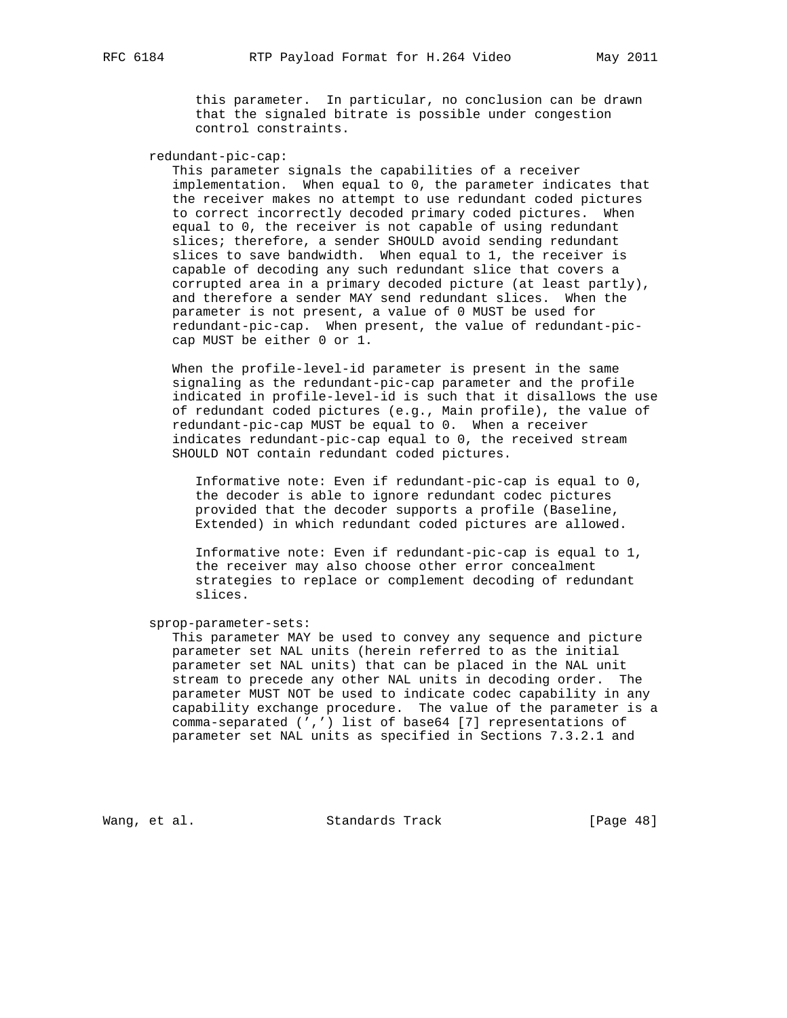this parameter. In particular, no conclusion can be drawn that the signaled bitrate is possible under congestion control constraints.

redundant-pic-cap:

 This parameter signals the capabilities of a receiver implementation. When equal to 0, the parameter indicates that the receiver makes no attempt to use redundant coded pictures to correct incorrectly decoded primary coded pictures. When equal to 0, the receiver is not capable of using redundant slices; therefore, a sender SHOULD avoid sending redundant slices to save bandwidth. When equal to 1, the receiver is capable of decoding any such redundant slice that covers a corrupted area in a primary decoded picture (at least partly), and therefore a sender MAY send redundant slices. When the parameter is not present, a value of 0 MUST be used for redundant-pic-cap. When present, the value of redundant-pic cap MUST be either 0 or 1.

 When the profile-level-id parameter is present in the same signaling as the redundant-pic-cap parameter and the profile indicated in profile-level-id is such that it disallows the use of redundant coded pictures (e.g., Main profile), the value of redundant-pic-cap MUST be equal to 0. When a receiver indicates redundant-pic-cap equal to 0, the received stream SHOULD NOT contain redundant coded pictures.

 Informative note: Even if redundant-pic-cap is equal to 0, the decoder is able to ignore redundant codec pictures provided that the decoder supports a profile (Baseline, Extended) in which redundant coded pictures are allowed.

 Informative note: Even if redundant-pic-cap is equal to 1, the receiver may also choose other error concealment strategies to replace or complement decoding of redundant slices.

sprop-parameter-sets:

 This parameter MAY be used to convey any sequence and picture parameter set NAL units (herein referred to as the initial parameter set NAL units) that can be placed in the NAL unit stream to precede any other NAL units in decoding order. The parameter MUST NOT be used to indicate codec capability in any capability exchange procedure. The value of the parameter is a comma-separated (',') list of base64 [7] representations of parameter set NAL units as specified in Sections 7.3.2.1 and

Wang, et al. Standards Track [Page 48]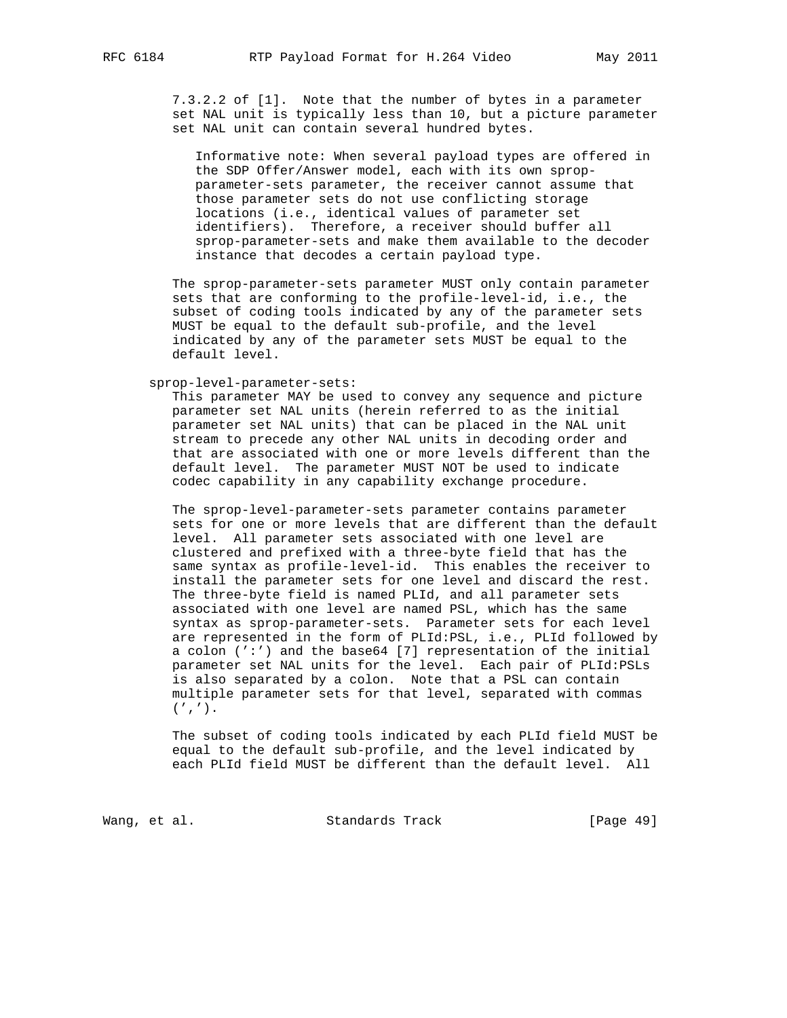7.3.2.2 of [1]. Note that the number of bytes in a parameter set NAL unit is typically less than 10, but a picture parameter set NAL unit can contain several hundred bytes.

 Informative note: When several payload types are offered in the SDP Offer/Answer model, each with its own sprop parameter-sets parameter, the receiver cannot assume that those parameter sets do not use conflicting storage locations (i.e., identical values of parameter set identifiers). Therefore, a receiver should buffer all sprop-parameter-sets and make them available to the decoder instance that decodes a certain payload type.

 The sprop-parameter-sets parameter MUST only contain parameter sets that are conforming to the profile-level-id, i.e., the subset of coding tools indicated by any of the parameter sets MUST be equal to the default sub-profile, and the level indicated by any of the parameter sets MUST be equal to the default level.

sprop-level-parameter-sets:

 This parameter MAY be used to convey any sequence and picture parameter set NAL units (herein referred to as the initial parameter set NAL units) that can be placed in the NAL unit stream to precede any other NAL units in decoding order and that are associated with one or more levels different than the default level. The parameter MUST NOT be used to indicate codec capability in any capability exchange procedure.

 The sprop-level-parameter-sets parameter contains parameter sets for one or more levels that are different than the default level. All parameter sets associated with one level are clustered and prefixed with a three-byte field that has the same syntax as profile-level-id. This enables the receiver to install the parameter sets for one level and discard the rest. The three-byte field is named PLId, and all parameter sets associated with one level are named PSL, which has the same syntax as sprop-parameter-sets. Parameter sets for each level are represented in the form of PLId:PSL, i.e., PLId followed by a colon (':') and the base64 [7] representation of the initial parameter set NAL units for the level. Each pair of PLId:PSLs is also separated by a colon. Note that a PSL can contain multiple parameter sets for that level, separated with commas  $(1, 1)$ .

 The subset of coding tools indicated by each PLId field MUST be equal to the default sub-profile, and the level indicated by each PLId field MUST be different than the default level. All

Wang, et al. Standards Track [Page 49]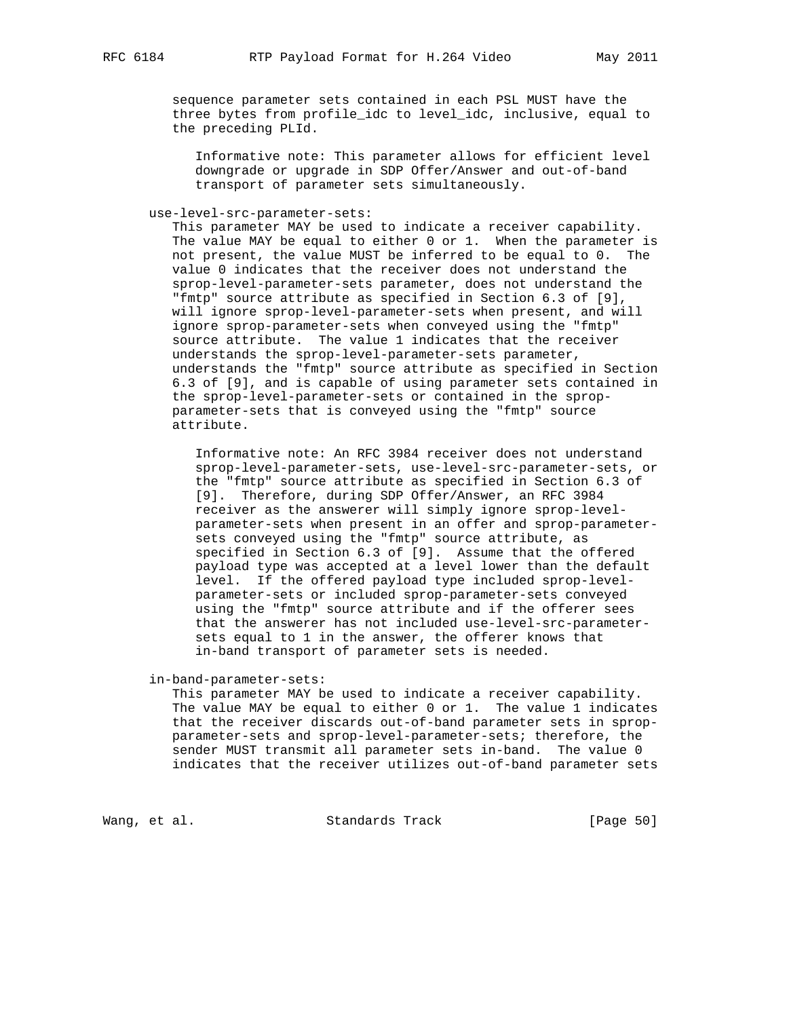sequence parameter sets contained in each PSL MUST have the three bytes from profile\_idc to level\_idc, inclusive, equal to the preceding PLId.

 Informative note: This parameter allows for efficient level downgrade or upgrade in SDP Offer/Answer and out-of-band transport of parameter sets simultaneously.

use-level-src-parameter-sets:

 This parameter MAY be used to indicate a receiver capability. The value MAY be equal to either 0 or 1. When the parameter is not present, the value MUST be inferred to be equal to 0. The value 0 indicates that the receiver does not understand the sprop-level-parameter-sets parameter, does not understand the "fmtp" source attribute as specified in Section 6.3 of [9], will ignore sprop-level-parameter-sets when present, and will ignore sprop-parameter-sets when conveyed using the "fmtp" source attribute. The value 1 indicates that the receiver understands the sprop-level-parameter-sets parameter, understands the "fmtp" source attribute as specified in Section 6.3 of [9], and is capable of using parameter sets contained in the sprop-level-parameter-sets or contained in the sprop parameter-sets that is conveyed using the "fmtp" source attribute.

 Informative note: An RFC 3984 receiver does not understand sprop-level-parameter-sets, use-level-src-parameter-sets, or the "fmtp" source attribute as specified in Section 6.3 of [9]. Therefore, during SDP Offer/Answer, an RFC 3984 receiver as the answerer will simply ignore sprop-level parameter-sets when present in an offer and sprop-parameter sets conveyed using the "fmtp" source attribute, as specified in Section 6.3 of [9]. Assume that the offered payload type was accepted at a level lower than the default level. If the offered payload type included sprop-level parameter-sets or included sprop-parameter-sets conveyed using the "fmtp" source attribute and if the offerer sees that the answerer has not included use-level-src-parameter sets equal to 1 in the answer, the offerer knows that in-band transport of parameter sets is needed.

in-band-parameter-sets:

 This parameter MAY be used to indicate a receiver capability. The value MAY be equal to either 0 or 1. The value 1 indicates that the receiver discards out-of-band parameter sets in sprop parameter-sets and sprop-level-parameter-sets; therefore, the sender MUST transmit all parameter sets in-band. The value 0 indicates that the receiver utilizes out-of-band parameter sets

Wang, et al. Standards Track [Page 50]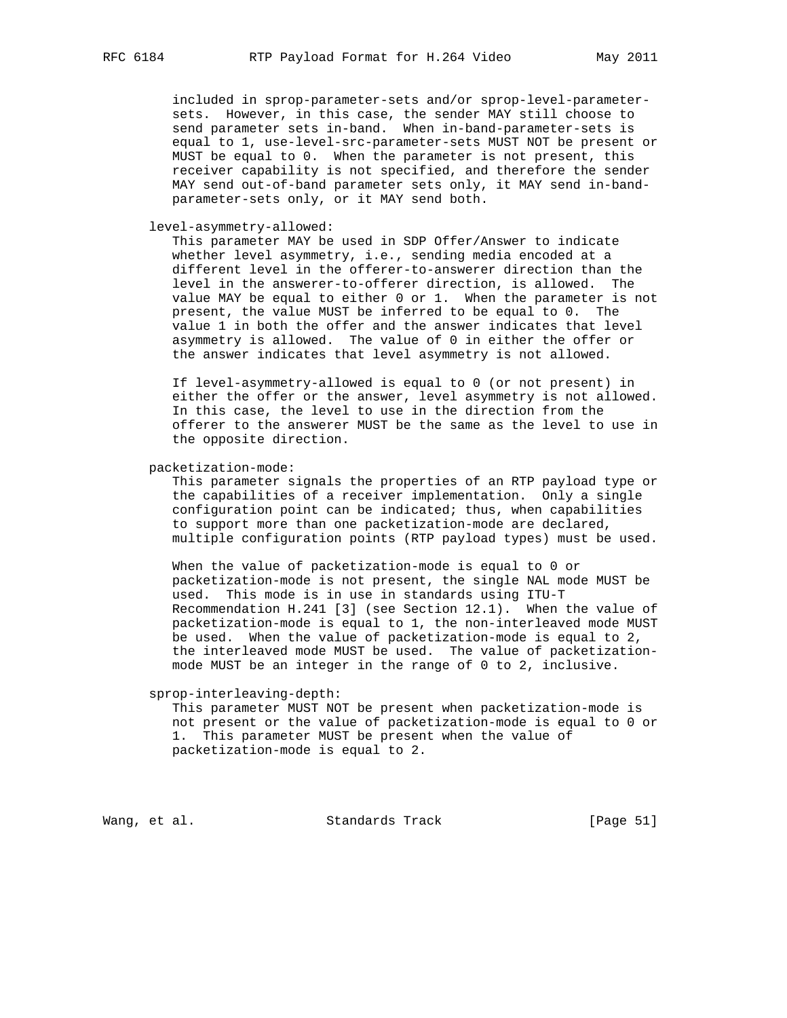included in sprop-parameter-sets and/or sprop-level-parameter sets. However, in this case, the sender MAY still choose to send parameter sets in-band. When in-band-parameter-sets is equal to 1, use-level-src-parameter-sets MUST NOT be present or MUST be equal to 0. When the parameter is not present, this receiver capability is not specified, and therefore the sender MAY send out-of-band parameter sets only, it MAY send in-band parameter-sets only, or it MAY send both.

level-asymmetry-allowed:

 This parameter MAY be used in SDP Offer/Answer to indicate whether level asymmetry, i.e., sending media encoded at a different level in the offerer-to-answerer direction than the level in the answerer-to-offerer direction, is allowed. The value MAY be equal to either 0 or 1. When the parameter is not present, the value MUST be inferred to be equal to 0. The value 1 in both the offer and the answer indicates that level asymmetry is allowed. The value of 0 in either the offer or the answer indicates that level asymmetry is not allowed.

 If level-asymmetry-allowed is equal to 0 (or not present) in either the offer or the answer, level asymmetry is not allowed. In this case, the level to use in the direction from the offerer to the answerer MUST be the same as the level to use in the opposite direction.

packetization-mode:

 This parameter signals the properties of an RTP payload type or the capabilities of a receiver implementation. Only a single configuration point can be indicated; thus, when capabilities to support more than one packetization-mode are declared, multiple configuration points (RTP payload types) must be used.

 When the value of packetization-mode is equal to 0 or packetization-mode is not present, the single NAL mode MUST be used. This mode is in use in standards using ITU-T Recommendation H.241 [3] (see Section 12.1). When the value of packetization-mode is equal to 1, the non-interleaved mode MUST be used. When the value of packetization-mode is equal to 2, the interleaved mode MUST be used. The value of packetization mode MUST be an integer in the range of 0 to 2, inclusive.

#### sprop-interleaving-depth:

 This parameter MUST NOT be present when packetization-mode is not present or the value of packetization-mode is equal to 0 or 1. This parameter MUST be present when the value of packetization-mode is equal to 2.

Wang, et al. Standards Track [Page 51]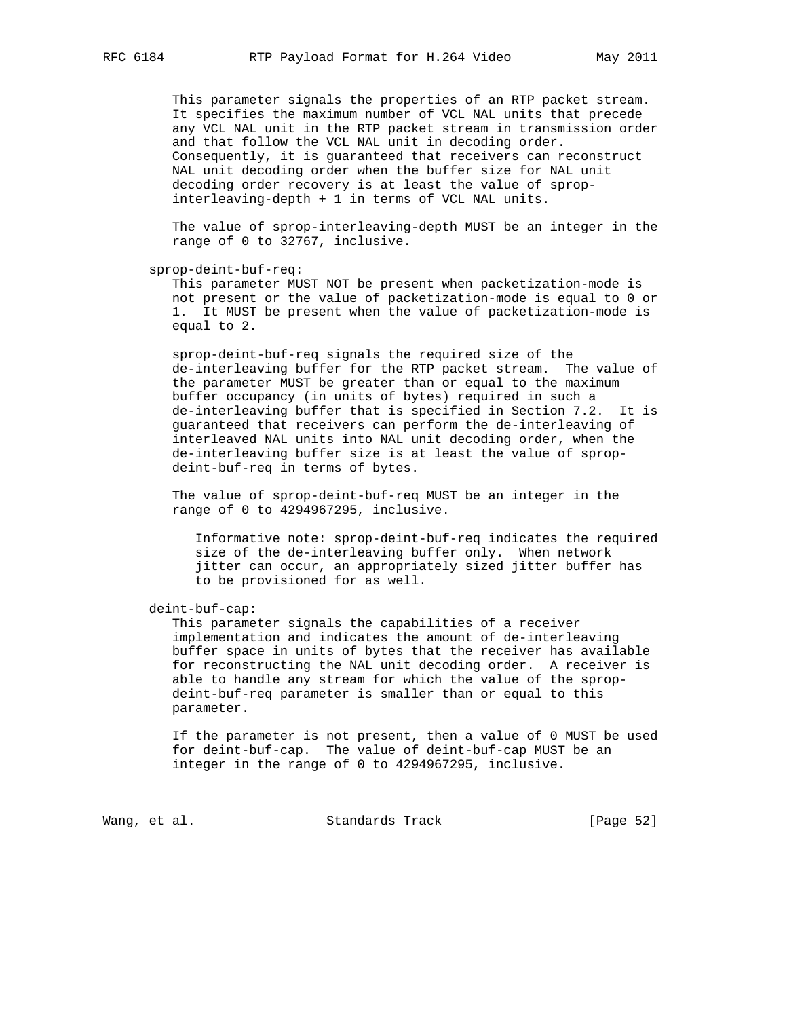This parameter signals the properties of an RTP packet stream. It specifies the maximum number of VCL NAL units that precede any VCL NAL unit in the RTP packet stream in transmission order and that follow the VCL NAL unit in decoding order. Consequently, it is guaranteed that receivers can reconstruct NAL unit decoding order when the buffer size for NAL unit decoding order recovery is at least the value of sprop interleaving-depth + 1 in terms of VCL NAL units.

 The value of sprop-interleaving-depth MUST be an integer in the range of 0 to 32767, inclusive.

sprop-deint-buf-req:

 This parameter MUST NOT be present when packetization-mode is not present or the value of packetization-mode is equal to 0 or 1. It MUST be present when the value of packetization-mode is equal to 2.

 sprop-deint-buf-req signals the required size of the de-interleaving buffer for the RTP packet stream. The value of the parameter MUST be greater than or equal to the maximum buffer occupancy (in units of bytes) required in such a de-interleaving buffer that is specified in Section 7.2. It is guaranteed that receivers can perform the de-interleaving of interleaved NAL units into NAL unit decoding order, when the de-interleaving buffer size is at least the value of sprop deint-buf-req in terms of bytes.

 The value of sprop-deint-buf-req MUST be an integer in the range of 0 to 4294967295, inclusive.

 Informative note: sprop-deint-buf-req indicates the required size of the de-interleaving buffer only. When network jitter can occur, an appropriately sized jitter buffer has to be provisioned for as well.

deint-buf-cap:

 This parameter signals the capabilities of a receiver implementation and indicates the amount of de-interleaving buffer space in units of bytes that the receiver has available for reconstructing the NAL unit decoding order. A receiver is able to handle any stream for which the value of the sprop deint-buf-req parameter is smaller than or equal to this parameter.

 If the parameter is not present, then a value of 0 MUST be used for deint-buf-cap. The value of deint-buf-cap MUST be an integer in the range of 0 to 4294967295, inclusive.

Wang, et al. Standards Track [Page 52]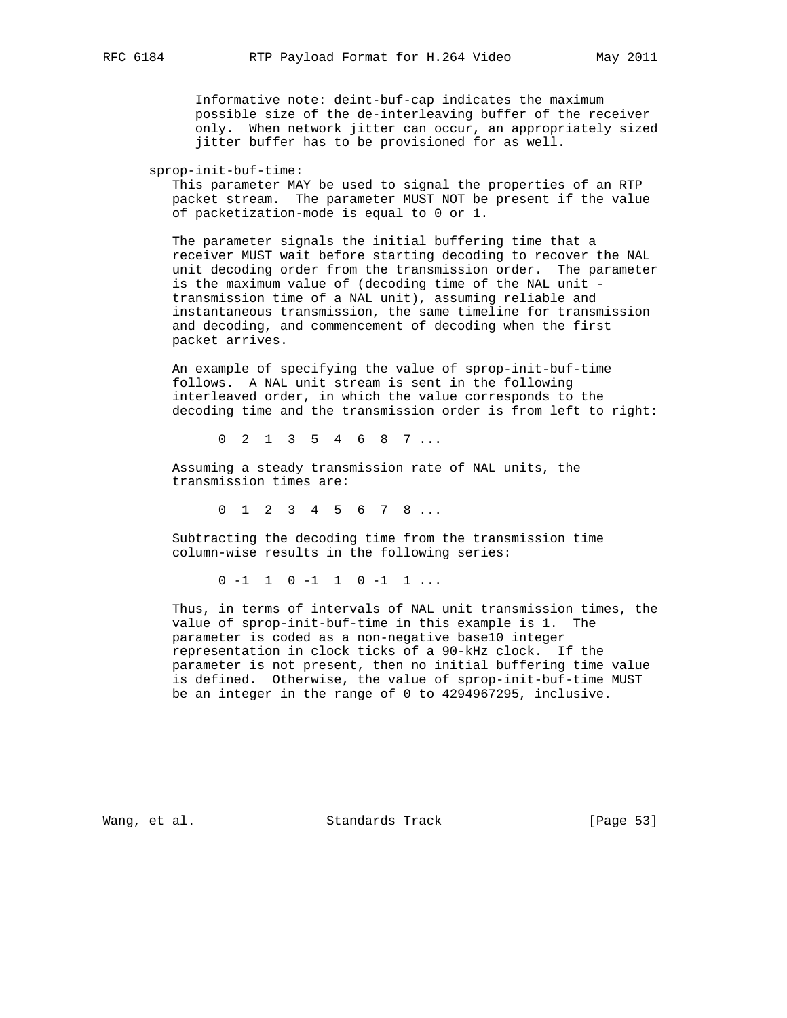Informative note: deint-buf-cap indicates the maximum possible size of the de-interleaving buffer of the receiver only. When network jitter can occur, an appropriately sized jitter buffer has to be provisioned for as well.

sprop-init-buf-time:

 This parameter MAY be used to signal the properties of an RTP packet stream. The parameter MUST NOT be present if the value of packetization-mode is equal to 0 or 1.

 The parameter signals the initial buffering time that a receiver MUST wait before starting decoding to recover the NAL unit decoding order from the transmission order. The parameter is the maximum value of (decoding time of the NAL unit transmission time of a NAL unit), assuming reliable and instantaneous transmission, the same timeline for transmission and decoding, and commencement of decoding when the first packet arrives.

 An example of specifying the value of sprop-init-buf-time follows. A NAL unit stream is sent in the following interleaved order, in which the value corresponds to the decoding time and the transmission order is from left to right:

0 2 1 3 5 4 6 8 7 ...

 Assuming a steady transmission rate of NAL units, the transmission times are:

0 1 2 3 4 5 6 7 8 ...

 Subtracting the decoding time from the transmission time column-wise results in the following series:

0 -1 1 0 -1 1 0 -1 1 ...

 Thus, in terms of intervals of NAL unit transmission times, the value of sprop-init-buf-time in this example is 1. The parameter is coded as a non-negative base10 integer representation in clock ticks of a 90-kHz clock. If the parameter is not present, then no initial buffering time value is defined. Otherwise, the value of sprop-init-buf-time MUST be an integer in the range of 0 to 4294967295, inclusive.

Wang, et al. Standards Track [Page 53]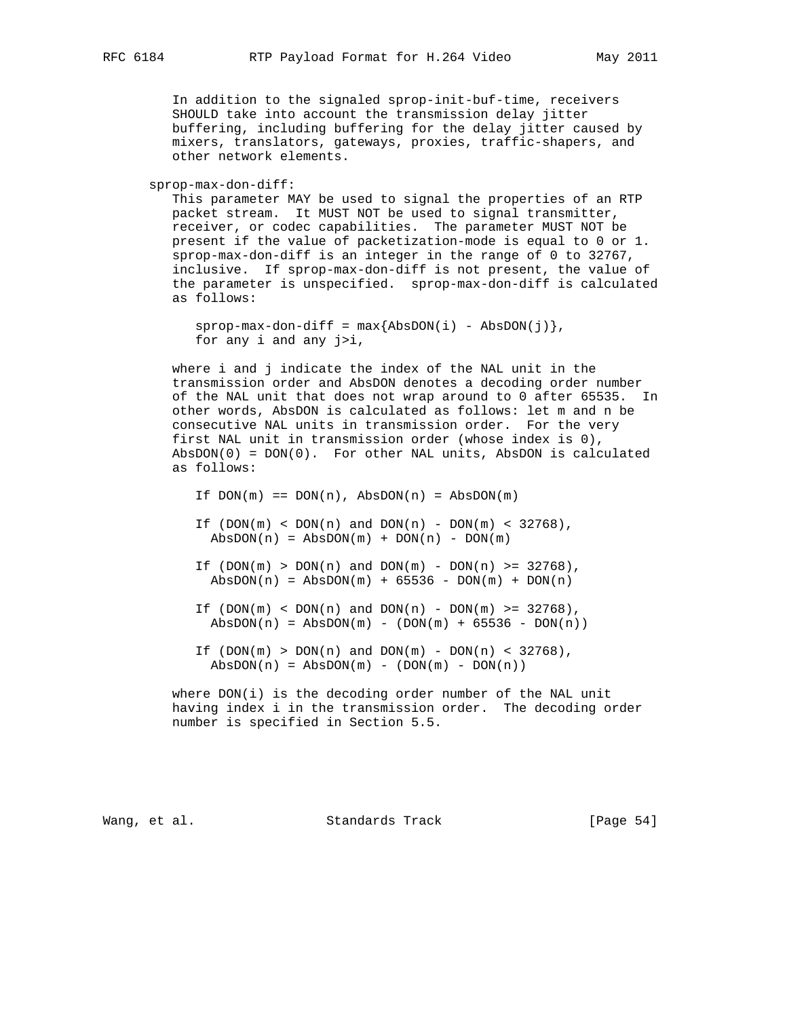In addition to the signaled sprop-init-buf-time, receivers SHOULD take into account the transmission delay jitter buffering, including buffering for the delay jitter caused by mixers, translators, gateways, proxies, traffic-shapers, and other network elements.

sprop-max-don-diff:

 This parameter MAY be used to signal the properties of an RTP packet stream. It MUST NOT be used to signal transmitter, receiver, or codec capabilities. The parameter MUST NOT be present if the value of packetization-mode is equal to 0 or 1. sprop-max-don-diff is an integer in the range of 0 to 32767, inclusive. If sprop-max-don-diff is not present, the value of the parameter is unspecified. sprop-max-don-diff is calculated as follows:

```
sprop-max-don-diff = max{AbsDOM(i) - AbsDon(j)}, for any i and any j>i,
```
 where i and j indicate the index of the NAL unit in the transmission order and AbsDON denotes a decoding order number of the NAL unit that does not wrap around to 0 after 65535. In other words, AbsDON is calculated as follows: let m and n be consecutive NAL units in transmission order. For the very first NAL unit in transmission order (whose index is 0), AbsDON(0) = DON(0). For other NAL units, AbsDON is calculated as follows:

```
If DOM(m) == DON(n), AbsDOM(n) = AbsDOM(m)If (DON(m) < DOM(n) and DOM(n) - DOM(m) < 32768),
AbsDOM(n) = AbsDOM(m) + DON(n) - DON(m)If (DON(m) > DON(n) and DOM(m) - DON(n) > 32768),
AbsDOM(n) = AbsDOM(m) + 65536 - DON(m) + DON(n)
```
If  $(DON(m) < DOM(n)$  and  $DOM(n)$  -  $DOM(m)$  >= 32768),  $AbsDOM(n) = AbsDOM(m) - (DOM(m) + 65536 - DON(n))$ 

If  $(DON(m) > DON(n)$  and  $DOM(m) - DON(n) < 32768)$ ,  $AbsDOM(n) = AbsDOM(m) - (DOM(m) - DON(n))$ 

 where DON(i) is the decoding order number of the NAL unit having index i in the transmission order. The decoding order number is specified in Section 5.5.

Wang, et al. Standards Track [Page 54]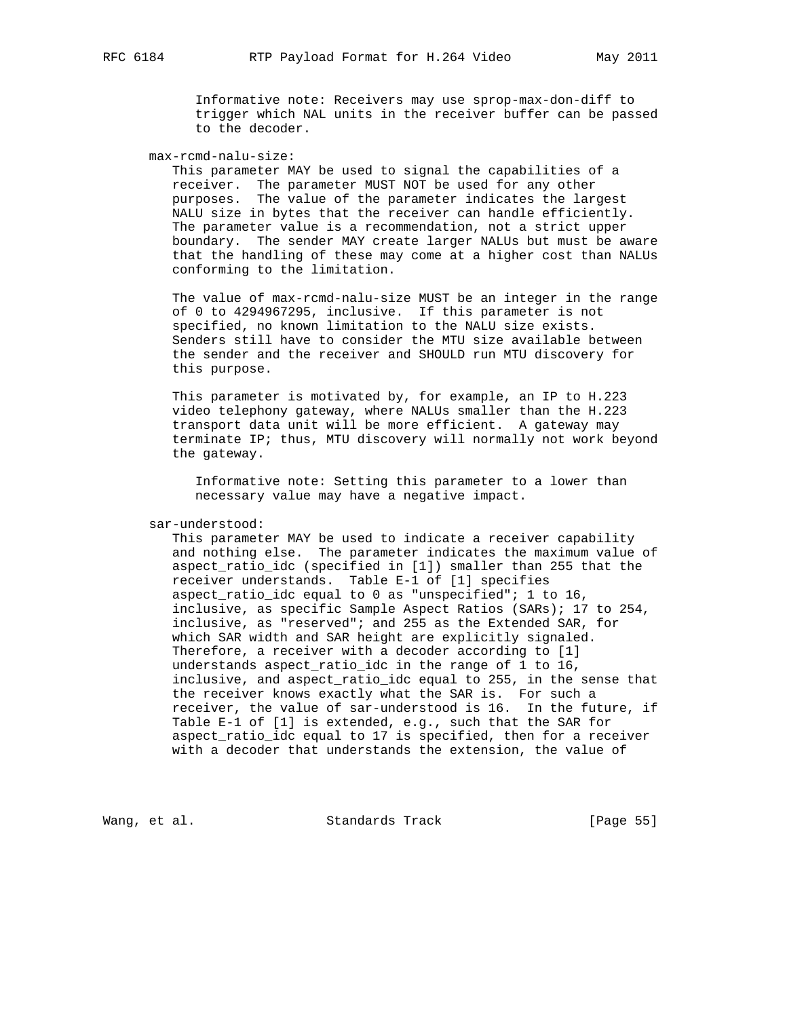Informative note: Receivers may use sprop-max-don-diff to trigger which NAL units in the receiver buffer can be passed to the decoder.

max-rcmd-nalu-size:

 This parameter MAY be used to signal the capabilities of a receiver. The parameter MUST NOT be used for any other purposes. The value of the parameter indicates the largest NALU size in bytes that the receiver can handle efficiently. The parameter value is a recommendation, not a strict upper boundary. The sender MAY create larger NALUs but must be aware that the handling of these may come at a higher cost than NALUs conforming to the limitation.

 The value of max-rcmd-nalu-size MUST be an integer in the range of 0 to 4294967295, inclusive. If this parameter is not specified, no known limitation to the NALU size exists. Senders still have to consider the MTU size available between the sender and the receiver and SHOULD run MTU discovery for this purpose.

 This parameter is motivated by, for example, an IP to H.223 video telephony gateway, where NALUs smaller than the H.223 transport data unit will be more efficient. A gateway may terminate IP; thus, MTU discovery will normally not work beyond the gateway.

 Informative note: Setting this parameter to a lower than necessary value may have a negative impact.

sar-understood:

 This parameter MAY be used to indicate a receiver capability and nothing else. The parameter indicates the maximum value of aspect ratio idc (specified in [1]) smaller than 255 that the receiver understands. Table E-1 of [1] specifies aspect\_ratio\_idc equal to 0 as "unspecified"; 1 to 16, inclusive, as specific Sample Aspect Ratios (SARs); 17 to 254, inclusive, as "reserved"; and 255 as the Extended SAR, for which SAR width and SAR height are explicitly signaled. Therefore, a receiver with a decoder according to [1] understands aspect\_ratio\_idc in the range of 1 to 16, inclusive, and aspect\_ratio\_idc equal to 255, in the sense that the receiver knows exactly what the SAR is. For such a receiver, the value of sar-understood is 16. In the future, if Table E-1 of [1] is extended, e.g., such that the SAR for aspect\_ratio\_idc equal to 17 is specified, then for a receiver with a decoder that understands the extension, the value of

Wang, et al. Standards Track [Page 55]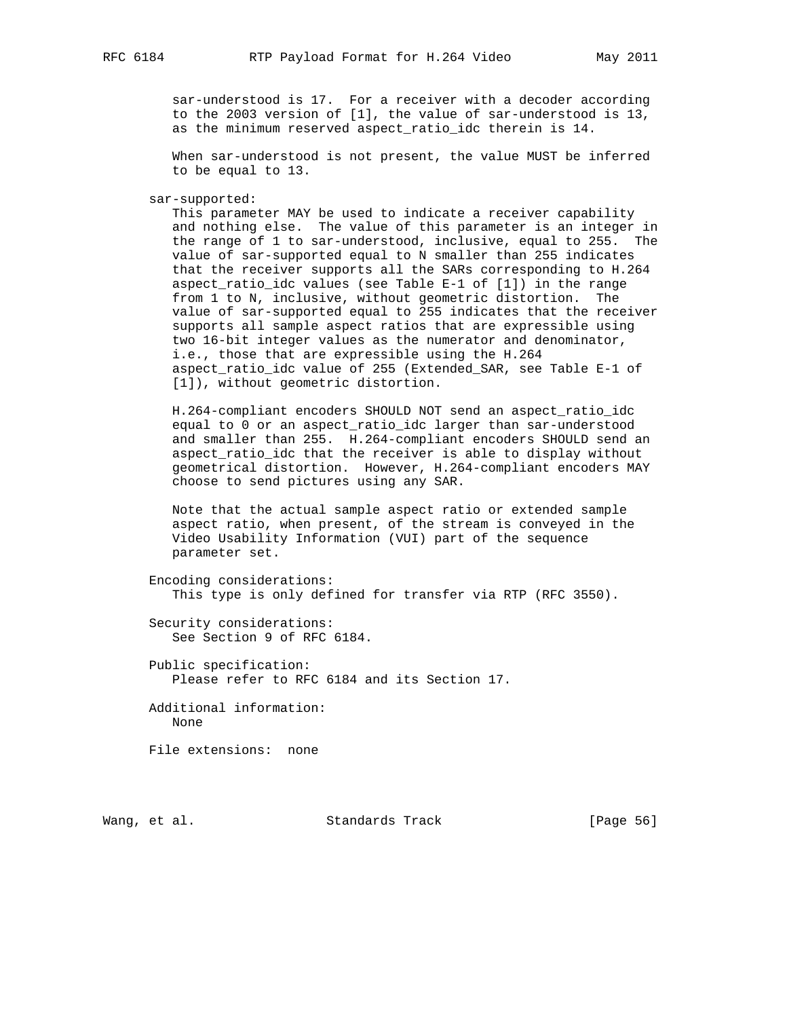sar-understood is 17. For a receiver with a decoder according to the 2003 version of [1], the value of sar-understood is 13, as the minimum reserved aspect\_ratio\_idc therein is 14.

 When sar-understood is not present, the value MUST be inferred to be equal to 13.

sar-supported:

 This parameter MAY be used to indicate a receiver capability and nothing else. The value of this parameter is an integer in the range of 1 to sar-understood, inclusive, equal to 255. The value of sar-supported equal to N smaller than 255 indicates that the receiver supports all the SARs corresponding to H.264 aspect\_ratio\_idc values (see Table E-1 of [1]) in the range from 1 to N, inclusive, without geometric distortion. The value of sar-supported equal to 255 indicates that the receiver supports all sample aspect ratios that are expressible using two 16-bit integer values as the numerator and denominator, i.e., those that are expressible using the H.264 aspect\_ratio\_idc value of 255 (Extended\_SAR, see Table E-1 of [1]), without geometric distortion.

 H.264-compliant encoders SHOULD NOT send an aspect\_ratio\_idc equal to 0 or an aspect\_ratio\_idc larger than sar-understood and smaller than 255. H.264-compliant encoders SHOULD send an aspect\_ratio\_idc that the receiver is able to display without geometrical distortion. However, H.264-compliant encoders MAY choose to send pictures using any SAR.

 Note that the actual sample aspect ratio or extended sample aspect ratio, when present, of the stream is conveyed in the Video Usability Information (VUI) part of the sequence parameter set.

```
 Encoding considerations:
  This type is only defined for transfer via RTP (RFC 3550).
```
 Security considerations: See Section 9 of RFC 6184.

 Public specification: Please refer to RFC 6184 and its Section 17.

 Additional information: None

File extensions: none

Wang, et al. Standards Track [Page 56]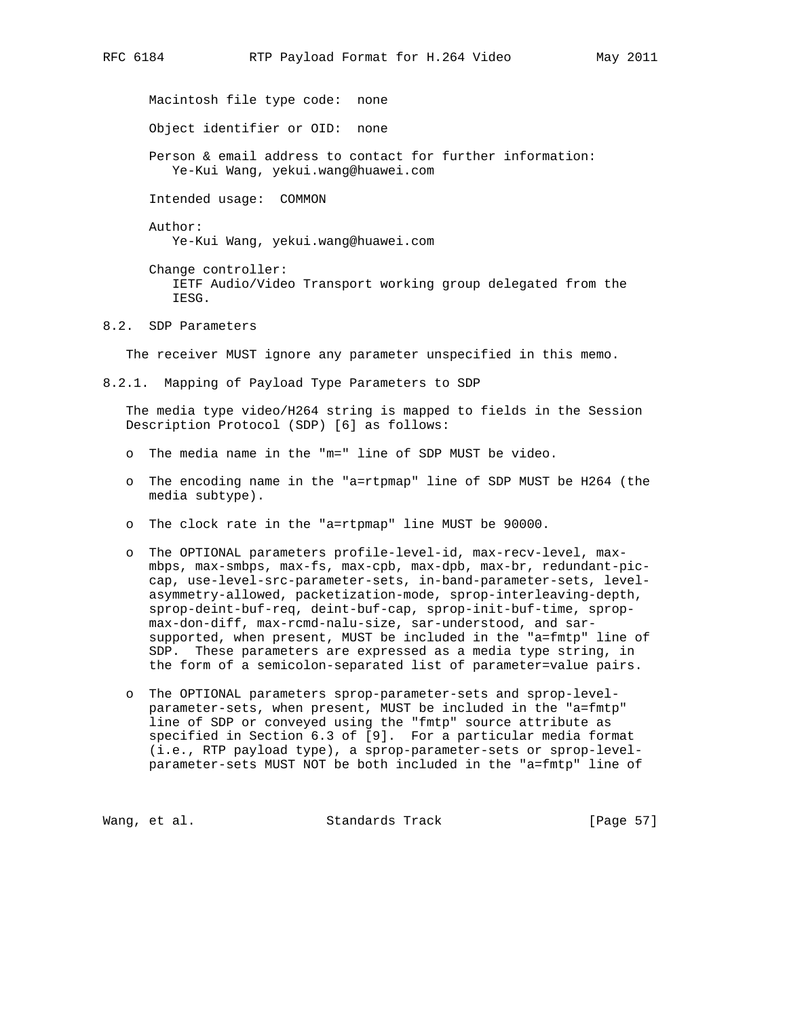Macintosh file type code: none

Object identifier or OID: none

 Person & email address to contact for further information: Ye-Kui Wang, yekui.wang@huawei.com

Intended usage: COMMON

Author:

Ye-Kui Wang, yekui.wang@huawei.com

 Change controller: IETF Audio/Video Transport working group delegated from the IESG.

## 8.2. SDP Parameters

The receiver MUST ignore any parameter unspecified in this memo.

8.2.1. Mapping of Payload Type Parameters to SDP

 The media type video/H264 string is mapped to fields in the Session Description Protocol (SDP) [6] as follows:

- o The media name in the "m=" line of SDP MUST be video.
- o The encoding name in the "a=rtpmap" line of SDP MUST be H264 (the media subtype).
- o The clock rate in the "a=rtpmap" line MUST be 90000.
- o The OPTIONAL parameters profile-level-id, max-recv-level, max mbps, max-smbps, max-fs, max-cpb, max-dpb, max-br, redundant-pic cap, use-level-src-parameter-sets, in-band-parameter-sets, level asymmetry-allowed, packetization-mode, sprop-interleaving-depth, sprop-deint-buf-req, deint-buf-cap, sprop-init-buf-time, sprop max-don-diff, max-rcmd-nalu-size, sar-understood, and sar supported, when present, MUST be included in the "a=fmtp" line of SDP. These parameters are expressed as a media type string, in the form of a semicolon-separated list of parameter=value pairs.
- o The OPTIONAL parameters sprop-parameter-sets and sprop-level parameter-sets, when present, MUST be included in the "a=fmtp" line of SDP or conveyed using the "fmtp" source attribute as specified in Section 6.3 of [9]. For a particular media format (i.e., RTP payload type), a sprop-parameter-sets or sprop-level parameter-sets MUST NOT be both included in the "a=fmtp" line of

Wang, et al. Standards Track [Page 57]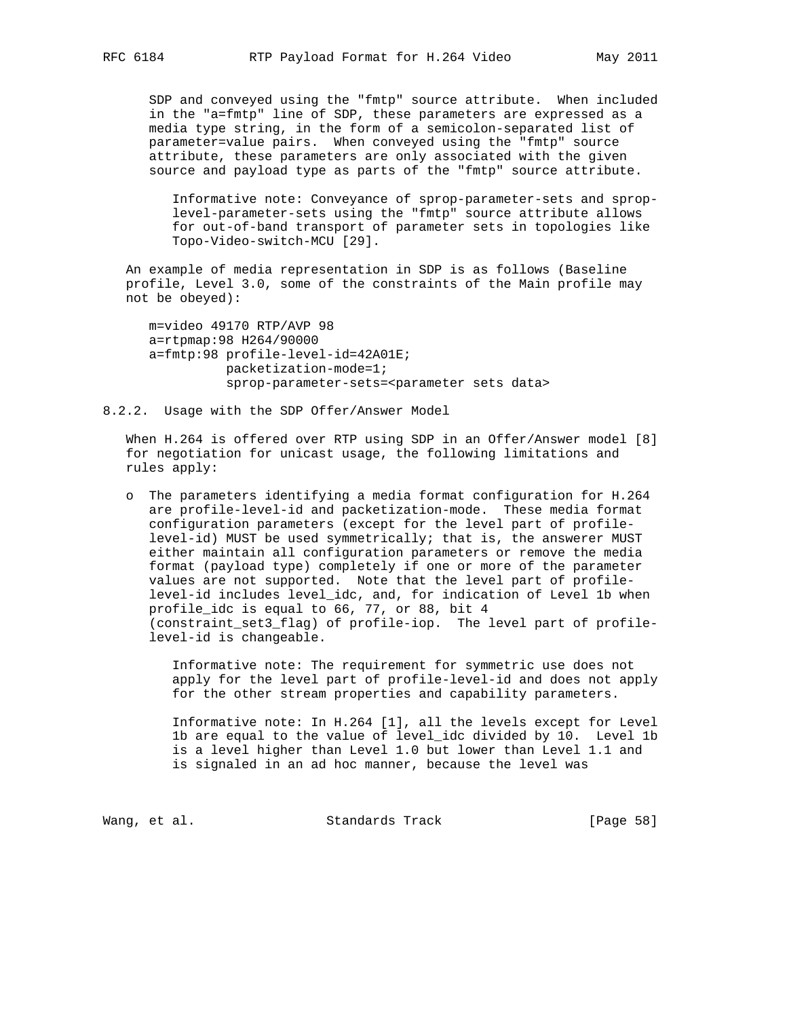SDP and conveyed using the "fmtp" source attribute. When included in the "a=fmtp" line of SDP, these parameters are expressed as a media type string, in the form of a semicolon-separated list of parameter=value pairs. When conveyed using the "fmtp" source attribute, these parameters are only associated with the given source and payload type as parts of the "fmtp" source attribute.

 Informative note: Conveyance of sprop-parameter-sets and sprop level-parameter-sets using the "fmtp" source attribute allows for out-of-band transport of parameter sets in topologies like Topo-Video-switch-MCU [29].

 An example of media representation in SDP is as follows (Baseline profile, Level 3.0, some of the constraints of the Main profile may not be obeyed):

 m=video 49170 RTP/AVP 98 a=rtpmap:98 H264/90000 a=fmtp:98 profile-level-id=42A01E; packetization-mode=1; sprop-parameter-sets=<parameter sets data>

# 8.2.2. Usage with the SDP Offer/Answer Model

 When H.264 is offered over RTP using SDP in an Offer/Answer model [8] for negotiation for unicast usage, the following limitations and rules apply:

 o The parameters identifying a media format configuration for H.264 are profile-level-id and packetization-mode. These media format configuration parameters (except for the level part of profile level-id) MUST be used symmetrically; that is, the answerer MUST either maintain all configuration parameters or remove the media format (payload type) completely if one or more of the parameter values are not supported. Note that the level part of profile level-id includes level\_idc, and, for indication of Level 1b when profile\_idc is equal to 66, 77, or 88, bit 4 (constraint\_set3\_flag) of profile-iop. The level part of profile level-id is changeable.

 Informative note: The requirement for symmetric use does not apply for the level part of profile-level-id and does not apply for the other stream properties and capability parameters.

 Informative note: In H.264 [1], all the levels except for Level 1b are equal to the value of level\_idc divided by 10. Level 1b is a level higher than Level 1.0 but lower than Level 1.1 and is signaled in an ad hoc manner, because the level was

Wang, et al. Standards Track [Page 58]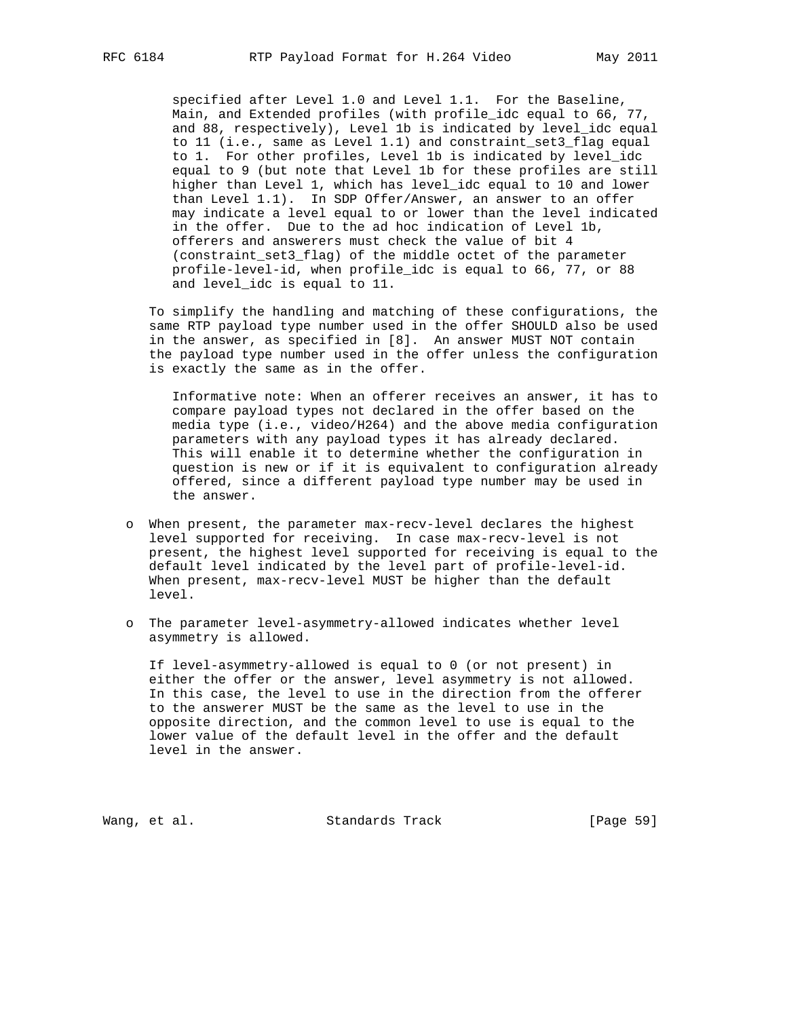specified after Level 1.0 and Level 1.1. For the Baseline, Main, and Extended profiles (with profile\_idc equal to 66, 77, and 88, respectively), Level 1b is indicated by level\_idc equal to 11 (i.e., same as Level 1.1) and constraint\_set3\_flag equal to 1. For other profiles, Level 1b is indicated by level\_idc equal to 9 (but note that Level 1b for these profiles are still higher than Level 1, which has level\_idc equal to 10 and lower than Level 1.1). In SDP Offer/Answer, an answer to an offer may indicate a level equal to or lower than the level indicated in the offer. Due to the ad hoc indication of Level 1b, offerers and answerers must check the value of bit 4 (constraint\_set3\_flag) of the middle octet of the parameter profile-level-id, when profile\_idc is equal to 66, 77, or 88 and level\_idc is equal to 11.

 To simplify the handling and matching of these configurations, the same RTP payload type number used in the offer SHOULD also be used in the answer, as specified in [8]. An answer MUST NOT contain the payload type number used in the offer unless the configuration is exactly the same as in the offer.

 Informative note: When an offerer receives an answer, it has to compare payload types not declared in the offer based on the media type (i.e., video/H264) and the above media configuration parameters with any payload types it has already declared. This will enable it to determine whether the configuration in question is new or if it is equivalent to configuration already offered, since a different payload type number may be used in the answer.

- o When present, the parameter max-recv-level declares the highest level supported for receiving. In case max-recv-level is not present, the highest level supported for receiving is equal to the default level indicated by the level part of profile-level-id. When present, max-recv-level MUST be higher than the default level.
- o The parameter level-asymmetry-allowed indicates whether level asymmetry is allowed.

 If level-asymmetry-allowed is equal to 0 (or not present) in either the offer or the answer, level asymmetry is not allowed. In this case, the level to use in the direction from the offerer to the answerer MUST be the same as the level to use in the opposite direction, and the common level to use is equal to the lower value of the default level in the offer and the default level in the answer.

Wang, et al. Standards Track [Page 59]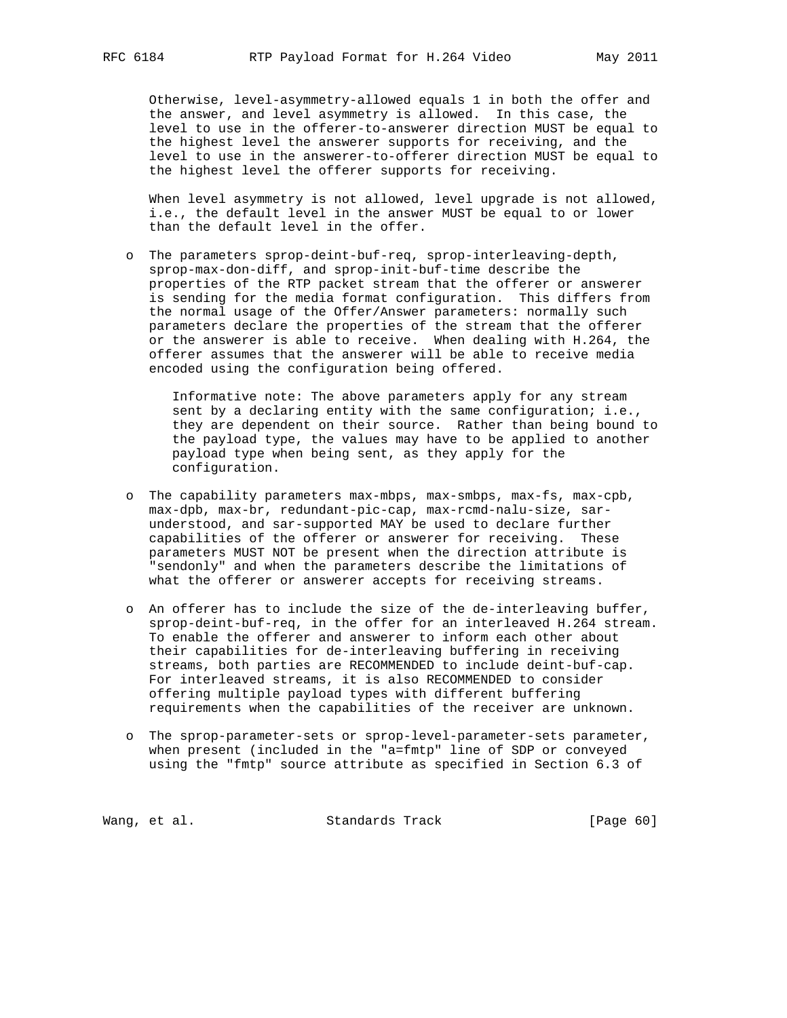Otherwise, level-asymmetry-allowed equals 1 in both the offer and the answer, and level asymmetry is allowed. In this case, the level to use in the offerer-to-answerer direction MUST be equal to the highest level the answerer supports for receiving, and the level to use in the answerer-to-offerer direction MUST be equal to the highest level the offerer supports for receiving.

 When level asymmetry is not allowed, level upgrade is not allowed, i.e., the default level in the answer MUST be equal to or lower than the default level in the offer.

 o The parameters sprop-deint-buf-req, sprop-interleaving-depth, sprop-max-don-diff, and sprop-init-buf-time describe the properties of the RTP packet stream that the offerer or answerer is sending for the media format configuration. This differs from the normal usage of the Offer/Answer parameters: normally such parameters declare the properties of the stream that the offerer or the answerer is able to receive. When dealing with H.264, the offerer assumes that the answerer will be able to receive media encoded using the configuration being offered.

 Informative note: The above parameters apply for any stream sent by a declaring entity with the same configuration; i.e., they are dependent on their source. Rather than being bound to the payload type, the values may have to be applied to another payload type when being sent, as they apply for the configuration.

- o The capability parameters max-mbps, max-smbps, max-fs, max-cpb, max-dpb, max-br, redundant-pic-cap, max-rcmd-nalu-size, sar understood, and sar-supported MAY be used to declare further capabilities of the offerer or answerer for receiving. These parameters MUST NOT be present when the direction attribute is "sendonly" and when the parameters describe the limitations of what the offerer or answerer accepts for receiving streams.
- o An offerer has to include the size of the de-interleaving buffer, sprop-deint-buf-req, in the offer for an interleaved H.264 stream. To enable the offerer and answerer to inform each other about their capabilities for de-interleaving buffering in receiving streams, both parties are RECOMMENDED to include deint-buf-cap. For interleaved streams, it is also RECOMMENDED to consider offering multiple payload types with different buffering requirements when the capabilities of the receiver are unknown.
- o The sprop-parameter-sets or sprop-level-parameter-sets parameter, when present (included in the "a=fmtp" line of SDP or conveyed using the "fmtp" source attribute as specified in Section 6.3 of

Wang, et al. Standards Track [Page 60]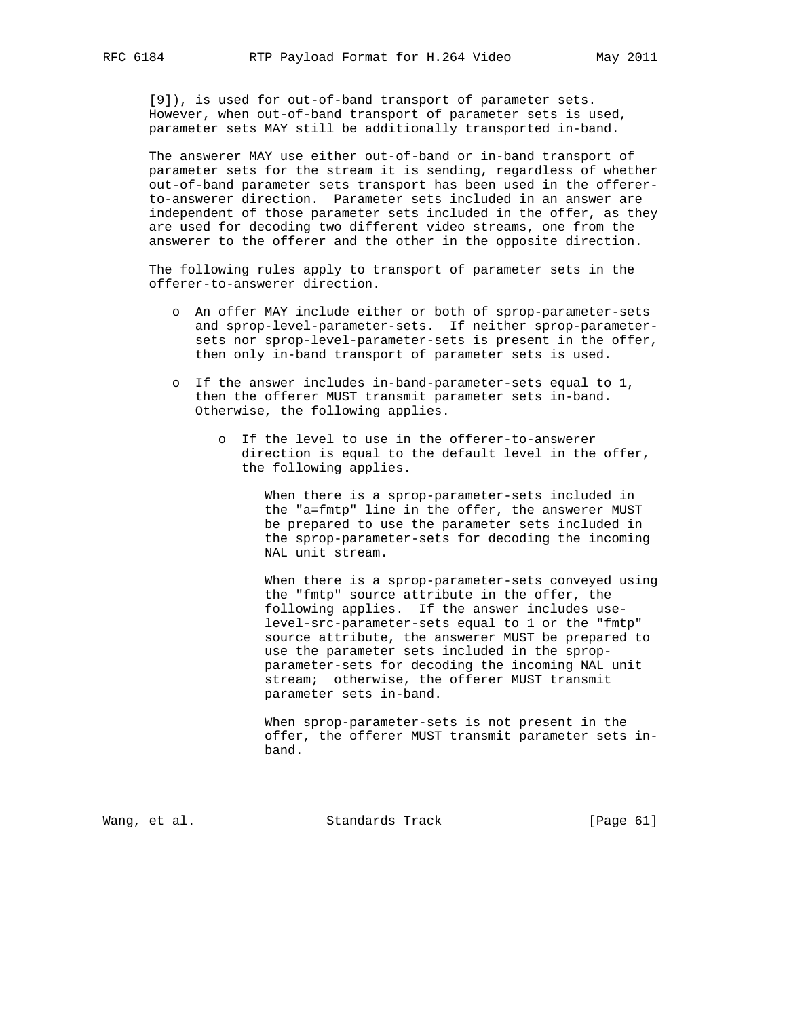[9]), is used for out-of-band transport of parameter sets. However, when out-of-band transport of parameter sets is used, parameter sets MAY still be additionally transported in-band.

 The answerer MAY use either out-of-band or in-band transport of parameter sets for the stream it is sending, regardless of whether out-of-band parameter sets transport has been used in the offerer to-answerer direction. Parameter sets included in an answer are independent of those parameter sets included in the offer, as they are used for decoding two different video streams, one from the answerer to the offerer and the other in the opposite direction.

 The following rules apply to transport of parameter sets in the offerer-to-answerer direction.

- o An offer MAY include either or both of sprop-parameter-sets and sprop-level-parameter-sets. If neither sprop-parameter sets nor sprop-level-parameter-sets is present in the offer, then only in-band transport of parameter sets is used.
- o If the answer includes in-band-parameter-sets equal to 1, then the offerer MUST transmit parameter sets in-band. Otherwise, the following applies.
	- o If the level to use in the offerer-to-answerer direction is equal to the default level in the offer, the following applies.

 When there is a sprop-parameter-sets included in the "a=fmtp" line in the offer, the answerer MUST be prepared to use the parameter sets included in the sprop-parameter-sets for decoding the incoming NAL unit stream.

 When there is a sprop-parameter-sets conveyed using the "fmtp" source attribute in the offer, the following applies. If the answer includes use level-src-parameter-sets equal to 1 or the "fmtp" source attribute, the answerer MUST be prepared to use the parameter sets included in the sprop parameter-sets for decoding the incoming NAL unit stream; otherwise, the offerer MUST transmit parameter sets in-band.

 When sprop-parameter-sets is not present in the offer, the offerer MUST transmit parameter sets in band.

Wang, et al. Standards Track [Page 61]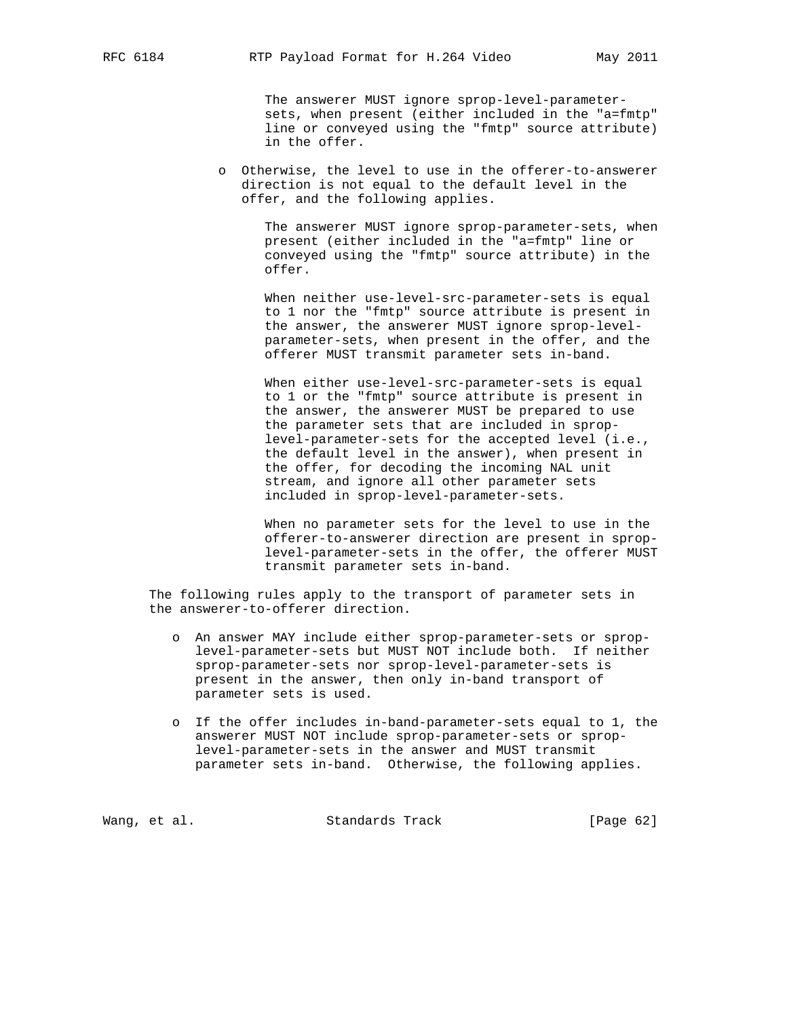The answerer MUST ignore sprop-level-parameter sets, when present (either included in the "a=fmtp" line or conveyed using the "fmtp" source attribute) in the offer.

 o Otherwise, the level to use in the offerer-to-answerer direction is not equal to the default level in the offer, and the following applies.

> The answerer MUST ignore sprop-parameter-sets, when present (either included in the "a=fmtp" line or conveyed using the "fmtp" source attribute) in the offer.

 When neither use-level-src-parameter-sets is equal to 1 nor the "fmtp" source attribute is present in the answer, the answerer MUST ignore sprop-level parameter-sets, when present in the offer, and the offerer MUST transmit parameter sets in-band.

 When either use-level-src-parameter-sets is equal to 1 or the "fmtp" source attribute is present in the answer, the answerer MUST be prepared to use the parameter sets that are included in sprop level-parameter-sets for the accepted level (i.e., the default level in the answer), when present in the offer, for decoding the incoming NAL unit stream, and ignore all other parameter sets included in sprop-level-parameter-sets.

 When no parameter sets for the level to use in the offerer-to-answerer direction are present in sprop level-parameter-sets in the offer, the offerer MUST transmit parameter sets in-band.

 The following rules apply to the transport of parameter sets in the answerer-to-offerer direction.

- o An answer MAY include either sprop-parameter-sets or sprop level-parameter-sets but MUST NOT include both. If neither sprop-parameter-sets nor sprop-level-parameter-sets is present in the answer, then only in-band transport of parameter sets is used.
- o If the offer includes in-band-parameter-sets equal to 1, the answerer MUST NOT include sprop-parameter-sets or sprop level-parameter-sets in the answer and MUST transmit parameter sets in-band. Otherwise, the following applies.

Wang, et al. Standards Track [Page 62]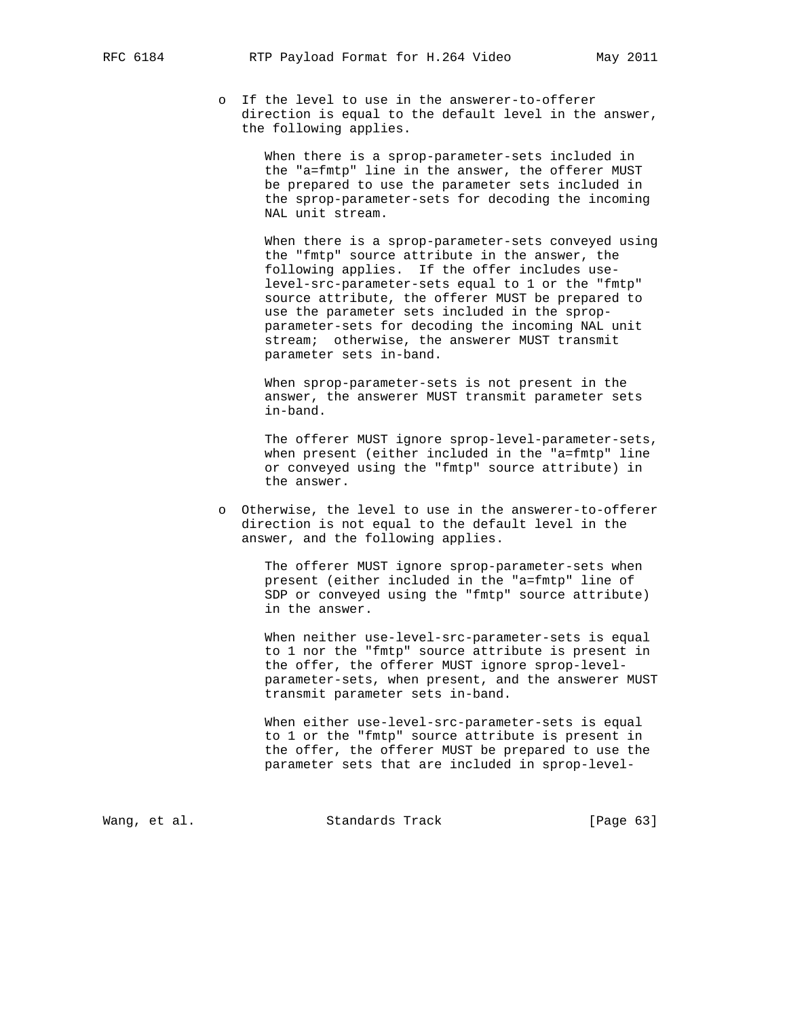o If the level to use in the answerer-to-offerer direction is equal to the default level in the answer, the following applies.

> When there is a sprop-parameter-sets included in the "a=fmtp" line in the answer, the offerer MUST be prepared to use the parameter sets included in the sprop-parameter-sets for decoding the incoming NAL unit stream.

 When there is a sprop-parameter-sets conveyed using the "fmtp" source attribute in the answer, the following applies. If the offer includes use level-src-parameter-sets equal to 1 or the "fmtp" source attribute, the offerer MUST be prepared to use the parameter sets included in the sprop parameter-sets for decoding the incoming NAL unit stream; otherwise, the answerer MUST transmit parameter sets in-band.

 When sprop-parameter-sets is not present in the answer, the answerer MUST transmit parameter sets in-band.

 The offerer MUST ignore sprop-level-parameter-sets, when present (either included in the "a=fmtp" line or conveyed using the "fmtp" source attribute) in the answer.

 o Otherwise, the level to use in the answerer-to-offerer direction is not equal to the default level in the answer, and the following applies.

> The offerer MUST ignore sprop-parameter-sets when present (either included in the "a=fmtp" line of SDP or conveyed using the "fmtp" source attribute) in the answer.

 When neither use-level-src-parameter-sets is equal to 1 nor the "fmtp" source attribute is present in the offer, the offerer MUST ignore sprop-level parameter-sets, when present, and the answerer MUST transmit parameter sets in-band.

 When either use-level-src-parameter-sets is equal to 1 or the "fmtp" source attribute is present in the offer, the offerer MUST be prepared to use the parameter sets that are included in sprop-level-

Wang, et al. Standards Track [Page 63]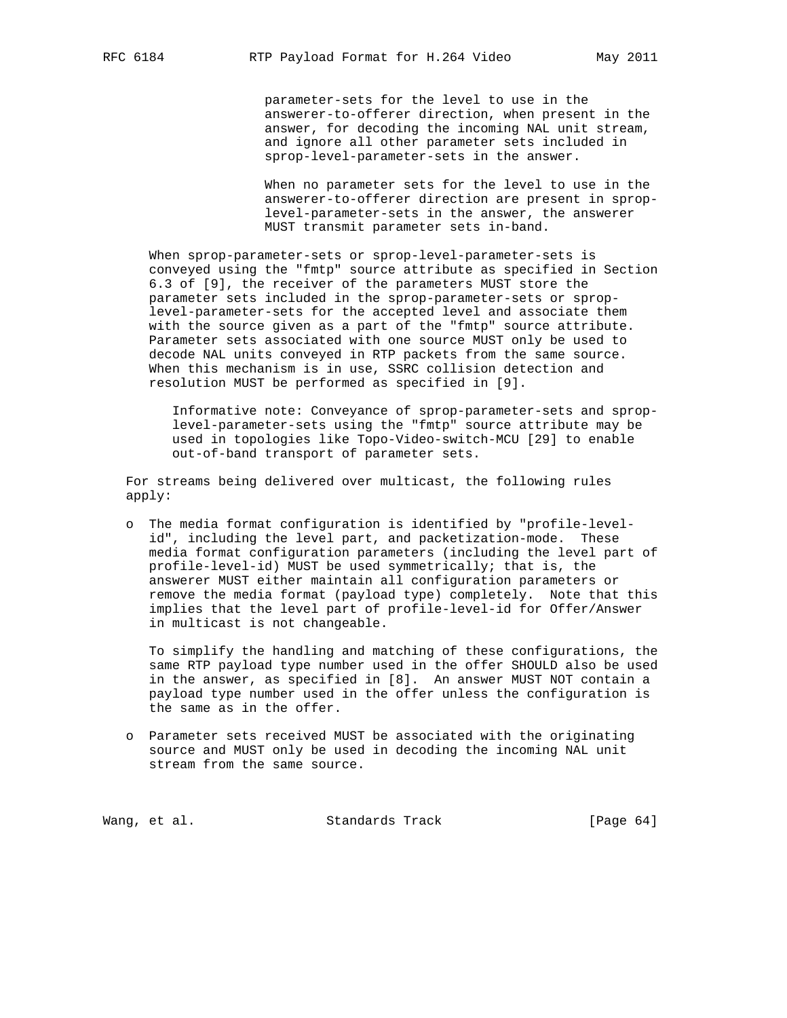parameter-sets for the level to use in the answerer-to-offerer direction, when present in the answer, for decoding the incoming NAL unit stream, and ignore all other parameter sets included in sprop-level-parameter-sets in the answer.

 When no parameter sets for the level to use in the answerer-to-offerer direction are present in sprop level-parameter-sets in the answer, the answerer MUST transmit parameter sets in-band.

 When sprop-parameter-sets or sprop-level-parameter-sets is conveyed using the "fmtp" source attribute as specified in Section 6.3 of [9], the receiver of the parameters MUST store the parameter sets included in the sprop-parameter-sets or sprop level-parameter-sets for the accepted level and associate them with the source given as a part of the "fmtp" source attribute. Parameter sets associated with one source MUST only be used to decode NAL units conveyed in RTP packets from the same source. When this mechanism is in use, SSRC collision detection and resolution MUST be performed as specified in [9].

 Informative note: Conveyance of sprop-parameter-sets and sprop level-parameter-sets using the "fmtp" source attribute may be used in topologies like Topo-Video-switch-MCU [29] to enable out-of-band transport of parameter sets.

 For streams being delivered over multicast, the following rules apply:

 o The media format configuration is identified by "profile-level id", including the level part, and packetization-mode. These media format configuration parameters (including the level part of profile-level-id) MUST be used symmetrically; that is, the answerer MUST either maintain all configuration parameters or remove the media format (payload type) completely. Note that this implies that the level part of profile-level-id for Offer/Answer in multicast is not changeable.

 To simplify the handling and matching of these configurations, the same RTP payload type number used in the offer SHOULD also be used in the answer, as specified in [8]. An answer MUST NOT contain a payload type number used in the offer unless the configuration is the same as in the offer.

 o Parameter sets received MUST be associated with the originating source and MUST only be used in decoding the incoming NAL unit stream from the same source.

Wang, et al. Standards Track [Page 64]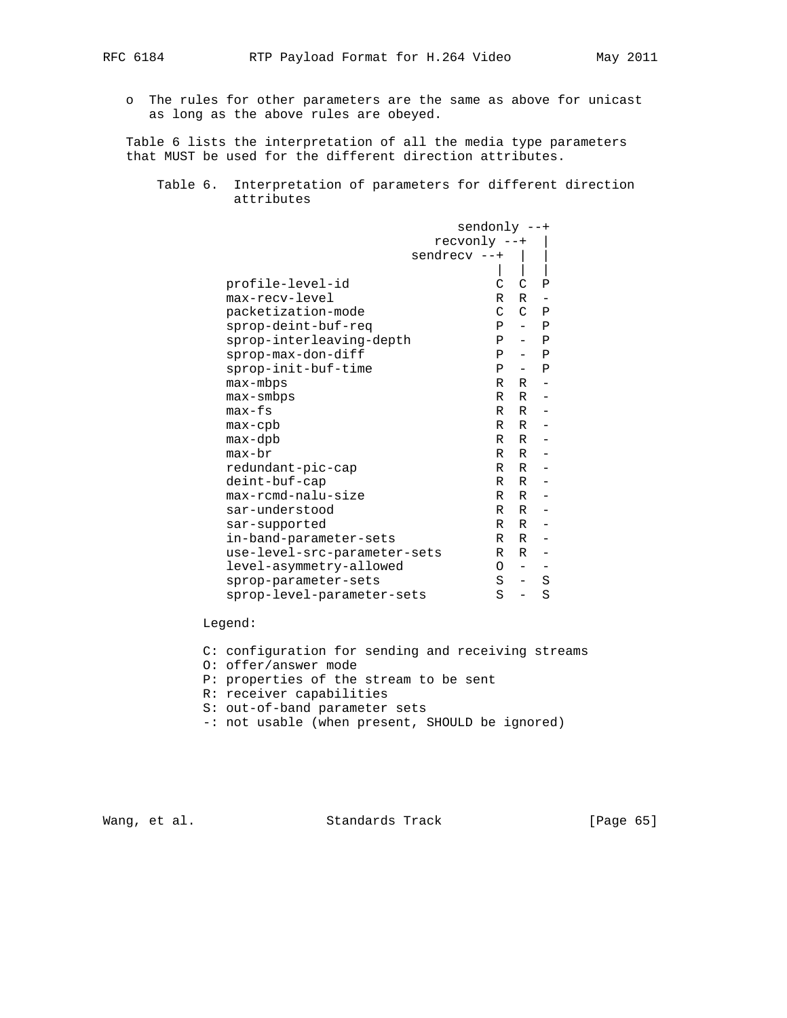- - o The rules for other parameters are the same as above for unicast as long as the above rules are obeyed.

 Table 6 lists the interpretation of all the media type parameters that MUST be used for the different direction attributes.

 Table 6. Interpretation of parameters for different direction attributes

|                              | $sendonly -++$ |                          |                          |
|------------------------------|----------------|--------------------------|--------------------------|
|                              | recvonly --+   |                          |                          |
| $s$ endrec $v$ --+           |                |                          |                          |
|                              |                |                          |                          |
| profile-level-id             | C              | C                        | Ρ                        |
| max-recv-level               | R              | $R -$                    |                          |
| packetization-mode           | $\mathsf{C}$   |                          | $C$ $P$                  |
| sprop-deint-buf-req          | $\mathbf{P}$   |                          | $-$ P                    |
| sprop-interleaving-depth     | $\mathbf{P}$   |                          | $-$ P                    |
| sprop-max-don-diff           | $\mathbf{P}$   |                          | $-$ P                    |
| sprop-init-buf-time          | $\mathbf{P}$   |                          | $-$ P                    |
| max-mbps                     | $R_{\perp}$    | $R -$                    |                          |
| $max - smbps$                | $R_{\perp}$    |                          | $R -$                    |
| $max-fs$                     | $R_{\perp}$    | R                        | $\overline{\phantom{a}}$ |
| $max$ -cpb                   | $R_{\perp}$    |                          | $R -$                    |
| $max-dpb$                    | $R_{\perp}$    |                          | $R -$                    |
| $max-br$                     | $R_{\perp}$    |                          | $R -$                    |
| redundant-pic-cap            | $R_{\perp}$    |                          | $R -$                    |
| deint-buf-cap                | $R_{\perp}$    |                          | $R -$                    |
| max-rcmd-nalu-size           | $R_{\perp}$    |                          | $R -$                    |
| sar-understood               | $R_{\perp}$    |                          | $R -$                    |
| sar-supported                | R              | R                        | $\overline{\phantom{m}}$ |
| in-band-parameter-sets       | $R_{\perp}$    | R                        | $\overline{\phantom{a}}$ |
| use-level-src-parameter-sets | R.             | R                        | $\equiv$                 |
| level-asymmetry-allowed      | $\Omega$       | $\overline{\phantom{a}}$ |                          |
| sprop-parameter-sets         | S              | $\overline{\phantom{a}}$ | $\rm S$                  |
| sprop-level-parameter-sets   | S              | $\overline{\phantom{0}}$ | S                        |

## Legend:

- C: configuration for sending and receiving streams
- O: offer/answer mode
- P: properties of the stream to be sent
- R: receiver capabilities
- S: out-of-band parameter sets
- -: not usable (when present, SHOULD be ignored)

Wang, et al. Standards Track [Page 65]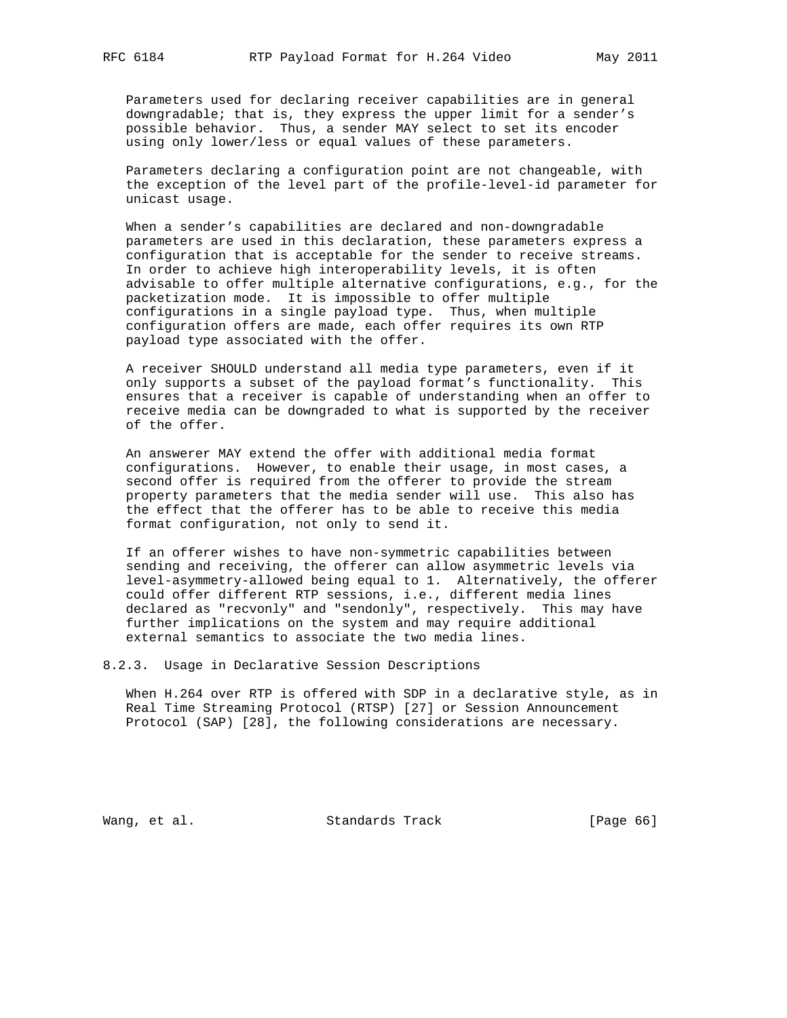Parameters used for declaring receiver capabilities are in general downgradable; that is, they express the upper limit for a sender's possible behavior. Thus, a sender MAY select to set its encoder using only lower/less or equal values of these parameters.

 Parameters declaring a configuration point are not changeable, with the exception of the level part of the profile-level-id parameter for unicast usage.

 When a sender's capabilities are declared and non-downgradable parameters are used in this declaration, these parameters express a configuration that is acceptable for the sender to receive streams. In order to achieve high interoperability levels, it is often advisable to offer multiple alternative configurations, e.g., for the packetization mode. It is impossible to offer multiple configurations in a single payload type. Thus, when multiple configuration offers are made, each offer requires its own RTP payload type associated with the offer.

 A receiver SHOULD understand all media type parameters, even if it only supports a subset of the payload format's functionality. This ensures that a receiver is capable of understanding when an offer to receive media can be downgraded to what is supported by the receiver of the offer.

 An answerer MAY extend the offer with additional media format configurations. However, to enable their usage, in most cases, a second offer is required from the offerer to provide the stream property parameters that the media sender will use. This also has the effect that the offerer has to be able to receive this media format configuration, not only to send it.

 If an offerer wishes to have non-symmetric capabilities between sending and receiving, the offerer can allow asymmetric levels via level-asymmetry-allowed being equal to 1. Alternatively, the offerer could offer different RTP sessions, i.e., different media lines declared as "recvonly" and "sendonly", respectively. This may have further implications on the system and may require additional external semantics to associate the two media lines.

8.2.3. Usage in Declarative Session Descriptions

 When H.264 over RTP is offered with SDP in a declarative style, as in Real Time Streaming Protocol (RTSP) [27] or Session Announcement Protocol (SAP) [28], the following considerations are necessary.

Wang, et al. Standards Track [Page 66]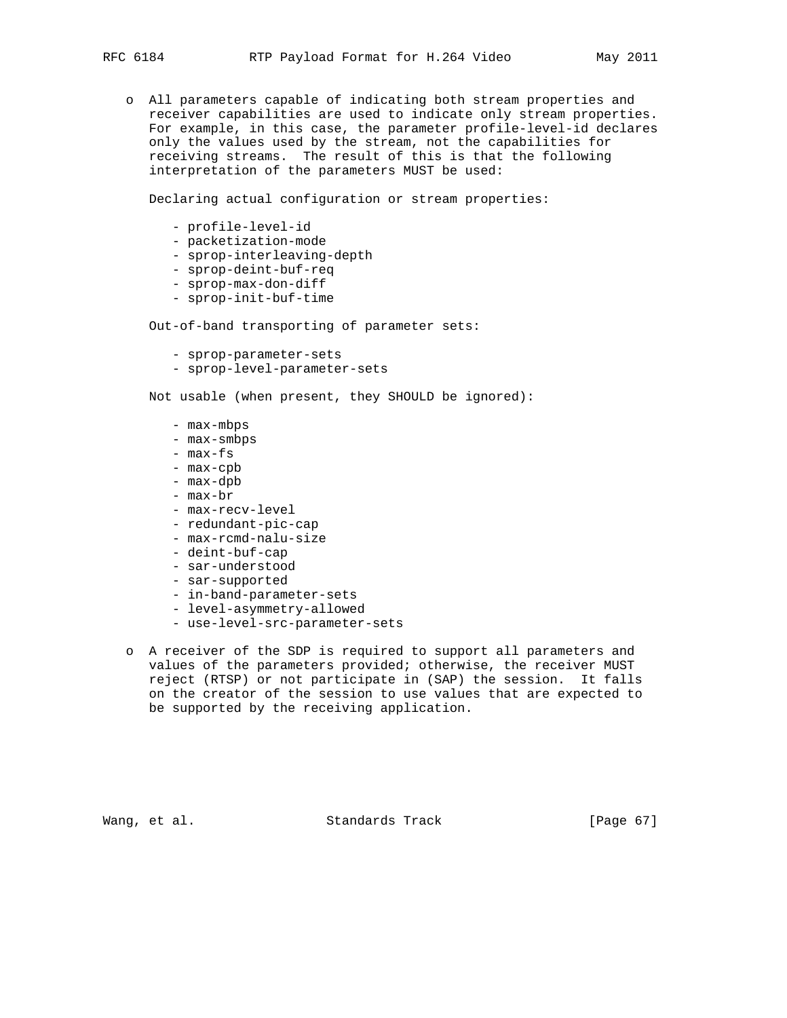o All parameters capable of indicating both stream properties and receiver capabilities are used to indicate only stream properties. For example, in this case, the parameter profile-level-id declares only the values used by the stream, not the capabilities for receiving streams. The result of this is that the following interpretation of the parameters MUST be used:

Declaring actual configuration or stream properties:

- profile-level-id
- packetization-mode
- sprop-interleaving-depth
- sprop-deint-buf-req
- sprop-max-don-diff
- sprop-init-buf-time

Out-of-band transporting of parameter sets:

- sprop-parameter-sets
- sprop-level-parameter-sets

Not usable (when present, they SHOULD be ignored):

- max-mbps
- max-smbps
- max-fs
- max-cpb
- max-dpb
- max-br
- max-recv-level
- redundant-pic-cap
- max-rcmd-nalu-size
- deint-buf-cap
- sar-understood
- sar-supported
- in-band-parameter-sets
- level-asymmetry-allowed
- use-level-src-parameter-sets
- o A receiver of the SDP is required to support all parameters and values of the parameters provided; otherwise, the receiver MUST reject (RTSP) or not participate in (SAP) the session. It falls on the creator of the session to use values that are expected to be supported by the receiving application.

Wang, et al. Standards Track [Page 67]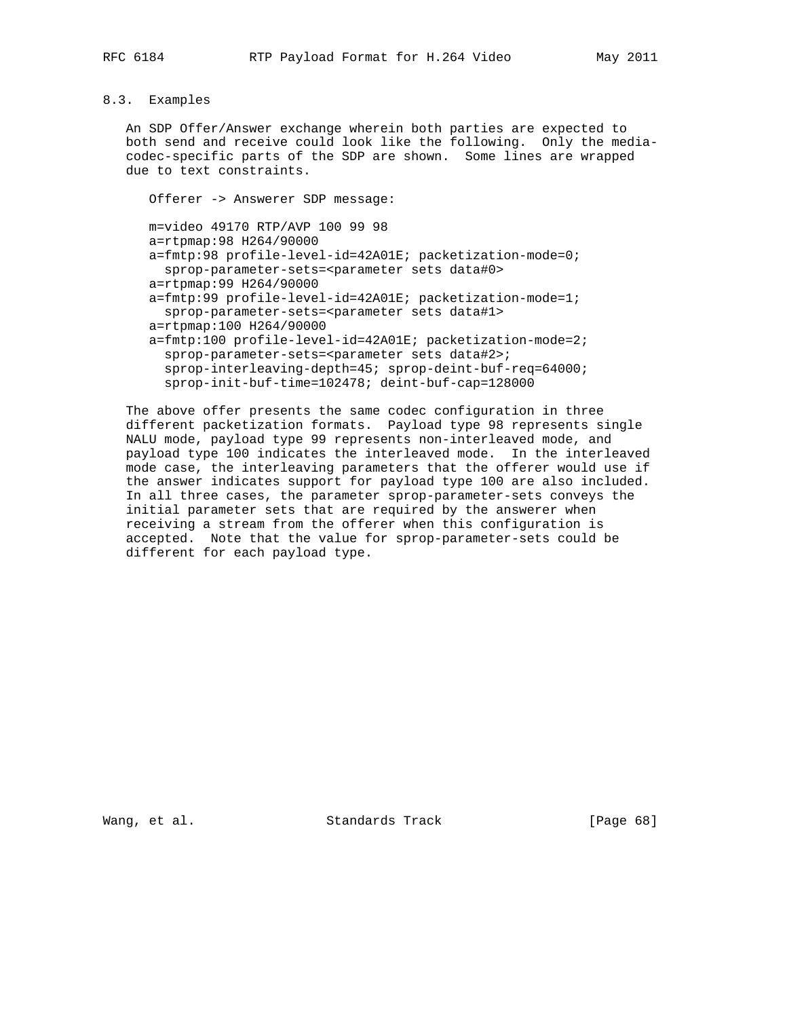# 8.3. Examples

 An SDP Offer/Answer exchange wherein both parties are expected to both send and receive could look like the following. Only the media codec-specific parts of the SDP are shown. Some lines are wrapped due to text constraints.

 Offerer -> Answerer SDP message: m=video 49170 RTP/AVP 100 99 98 a=rtpmap:98 H264/90000 a=fmtp:98 profile-level-id=42A01E; packetization-mode=0; sprop-parameter-sets=<parameter sets data#0> a=rtpmap:99 H264/90000 a=fmtp:99 profile-level-id=42A01E; packetization-mode=1; sprop-parameter-sets=<parameter sets data#1> a=rtpmap:100 H264/90000 a=fmtp:100 profile-level-id=42A01E; packetization-mode=2; sprop-parameter-sets=<parameter sets data#2>; sprop-interleaving-depth=45; sprop-deint-buf-req=64000; sprop-init-buf-time=102478; deint-buf-cap=128000

 The above offer presents the same codec configuration in three different packetization formats. Payload type 98 represents single NALU mode, payload type 99 represents non-interleaved mode, and payload type 100 indicates the interleaved mode. In the interleaved mode case, the interleaving parameters that the offerer would use if the answer indicates support for payload type 100 are also included. In all three cases, the parameter sprop-parameter-sets conveys the initial parameter sets that are required by the answerer when receiving a stream from the offerer when this configuration is accepted. Note that the value for sprop-parameter-sets could be different for each payload type.

Wang, et al. Standards Track [Page 68]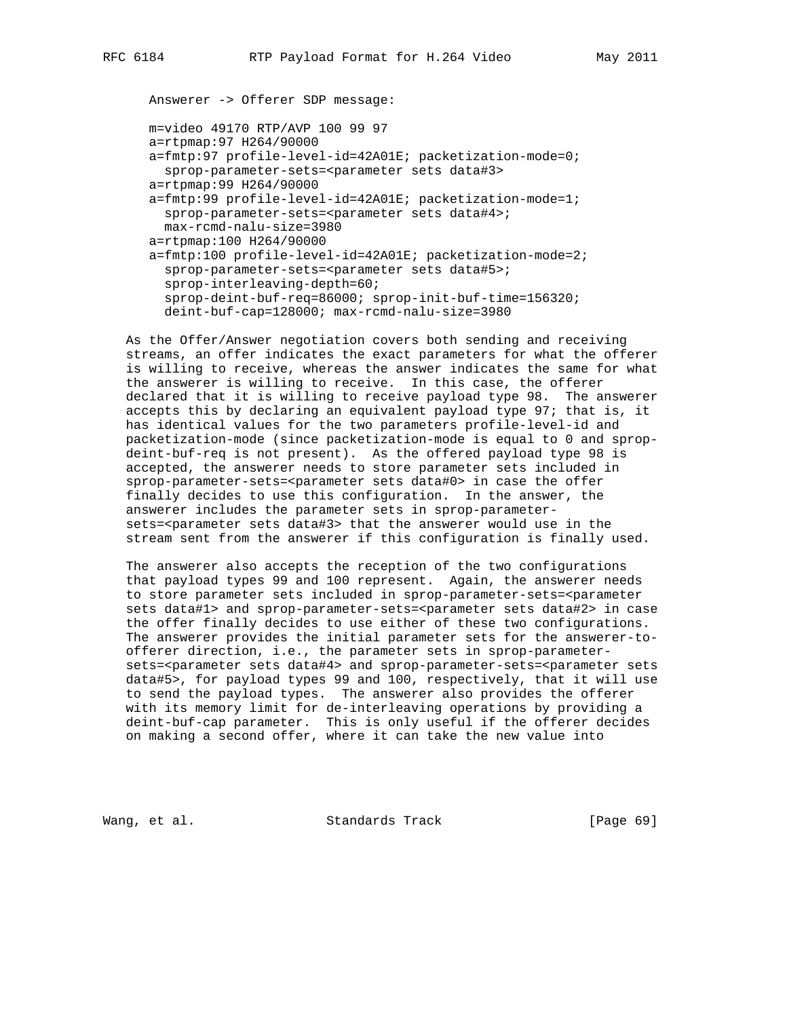Answerer -> Offerer SDP message: m=video 49170 RTP/AVP 100 99 97 a=rtpmap:97 H264/90000 a=fmtp:97 profile-level-id=42A01E; packetization-mode=0; sprop-parameter-sets=<parameter sets data#3> a=rtpmap:99 H264/90000 a=fmtp:99 profile-level-id=42A01E; packetization-mode=1; sprop-parameter-sets=<parameter sets data#4>; max-rcmd-nalu-size=3980 a=rtpmap:100 H264/90000 a=fmtp:100 profile-level-id=42A01E; packetization-mode=2; sprop-parameter-sets=<parameter sets data#5>; sprop-interleaving-depth=60;

 sprop-deint-buf-req=86000; sprop-init-buf-time=156320; deint-buf-cap=128000; max-rcmd-nalu-size=3980

 As the Offer/Answer negotiation covers both sending and receiving streams, an offer indicates the exact parameters for what the offerer is willing to receive, whereas the answer indicates the same for what the answerer is willing to receive. In this case, the offerer declared that it is willing to receive payload type 98. The answerer accepts this by declaring an equivalent payload type 97; that is, it has identical values for the two parameters profile-level-id and packetization-mode (since packetization-mode is equal to 0 and sprop deint-buf-req is not present). As the offered payload type 98 is accepted, the answerer needs to store parameter sets included in sprop-parameter-sets=<parameter sets data#0> in case the offer finally decides to use this configuration. In the answer, the answerer includes the parameter sets in sprop-parameter sets=<parameter sets data#3> that the answerer would use in the stream sent from the answerer if this configuration is finally used.

 The answerer also accepts the reception of the two configurations that payload types 99 and 100 represent. Again, the answerer needs to store parameter sets included in sprop-parameter-sets=<parameter sets data#1> and sprop-parameter-sets=<parameter sets data#2> in case the offer finally decides to use either of these two configurations. The answerer provides the initial parameter sets for the answerer-to offerer direction, i.e., the parameter sets in sprop-parameter sets=<parameter sets data#4> and sprop-parameter-sets=<parameter sets data#5>, for payload types 99 and 100, respectively, that it will use to send the payload types. The answerer also provides the offerer with its memory limit for de-interleaving operations by providing a deint-buf-cap parameter. This is only useful if the offerer decides on making a second offer, where it can take the new value into

Wang, et al. Standards Track [Page 69]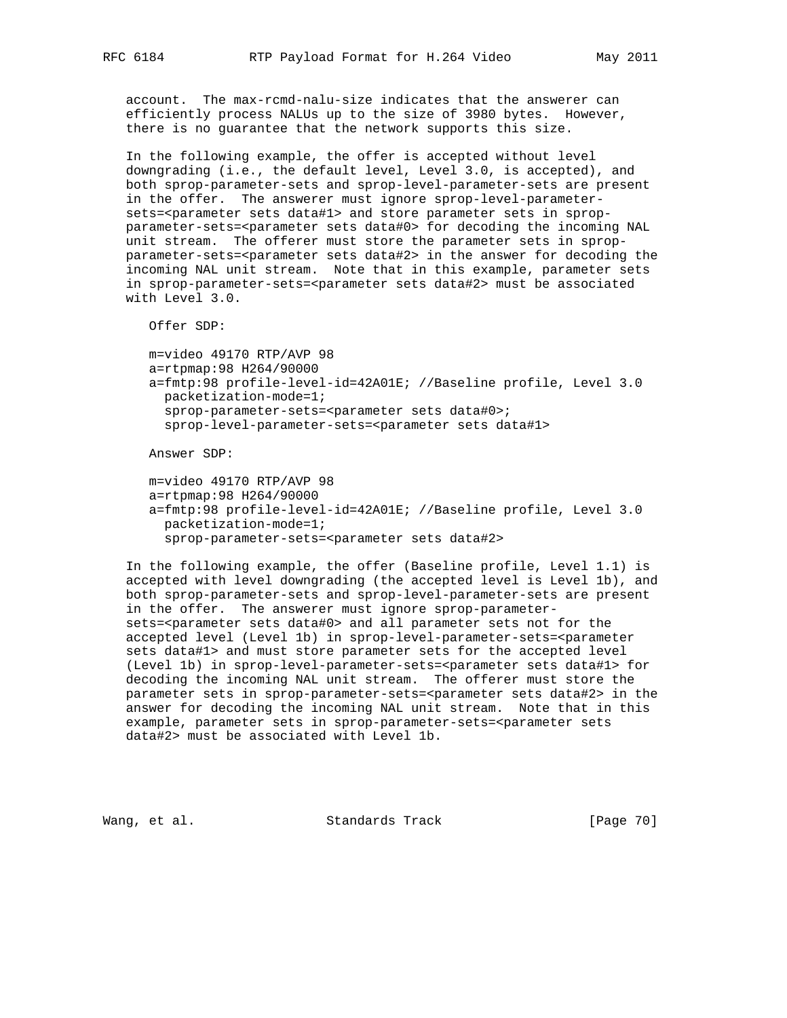account. The max-rcmd-nalu-size indicates that the answerer can efficiently process NALUs up to the size of 3980 bytes. However, there is no guarantee that the network supports this size.

 In the following example, the offer is accepted without level downgrading (i.e., the default level, Level 3.0, is accepted), and both sprop-parameter-sets and sprop-level-parameter-sets are present in the offer. The answerer must ignore sprop-level-parameter sets=<parameter sets data#1> and store parameter sets in sprop parameter-sets=<parameter sets data#0> for decoding the incoming NAL unit stream. The offerer must store the parameter sets in sprop parameter-sets=<parameter sets data#2> in the answer for decoding the incoming NAL unit stream. Note that in this example, parameter sets in sprop-parameter-sets=<parameter sets data#2> must be associated with Level 3.0.

Offer SDP:

 m=video 49170 RTP/AVP 98 a=rtpmap:98 H264/90000 a=fmtp:98 profile-level-id=42A01E; //Baseline profile, Level 3.0 packetization-mode=1; sprop-parameter-sets=<parameter sets data#0>; sprop-level-parameter-sets=<parameter sets data#1>

Answer SDP:

 m=video 49170 RTP/AVP 98 a=rtpmap:98 H264/90000 a=fmtp:98 profile-level-id=42A01E; //Baseline profile, Level 3.0 packetization-mode=1; sprop-parameter-sets=<parameter sets data#2>

 In the following example, the offer (Baseline profile, Level 1.1) is accepted with level downgrading (the accepted level is Level 1b), and both sprop-parameter-sets and sprop-level-parameter-sets are present in the offer. The answerer must ignore sprop-parameter sets=<parameter sets data#0> and all parameter sets not for the accepted level (Level 1b) in sprop-level-parameter-sets=<parameter sets data#1> and must store parameter sets for the accepted level (Level 1b) in sprop-level-parameter-sets=<parameter sets data#1> for decoding the incoming NAL unit stream. The offerer must store the parameter sets in sprop-parameter-sets=<parameter sets data#2> in the answer for decoding the incoming NAL unit stream. Note that in this example, parameter sets in sprop-parameter-sets=<parameter sets data#2> must be associated with Level 1b.

Wang, et al. Standards Track [Page 70]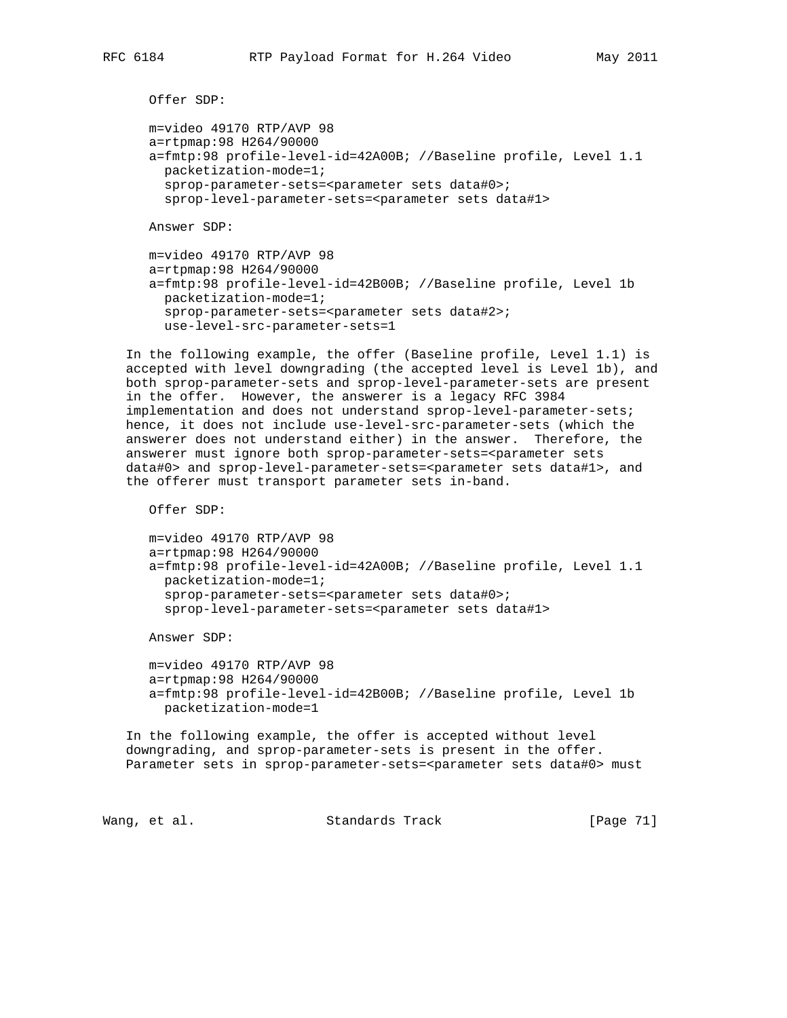```
 Offer SDP:
```

```
 m=video 49170 RTP/AVP 98
a=rtpmap:98 H264/90000
a=fmtp:98 profile-level-id=42A00B; //Baseline profile, Level 1.1
 packetization-mode=1;
 sprop-parameter-sets=<parameter sets data#0>;
  sprop-level-parameter-sets=<parameter sets data#1>
```
Answer SDP:

```
 m=video 49170 RTP/AVP 98
a=rtpmap:98 H264/90000
a=fmtp:98 profile-level-id=42B00B; //Baseline profile, Level 1b
  packetization-mode=1;
  sprop-parameter-sets=<parameter sets data#2>;
  use-level-src-parameter-sets=1
```
 In the following example, the offer (Baseline profile, Level 1.1) is accepted with level downgrading (the accepted level is Level 1b), and both sprop-parameter-sets and sprop-level-parameter-sets are present in the offer. However, the answerer is a legacy RFC 3984 implementation and does not understand sprop-level-parameter-sets; hence, it does not include use-level-src-parameter-sets (which the answerer does not understand either) in the answer. Therefore, the answerer must ignore both sprop-parameter-sets=<parameter sets data#0> and sprop-level-parameter-sets=<parameter sets data#1>, and the offerer must transport parameter sets in-band.

Offer SDP:

```
 m=video 49170 RTP/AVP 98
a=rtpmap:98 H264/90000
a=fmtp:98 profile-level-id=42A00B; //Baseline profile, Level 1.1
  packetization-mode=1;
 sprop-parameter-sets=<parameter sets data#0>;
  sprop-level-parameter-sets=<parameter sets data#1>
```
Answer SDP:

 m=video 49170 RTP/AVP 98 a=rtpmap:98 H264/90000 a=fmtp:98 profile-level-id=42B00B; //Baseline profile, Level 1b packetization-mode=1

 In the following example, the offer is accepted without level downgrading, and sprop-parameter-sets is present in the offer. Parameter sets in sprop-parameter-sets=<parameter sets data#0> must

Wang, et al. Standards Track [Page 71]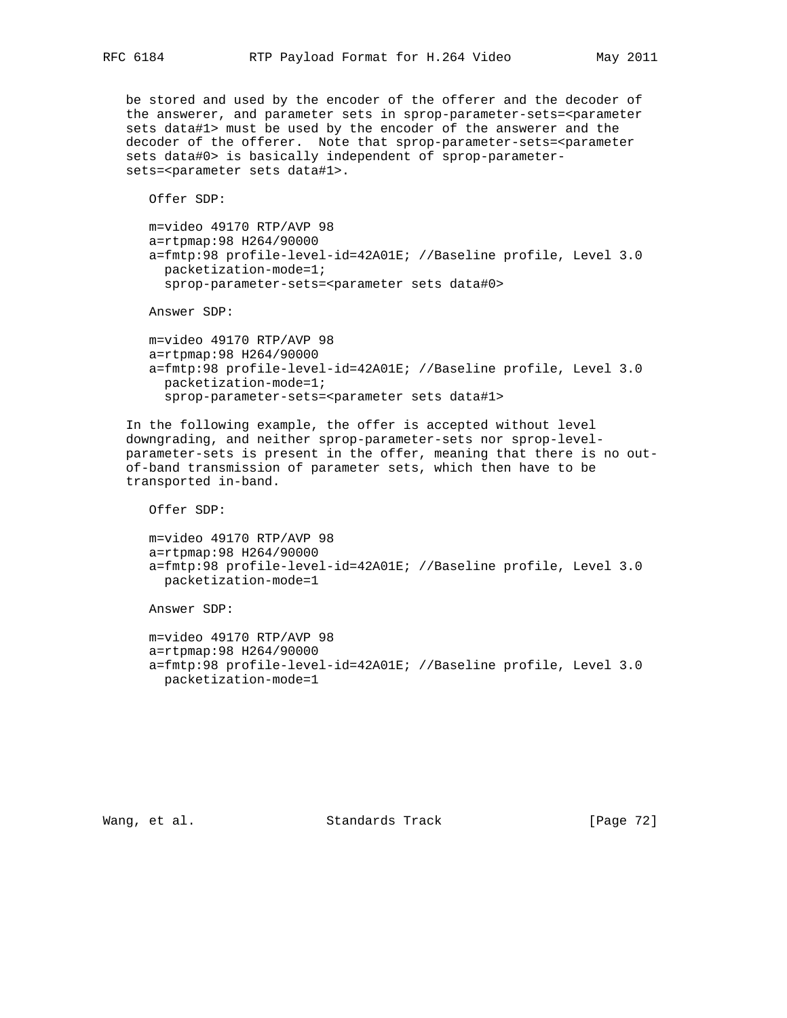be stored and used by the encoder of the offerer and the decoder of the answerer, and parameter sets in sprop-parameter-sets=<parameter sets data#1> must be used by the encoder of the answerer and the decoder of the offerer. Note that sprop-parameter-sets=<parameter sets data#0> is basically independent of sprop-parameter sets=<parameter sets data#1>.

Offer SDP:

 m=video 49170 RTP/AVP 98 a=rtpmap:98 H264/90000 a=fmtp:98 profile-level-id=42A01E; //Baseline profile, Level 3.0 packetization-mode=1; sprop-parameter-sets=<parameter sets data#0>

Answer SDP:

 m=video 49170 RTP/AVP 98 a=rtpmap:98 H264/90000 a=fmtp:98 profile-level-id=42A01E; //Baseline profile, Level 3.0 packetization-mode=1; sprop-parameter-sets=<parameter sets data#1>

 In the following example, the offer is accepted without level downgrading, and neither sprop-parameter-sets nor sprop-level parameter-sets is present in the offer, meaning that there is no out of-band transmission of parameter sets, which then have to be transported in-band.

Offer SDP:

```
 m=video 49170 RTP/AVP 98
a=rtpmap:98 H264/90000
a=fmtp:98 profile-level-id=42A01E; //Baseline profile, Level 3.0
  packetization-mode=1
```
Answer SDP:

```
 m=video 49170 RTP/AVP 98
a=rtpmap:98 H264/90000
a=fmtp:98 profile-level-id=42A01E; //Baseline profile, Level 3.0
 packetization-mode=1
```
Wang, et al. Standards Track [Page 72]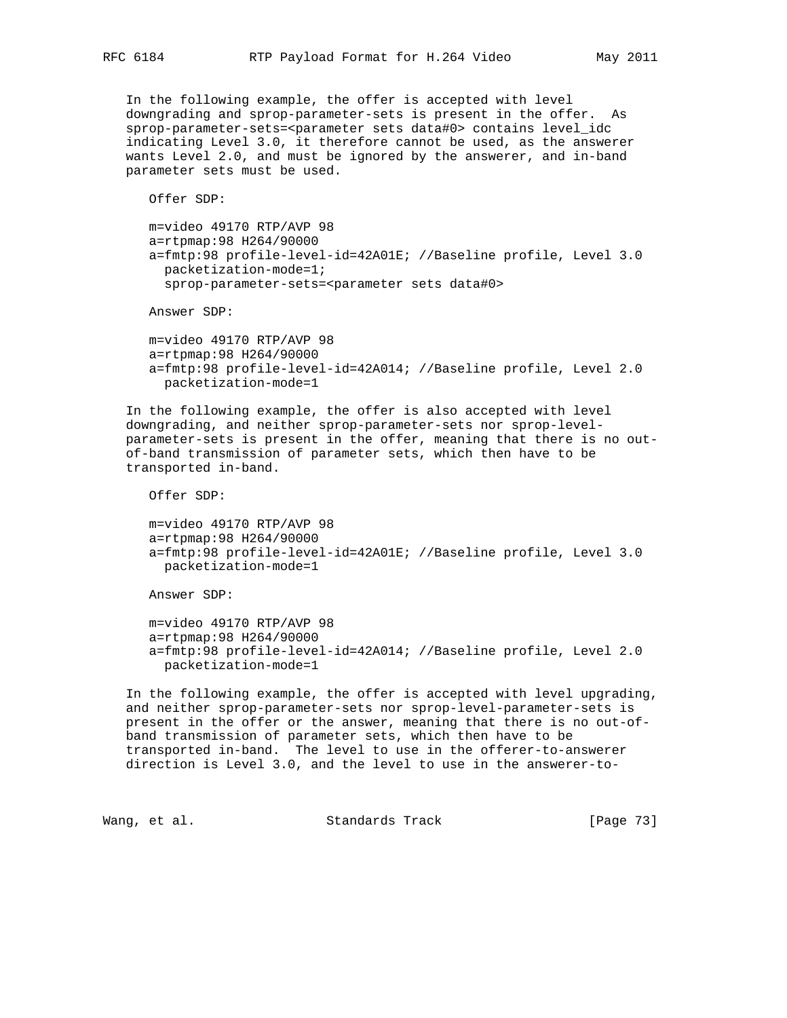In the following example, the offer is accepted with level downgrading and sprop-parameter-sets is present in the offer. As sprop-parameter-sets=<parameter sets data#0> contains level\_idc indicating Level 3.0, it therefore cannot be used, as the answerer wants Level 2.0, and must be ignored by the answerer, and in-band parameter sets must be used.

Offer SDP:

 m=video 49170 RTP/AVP 98 a=rtpmap:98 H264/90000 a=fmtp:98 profile-level-id=42A01E; //Baseline profile, Level 3.0 packetization-mode=1; sprop-parameter-sets=<parameter sets data#0>

Answer SDP:

 m=video 49170 RTP/AVP 98 a=rtpmap:98 H264/90000 a=fmtp:98 profile-level-id=42A014; //Baseline profile, Level 2.0 packetization-mode=1

 In the following example, the offer is also accepted with level downgrading, and neither sprop-parameter-sets nor sprop-level parameter-sets is present in the offer, meaning that there is no out of-band transmission of parameter sets, which then have to be transported in-band.

Offer SDP:

 m=video 49170 RTP/AVP 98 a=rtpmap:98 H264/90000 a=fmtp:98 profile-level-id=42A01E; //Baseline profile, Level 3.0 packetization-mode=1

Answer SDP:

 m=video 49170 RTP/AVP 98 a=rtpmap:98 H264/90000 a=fmtp:98 profile-level-id=42A014; //Baseline profile, Level 2.0 packetization-mode=1

 In the following example, the offer is accepted with level upgrading, and neither sprop-parameter-sets nor sprop-level-parameter-sets is present in the offer or the answer, meaning that there is no out-of band transmission of parameter sets, which then have to be transported in-band. The level to use in the offerer-to-answerer direction is Level 3.0, and the level to use in the answerer-to-

Wang, et al. Standards Track [Page 73]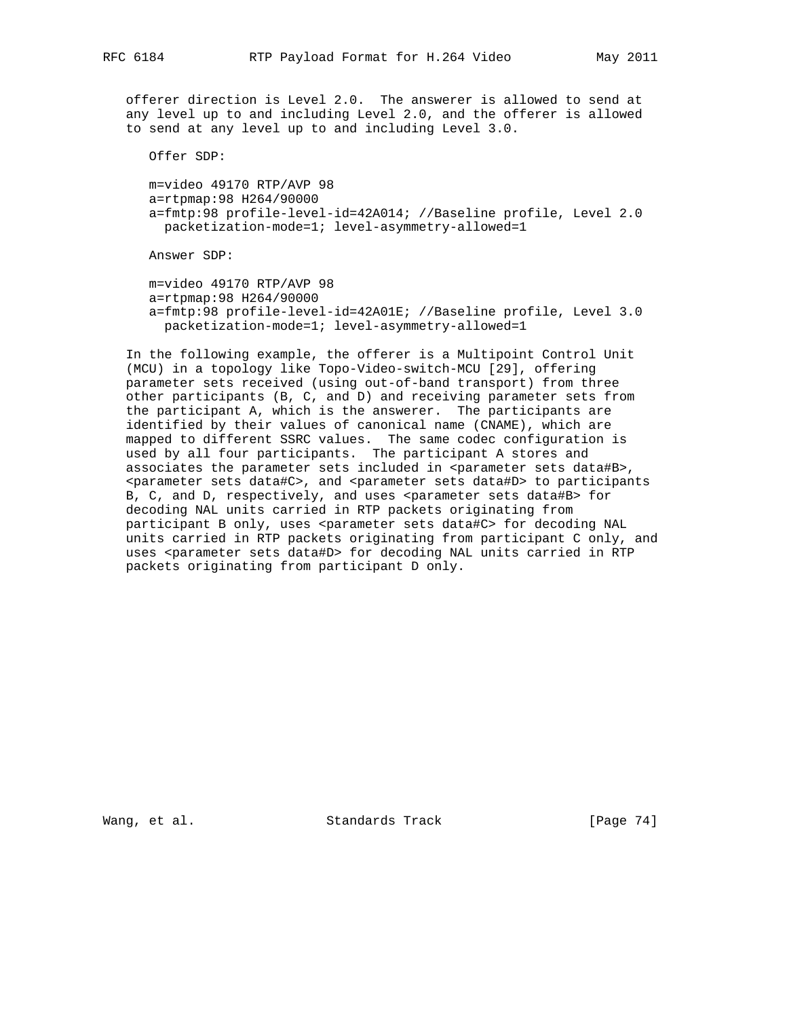offerer direction is Level 2.0. The answerer is allowed to send at any level up to and including Level 2.0, and the offerer is allowed to send at any level up to and including Level 3.0.

Offer SDP:

 m=video 49170 RTP/AVP 98 a=rtpmap:98 H264/90000 a=fmtp:98 profile-level-id=42A014; //Baseline profile, Level 2.0 packetization-mode=1; level-asymmetry-allowed=1

Answer SDP:

 m=video 49170 RTP/AVP 98 a=rtpmap:98 H264/90000 a=fmtp:98 profile-level-id=42A01E; //Baseline profile, Level 3.0 packetization-mode=1; level-asymmetry-allowed=1

 In the following example, the offerer is a Multipoint Control Unit (MCU) in a topology like Topo-Video-switch-MCU [29], offering parameter sets received (using out-of-band transport) from three other participants (B, C, and D) and receiving parameter sets from the participant A, which is the answerer. The participants are identified by their values of canonical name (CNAME), which are mapped to different SSRC values. The same codec configuration is used by all four participants. The participant A stores and associates the parameter sets included in <parameter sets data#B>, <parameter sets data#C>, and <parameter sets data#D> to participants B, C, and D, respectively, and uses <parameter sets data#B> for decoding NAL units carried in RTP packets originating from participant B only, uses <parameter sets data#C> for decoding NAL units carried in RTP packets originating from participant C only, and uses <parameter sets data#D> for decoding NAL units carried in RTP packets originating from participant D only.

Wang, et al. Standards Track [Page 74]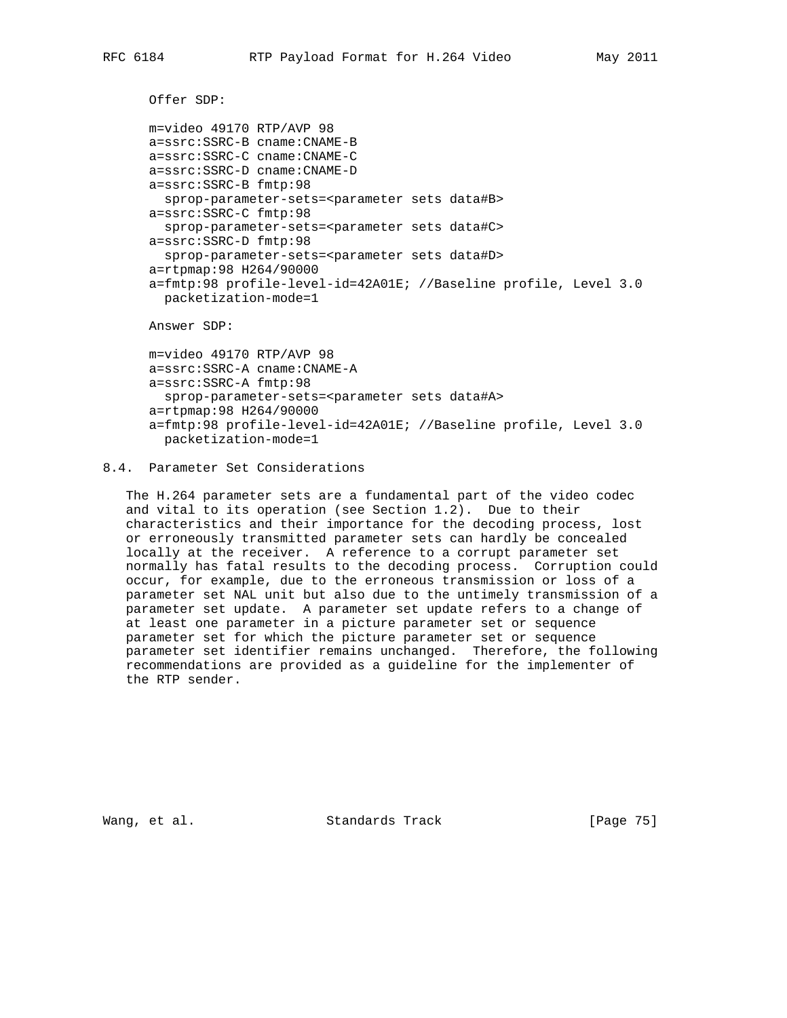Offer SDP:

```
 m=video 49170 RTP/AVP 98
a=ssrc:SSRC-B cname:CNAME-B
a=ssrc:SSRC-C cname:CNAME-C
a=ssrc:SSRC-D cname:CNAME-D
a=ssrc:SSRC-B fmtp:98
 sprop-parameter-sets=<parameter sets data#B>
a=ssrc:SSRC-C fmtp:98
 sprop-parameter-sets=<parameter sets data#C>
a=ssrc:SSRC-D fmtp:98
  sprop-parameter-sets=<parameter sets data#D>
a=rtpmap:98 H264/90000
a=fmtp:98 profile-level-id=42A01E; //Baseline profile, Level 3.0
  packetization-mode=1
Answer SDP:
```

```
 m=video 49170 RTP/AVP 98
a=ssrc:SSRC-A cname:CNAME-A
a=ssrc:SSRC-A fmtp:98
  sprop-parameter-sets=<parameter sets data#A>
a=rtpmap:98 H264/90000
a=fmtp:98 profile-level-id=42A01E; //Baseline profile, Level 3.0
  packetization-mode=1
```
# 8.4. Parameter Set Considerations

 The H.264 parameter sets are a fundamental part of the video codec and vital to its operation (see Section 1.2). Due to their characteristics and their importance for the decoding process, lost or erroneously transmitted parameter sets can hardly be concealed locally at the receiver. A reference to a corrupt parameter set normally has fatal results to the decoding process. Corruption could occur, for example, due to the erroneous transmission or loss of a parameter set NAL unit but also due to the untimely transmission of a parameter set update. A parameter set update refers to a change of at least one parameter in a picture parameter set or sequence parameter set for which the picture parameter set or sequence parameter set identifier remains unchanged. Therefore, the following recommendations are provided as a guideline for the implementer of the RTP sender.

Wang, et al. Standards Track [Page 75]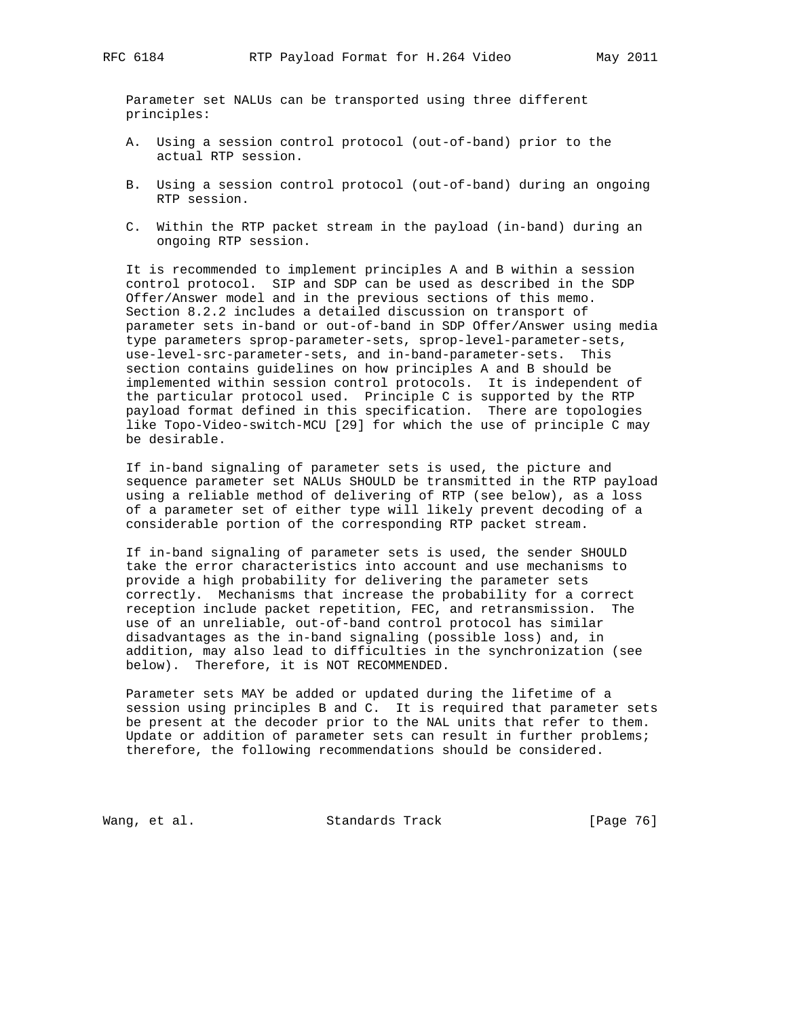Parameter set NALUs can be transported using three different principles:

- A. Using a session control protocol (out-of-band) prior to the actual RTP session.
- B. Using a session control protocol (out-of-band) during an ongoing RTP session.
- C. Within the RTP packet stream in the payload (in-band) during an ongoing RTP session.

 It is recommended to implement principles A and B within a session control protocol. SIP and SDP can be used as described in the SDP Offer/Answer model and in the previous sections of this memo. Section 8.2.2 includes a detailed discussion on transport of parameter sets in-band or out-of-band in SDP Offer/Answer using media type parameters sprop-parameter-sets, sprop-level-parameter-sets, use-level-src-parameter-sets, and in-band-parameter-sets. This section contains guidelines on how principles A and B should be implemented within session control protocols. It is independent of the particular protocol used. Principle C is supported by the RTP payload format defined in this specification. There are topologies like Topo-Video-switch-MCU [29] for which the use of principle C may be desirable.

 If in-band signaling of parameter sets is used, the picture and sequence parameter set NALUs SHOULD be transmitted in the RTP payload using a reliable method of delivering of RTP (see below), as a loss of a parameter set of either type will likely prevent decoding of a considerable portion of the corresponding RTP packet stream.

 If in-band signaling of parameter sets is used, the sender SHOULD take the error characteristics into account and use mechanisms to provide a high probability for delivering the parameter sets correctly. Mechanisms that increase the probability for a correct reception include packet repetition, FEC, and retransmission. The use of an unreliable, out-of-band control protocol has similar disadvantages as the in-band signaling (possible loss) and, in addition, may also lead to difficulties in the synchronization (see below). Therefore, it is NOT RECOMMENDED.

 Parameter sets MAY be added or updated during the lifetime of a session using principles B and C. It is required that parameter sets be present at the decoder prior to the NAL units that refer to them. Update or addition of parameter sets can result in further problems; therefore, the following recommendations should be considered.

Wang, et al. Standards Track [Page 76]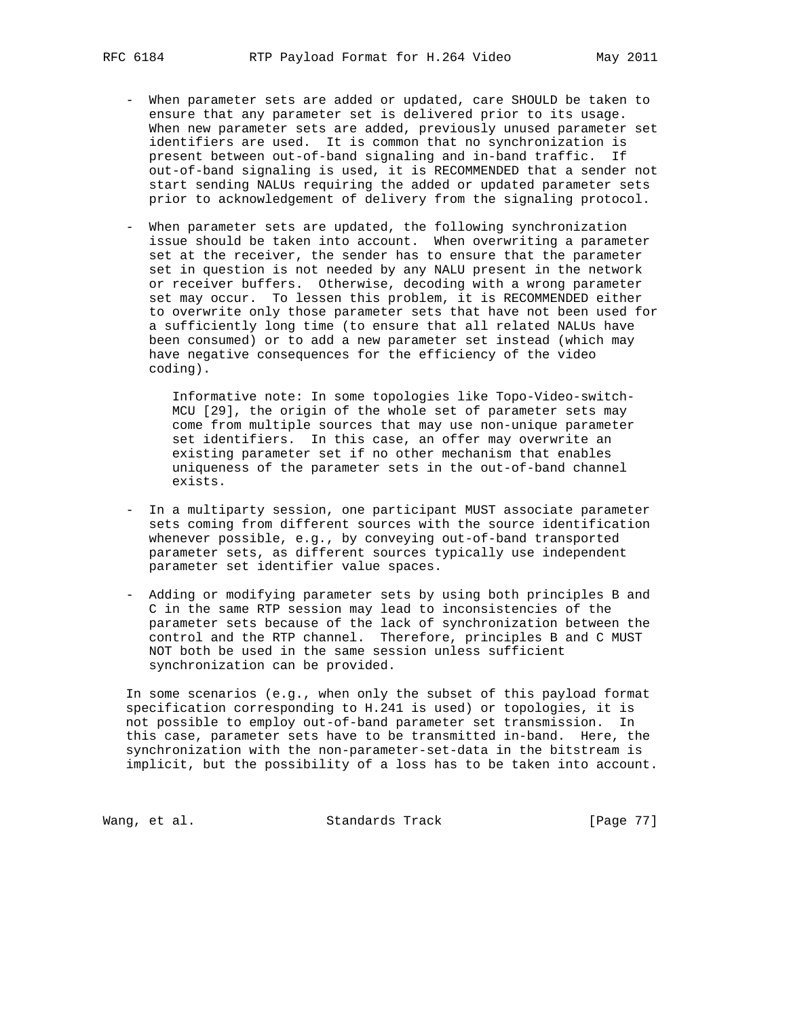- When parameter sets are added or updated, care SHOULD be taken to ensure that any parameter set is delivered prior to its usage. When new parameter sets are added, previously unused parameter set identifiers are used. It is common that no synchronization is present between out-of-band signaling and in-band traffic. If out-of-band signaling is used, it is RECOMMENDED that a sender not start sending NALUs requiring the added or updated parameter sets prior to acknowledgement of delivery from the signaling protocol.
- When parameter sets are updated, the following synchronization issue should be taken into account. When overwriting a parameter set at the receiver, the sender has to ensure that the parameter set in question is not needed by any NALU present in the network or receiver buffers. Otherwise, decoding with a wrong parameter set may occur. To lessen this problem, it is RECOMMENDED either to overwrite only those parameter sets that have not been used for a sufficiently long time (to ensure that all related NALUs have been consumed) or to add a new parameter set instead (which may have negative consequences for the efficiency of the video coding).

 Informative note: In some topologies like Topo-Video-switch- MCU [29], the origin of the whole set of parameter sets may come from multiple sources that may use non-unique parameter set identifiers. In this case, an offer may overwrite an existing parameter set if no other mechanism that enables uniqueness of the parameter sets in the out-of-band channel exists.

- In a multiparty session, one participant MUST associate parameter sets coming from different sources with the source identification whenever possible, e.g., by conveying out-of-band transported parameter sets, as different sources typically use independent parameter set identifier value spaces.
- Adding or modifying parameter sets by using both principles B and C in the same RTP session may lead to inconsistencies of the parameter sets because of the lack of synchronization between the control and the RTP channel. Therefore, principles B and C MUST NOT both be used in the same session unless sufficient synchronization can be provided.

 In some scenarios (e.g., when only the subset of this payload format specification corresponding to H.241 is used) or topologies, it is not possible to employ out-of-band parameter set transmission. In this case, parameter sets have to be transmitted in-band. Here, the synchronization with the non-parameter-set-data in the bitstream is implicit, but the possibility of a loss has to be taken into account.

Wang, et al. Standards Track [Page 77]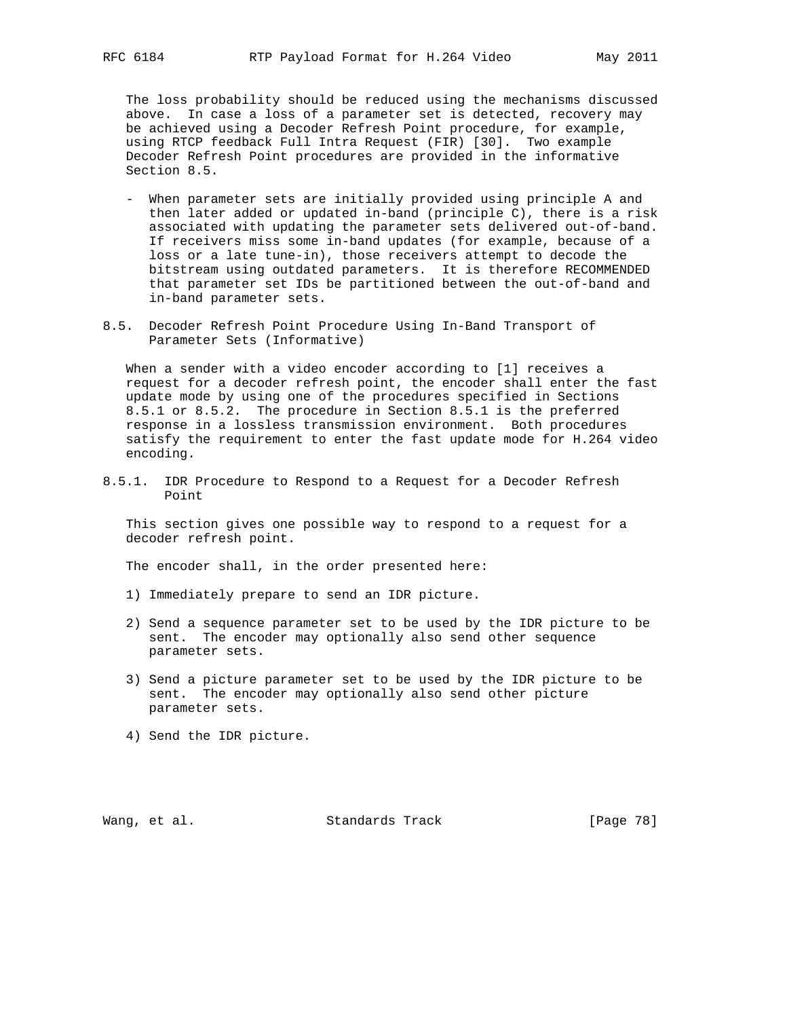The loss probability should be reduced using the mechanisms discussed above. In case a loss of a parameter set is detected, recovery may be achieved using a Decoder Refresh Point procedure, for example, using RTCP feedback Full Intra Request (FIR) [30]. Two example Decoder Refresh Point procedures are provided in the informative Section 8.5.

- When parameter sets are initially provided using principle A and then later added or updated in-band (principle C), there is a risk associated with updating the parameter sets delivered out-of-band. If receivers miss some in-band updates (for example, because of a loss or a late tune-in), those receivers attempt to decode the bitstream using outdated parameters. It is therefore RECOMMENDED that parameter set IDs be partitioned between the out-of-band and in-band parameter sets.
- 8.5. Decoder Refresh Point Procedure Using In-Band Transport of Parameter Sets (Informative)

 When a sender with a video encoder according to [1] receives a request for a decoder refresh point, the encoder shall enter the fast update mode by using one of the procedures specified in Sections 8.5.1 or 8.5.2. The procedure in Section 8.5.1 is the preferred response in a lossless transmission environment. Both procedures satisfy the requirement to enter the fast update mode for H.264 video encoding.

8.5.1. IDR Procedure to Respond to a Request for a Decoder Refresh Point

 This section gives one possible way to respond to a request for a decoder refresh point.

The encoder shall, in the order presented here:

- 1) Immediately prepare to send an IDR picture.
- 2) Send a sequence parameter set to be used by the IDR picture to be sent. The encoder may optionally also send other sequence parameter sets.
- 3) Send a picture parameter set to be used by the IDR picture to be sent. The encoder may optionally also send other picture parameter sets.
- 4) Send the IDR picture.

Wang, et al. Standards Track [Page 78]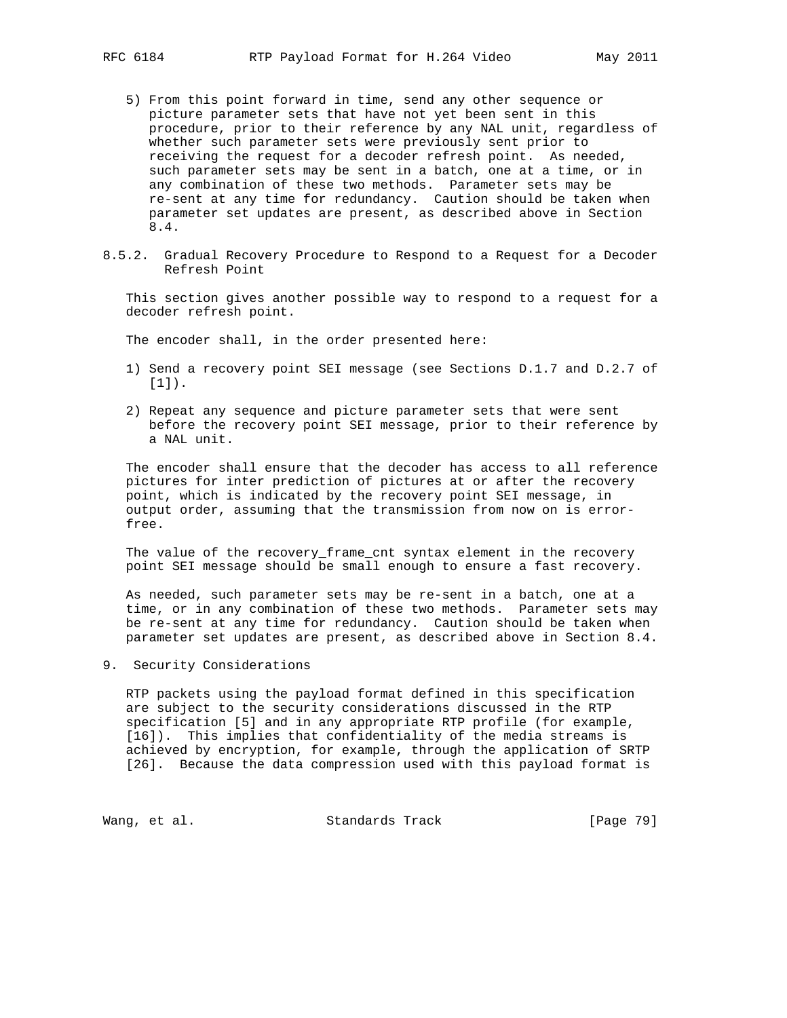- 5) From this point forward in time, send any other sequence or picture parameter sets that have not yet been sent in this procedure, prior to their reference by any NAL unit, regardless of whether such parameter sets were previously sent prior to receiving the request for a decoder refresh point. As needed, such parameter sets may be sent in a batch, one at a time, or in any combination of these two methods. Parameter sets may be re-sent at any time for redundancy. Caution should be taken when parameter set updates are present, as described above in Section 8.4.
- 8.5.2. Gradual Recovery Procedure to Respond to a Request for a Decoder Refresh Point

 This section gives another possible way to respond to a request for a decoder refresh point.

The encoder shall, in the order presented here:

- 1) Send a recovery point SEI message (see Sections D.1.7 and D.2.7 of [1]).
- 2) Repeat any sequence and picture parameter sets that were sent before the recovery point SEI message, prior to their reference by a NAL unit.

 The encoder shall ensure that the decoder has access to all reference pictures for inter prediction of pictures at or after the recovery point, which is indicated by the recovery point SEI message, in output order, assuming that the transmission from now on is error free.

 The value of the recovery\_frame\_cnt syntax element in the recovery point SEI message should be small enough to ensure a fast recovery.

 As needed, such parameter sets may be re-sent in a batch, one at a time, or in any combination of these two methods. Parameter sets may be re-sent at any time for redundancy. Caution should be taken when parameter set updates are present, as described above in Section 8.4.

9. Security Considerations

 RTP packets using the payload format defined in this specification are subject to the security considerations discussed in the RTP specification [5] and in any appropriate RTP profile (for example, [16]). This implies that confidentiality of the media streams is achieved by encryption, for example, through the application of SRTP [26]. Because the data compression used with this payload format is

Wang, et al. Standards Track [Page 79]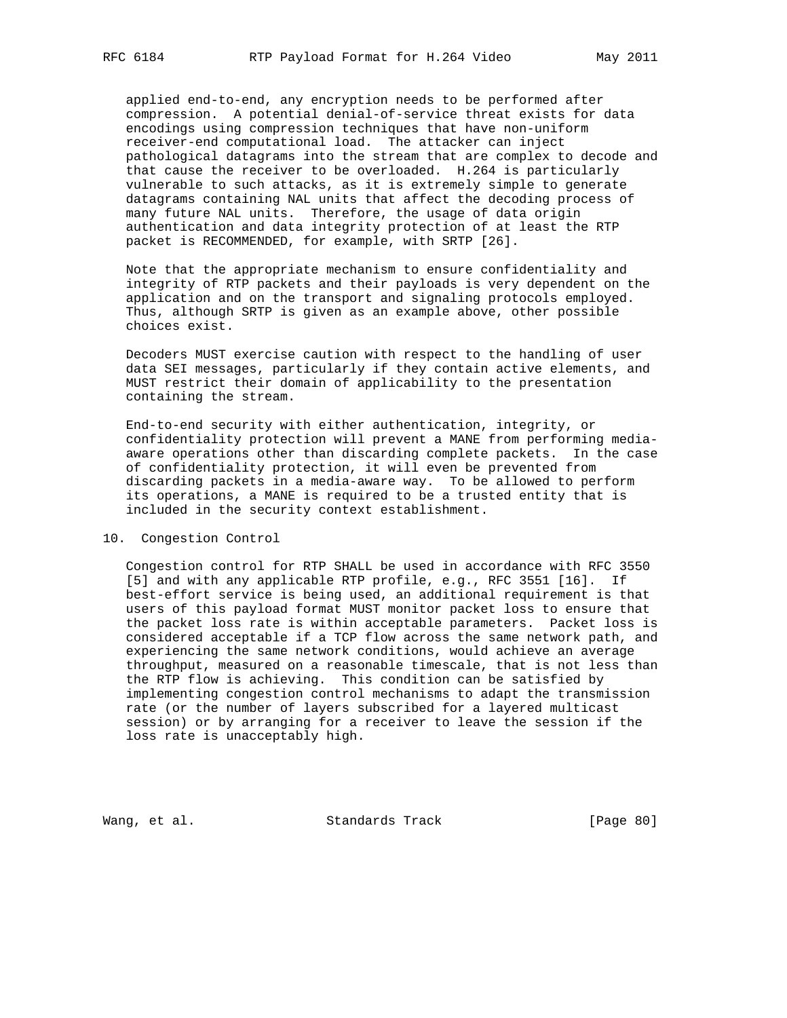applied end-to-end, any encryption needs to be performed after compression. A potential denial-of-service threat exists for data encodings using compression techniques that have non-uniform receiver-end computational load. The attacker can inject pathological datagrams into the stream that are complex to decode and that cause the receiver to be overloaded. H.264 is particularly vulnerable to such attacks, as it is extremely simple to generate datagrams containing NAL units that affect the decoding process of many future NAL units. Therefore, the usage of data origin authentication and data integrity protection of at least the RTP packet is RECOMMENDED, for example, with SRTP [26].

 Note that the appropriate mechanism to ensure confidentiality and integrity of RTP packets and their payloads is very dependent on the application and on the transport and signaling protocols employed. Thus, although SRTP is given as an example above, other possible choices exist.

 Decoders MUST exercise caution with respect to the handling of user data SEI messages, particularly if they contain active elements, and MUST restrict their domain of applicability to the presentation containing the stream.

 End-to-end security with either authentication, integrity, or confidentiality protection will prevent a MANE from performing media aware operations other than discarding complete packets. In the case of confidentiality protection, it will even be prevented from discarding packets in a media-aware way. To be allowed to perform its operations, a MANE is required to be a trusted entity that is included in the security context establishment.

### 10. Congestion Control

 Congestion control for RTP SHALL be used in accordance with RFC 3550 [5] and with any applicable RTP profile, e.g., RFC 3551 [16]. If best-effort service is being used, an additional requirement is that users of this payload format MUST monitor packet loss to ensure that the packet loss rate is within acceptable parameters. Packet loss is considered acceptable if a TCP flow across the same network path, and experiencing the same network conditions, would achieve an average throughput, measured on a reasonable timescale, that is not less than the RTP flow is achieving. This condition can be satisfied by implementing congestion control mechanisms to adapt the transmission rate (or the number of layers subscribed for a layered multicast session) or by arranging for a receiver to leave the session if the loss rate is unacceptably high.

Wang, et al. Standards Track [Page 80]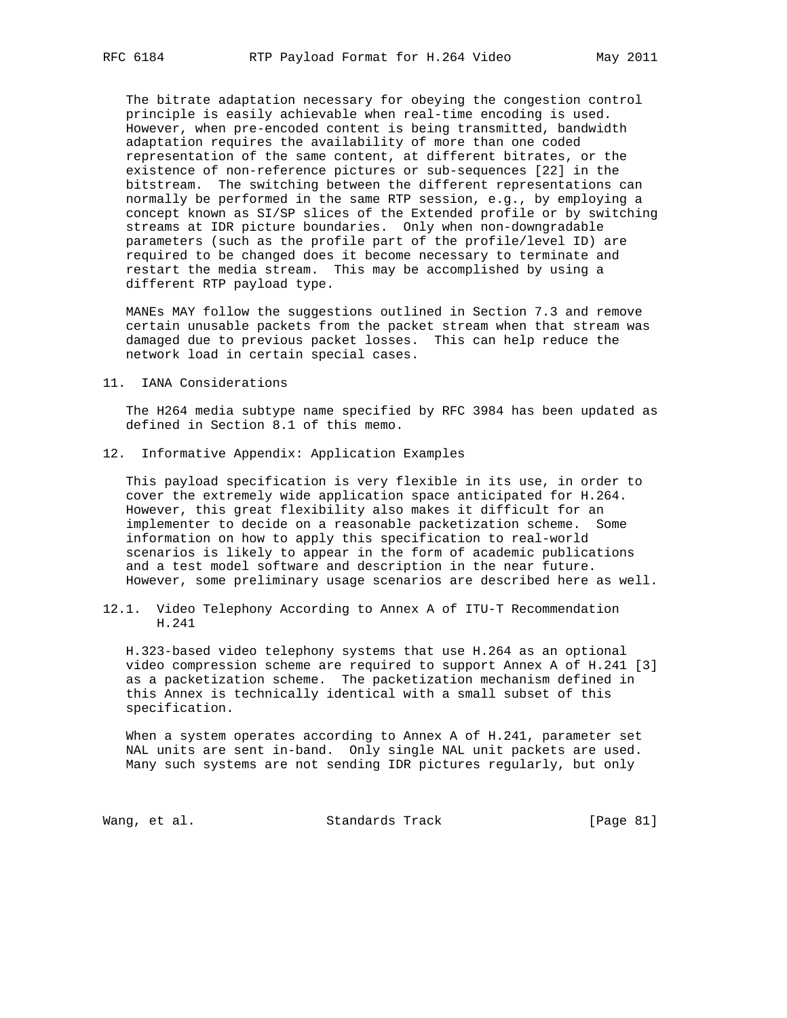The bitrate adaptation necessary for obeying the congestion control principle is easily achievable when real-time encoding is used. However, when pre-encoded content is being transmitted, bandwidth adaptation requires the availability of more than one coded representation of the same content, at different bitrates, or the existence of non-reference pictures or sub-sequences [22] in the bitstream. The switching between the different representations can normally be performed in the same RTP session, e.g., by employing a concept known as SI/SP slices of the Extended profile or by switching streams at IDR picture boundaries. Only when non-downgradable parameters (such as the profile part of the profile/level ID) are required to be changed does it become necessary to terminate and restart the media stream. This may be accomplished by using a different RTP payload type.

 MANEs MAY follow the suggestions outlined in Section 7.3 and remove certain unusable packets from the packet stream when that stream was damaged due to previous packet losses. This can help reduce the network load in certain special cases.

#### 11. IANA Considerations

 The H264 media subtype name specified by RFC 3984 has been updated as defined in Section 8.1 of this memo.

12. Informative Appendix: Application Examples

 This payload specification is very flexible in its use, in order to cover the extremely wide application space anticipated for H.264. However, this great flexibility also makes it difficult for an implementer to decide on a reasonable packetization scheme. Some information on how to apply this specification to real-world scenarios is likely to appear in the form of academic publications and a test model software and description in the near future. However, some preliminary usage scenarios are described here as well.

12.1. Video Telephony According to Annex A of ITU-T Recommendation H.241

 H.323-based video telephony systems that use H.264 as an optional video compression scheme are required to support Annex A of H.241 [3] as a packetization scheme. The packetization mechanism defined in this Annex is technically identical with a small subset of this specification.

 When a system operates according to Annex A of H.241, parameter set NAL units are sent in-band. Only single NAL unit packets are used. Many such systems are not sending IDR pictures regularly, but only

Wang, et al. Standards Track [Page 81]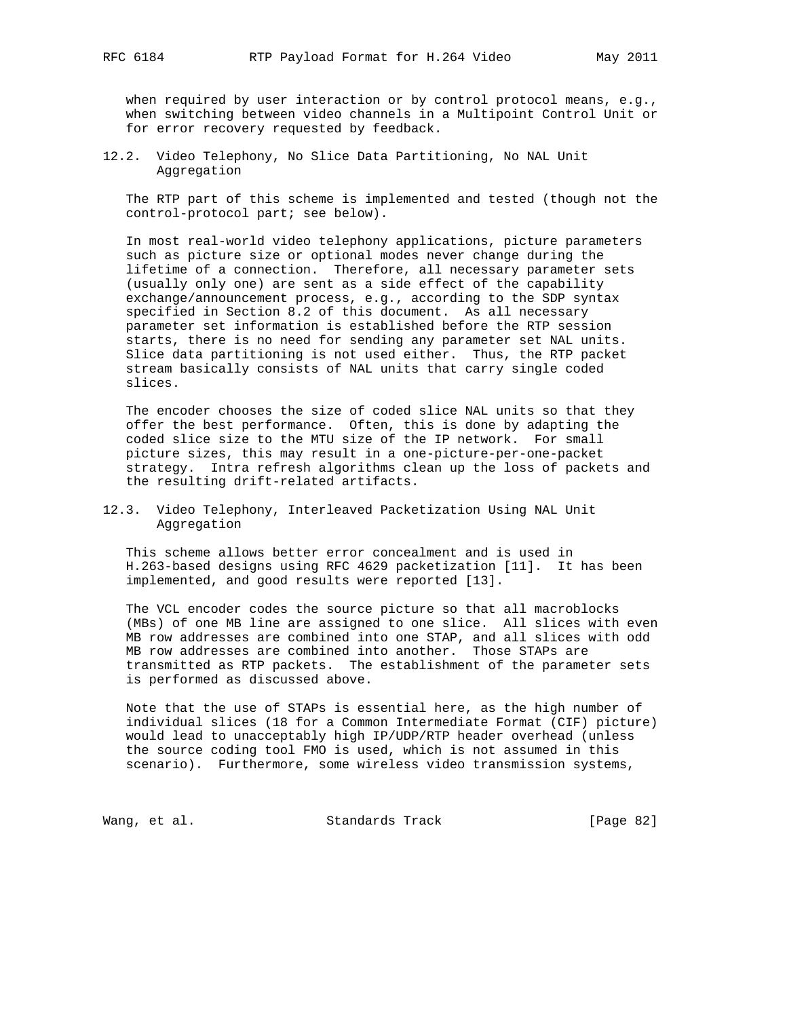when required by user interaction or by control protocol means, e.g., when switching between video channels in a Multipoint Control Unit or for error recovery requested by feedback.

12.2. Video Telephony, No Slice Data Partitioning, No NAL Unit Aggregation

 The RTP part of this scheme is implemented and tested (though not the control-protocol part; see below).

 In most real-world video telephony applications, picture parameters such as picture size or optional modes never change during the lifetime of a connection. Therefore, all necessary parameter sets (usually only one) are sent as a side effect of the capability exchange/announcement process, e.g., according to the SDP syntax specified in Section 8.2 of this document. As all necessary parameter set information is established before the RTP session starts, there is no need for sending any parameter set NAL units. Slice data partitioning is not used either. Thus, the RTP packet stream basically consists of NAL units that carry single coded slices.

 The encoder chooses the size of coded slice NAL units so that they offer the best performance. Often, this is done by adapting the coded slice size to the MTU size of the IP network. For small picture sizes, this may result in a one-picture-per-one-packet strategy. Intra refresh algorithms clean up the loss of packets and the resulting drift-related artifacts.

12.3. Video Telephony, Interleaved Packetization Using NAL Unit Aggregation

 This scheme allows better error concealment and is used in H.263-based designs using RFC 4629 packetization [11]. It has been implemented, and good results were reported [13].

 The VCL encoder codes the source picture so that all macroblocks (MBs) of one MB line are assigned to one slice. All slices with even MB row addresses are combined into one STAP, and all slices with odd MB row addresses are combined into another. Those STAPs are transmitted as RTP packets. The establishment of the parameter sets is performed as discussed above.

 Note that the use of STAPs is essential here, as the high number of individual slices (18 for a Common Intermediate Format (CIF) picture) would lead to unacceptably high IP/UDP/RTP header overhead (unless the source coding tool FMO is used, which is not assumed in this scenario). Furthermore, some wireless video transmission systems,

Wang, et al. Standards Track [Page 82]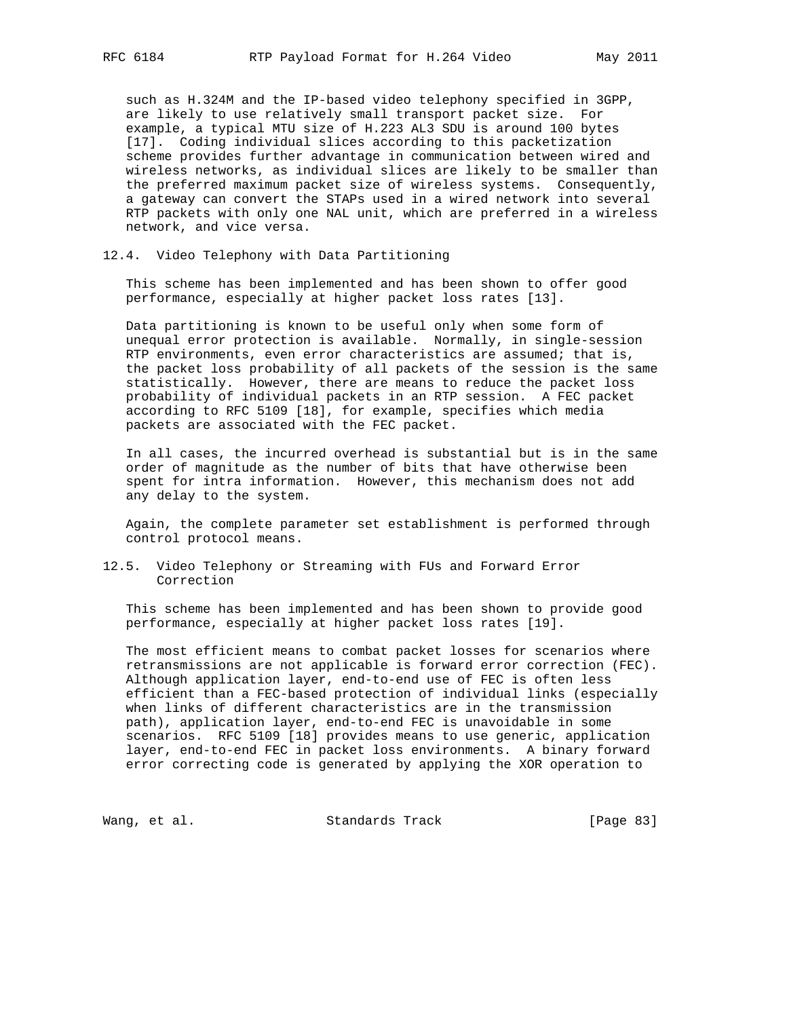such as H.324M and the IP-based video telephony specified in 3GPP, are likely to use relatively small transport packet size. For example, a typical MTU size of H.223 AL3 SDU is around 100 bytes [17]. Coding individual slices according to this packetization scheme provides further advantage in communication between wired and wireless networks, as individual slices are likely to be smaller than the preferred maximum packet size of wireless systems. Consequently, a gateway can convert the STAPs used in a wired network into several RTP packets with only one NAL unit, which are preferred in a wireless network, and vice versa.

12.4. Video Telephony with Data Partitioning

 This scheme has been implemented and has been shown to offer good performance, especially at higher packet loss rates [13].

 Data partitioning is known to be useful only when some form of unequal error protection is available. Normally, in single-session RTP environments, even error characteristics are assumed; that is, the packet loss probability of all packets of the session is the same statistically. However, there are means to reduce the packet loss probability of individual packets in an RTP session. A FEC packet according to RFC 5109 [18], for example, specifies which media packets are associated with the FEC packet.

 In all cases, the incurred overhead is substantial but is in the same order of magnitude as the number of bits that have otherwise been spent for intra information. However, this mechanism does not add any delay to the system.

 Again, the complete parameter set establishment is performed through control protocol means.

12.5. Video Telephony or Streaming with FUs and Forward Error Correction

 This scheme has been implemented and has been shown to provide good performance, especially at higher packet loss rates [19].

 The most efficient means to combat packet losses for scenarios where retransmissions are not applicable is forward error correction (FEC). Although application layer, end-to-end use of FEC is often less efficient than a FEC-based protection of individual links (especially when links of different characteristics are in the transmission path), application layer, end-to-end FEC is unavoidable in some scenarios. RFC 5109 [18] provides means to use generic, application layer, end-to-end FEC in packet loss environments. A binary forward error correcting code is generated by applying the XOR operation to

Wang, et al. Standards Track [Page 83]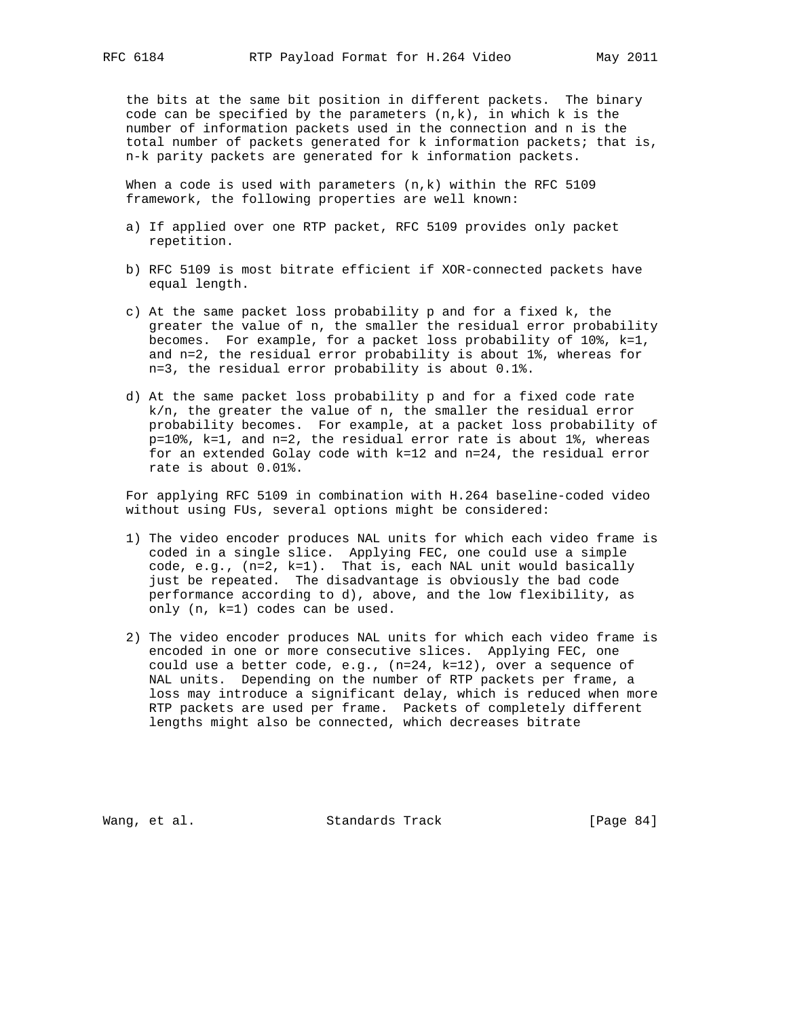the bits at the same bit position in different packets. The binary code can be specified by the parameters  $(n,k)$ , in which k is the number of information packets used in the connection and n is the total number of packets generated for k information packets; that is, n-k parity packets are generated for k information packets.

When a code is used with parameters (n,k) within the RFC 5109 framework, the following properties are well known:

- a) If applied over one RTP packet, RFC 5109 provides only packet repetition.
- b) RFC 5109 is most bitrate efficient if XOR-connected packets have equal length.
- c) At the same packet loss probability p and for a fixed k, the greater the value of n, the smaller the residual error probability becomes. For example, for a packet loss probability of 10%, k=1, and n=2, the residual error probability is about 1%, whereas for n=3, the residual error probability is about 0.1%.
- d) At the same packet loss probability p and for a fixed code rate k/n, the greater the value of n, the smaller the residual error probability becomes. For example, at a packet loss probability of p=10%, k=1, and n=2, the residual error rate is about 1%, whereas for an extended Golay code with k=12 and n=24, the residual error rate is about 0.01%.

 For applying RFC 5109 in combination with H.264 baseline-coded video without using FUs, several options might be considered:

- 1) The video encoder produces NAL units for which each video frame is coded in a single slice. Applying FEC, one could use a simple code, e.g., (n=2, k=1). That is, each NAL unit would basically just be repeated. The disadvantage is obviously the bad code performance according to d), above, and the low flexibility, as only (n, k=1) codes can be used.
- 2) The video encoder produces NAL units for which each video frame is encoded in one or more consecutive slices. Applying FEC, one could use a better code, e.g., (n=24, k=12), over a sequence of NAL units. Depending on the number of RTP packets per frame, a loss may introduce a significant delay, which is reduced when more RTP packets are used per frame. Packets of completely different lengths might also be connected, which decreases bitrate

Wang, et al. Standards Track [Page 84]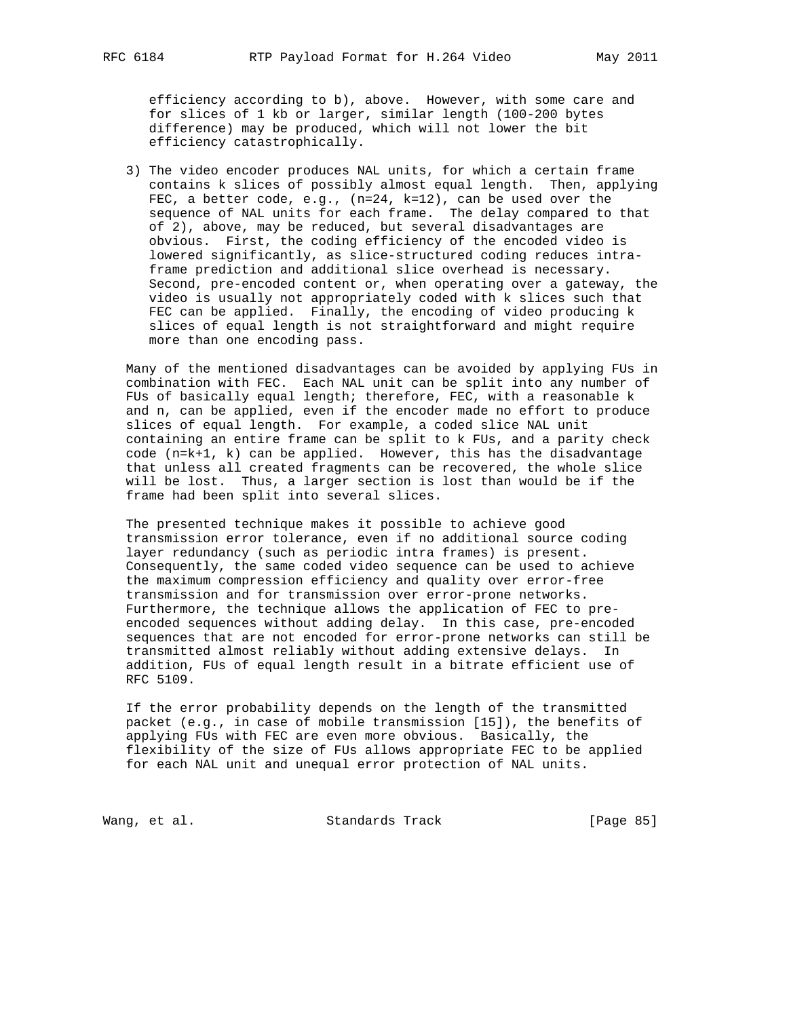efficiency according to b), above. However, with some care and for slices of 1 kb or larger, similar length (100-200 bytes difference) may be produced, which will not lower the bit efficiency catastrophically.

 3) The video encoder produces NAL units, for which a certain frame contains k slices of possibly almost equal length. Then, applying FEC, a better code, e.g., (n=24, k=12), can be used over the sequence of NAL units for each frame. The delay compared to that of 2), above, may be reduced, but several disadvantages are obvious. First, the coding efficiency of the encoded video is lowered significantly, as slice-structured coding reduces intra frame prediction and additional slice overhead is necessary. Second, pre-encoded content or, when operating over a gateway, the video is usually not appropriately coded with k slices such that FEC can be applied. Finally, the encoding of video producing k slices of equal length is not straightforward and might require more than one encoding pass.

 Many of the mentioned disadvantages can be avoided by applying FUs in combination with FEC. Each NAL unit can be split into any number of FUs of basically equal length; therefore, FEC, with a reasonable k and n, can be applied, even if the encoder made no effort to produce slices of equal length. For example, a coded slice NAL unit containing an entire frame can be split to k FUs, and a parity check code (n=k+1, k) can be applied. However, this has the disadvantage that unless all created fragments can be recovered, the whole slice will be lost. Thus, a larger section is lost than would be if the frame had been split into several slices.

 The presented technique makes it possible to achieve good transmission error tolerance, even if no additional source coding layer redundancy (such as periodic intra frames) is present. Consequently, the same coded video sequence can be used to achieve the maximum compression efficiency and quality over error-free transmission and for transmission over error-prone networks. Furthermore, the technique allows the application of FEC to pre encoded sequences without adding delay. In this case, pre-encoded sequences that are not encoded for error-prone networks can still be transmitted almost reliably without adding extensive delays. In addition, FUs of equal length result in a bitrate efficient use of RFC 5109.

 If the error probability depends on the length of the transmitted packet (e.g., in case of mobile transmission [15]), the benefits of applying FUs with FEC are even more obvious. Basically, the flexibility of the size of FUs allows appropriate FEC to be applied for each NAL unit and unequal error protection of NAL units.

Wang, et al. Standards Track [Page 85]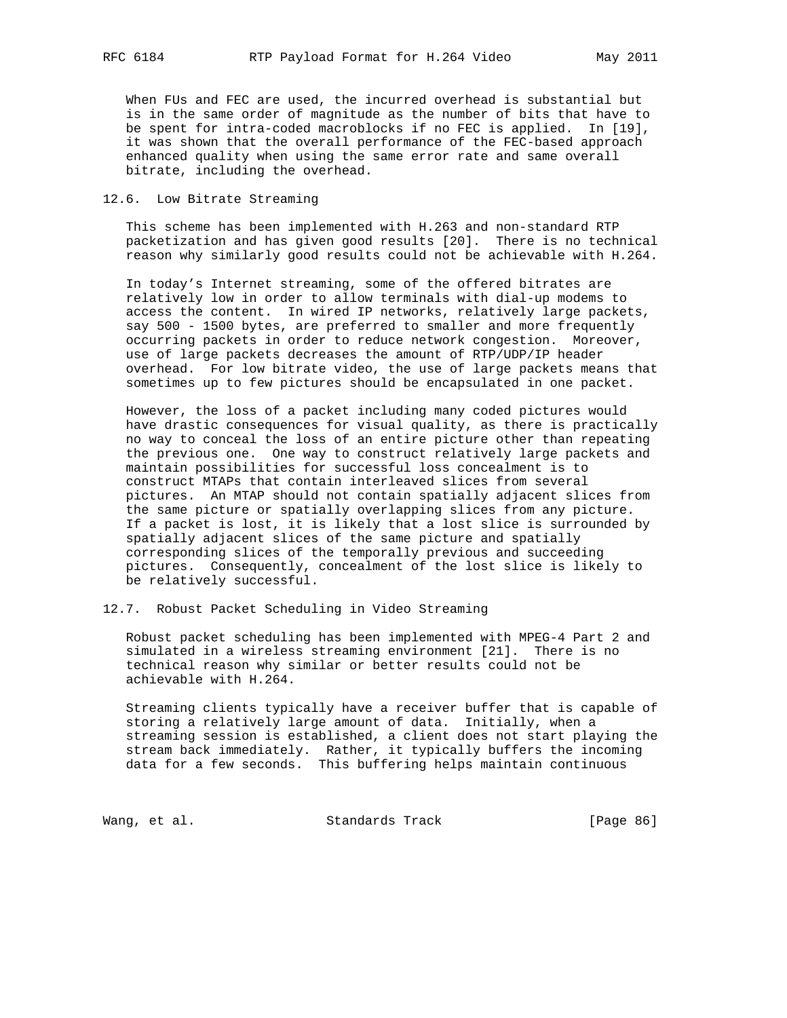When FUs and FEC are used, the incurred overhead is substantial but is in the same order of magnitude as the number of bits that have to be spent for intra-coded macroblocks if no FEC is applied. In [19], it was shown that the overall performance of the FEC-based approach enhanced quality when using the same error rate and same overall bitrate, including the overhead.

## 12.6. Low Bitrate Streaming

 This scheme has been implemented with H.263 and non-standard RTP packetization and has given good results [20]. There is no technical reason why similarly good results could not be achievable with H.264.

 In today's Internet streaming, some of the offered bitrates are relatively low in order to allow terminals with dial-up modems to access the content. In wired IP networks, relatively large packets, say 500 - 1500 bytes, are preferred to smaller and more frequently occurring packets in order to reduce network congestion. Moreover, use of large packets decreases the amount of RTP/UDP/IP header overhead. For low bitrate video, the use of large packets means that sometimes up to few pictures should be encapsulated in one packet.

 However, the loss of a packet including many coded pictures would have drastic consequences for visual quality, as there is practically no way to conceal the loss of an entire picture other than repeating the previous one. One way to construct relatively large packets and maintain possibilities for successful loss concealment is to construct MTAPs that contain interleaved slices from several pictures. An MTAP should not contain spatially adjacent slices from the same picture or spatially overlapping slices from any picture. If a packet is lost, it is likely that a lost slice is surrounded by spatially adjacent slices of the same picture and spatially corresponding slices of the temporally previous and succeeding pictures. Consequently, concealment of the lost slice is likely to be relatively successful.

12.7. Robust Packet Scheduling in Video Streaming

 Robust packet scheduling has been implemented with MPEG-4 Part 2 and simulated in a wireless streaming environment [21]. There is no technical reason why similar or better results could not be achievable with H.264.

 Streaming clients typically have a receiver buffer that is capable of storing a relatively large amount of data. Initially, when a streaming session is established, a client does not start playing the stream back immediately. Rather, it typically buffers the incoming data for a few seconds. This buffering helps maintain continuous

Wang, et al. Standards Track [Page 86]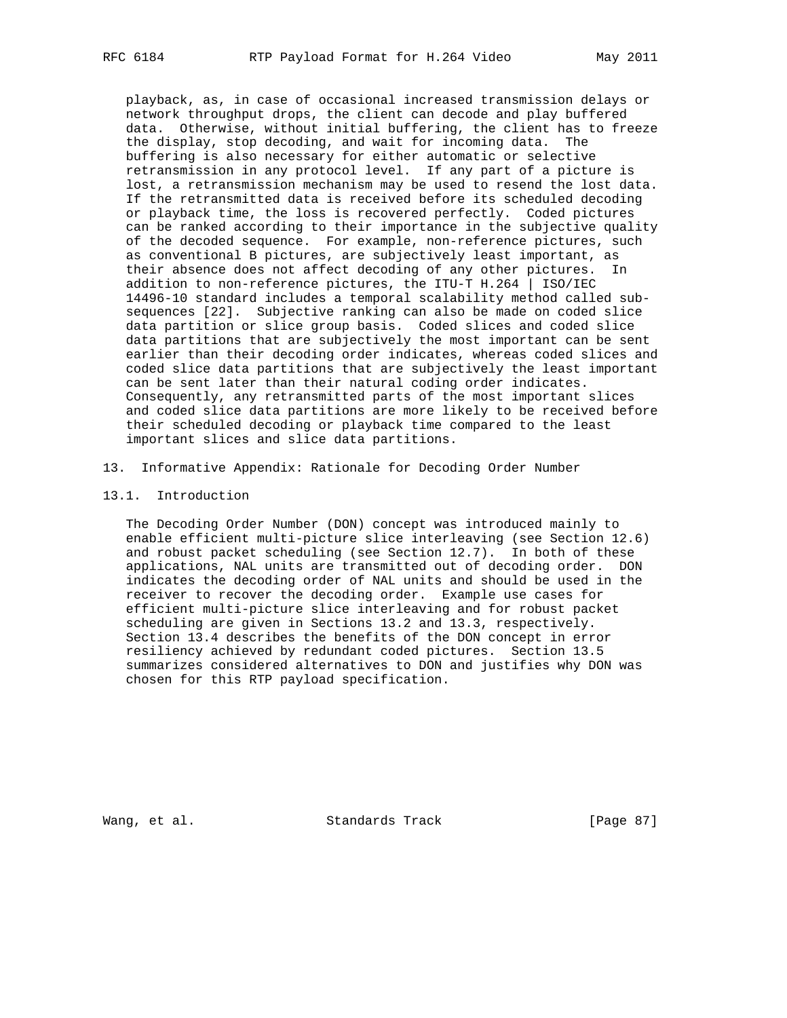playback, as, in case of occasional increased transmission delays or network throughput drops, the client can decode and play buffered data. Otherwise, without initial buffering, the client has to freeze the display, stop decoding, and wait for incoming data. The buffering is also necessary for either automatic or selective retransmission in any protocol level. If any part of a picture is lost, a retransmission mechanism may be used to resend the lost data. If the retransmitted data is received before its scheduled decoding or playback time, the loss is recovered perfectly. Coded pictures can be ranked according to their importance in the subjective quality of the decoded sequence. For example, non-reference pictures, such as conventional B pictures, are subjectively least important, as their absence does not affect decoding of any other pictures. In addition to non-reference pictures, the ITU-T H.264 | ISO/IEC 14496-10 standard includes a temporal scalability method called sub sequences [22]. Subjective ranking can also be made on coded slice data partition or slice group basis. Coded slices and coded slice data partitions that are subjectively the most important can be sent earlier than their decoding order indicates, whereas coded slices and coded slice data partitions that are subjectively the least important can be sent later than their natural coding order indicates. Consequently, any retransmitted parts of the most important slices and coded slice data partitions are more likely to be received before their scheduled decoding or playback time compared to the least important slices and slice data partitions.

- 13. Informative Appendix: Rationale for Decoding Order Number
- 13.1. Introduction

 The Decoding Order Number (DON) concept was introduced mainly to enable efficient multi-picture slice interleaving (see Section 12.6) and robust packet scheduling (see Section 12.7). In both of these applications, NAL units are transmitted out of decoding order. DON indicates the decoding order of NAL units and should be used in the receiver to recover the decoding order. Example use cases for efficient multi-picture slice interleaving and for robust packet scheduling are given in Sections 13.2 and 13.3, respectively. Section 13.4 describes the benefits of the DON concept in error resiliency achieved by redundant coded pictures. Section 13.5 summarizes considered alternatives to DON and justifies why DON was chosen for this RTP payload specification.

Wang, et al. Standards Track [Page 87]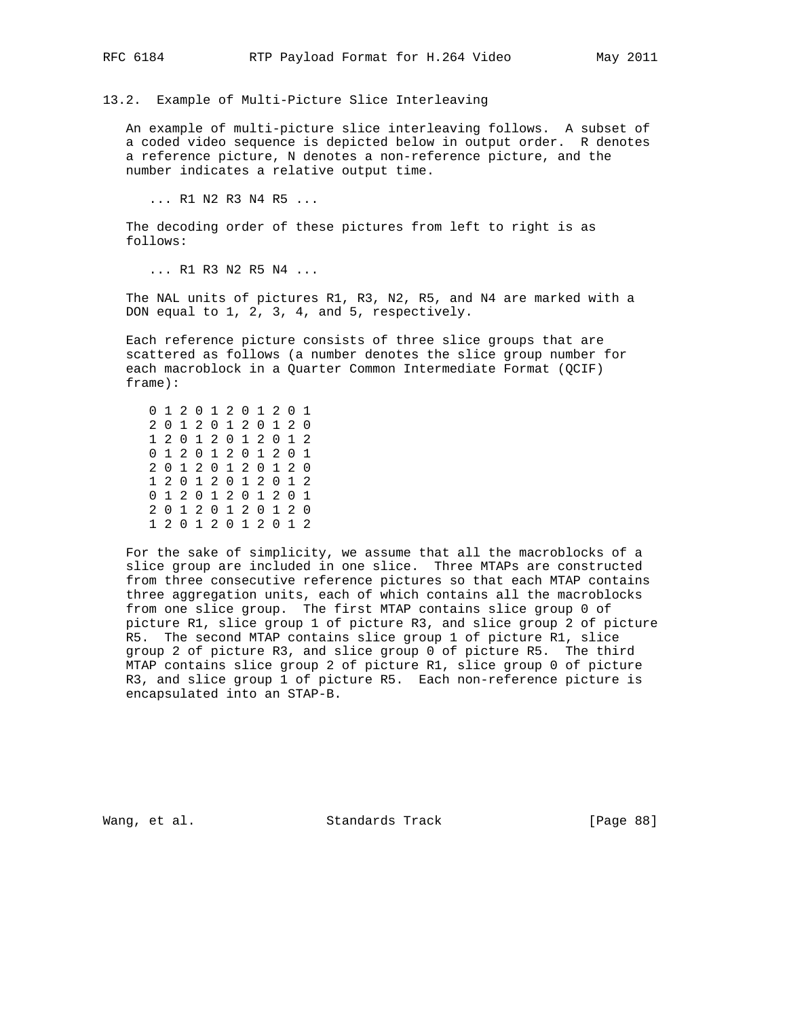13.2. Example of Multi-Picture Slice Interleaving

 An example of multi-picture slice interleaving follows. A subset of a coded video sequence is depicted below in output order. R denotes a reference picture, N denotes a non-reference picture, and the number indicates a relative output time.

... R1 N2 R3 N4 R5 ...

 The decoding order of these pictures from left to right is as follows:

... R1 R3 N2 R5 N4 ...

 The NAL units of pictures R1, R3, N2, R5, and N4 are marked with a DON equal to 1, 2, 3, 4, and 5, respectively.

 Each reference picture consists of three slice groups that are scattered as follows (a number denotes the slice group number for each macroblock in a Quarter Common Intermediate Format (QCIF) frame):

 0 1 2 0 1 2 0 1 2 0 1 2 0 1 2 0 1 2 0 1 2 0 1 2 0 1 2 0 1 2 0 1 2 0 1 2 0 1 2 0 1 2 0 1 2 0 1 2 0 1 2 0 1 2 0 1 2 0 1 2 0 1 2 0 1 2 0 1 2 0 1 2 0 1 2 0 1 2 0 1 2 0 1 2 0 1 2 0 1 2 0 1 2 0 1 2 0 1 2

 For the sake of simplicity, we assume that all the macroblocks of a slice group are included in one slice. Three MTAPs are constructed from three consecutive reference pictures so that each MTAP contains three aggregation units, each of which contains all the macroblocks from one slice group. The first MTAP contains slice group 0 of picture R1, slice group 1 of picture R3, and slice group 2 of picture R5. The second MTAP contains slice group 1 of picture R1, slice group 2 of picture R3, and slice group 0 of picture R5. The third MTAP contains slice group 2 of picture R1, slice group 0 of picture R3, and slice group 1 of picture R5. Each non-reference picture is encapsulated into an STAP-B.

Wang, et al. Standards Track [Page 88]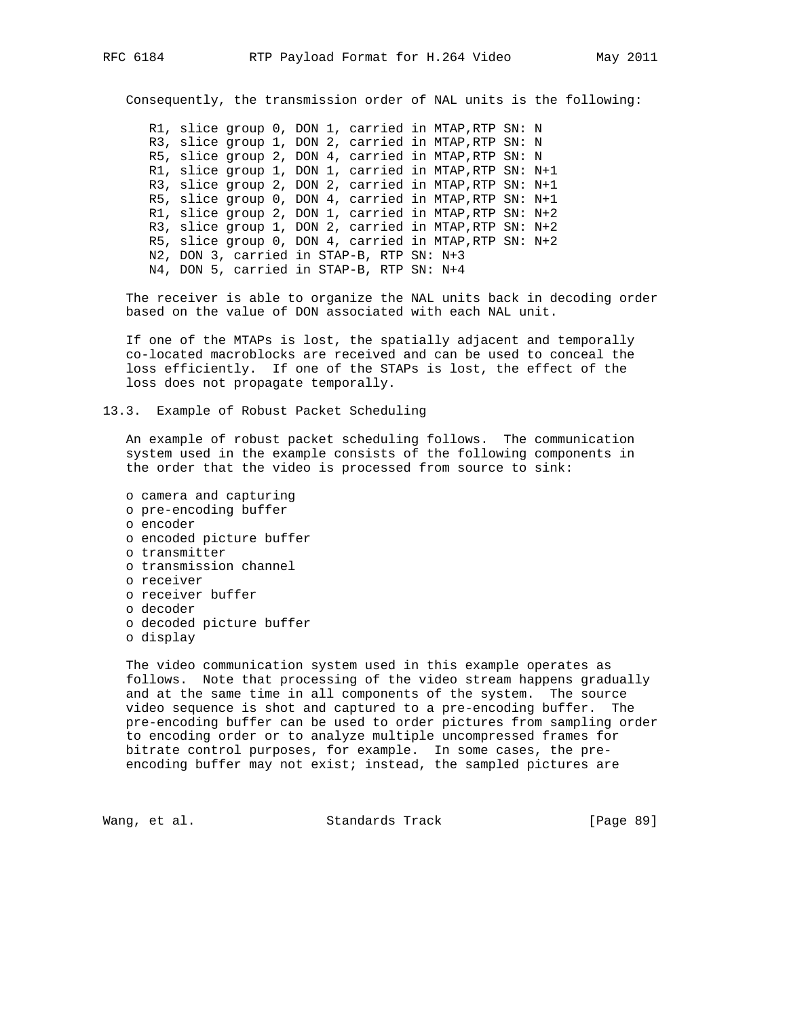Consequently, the transmission order of NAL units is the following:

 R1, slice group 0, DON 1, carried in MTAP,RTP SN: N R3, slice group 1, DON 2, carried in MTAP,RTP SN: N R5, slice group 2, DON 4, carried in MTAP,RTP SN: N R1, slice group 1, DON 1, carried in MTAP,RTP SN: N+1 R3, slice group 2, DON 2, carried in MTAP,RTP SN: N+1 R5, slice group 0, DON 4, carried in MTAP,RTP SN: N+1 R1, slice group 2, DON 1, carried in MTAP,RTP SN: N+2 R3, slice group 1, DON 2, carried in MTAP,RTP SN: N+2 R5, slice group 0, DON 4, carried in MTAP,RTP SN: N+2 N2, DON 3, carried in STAP-B, RTP SN: N+3 N4, DON 5, carried in STAP-B, RTP SN: N+4

 The receiver is able to organize the NAL units back in decoding order based on the value of DON associated with each NAL unit.

 If one of the MTAPs is lost, the spatially adjacent and temporally co-located macroblocks are received and can be used to conceal the loss efficiently. If one of the STAPs is lost, the effect of the loss does not propagate temporally.

13.3. Example of Robust Packet Scheduling

 An example of robust packet scheduling follows. The communication system used in the example consists of the following components in the order that the video is processed from source to sink:

 o camera and capturing o pre-encoding buffer o encoder o encoded picture buffer o transmitter o transmission channel o receiver o receiver buffer o decoder o decoded picture buffer o display

 The video communication system used in this example operates as follows. Note that processing of the video stream happens gradually and at the same time in all components of the system. The source video sequence is shot and captured to a pre-encoding buffer. The pre-encoding buffer can be used to order pictures from sampling order to encoding order or to analyze multiple uncompressed frames for bitrate control purposes, for example. In some cases, the pre encoding buffer may not exist; instead, the sampled pictures are

Wang, et al. Standards Track [Page 89]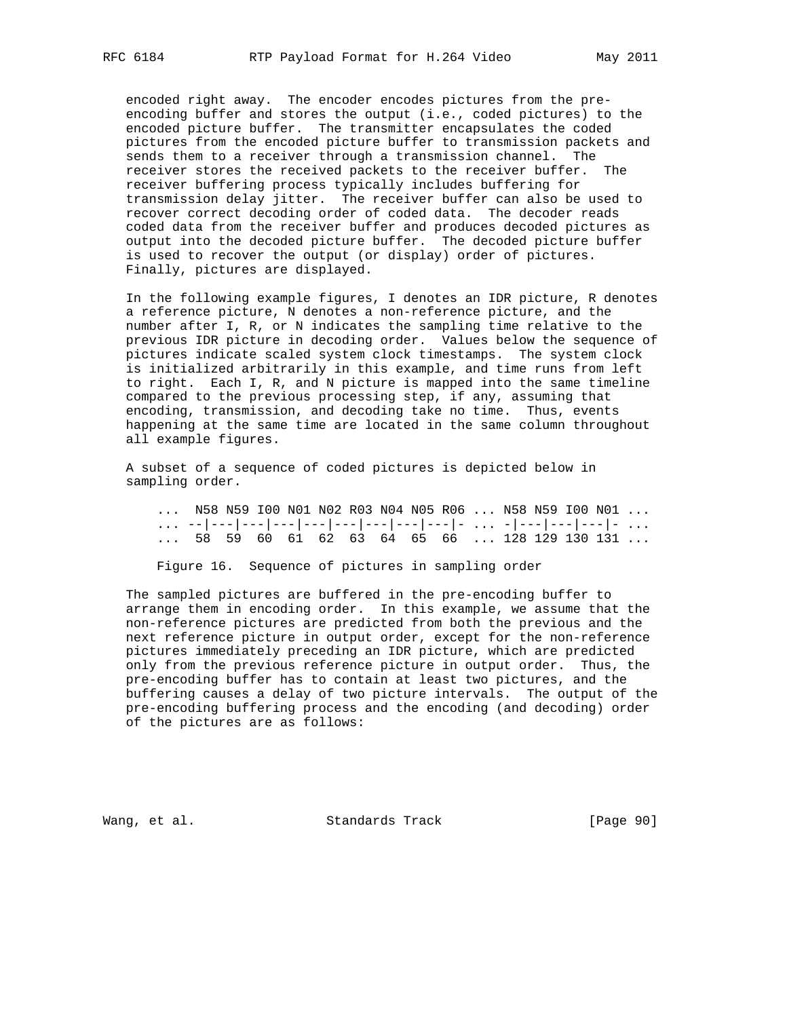encoded right away. The encoder encodes pictures from the pre encoding buffer and stores the output (i.e., coded pictures) to the encoded picture buffer. The transmitter encapsulates the coded pictures from the encoded picture buffer to transmission packets and sends them to a receiver through a transmission channel. The receiver stores the received packets to the receiver buffer. The receiver buffering process typically includes buffering for transmission delay jitter. The receiver buffer can also be used to recover correct decoding order of coded data. The decoder reads coded data from the receiver buffer and produces decoded pictures as output into the decoded picture buffer. The decoded picture buffer is used to recover the output (or display) order of pictures. Finally, pictures are displayed.

 In the following example figures, I denotes an IDR picture, R denotes a reference picture, N denotes a non-reference picture, and the number after I, R, or N indicates the sampling time relative to the previous IDR picture in decoding order. Values below the sequence of pictures indicate scaled system clock timestamps. The system clock is initialized arbitrarily in this example, and time runs from left to right. Each I, R, and N picture is mapped into the same timeline compared to the previous processing step, if any, assuming that encoding, transmission, and decoding take no time. Thus, events happening at the same time are located in the same column throughout all example figures.

 A subset of a sequence of coded pictures is depicted below in sampling order.

| N58  N59  IOO  NO1  NO2  RO3  NO4  NO5  RO6    N58  N59  IOO  NO1 |  |  |  |  |  |  |  |
|-------------------------------------------------------------------|--|--|--|--|--|--|--|
|                                                                   |  |  |  |  |  |  |  |
| 58 59 60 61 62 63 64 65 66 128 129 130 131                        |  |  |  |  |  |  |  |

Figure 16. Sequence of pictures in sampling order

 The sampled pictures are buffered in the pre-encoding buffer to arrange them in encoding order. In this example, we assume that the non-reference pictures are predicted from both the previous and the next reference picture in output order, except for the non-reference pictures immediately preceding an IDR picture, which are predicted only from the previous reference picture in output order. Thus, the pre-encoding buffer has to contain at least two pictures, and the buffering causes a delay of two picture intervals. The output of the pre-encoding buffering process and the encoding (and decoding) order of the pictures are as follows:

Wang, et al. Standards Track [Page 90]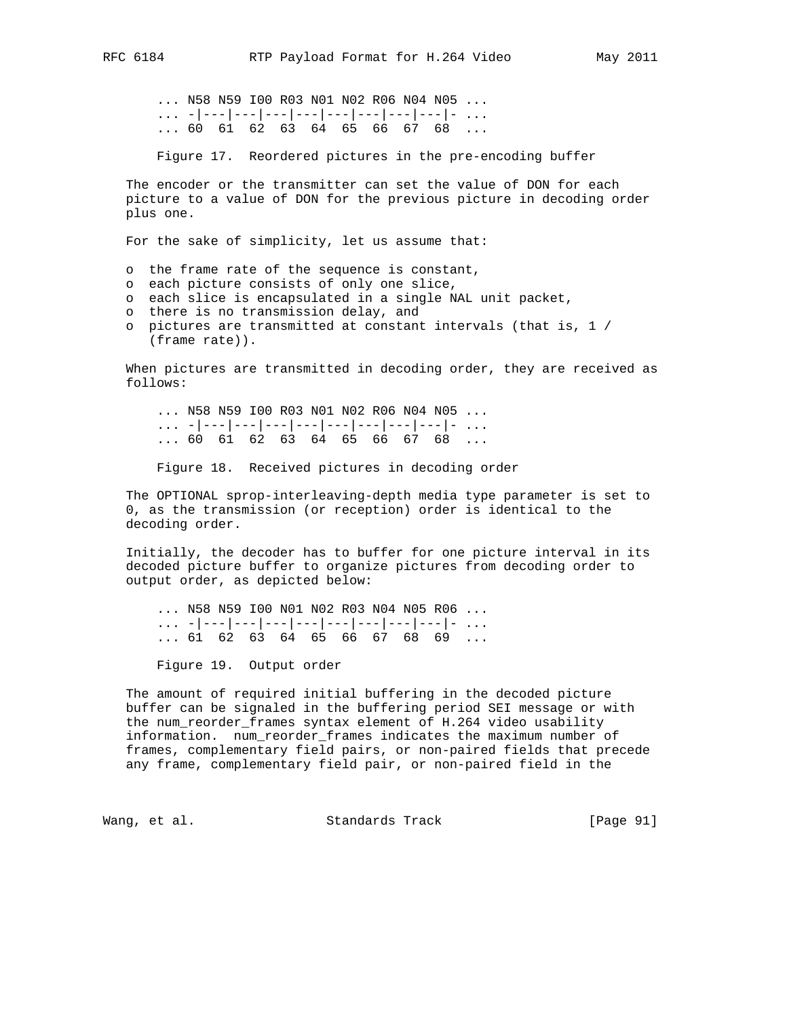... N58 N59 I00 R03 N01 N02 R06 N04 N05 ... ... -|---|---|---|---|---|---|---|---|- ...  $\ldots$  60 61 62 63 64 65 66 67 68  $\ldots$ 

Figure 17. Reordered pictures in the pre-encoding buffer

 The encoder or the transmitter can set the value of DON for each picture to a value of DON for the previous picture in decoding order plus one.

For the sake of simplicity, let us assume that:

o the frame rate of the sequence is constant,

- o each picture consists of only one slice,
- o each slice is encapsulated in a single NAL unit packet,
- o there is no transmission delay, and
- o pictures are transmitted at constant intervals (that is, 1 / (frame rate)).

 When pictures are transmitted in decoding order, they are received as follows:

 ... N58 N59 I00 R03 N01 N02 R06 N04 N05 ... ... -|---|---|---|---|---|---|---|---|- ... ... 60 61 62 63 64 65 66 67 68 ...

Figure 18. Received pictures in decoding order

 The OPTIONAL sprop-interleaving-depth media type parameter is set to 0, as the transmission (or reception) order is identical to the decoding order.

 Initially, the decoder has to buffer for one picture interval in its decoded picture buffer to organize pictures from decoding order to output order, as depicted below:

 ... N58 N59 I00 N01 N02 R03 N04 N05 R06 ... ... -|---|---|---|---|---|---|---|---|- ...  $\ldots$  61 62 63 64 65 66 67 68 69  $\ldots$ 

Figure 19. Output order

 The amount of required initial buffering in the decoded picture buffer can be signaled in the buffering period SEI message or with the num\_reorder\_frames syntax element of H.264 video usability information. num\_reorder\_frames indicates the maximum number of frames, complementary field pairs, or non-paired fields that precede any frame, complementary field pair, or non-paired field in the

Wang, et al. Standards Track [Page 91]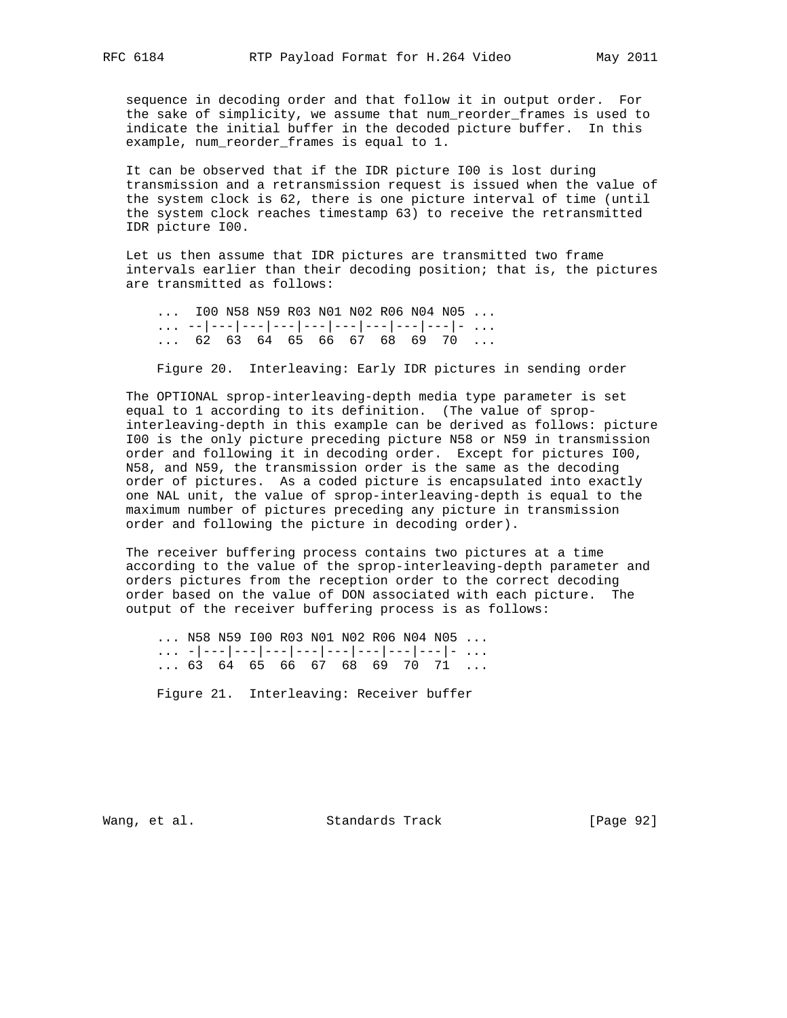sequence in decoding order and that follow it in output order. For the sake of simplicity, we assume that num\_reorder\_frames is used to indicate the initial buffer in the decoded picture buffer. In this example, num reorder frames is equal to 1.

 It can be observed that if the IDR picture I00 is lost during transmission and a retransmission request is issued when the value of the system clock is 62, there is one picture interval of time (until the system clock reaches timestamp 63) to receive the retransmitted IDR picture I00.

 Let us then assume that IDR pictures are transmitted two frame intervals earlier than their decoding position; that is, the pictures are transmitted as follows:

```
 ... I00 N58 N59 R03 N01 N02 R06 N04 N05 ...
... --|---|---|---|---|---|---|---|---|- ...
... 62 63 64 65 66 67 68 69 70 ...
```
Figure 20. Interleaving: Early IDR pictures in sending order

 The OPTIONAL sprop-interleaving-depth media type parameter is set equal to 1 according to its definition. (The value of sprop interleaving-depth in this example can be derived as follows: picture I00 is the only picture preceding picture N58 or N59 in transmission order and following it in decoding order. Except for pictures I00, N58, and N59, the transmission order is the same as the decoding order of pictures. As a coded picture is encapsulated into exactly one NAL unit, the value of sprop-interleaving-depth is equal to the maximum number of pictures preceding any picture in transmission order and following the picture in decoding order).

 The receiver buffering process contains two pictures at a time according to the value of the sprop-interleaving-depth parameter and orders pictures from the reception order to the correct decoding order based on the value of DON associated with each picture. The output of the receiver buffering process is as follows:

 ... N58 N59 I00 R03 N01 N02 R06 N04 N05 ... ... -|---|---|---|---|---|---|---|---|- ... ... 63 64 65 66 67 68 69 70 71 ...

Figure 21. Interleaving: Receiver buffer

Wang, et al. Standards Track [Page 92]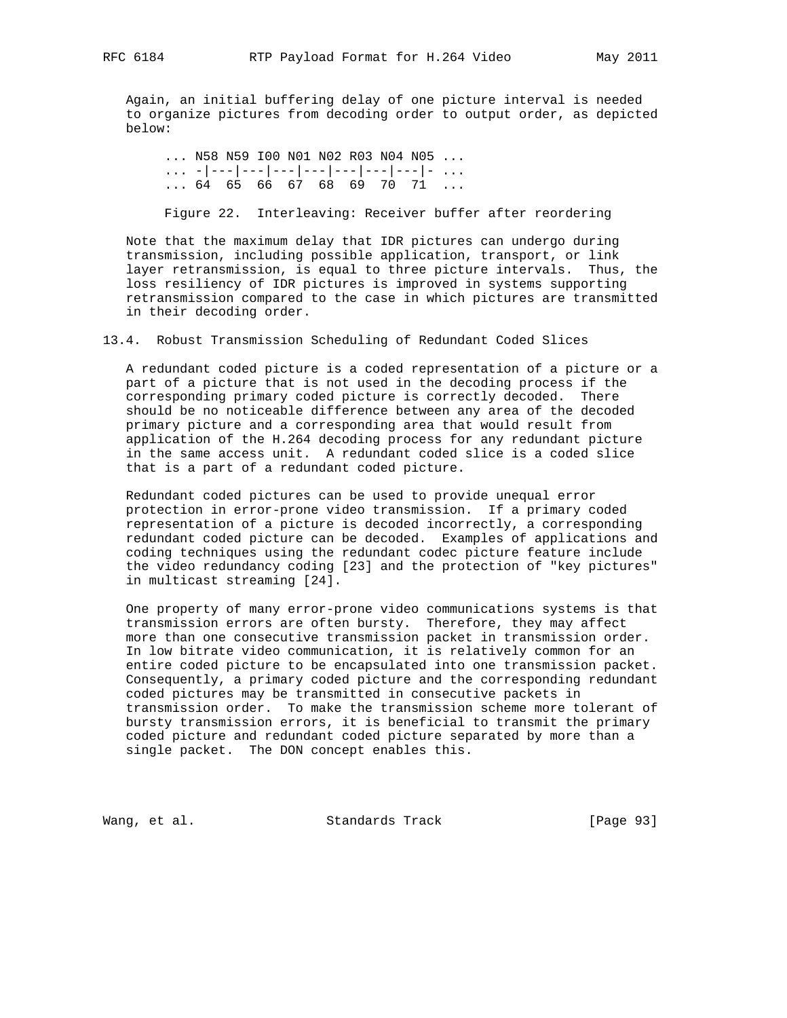Again, an initial buffering delay of one picture interval is needed to organize pictures from decoding order to output order, as depicted below:

 ... N58 N59 I00 N01 N02 R03 N04 N05 ... ... -|---|---|---|---|---|---|---|- ... ... 64 65 66 67 68 69 70 71 ...

Figure 22. Interleaving: Receiver buffer after reordering

 Note that the maximum delay that IDR pictures can undergo during transmission, including possible application, transport, or link layer retransmission, is equal to three picture intervals. Thus, the loss resiliency of IDR pictures is improved in systems supporting retransmission compared to the case in which pictures are transmitted in their decoding order.

13.4. Robust Transmission Scheduling of Redundant Coded Slices

 A redundant coded picture is a coded representation of a picture or a part of a picture that is not used in the decoding process if the corresponding primary coded picture is correctly decoded. There should be no noticeable difference between any area of the decoded primary picture and a corresponding area that would result from application of the H.264 decoding process for any redundant picture in the same access unit. A redundant coded slice is a coded slice that is a part of a redundant coded picture.

 Redundant coded pictures can be used to provide unequal error protection in error-prone video transmission. If a primary coded representation of a picture is decoded incorrectly, a corresponding redundant coded picture can be decoded. Examples of applications and coding techniques using the redundant codec picture feature include the video redundancy coding [23] and the protection of "key pictures" in multicast streaming [24].

 One property of many error-prone video communications systems is that transmission errors are often bursty. Therefore, they may affect more than one consecutive transmission packet in transmission order. In low bitrate video communication, it is relatively common for an entire coded picture to be encapsulated into one transmission packet. Consequently, a primary coded picture and the corresponding redundant coded pictures may be transmitted in consecutive packets in transmission order. To make the transmission scheme more tolerant of bursty transmission errors, it is beneficial to transmit the primary coded picture and redundant coded picture separated by more than a single packet. The DON concept enables this.

Wang, et al. Standards Track [Page 93]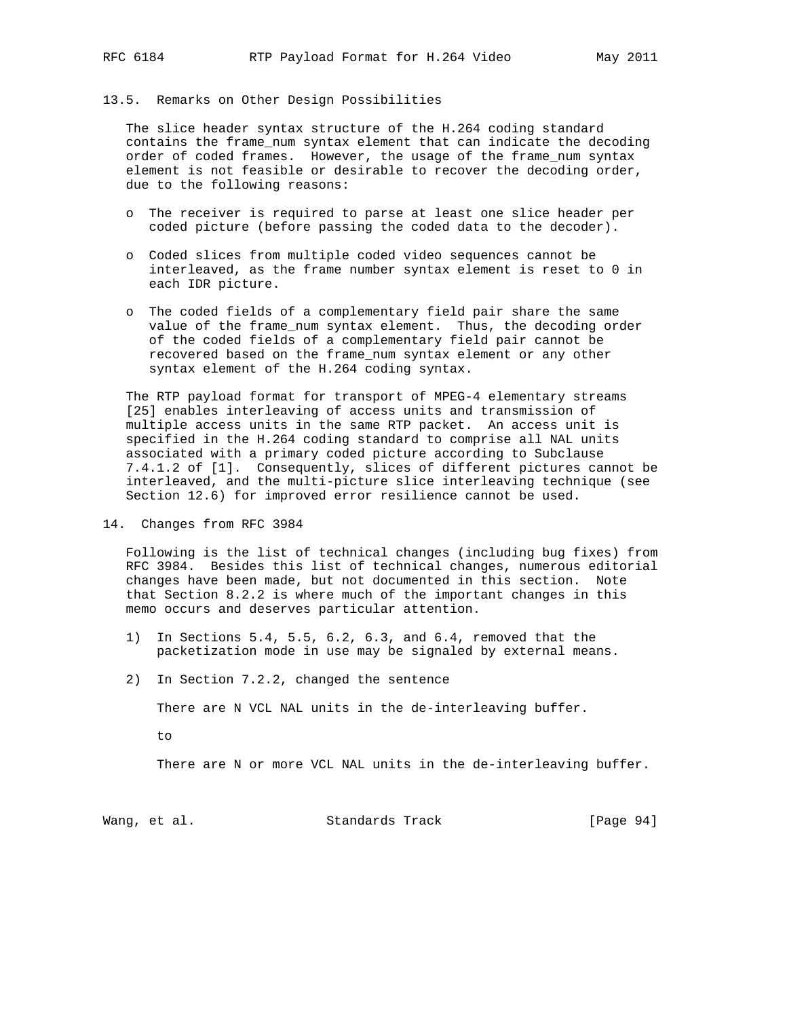## 13.5. Remarks on Other Design Possibilities

 The slice header syntax structure of the H.264 coding standard contains the frame\_num syntax element that can indicate the decoding order of coded frames. However, the usage of the frame\_num syntax element is not feasible or desirable to recover the decoding order, due to the following reasons:

- o The receiver is required to parse at least one slice header per coded picture (before passing the coded data to the decoder).
- o Coded slices from multiple coded video sequences cannot be interleaved, as the frame number syntax element is reset to 0 in each IDR picture.
- o The coded fields of a complementary field pair share the same value of the frame\_num syntax element. Thus, the decoding order of the coded fields of a complementary field pair cannot be recovered based on the frame\_num syntax element or any other syntax element of the H.264 coding syntax.

 The RTP payload format for transport of MPEG-4 elementary streams [25] enables interleaving of access units and transmission of multiple access units in the same RTP packet. An access unit is specified in the H.264 coding standard to comprise all NAL units associated with a primary coded picture according to Subclause 7.4.1.2 of [1]. Consequently, slices of different pictures cannot be interleaved, and the multi-picture slice interleaving technique (see Section 12.6) for improved error resilience cannot be used.

14. Changes from RFC 3984

 Following is the list of technical changes (including bug fixes) from RFC 3984. Besides this list of technical changes, numerous editorial changes have been made, but not documented in this section. Note that Section 8.2.2 is where much of the important changes in this memo occurs and deserves particular attention.

- 1) In Sections 5.4, 5.5, 6.2, 6.3, and 6.4, removed that the packetization mode in use may be signaled by external means.
- 2) In Section 7.2.2, changed the sentence

There are N VCL NAL units in the de-interleaving buffer.

to

There are N or more VCL NAL units in the de-interleaving buffer.

Wang, et al. Standards Track [Page 94]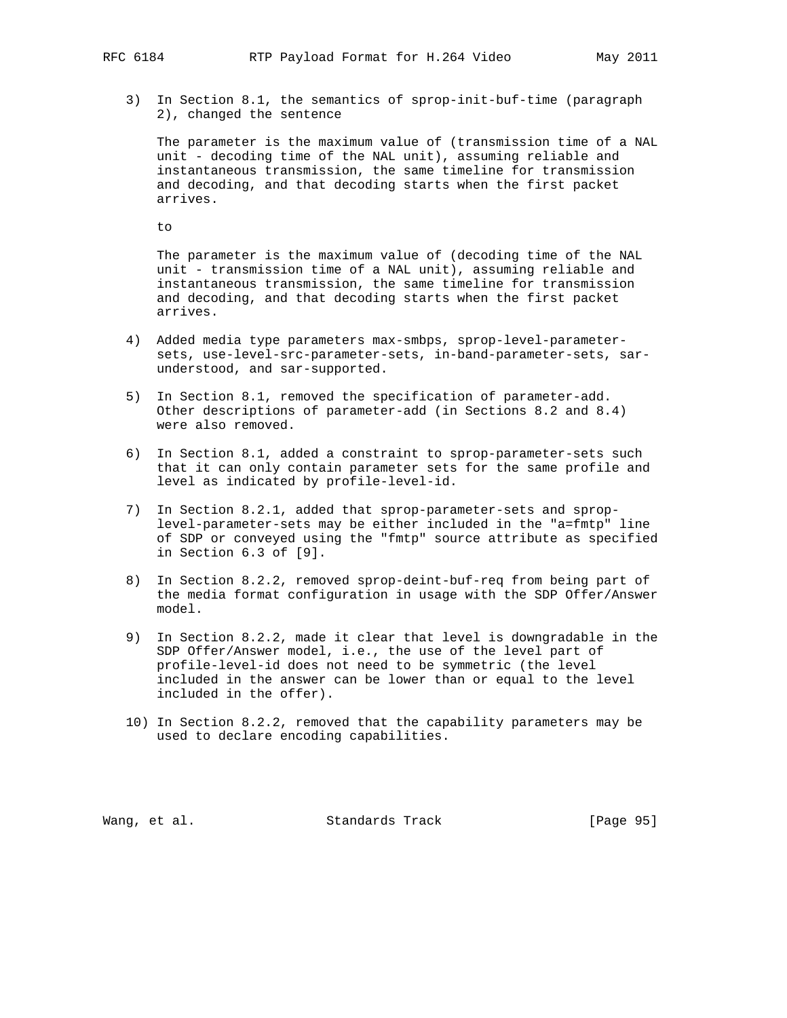3) In Section 8.1, the semantics of sprop-init-buf-time (paragraph 2), changed the sentence

 The parameter is the maximum value of (transmission time of a NAL unit - decoding time of the NAL unit), assuming reliable and instantaneous transmission, the same timeline for transmission and decoding, and that decoding starts when the first packet arrives.

to

 The parameter is the maximum value of (decoding time of the NAL unit - transmission time of a NAL unit), assuming reliable and instantaneous transmission, the same timeline for transmission and decoding, and that decoding starts when the first packet arrives.

- 4) Added media type parameters max-smbps, sprop-level-parameter sets, use-level-src-parameter-sets, in-band-parameter-sets, sar understood, and sar-supported.
- 5) In Section 8.1, removed the specification of parameter-add. Other descriptions of parameter-add (in Sections 8.2 and 8.4) were also removed.
- 6) In Section 8.1, added a constraint to sprop-parameter-sets such that it can only contain parameter sets for the same profile and level as indicated by profile-level-id.
- 7) In Section 8.2.1, added that sprop-parameter-sets and sprop level-parameter-sets may be either included in the "a=fmtp" line of SDP or conveyed using the "fmtp" source attribute as specified in Section 6.3 of [9].
- 8) In Section 8.2.2, removed sprop-deint-buf-req from being part of the media format configuration in usage with the SDP Offer/Answer model.
- 9) In Section 8.2.2, made it clear that level is downgradable in the SDP Offer/Answer model, i.e., the use of the level part of profile-level-id does not need to be symmetric (the level included in the answer can be lower than or equal to the level included in the offer).
- 10) In Section 8.2.2, removed that the capability parameters may be used to declare encoding capabilities.

Wang, et al. Standards Track [Page 95]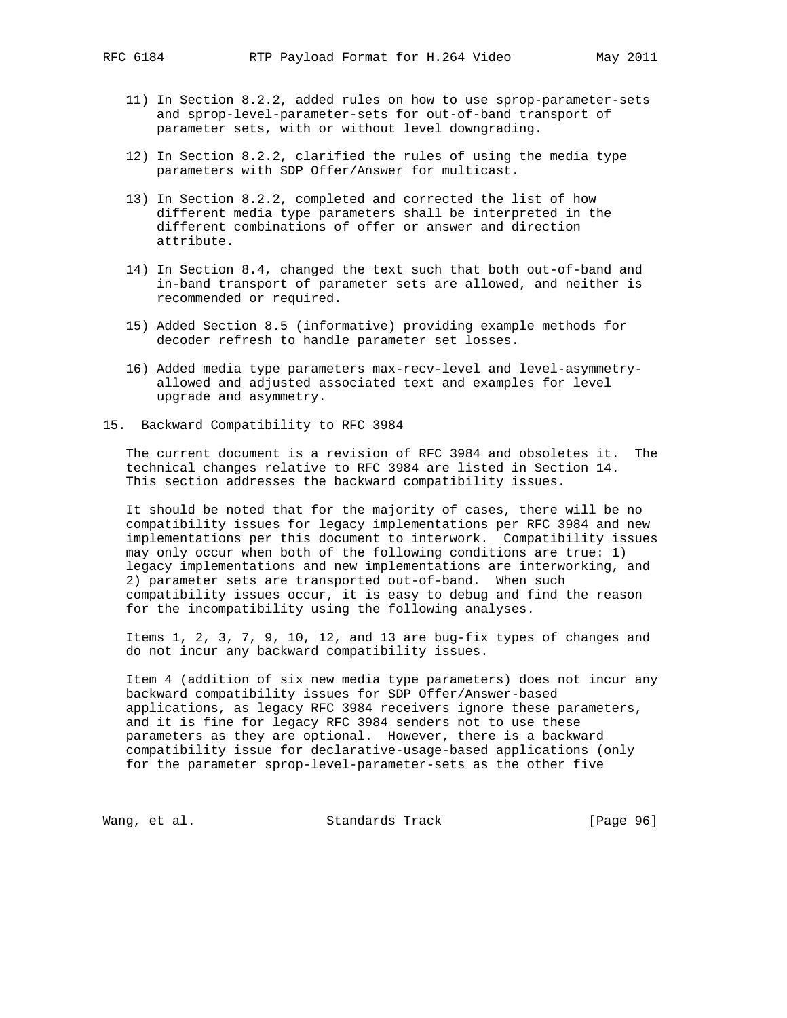- 11) In Section 8.2.2, added rules on how to use sprop-parameter-sets and sprop-level-parameter-sets for out-of-band transport of parameter sets, with or without level downgrading.
- 12) In Section 8.2.2, clarified the rules of using the media type parameters with SDP Offer/Answer for multicast.
- 13) In Section 8.2.2, completed and corrected the list of how different media type parameters shall be interpreted in the different combinations of offer or answer and direction attribute.
- 14) In Section 8.4, changed the text such that both out-of-band and in-band transport of parameter sets are allowed, and neither is recommended or required.
- 15) Added Section 8.5 (informative) providing example methods for decoder refresh to handle parameter set losses.
- 16) Added media type parameters max-recv-level and level-asymmetry allowed and adjusted associated text and examples for level upgrade and asymmetry.
- 15. Backward Compatibility to RFC 3984

 The current document is a revision of RFC 3984 and obsoletes it. The technical changes relative to RFC 3984 are listed in Section 14. This section addresses the backward compatibility issues.

 It should be noted that for the majority of cases, there will be no compatibility issues for legacy implementations per RFC 3984 and new implementations per this document to interwork. Compatibility issues may only occur when both of the following conditions are true: 1) legacy implementations and new implementations are interworking, and 2) parameter sets are transported out-of-band. When such compatibility issues occur, it is easy to debug and find the reason for the incompatibility using the following analyses.

 Items 1, 2, 3, 7, 9, 10, 12, and 13 are bug-fix types of changes and do not incur any backward compatibility issues.

 Item 4 (addition of six new media type parameters) does not incur any backward compatibility issues for SDP Offer/Answer-based applications, as legacy RFC 3984 receivers ignore these parameters, and it is fine for legacy RFC 3984 senders not to use these parameters as they are optional. However, there is a backward compatibility issue for declarative-usage-based applications (only for the parameter sprop-level-parameter-sets as the other five

Wang, et al. Standards Track [Page 96]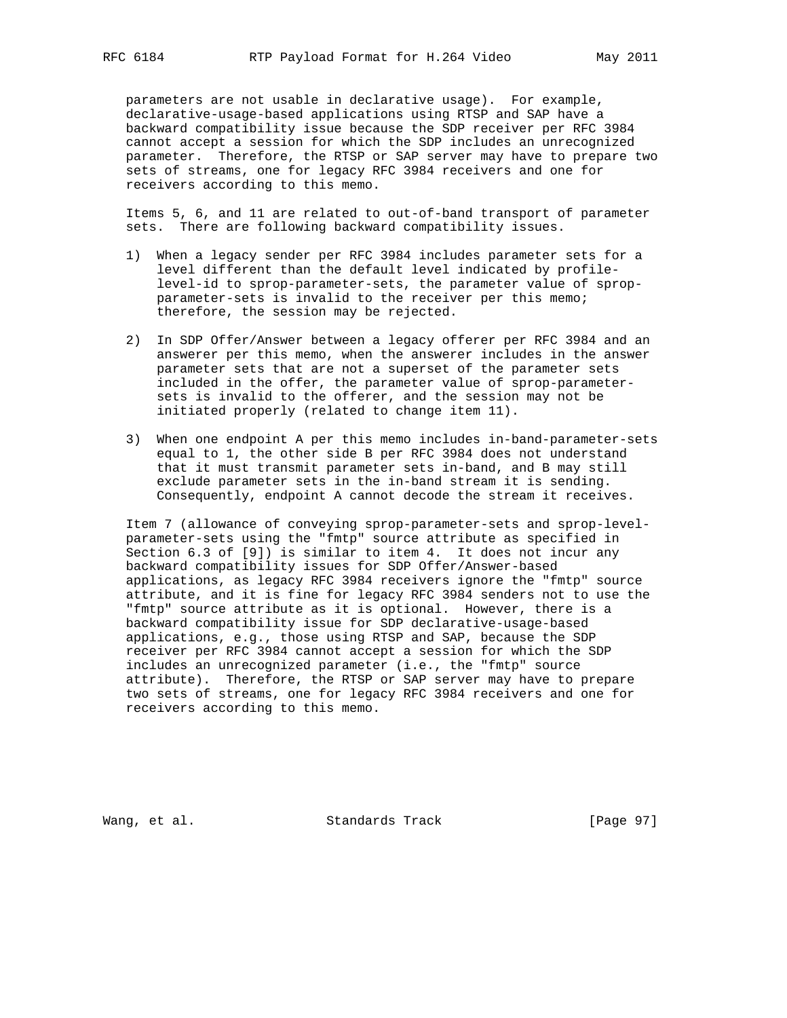parameters are not usable in declarative usage). For example, declarative-usage-based applications using RTSP and SAP have a backward compatibility issue because the SDP receiver per RFC 3984 cannot accept a session for which the SDP includes an unrecognized parameter. Therefore, the RTSP or SAP server may have to prepare two sets of streams, one for legacy RFC 3984 receivers and one for receivers according to this memo.

 Items 5, 6, and 11 are related to out-of-band transport of parameter sets. There are following backward compatibility issues.

- 1) When a legacy sender per RFC 3984 includes parameter sets for a level different than the default level indicated by profile level-id to sprop-parameter-sets, the parameter value of sprop parameter-sets is invalid to the receiver per this memo; therefore, the session may be rejected.
- 2) In SDP Offer/Answer between a legacy offerer per RFC 3984 and an answerer per this memo, when the answerer includes in the answer parameter sets that are not a superset of the parameter sets included in the offer, the parameter value of sprop-parameter sets is invalid to the offerer, and the session may not be initiated properly (related to change item 11).
- 3) When one endpoint A per this memo includes in-band-parameter-sets equal to 1, the other side B per RFC 3984 does not understand that it must transmit parameter sets in-band, and B may still exclude parameter sets in the in-band stream it is sending. Consequently, endpoint A cannot decode the stream it receives.

 Item 7 (allowance of conveying sprop-parameter-sets and sprop-level parameter-sets using the "fmtp" source attribute as specified in Section 6.3 of [9]) is similar to item 4. It does not incur any backward compatibility issues for SDP Offer/Answer-based applications, as legacy RFC 3984 receivers ignore the "fmtp" source attribute, and it is fine for legacy RFC 3984 senders not to use the "fmtp" source attribute as it is optional. However, there is a backward compatibility issue for SDP declarative-usage-based applications, e.g., those using RTSP and SAP, because the SDP receiver per RFC 3984 cannot accept a session for which the SDP includes an unrecognized parameter (i.e., the "fmtp" source attribute). Therefore, the RTSP or SAP server may have to prepare two sets of streams, one for legacy RFC 3984 receivers and one for receivers according to this memo.

Wang, et al. Standards Track [Page 97]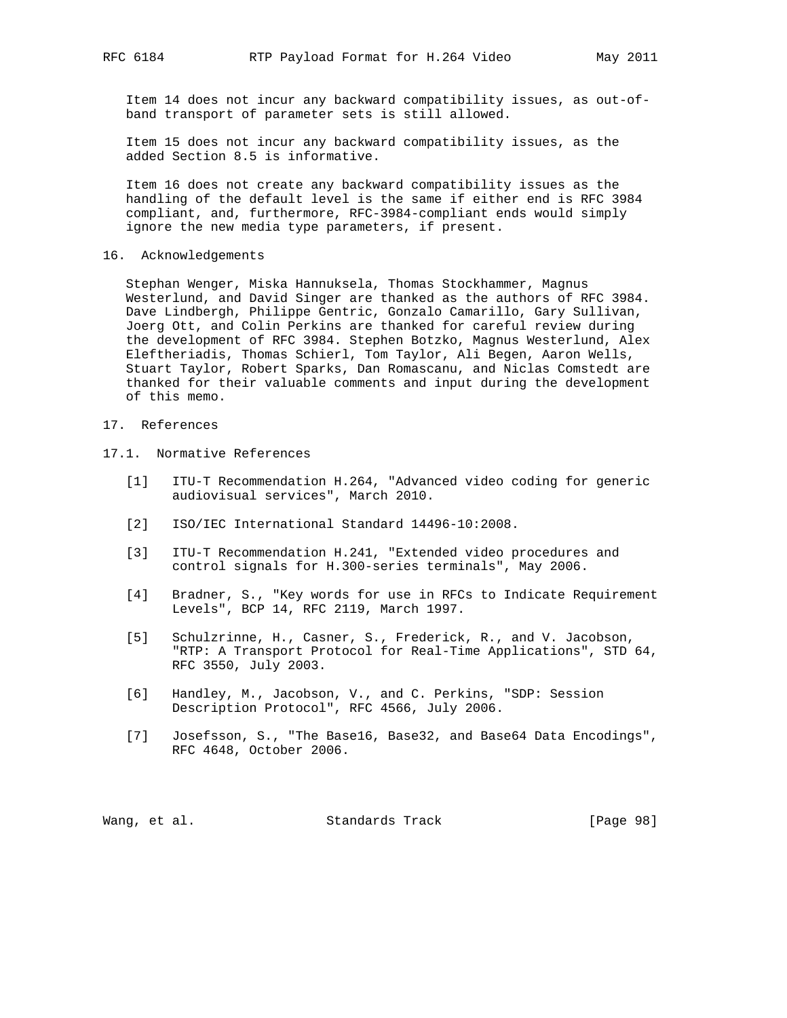Item 14 does not incur any backward compatibility issues, as out-of band transport of parameter sets is still allowed.

 Item 15 does not incur any backward compatibility issues, as the added Section 8.5 is informative.

 Item 16 does not create any backward compatibility issues as the handling of the default level is the same if either end is RFC 3984 compliant, and, furthermore, RFC-3984-compliant ends would simply ignore the new media type parameters, if present.

16. Acknowledgements

 Stephan Wenger, Miska Hannuksela, Thomas Stockhammer, Magnus Westerlund, and David Singer are thanked as the authors of RFC 3984. Dave Lindbergh, Philippe Gentric, Gonzalo Camarillo, Gary Sullivan, Joerg Ott, and Colin Perkins are thanked for careful review during the development of RFC 3984. Stephen Botzko, Magnus Westerlund, Alex Eleftheriadis, Thomas Schierl, Tom Taylor, Ali Begen, Aaron Wells, Stuart Taylor, Robert Sparks, Dan Romascanu, and Niclas Comstedt are thanked for their valuable comments and input during the development of this memo.

- 17. References
- 17.1. Normative References
	- [1] ITU-T Recommendation H.264, "Advanced video coding for generic audiovisual services", March 2010.
	- [2] ISO/IEC International Standard 14496-10:2008.
	- [3] ITU-T Recommendation H.241, "Extended video procedures and control signals for H.300-series terminals", May 2006.
	- [4] Bradner, S., "Key words for use in RFCs to Indicate Requirement Levels", BCP 14, RFC 2119, March 1997.
	- [5] Schulzrinne, H., Casner, S., Frederick, R., and V. Jacobson, "RTP: A Transport Protocol for Real-Time Applications", STD 64, RFC 3550, July 2003.
	- [6] Handley, M., Jacobson, V., and C. Perkins, "SDP: Session Description Protocol", RFC 4566, July 2006.
	- [7] Josefsson, S., "The Base16, Base32, and Base64 Data Encodings", RFC 4648, October 2006.

|  | Wang, et al. | Standards Track | [Page 98] |
|--|--------------|-----------------|-----------|
|--|--------------|-----------------|-----------|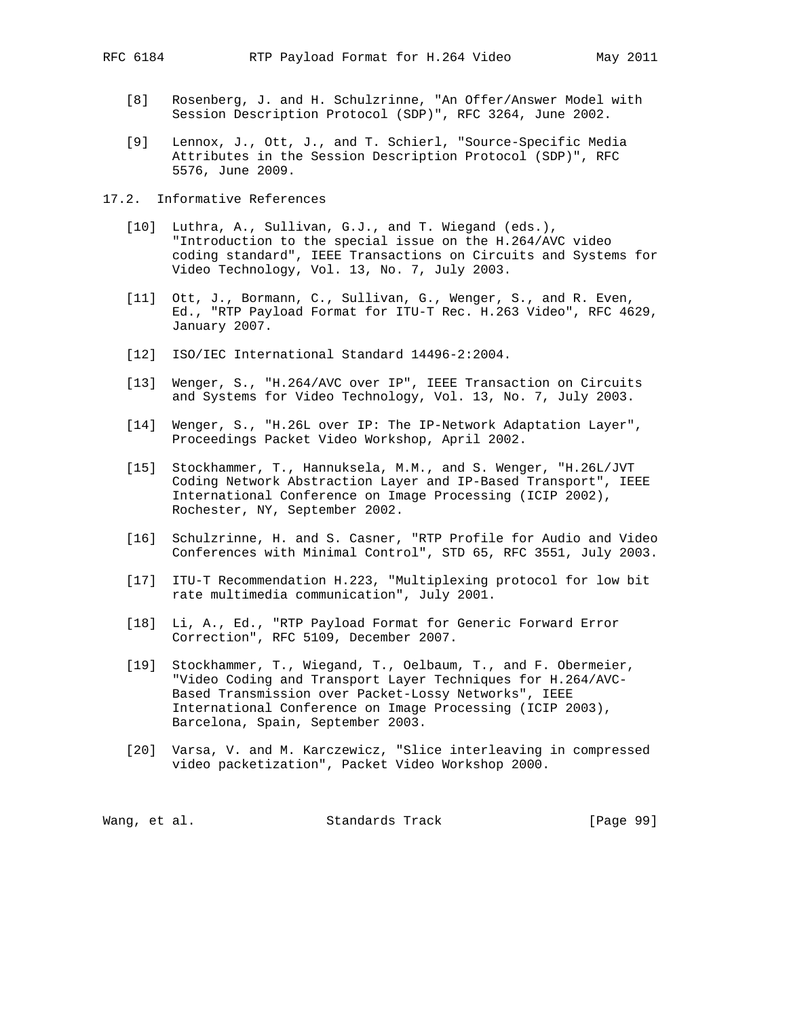- [8] Rosenberg, J. and H. Schulzrinne, "An Offer/Answer Model with Session Description Protocol (SDP)", RFC 3264, June 2002.
- [9] Lennox, J., Ott, J., and T. Schierl, "Source-Specific Media Attributes in the Session Description Protocol (SDP)", RFC 5576, June 2009.
- 17.2. Informative References
	- [10] Luthra, A., Sullivan, G.J., and T. Wiegand (eds.), "Introduction to the special issue on the H.264/AVC video coding standard", IEEE Transactions on Circuits and Systems for Video Technology, Vol. 13, No. 7, July 2003.
	- [11] Ott, J., Bormann, C., Sullivan, G., Wenger, S., and R. Even, Ed., "RTP Payload Format for ITU-T Rec. H.263 Video", RFC 4629, January 2007.
	- [12] ISO/IEC International Standard 14496-2:2004.
	- [13] Wenger, S., "H.264/AVC over IP", IEEE Transaction on Circuits and Systems for Video Technology, Vol. 13, No. 7, July 2003.
	- [14] Wenger, S., "H.26L over IP: The IP-Network Adaptation Layer", Proceedings Packet Video Workshop, April 2002.
	- [15] Stockhammer, T., Hannuksela, M.M., and S. Wenger, "H.26L/JVT Coding Network Abstraction Layer and IP-Based Transport", IEEE International Conference on Image Processing (ICIP 2002), Rochester, NY, September 2002.
	- [16] Schulzrinne, H. and S. Casner, "RTP Profile for Audio and Video Conferences with Minimal Control", STD 65, RFC 3551, July 2003.
	- [17] ITU-T Recommendation H.223, "Multiplexing protocol for low bit rate multimedia communication", July 2001.
	- [18] Li, A., Ed., "RTP Payload Format for Generic Forward Error Correction", RFC 5109, December 2007.
	- [19] Stockhammer, T., Wiegand, T., Oelbaum, T., and F. Obermeier, "Video Coding and Transport Layer Techniques for H.264/AVC- Based Transmission over Packet-Lossy Networks", IEEE International Conference on Image Processing (ICIP 2003), Barcelona, Spain, September 2003.
	- [20] Varsa, V. and M. Karczewicz, "Slice interleaving in compressed video packetization", Packet Video Workshop 2000.

|  | Wang, et al. | Standards Track | [Page 99] |  |  |
|--|--------------|-----------------|-----------|--|--|
|--|--------------|-----------------|-----------|--|--|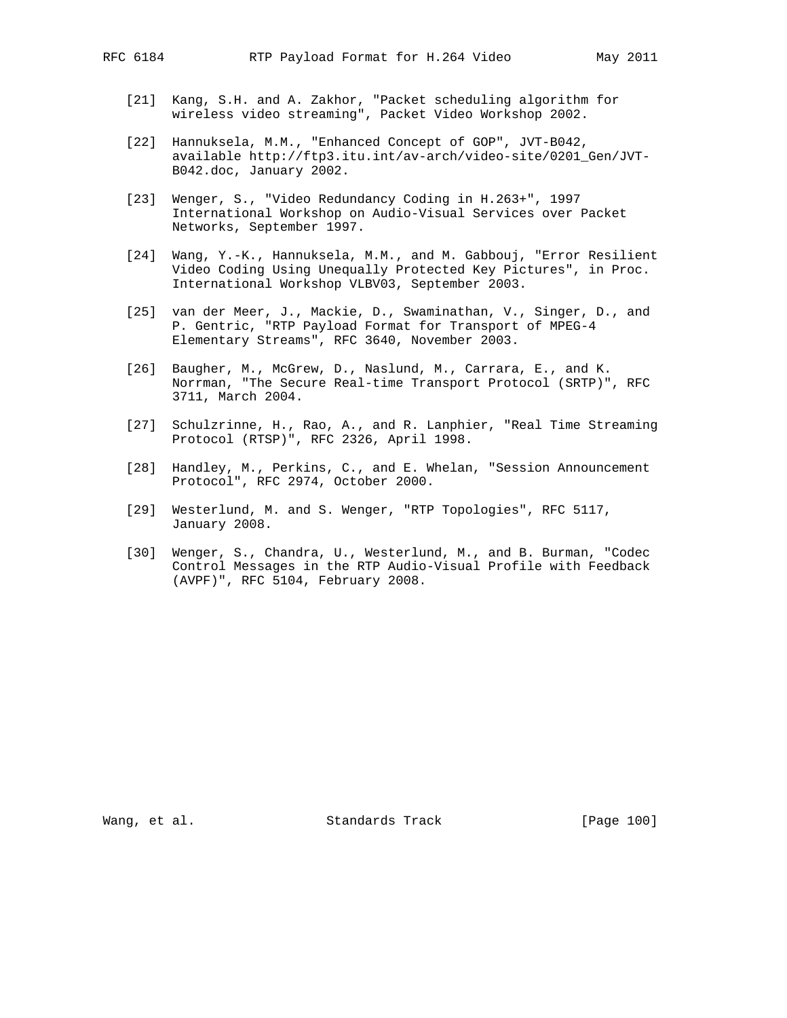- - [21] Kang, S.H. and A. Zakhor, "Packet scheduling algorithm for wireless video streaming", Packet Video Workshop 2002.
	- [22] Hannuksela, M.M., "Enhanced Concept of GOP", JVT-B042, available http://ftp3.itu.int/av-arch/video-site/0201\_Gen/JVT- B042.doc, January 2002.
	- [23] Wenger, S., "Video Redundancy Coding in H.263+", 1997 International Workshop on Audio-Visual Services over Packet Networks, September 1997.
	- [24] Wang, Y.-K., Hannuksela, M.M., and M. Gabbouj, "Error Resilient Video Coding Using Unequally Protected Key Pictures", in Proc. International Workshop VLBV03, September 2003.
	- [25] van der Meer, J., Mackie, D., Swaminathan, V., Singer, D., and P. Gentric, "RTP Payload Format for Transport of MPEG-4 Elementary Streams", RFC 3640, November 2003.
	- [26] Baugher, M., McGrew, D., Naslund, M., Carrara, E., and K. Norrman, "The Secure Real-time Transport Protocol (SRTP)", RFC 3711, March 2004.
	- [27] Schulzrinne, H., Rao, A., and R. Lanphier, "Real Time Streaming Protocol (RTSP)", RFC 2326, April 1998.
	- [28] Handley, M., Perkins, C., and E. Whelan, "Session Announcement Protocol", RFC 2974, October 2000.
	- [29] Westerlund, M. and S. Wenger, "RTP Topologies", RFC 5117, January 2008.
	- [30] Wenger, S., Chandra, U., Westerlund, M., and B. Burman, "Codec Control Messages in the RTP Audio-Visual Profile with Feedback (AVPF)", RFC 5104, February 2008.

Wang, et al. Standards Track [Page 100]